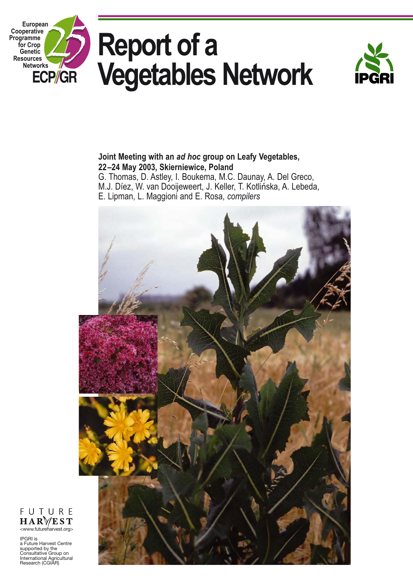



**Joint Meeting with an ad hoc group on Leafy Vegetables,** 22-24 May 2003, Skierniewice, Poland G. Thomas, D. Astley, I. Boukema, M.C. Daunay, A. Del Greco, M.J. Díez, W. van Dooijeweert, J. Keller, T. Kotlińska, A. Lebeda, E. Lipman, L. Maggioni and E. Rosa, *compilers* 



FUTURE  $HARW/EST$ <www.futureharvest.org>

IPGRI is<br>a Future Harvest Centre supported by the<br>Consultative Group on<br>International Agricultural<br>Research (CGIAR)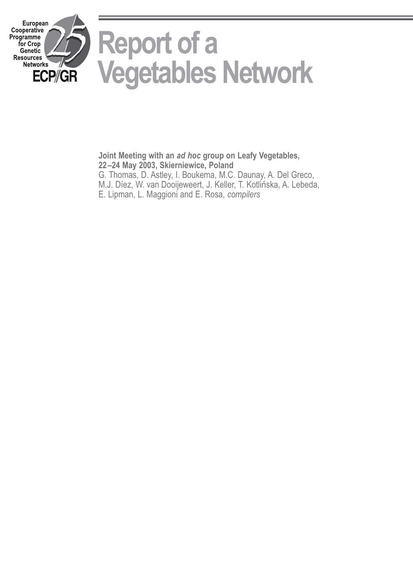

**Joint Meeting with an ad hoc group on Leafy Vegetables,** 22-24 May 2003, Skierniewice, Poland G. Thomas, D. Astley, I. Boukema, M.C. Daunay, A. Del Greco, M.J. Díez, W. van Dooijeweert, J. Keller, T. Kotlińska, A. Lebeda, E. Lipman, L. Maggioni and E. Rosa, *compilers*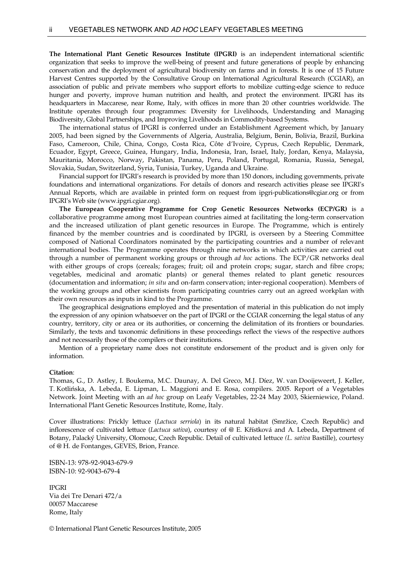**The International Plant Genetic Resources Institute (IPGRI)** is an independent international scientific organization that seeks to improve the well-being of present and future generations of people by enhancing conservation and the deployment of agricultural biodiversity on farms and in forests. It is one of 15 Future Harvest Centres supported by the Consultative Group on International Agricultural Research (CGIAR), an association of public and private members who support efforts to mobilize cutting-edge science to reduce hunger and poverty, improve human nutrition and health, and protect the environment. IPGRI has its headquarters in Maccarese, near Rome, Italy, with offices in more than 20 other countries worldwide. The Institute operates through four programmes: Diversity for Livelihoods, Understanding and Managing Biodiversity, Global Partnerships, and Improving Livelihoods in Commodity-based Systems.

 The international status of IPGRI is conferred under an Establishment Agreement which, by January 2005, had been signed by the Governments of Algeria, Australia, Belgium, Benin, Bolivia, Brazil, Burkina Faso, Cameroon, Chile, China, Congo, Costa Rica, Côte d'Ivoire, Cyprus, Czech Republic, Denmark, Ecuador, Egypt, Greece, Guinea, Hungary, India, Indonesia, Iran, Israel, Italy, Jordan, Kenya, Malaysia, Mauritania, Morocco, Norway, Pakistan, Panama, Peru, Poland, Portugal, Romania, Russia, Senegal, Slovakia, Sudan, Switzerland, Syria, Tunisia, Turkey, Uganda and Ukraine.

 Financial support for IPGRI's research is provided by more than 150 donors, including governments, private foundations and international organizations. For details of donors and research activities please see IPGRI's Annual Reports, which are available in printed form on request from ipgri-publications@cgiar.org or from IPGRI's Web site (www.ipgri.cgiar.org).

 **The European Cooperative Programme for Crop Genetic Resources Networks (ECP/GR)** is a collaborative programme among most European countries aimed at facilitating the long-term conservation and the increased utilization of plant genetic resources in Europe. The Programme, which is entirely financed by the member countries and is coordinated by IPGRI, is overseen by a Steering Committee composed of National Coordinators nominated by the participating countries and a number of relevant international bodies. The Programme operates through nine networks in which activities are carried out through a number of permanent working groups or through *ad hoc* actions. The ECP/GR networks deal with either groups of crops (cereals; forages; fruit; oil and protein crops; sugar, starch and fibre crops; vegetables, medicinal and aromatic plants) or general themes related to plant genetic resources (documentation and information; *in situ* and on-farm conservation; inter-regional cooperation). Members of the working groups and other scientists from participating countries carry out an agreed workplan with their own resources as inputs in kind to the Programme.

 The geographical designations employed and the presentation of material in this publication do not imply the expression of any opinion whatsoever on the part of IPGRI or the CGIAR concerning the legal status of any country, territory, city or area or its authorities, or concerning the delimitation of its frontiers or boundaries. Similarly, the texts and taxonomic definitions in these proceedings reflect the views of the respective authors and not necessarily those of the compilers or their institutions.

 Mention of a proprietary name does not constitute endorsement of the product and is given only for information.

#### **Citation**:

Thomas, G., D. Astley, I. Boukema, M.C. Daunay, A. Del Greco, M.J. Díez, W. van Dooijeweert, J. Keller, T. Kotliēska, A. Lebeda, E. Lipman, L. Maggioni and E. Rosa, compilers. 2005. Report of a Vegetables Network. Joint Meeting with an *ad hoc* group on Leafy Vegetables, 22-24 May 2003, Skierniewice, Poland. International Plant Genetic Resources Institute, Rome, Italy.

Cover illustrations: Prickly lettuce (*Lactuca serriola*) in its natural habitat (Smržice, Czech Republic) and inflorescence of cultivated lettuce (*Lactuca sativa*), courtesy of @ E. Křístková and A. Lebeda, Department of Botany, Palacký University, Olomouc, Czech Republic. Detail of cultivated lettuce *(L. sativa* Bastille), courtesy of @ H. de Fontanges, GEVES, Brion, France.

ISBN-13: 978-92-9043-679-9 ISBN-10: 92-9043-679-4

IPGRI Via dei Tre Denari 472/a 00057 Maccarese Rome, Italy

© International Plant Genetic Resources Institute, 2005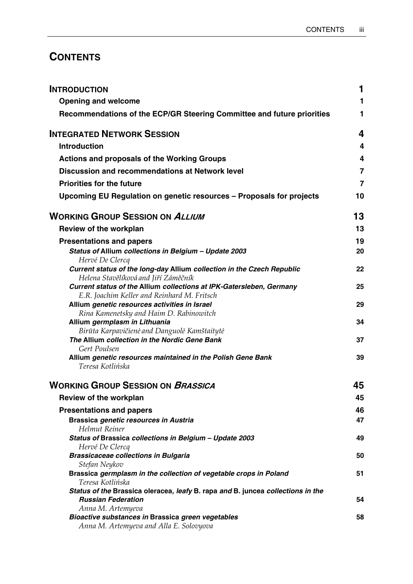# **CONTENTS**

| <b>INTRODUCTION</b>                                                                                                               | 1              |
|-----------------------------------------------------------------------------------------------------------------------------------|----------------|
| <b>Opening and welcome</b>                                                                                                        | 1              |
| Recommendations of the ECP/GR Steering Committee and future priorities                                                            | 1              |
| <b>INTEGRATED NETWORK SESSION</b>                                                                                                 | 4              |
| <b>Introduction</b>                                                                                                               | 4              |
| <b>Actions and proposals of the Working Groups</b>                                                                                | 4              |
| Discussion and recommendations at Network level                                                                                   | $\overline{7}$ |
| <b>Priorities for the future</b>                                                                                                  | $\overline{7}$ |
| Upcoming EU Regulation on genetic resources - Proposals for projects                                                              | 10             |
| <b>WORKING GROUP SESSION ON ALLIUM</b>                                                                                            | 13             |
| Review of the workplan                                                                                                            | 13             |
| <b>Presentations and papers</b>                                                                                                   | 19             |
| Status of Allium collections in Belgium - Update 2003<br>Hervé De Clercq                                                          | 20             |
| Current status of the long-day Allium collection in the Czech Republic<br>Helena Stavělíková and Jiří Záměčník                    | 22             |
| Current status of the Allium collections at IPK-Gatersleben, Germany<br>E.R. Joachim Keller and Reinhard M. Fritsch               | 25             |
| Allium genetic resources activities in Israel<br>Rina Kamenetsky and Haim D. Rabinowitch                                          | 29             |
| Allium germplasm in Lithuania<br>Birūta Karpavičienė and Danguolė Kamštaitytė                                                     | 34             |
| The Allium collection in the Nordic Gene Bank                                                                                     | 37             |
| Gert Poulsen<br>Allium genetic resources maintained in the Polish Gene Bank<br>Teresa Kotlińska                                   | 39             |
| <b>WORKING GROUP SESSION ON BRASSICA</b>                                                                                          | 45             |
| Review of the workplan                                                                                                            | 45             |
| <b>Presentations and papers</b>                                                                                                   | 46             |
| Brassica genetic resources in Austria<br>Helmut Reiner                                                                            | 47             |
| Status of Brassica collections in Belgium - Update 2003<br>Hervé De Clercq                                                        | 49             |
| <b>Brassicaceae collections in Bulgaria</b><br>Stefan Neykov                                                                      | 50             |
| Brassica germplasm in the collection of vegetable crops in Poland<br>Teresa Kotlińska                                             | 51             |
| Status of the Brassica oleracea, leafy B. rapa and B. juncea collections in the<br><b>Russian Federation</b><br>Anna M. Artemyeva | 54             |
| Bioactive substances in Brassica green vegetables<br>Anna M. Artemyeva and Alla E. Solovyova                                      | 58             |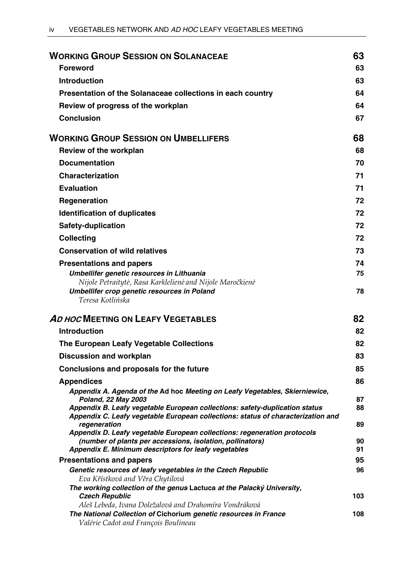| <b>WORKING GROUP SESSION ON SOLANACEAE</b>                                                                                                                         | 63  |
|--------------------------------------------------------------------------------------------------------------------------------------------------------------------|-----|
| <b>Foreword</b>                                                                                                                                                    | 63  |
| <b>Introduction</b>                                                                                                                                                | 63  |
| Presentation of the Solanaceae collections in each country                                                                                                         | 64  |
| Review of progress of the workplan                                                                                                                                 | 64  |
| <b>Conclusion</b>                                                                                                                                                  | 67  |
| <b>WORKING GROUP SESSION ON UMBELLIFERS</b>                                                                                                                        | 68  |
| Review of the workplan                                                                                                                                             | 68  |
| <b>Documentation</b>                                                                                                                                               | 70  |
| <b>Characterization</b>                                                                                                                                            | 71  |
| <b>Evaluation</b>                                                                                                                                                  | 71  |
| Regeneration                                                                                                                                                       | 72  |
| <b>Identification of duplicates</b>                                                                                                                                | 72  |
| <b>Safety-duplication</b>                                                                                                                                          | 72  |
| <b>Collecting</b>                                                                                                                                                  | 72  |
| <b>Conservation of wild relatives</b>                                                                                                                              | 73  |
| <b>Presentations and papers</b>                                                                                                                                    | 74  |
| Umbellifer genetic resources in Lithuania<br>Nijole Petraitytė, Rasa Karklelienė and Nijole Maročkienė                                                             | 75  |
| Umbellifer crop genetic resources in Poland<br>Teresa Kotlińska                                                                                                    | 78  |
| AD HOC MEETING ON LEAFY VEGETABLES                                                                                                                                 | 82  |
| <b>Introduction</b>                                                                                                                                                | 82  |
| The European Leafy Vegetable Collections                                                                                                                           | 82  |
| <b>Discussion and workplan</b>                                                                                                                                     | 83  |
| Conclusions and proposals for the future                                                                                                                           | 85  |
| <b>Appendices</b>                                                                                                                                                  | 86  |
| Appendix A. Agenda of the Ad hoc Meeting on Leafy Vegetables, Skierniewice,<br>Poland, 22 May 2003                                                                 | 87  |
| Appendix B. Leafy vegetable European collections: safety-duplication status                                                                                        | 88  |
| Appendix C. Leafy vegetable European collections: status of characterization and<br>regeneration                                                                   | 89  |
| Appendix D. Leafy vegetable European collections: regeneration protocols<br>(number of plants per accessions, isolation, pollinators)                              | 90  |
| Appendix E. Minimum descriptors for leafy vegetables                                                                                                               | 91  |
| <b>Presentations and papers</b>                                                                                                                                    | 95  |
| Genetic resources of leafy vegetables in the Czech Republic<br>Eva Křístková and Věra Chytilová                                                                    | 96  |
| The working collection of the genus Lactuca at the Palacký University,                                                                                             |     |
| <b>Czech Republic</b>                                                                                                                                              | 103 |
| Aleš Lebeda, Ivana Doležalová and Drahomíra Vondráková<br>The National Collection of Cichorium genetic resources in France<br>Valérie Cadot and François Boulineau | 108 |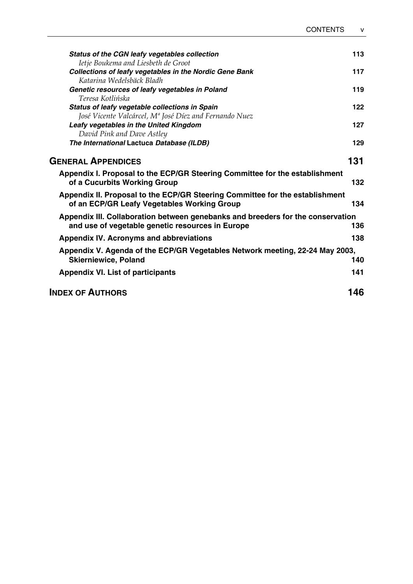| Status of the CGN leafy vegetables collection                                                                               | 113 |
|-----------------------------------------------------------------------------------------------------------------------------|-----|
| Ietje Boukema and Liesbeth de Groot                                                                                         |     |
| <b>Collections of leafy vegetables in the Nordic Gene Bank</b><br>Katarina Wedelsbäck Bladh                                 | 117 |
|                                                                                                                             | 119 |
| Genetic resources of leafy vegetables in Poland<br>Teresa Kotlińska                                                         |     |
| Status of leafy vegetable collections in Spain                                                                              | 122 |
| José Vicente Valcárcel, M <sup>a</sup> José Díez and Fernando Nuez                                                          |     |
| Leafy vegetables in the United Kingdom                                                                                      | 127 |
| David Pink and Dave Astley                                                                                                  |     |
| The International Lactuca Database (ILDB)                                                                                   | 129 |
| <b>GENERAL APPENDICES</b>                                                                                                   | 131 |
| Appendix I. Proposal to the ECP/GR Steering Committee for the establishment<br>of a Cucurbits Working Group                 | 132 |
| Appendix II. Proposal to the ECP/GR Steering Committee for the establishment<br>of an ECP/GR Leafy Vegetables Working Group | 134 |
| Appendix III. Collaboration between genebanks and breeders for the conservation                                             |     |
| and use of vegetable genetic resources in Europe                                                                            | 136 |
| <b>Appendix IV. Acronyms and abbreviations</b>                                                                              | 138 |
| Appendix V. Agenda of the ECP/GR Vegetables Network meeting, 22-24 May 2003,<br><b>Skierniewice, Poland</b>                 | 140 |
| <b>Appendix VI. List of participants</b>                                                                                    | 141 |
| <b>INDEX OF AUTHORS</b>                                                                                                     | 146 |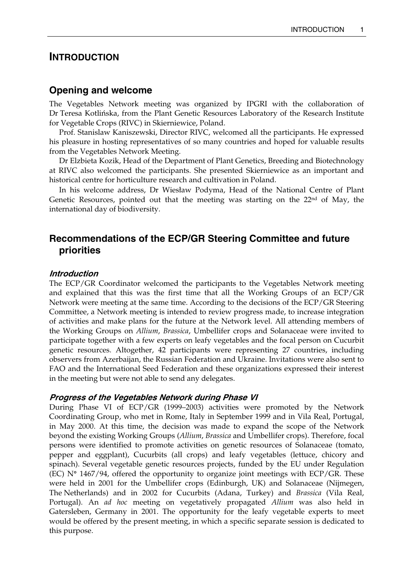## **INTRODUCTION**

## **Opening and welcome**

The Vegetables Network meeting was organized by IPGRI with the collaboration of Dr Teresa Kotlińska, from the Plant Genetic Resources Laboratory of the Research Institute for Vegetable Crops (RIVC) in Skierniewice, Poland.

 Prof. Stanislaw Kaniszewski, Director RIVC, welcomed all the participants. He expressed his pleasure in hosting representatives of so many countries and hoped for valuable results from the Vegetables Network Meeting.

 Dr Elzbieta Kozik, Head of the Department of Plant Genetics, Breeding and Biotechnology at RIVC also welcomed the participants. She presented Skierniewice as an important and historical centre for horticulture research and cultivation in Poland.

In his welcome address, Dr Wiesław Podyma, Head of the National Centre of Plant Genetic Resources, pointed out that the meeting was starting on the 22nd of May, the international day of biodiversity.

## **Recommendations of the ECP/GR Steering Committee and future priorities**

### **Introduction**

The ECP/GR Coordinator welcomed the participants to the Vegetables Network meeting and explained that this was the first time that all the Working Groups of an ECP/GR Network were meeting at the same time. According to the decisions of the ECP/GR Steering Committee, a Network meeting is intended to review progress made, to increase integration of activities and make plans for the future at the Network level. All attending members of the Working Groups on *Allium*, *Brassica*, Umbellifer crops and Solanaceae were invited to participate together with a few experts on leafy vegetables and the focal person on Cucurbit genetic resources. Altogether, 42 participants were representing 27 countries, including observers from Azerbaijan, the Russian Federation and Ukraine. Invitations were also sent to FAO and the International Seed Federation and these organizations expressed their interest in the meeting but were not able to send any delegates.

### **Progress of the Vegetables Network during Phase VI**

During Phase VI of ECP/GR (1999–2003) activities were promoted by the Network Coordinating Group, who met in Rome, Italy in September 1999 and in Vila Real, Portugal, in May 2000. At this time, the decision was made to expand the scope of the Network beyond the existing Working Groups (*Allium*, *Brassica* and Umbellifer crops). Therefore, focal persons were identified to promote activities on genetic resources of Solanaceae (tomato, pepper and eggplant), Cucurbits (all crops) and leafy vegetables (lettuce, chicory and spinach). Several vegetable genetic resources projects, funded by the EU under Regulation (EC) N**°** 1467/94, offered the opportunity to organize joint meetings with ECP/GR. These were held in 2001 for the Umbellifer crops (Edinburgh, UK) and Solanaceae (Nijmegen, The Netherlands) and in 2002 for Cucurbits (Adana, Turkey) and *Brassica* (Vila Real, Portugal). An *ad hoc* meeting on vegetatively propagated *Allium* was also held in Gatersleben, Germany in 2001. The opportunity for the leafy vegetable experts to meet would be offered by the present meeting, in which a specific separate session is dedicated to this purpose.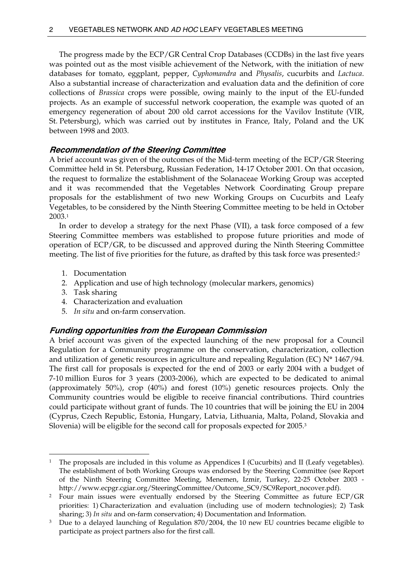The progress made by the ECP/GR Central Crop Databases (CCDBs) in the last five years was pointed out as the most visible achievement of the Network, with the initiation of new databases for tomato, eggplant, pepper, *Cyphomandra* and *Physalis*, cucurbits and *Lactuca*. Also a substantial increase of characterization and evaluation data and the definition of core collections of *Brassica* crops were possible, owing mainly to the input of the EU-funded projects. As an example of successful network cooperation, the example was quoted of an emergency regeneration of about 200 old carrot accessions for the Vavilov Institute (VIR, St. Petersburg), which was carried out by institutes in France, Italy, Poland and the UK between 1998 and 2003.

## **Recommendation of the Steering Committee**

A brief account was given of the outcomes of the Mid-term meeting of the ECP/GR Steering Committee held in St. Petersburg, Russian Federation, 14-17 October 2001. On that occasion, the request to formalize the establishment of the Solanaceae Working Group was accepted and it was recommended that the Vegetables Network Coordinating Group prepare proposals for the establishment of two new Working Groups on Cucurbits and Leafy Vegetables, to be considered by the Ninth Steering Committee meeting to be held in October 2003.1

 In order to develop a strategy for the next Phase (VII), a task force composed of a few Steering Committee members was established to propose future priorities and mode of operation of ECP/GR, to be discussed and approved during the Ninth Steering Committee meeting. The list of five priorities for the future, as drafted by this task force was presented:<sup>2</sup>

- 1. Documentation
- 2. Application and use of high technology (molecular markers, genomics)
- 3. Task sharing

 $\overline{a}$ 

- 4. Characterization and evaluation
- 5. *In situ* and on-farm conservation.

## **Funding opportunities from the European Commission**

A brief account was given of the expected launching of the new proposal for a Council Regulation for a Community programme on the conservation, characterization, collection and utilization of genetic resources in agriculture and repealing Regulation (EC) N**°** 1467/94. The first call for proposals is expected for the end of 2003 or early 2004 with a budget of 7-10 million Euros for 3 years (2003-2006), which are expected to be dedicated to animal (approximately 50%), crop (40%) and forest (10%) genetic resources projects. Only the Community countries would be eligible to receive financial contributions. Third countries could participate without grant of funds. The 10 countries that will be joining the EU in 2004 (Cyprus, Czech Republic, Estonia, Hungary, Latvia, Lithuania, Malta, Poland, Slovakia and Slovenia) will be eligible for the second call for proposals expected for 2005.3

<sup>1</sup> The proposals are included in this volume as Appendices I (Cucurbits) and II (Leafy vegetables). The establishment of both Working Groups was endorsed by the Steering Committee (see Report of the Ninth Steering Committee Meeting, Menemen, Izmir, Turkey, 22-25 October 2003 http://www.ecpgr.cgiar.org/SteeringCommittee/Outcome\_SC9/SC9Report\_nocover.pdf).

<sup>2</sup> Four main issues were eventually endorsed by the Steering Committee as future ECP/GR priorities: 1) Characterization and evaluation (including use of modern technologies); 2) Task sharing; 3) *In situ* and on-farm conservation; 4) Documentation and Information.

<sup>&</sup>lt;sup>3</sup> Due to a delayed launching of Regulation 870/2004, the 10 new EU countries became eligible to participate as project partners also for the first call.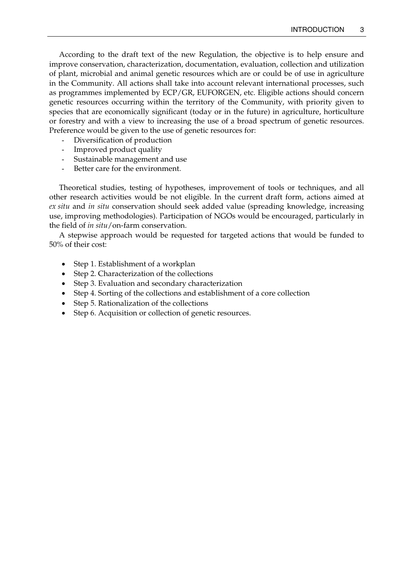According to the draft text of the new Regulation, the objective is to help ensure and improve conservation, characterization, documentation, evaluation, collection and utilization of plant, microbial and animal genetic resources which are or could be of use in agriculture in the Community. All actions shall take into account relevant international processes, such as programmes implemented by ECP/GR, EUFORGEN, etc. Eligible actions should concern genetic resources occurring within the territory of the Community, with priority given to species that are economically significant (today or in the future) in agriculture, horticulture or forestry and with a view to increasing the use of a broad spectrum of genetic resources. Preference would be given to the use of genetic resources for:

- Diversification of production
- Improved product quality
- Sustainable management and use
- Better care for the environment.

 Theoretical studies, testing of hypotheses, improvement of tools or techniques, and all other research activities would be not eligible. In the current draft form, actions aimed at *ex situ* and *in situ* conservation should seek added value (spreading knowledge, increasing use, improving methodologies). Participation of NGOs would be encouraged, particularly in the field of *in situ*/on-farm conservation.

 A stepwise approach would be requested for targeted actions that would be funded to 50% of their cost:

- $\bullet$  Step 1. Establishment of a workplan
- Step 2. Characterization of the collections
- Step 3. Evaluation and secondary characterization
- Step 4. Sorting of the collections and establishment of a core collection
- $\bullet$  Step 5. Rationalization of the collections
- Step 6. Acquisition or collection of genetic resources.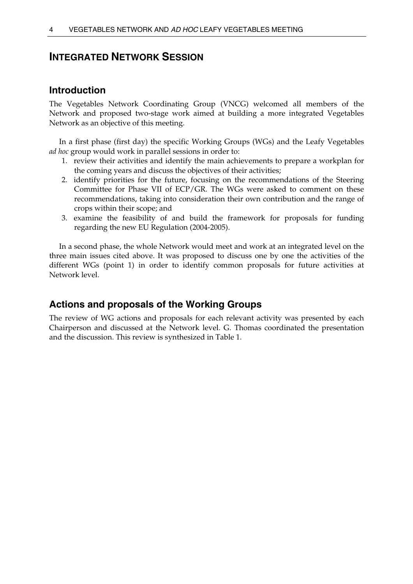## **INTEGRATED NETWORK SESSION**

## **Introduction**

The Vegetables Network Coordinating Group (VNCG) welcomed all members of the Network and proposed two-stage work aimed at building a more integrated Vegetables Network as an objective of this meeting.

 In a first phase (first day) the specific Working Groups (WGs) and the Leafy Vegetables *ad hoc* group would work in parallel sessions in order to:

- 1. review their activities and identify the main achievements to prepare a workplan for the coming years and discuss the objectives of their activities;
- 2. identify priorities for the future, focusing on the recommendations of the Steering Committee for Phase VII of ECP/GR. The WGs were asked to comment on these recommendations, taking into consideration their own contribution and the range of crops within their scope; and
- 3. examine the feasibility of and build the framework for proposals for funding regarding the new EU Regulation (2004-2005).

 In a second phase, the whole Network would meet and work at an integrated level on the three main issues cited above. It was proposed to discuss one by one the activities of the different WGs (point 1) in order to identify common proposals for future activities at Network level.

## **Actions and proposals of the Working Groups**

The review of WG actions and proposals for each relevant activity was presented by each Chairperson and discussed at the Network level. G. Thomas coordinated the presentation and the discussion. This review is synthesized in Table 1.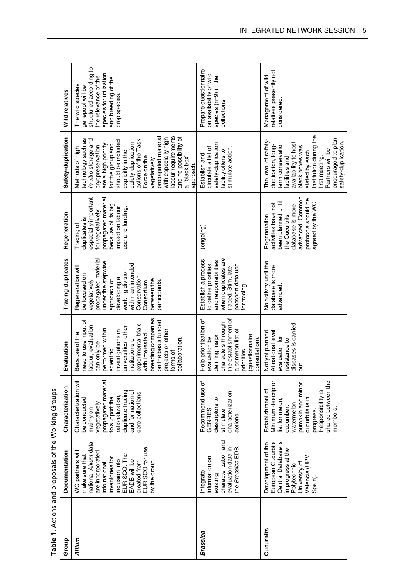|           | Table 1. Actions and proposals of the Working Groups                                                                                                                                                                    |                                                                                                                                                                                                  |                                                                                                                                                                                                                                                                                                                        |                                                                                                                                                                                                                                        |                                                                                                                                                                |                                                                                                                                                                                                                                                                                                                                                                                    |                                                                                                                                                            |
|-----------|-------------------------------------------------------------------------------------------------------------------------------------------------------------------------------------------------------------------------|--------------------------------------------------------------------------------------------------------------------------------------------------------------------------------------------------|------------------------------------------------------------------------------------------------------------------------------------------------------------------------------------------------------------------------------------------------------------------------------------------------------------------------|----------------------------------------------------------------------------------------------------------------------------------------------------------------------------------------------------------------------------------------|----------------------------------------------------------------------------------------------------------------------------------------------------------------|------------------------------------------------------------------------------------------------------------------------------------------------------------------------------------------------------------------------------------------------------------------------------------------------------------------------------------------------------------------------------------|------------------------------------------------------------------------------------------------------------------------------------------------------------|
| Group     | Documentation                                                                                                                                                                                                           | Characterization                                                                                                                                                                                 | Evaluation                                                                                                                                                                                                                                                                                                             | Tracing duplicates                                                                                                                                                                                                                     | Regeneration                                                                                                                                                   | Safety-duplication                                                                                                                                                                                                                                                                                                                                                                 | Wild relatives                                                                                                                                             |
| Allium    | national Allium data<br>EURISCO for use<br>are incorporated<br>WG partners will<br>EURISCO. The<br>make sure that<br>inventories for<br>inclusion into<br>EADB will be<br>created from<br>by the group<br>into national | Characterization will<br>propagated material<br>duplicate tracing<br>and formation of<br>core collections.<br>rationalization<br>to support the<br>be conducted<br>vegetatively<br>mainly on     | breeding companies<br>on the basis funded<br>need to use input of<br>experimental trials<br>labour, evaluation<br>universities, other<br>performed within<br>investigations in<br>projects or other<br>Because of the<br>with interested<br>institutions or<br>collaboration.<br>can only be<br>scientific<br>forms of | propagated material<br>under the stepwise<br>within an intended<br>Regeneration will<br>working division<br>be focused on<br>Conservation<br>developing a<br>between the<br>vegetatively<br>participants.<br>approach of<br>Consortium | especially important<br>propagated materia<br>because of its big<br>impact on labour<br>use and funding.<br>for vegetatively<br>duplicates is<br>Tracing of    | labour requirements<br>propagated material<br>with especially high<br>and no possibility of<br>technology such as<br>in vitro storage and<br>actions of the Task<br>should be included<br>safety-duplication<br>are a high priority<br>for the group and<br>cryopreservation<br>Methods of high<br>explicitly in the<br>a "black box"<br>Force on the<br>vegetatively<br>approach. | structured according to<br>species for utilization<br>the relevance of the<br>and breeding of the<br>The wild species<br>genepool will be<br>crop species. |
| Brassica  | characterization and<br>the Brassica EDB<br>evaluation data in<br>information on<br>Integrate<br>existing                                                                                                               | Recommend use of<br>characterization<br>descriptors to<br>GENRES<br>stimulate<br>actions                                                                                                         | the establishment of<br>Help prioritization of<br>characters through<br>a common list of<br>defining major<br>(questionnaire<br>evaluation by<br>consultation).<br>priorities                                                                                                                                          | when duplicates are<br>Establish a process<br>and responsibilities<br>to define priorities<br>passport data use<br>traced. Stimulate<br>for tracing.                                                                                   | (ongoing)                                                                                                                                                      | safety-duplication<br>circulate a list of<br>stimulate action.<br>facility offers to<br>Establish and                                                                                                                                                                                                                                                                              | Prepare questionnaire<br>on availability of wild<br>species (n=9) in the<br>collections.                                                                   |
| Cucurbits | European Cucurbits<br>Central Database is<br>Development of the<br>in progress at the<br>Valencia (UPV,<br>University of<br>Polytechnic<br>Spain).                                                                      | shared between the<br>Minimum descriptor<br>pumpkin and minor<br>Establishment of<br>Responsibility is<br>cucurbits is in<br>ist for melon,<br>watermelon,<br>cucumber,<br>members.<br>progress. | diseases is carried<br>Not yet planned.<br>At national level<br>evaluation for<br>resistance to<br>ti<br>5                                                                                                                                                                                                             | No activity until the<br>database is more<br>advanced                                                                                                                                                                                  | advanced. Common<br>protocols should be<br>agreed by the WG.<br>been planned until<br>activities have not<br>database is more<br>the Cucurbits<br>Regeneration | Institution during the<br>encouraged to plan<br>The level of safety-<br>safety-duplication.<br>term conservation<br>availability to host<br>duplication, long-<br>black boxes was<br>Partners will be<br>stated by each<br>facilities and<br>first meeting                                                                                                                         | relatives presently not<br>Management of wild<br>considered                                                                                                |

| I | $\frac{1}{2}$                                                  |
|---|----------------------------------------------------------------|
|   |                                                                |
|   | )<br>;<br>l                                                    |
|   | 5000                                                           |
|   | てくい                                                            |
|   | ֧֧֧֧֧֧֧֧֧֦֧֧֧֧֦֧֚֚֚֚֚֚֚֚֚֚֚֚֚֚֚֚֚֚֚֚֟֝֓֝֝֓֝֬֝֓֝֬֝֓֬֝֓֬֓֝֬֝֬֜֝֬ |
|   |                                                                |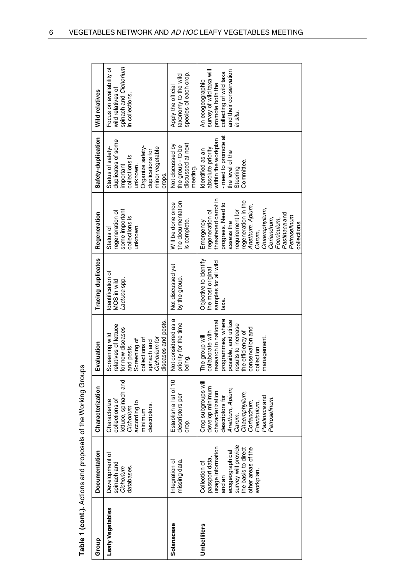| Group            | Documentation                                                                                                                                                      | <b>Characterization</b>                                                                                                                                                                      | Evaluation                                                                                                                                                                                            | Tracing duplicates                                                          | Regeneration                                                                                                                                                                                                                                                    | Safety-duplication                                                                                                                                      | Wild relatives                                                                                                                    |
|------------------|--------------------------------------------------------------------------------------------------------------------------------------------------------------------|----------------------------------------------------------------------------------------------------------------------------------------------------------------------------------------------|-------------------------------------------------------------------------------------------------------------------------------------------------------------------------------------------------------|-----------------------------------------------------------------------------|-----------------------------------------------------------------------------------------------------------------------------------------------------------------------------------------------------------------------------------------------------------------|---------------------------------------------------------------------------------------------------------------------------------------------------------|-----------------------------------------------------------------------------------------------------------------------------------|
| Leafy Vegetables | Development of<br>spinach and<br>databases.<br>Cichorium                                                                                                           | lettuce, spinach and<br>Characterize<br>collections of<br>according to<br>descriptors.<br>Cichorium<br>minimum                                                                               | diseases and pests.<br>relatives of lettuce<br>for new diseases<br>Screening wild<br>Cichorium for<br>collections of<br>Screening of<br>spinach and<br>and pests.                                     | Identification of<br>Lactuca spp.<br>MOS in wild                            | some important<br>regeneration of<br>collections is<br>unknown.<br>Status of                                                                                                                                                                                    | duplicates of some<br>Organize safety-<br>Status of safety-<br>minor vegetable<br>duplications for<br>collections is<br>unknown.<br>important<br>crops. | spinach and Cichorium<br>Focus on availability of<br>wild relatives of<br>in collections.                                         |
| Solanaceae       | Integration of<br>missing data.                                                                                                                                    | Establish a list of 10<br>descriptors per<br>crop.                                                                                                                                           | Not considered as a<br>priority for the time<br>being.                                                                                                                                                | Not discussed yet<br>by the group.                                          | the documentation<br>Will be done once<br>is complete.                                                                                                                                                                                                          | discussed at next<br>Not discussed by<br>the group - to be<br>meeting.                                                                                  | species of each crop.<br>taxonomy to the wild<br>Apply the official                                                               |
| Umbellifers      | survey will provide<br>usage information<br>other areas of the<br>the basis to direct<br>ecogeographical<br>passport data,<br>Collection of<br>workplan.<br>and an | Crop subgroups will<br>develop minimum<br>Anethum, Apium,<br>characterization<br>Chaerophyllum,<br>Pastinaca and<br>descriptors for<br>Petroselinum.<br>Coriandrum,<br>Foeniculum,<br>Carum, | programmes, where<br>possible, and utilize<br>research in national<br>results to increase<br>conservation and<br>collaborate with<br>the efficiency of<br>The group will<br>management.<br>collection | Objective to identify<br>samples for all wild<br>the most original<br>taxa. | threatened carrot in<br>regeneration in the<br>progress. Need to<br>Anethum, Apium,<br>Chaerophyllum,<br>requirement for<br>regeneration of<br>Pastinaca and<br>Petroselinum<br>Foeniculum,<br>Coriandrum,<br>Emergency<br>assess the<br>collections.<br>Carum, | - need to promote at<br>within the workplan<br>absolute priority<br>Identified as an<br>the level of the<br>Committee.<br>Steering                      | survey of wild taxa will<br>and their conservation<br>collecting of wild taxa<br>An ecogeographic<br>promote both the<br>in situ. |

Table 1 (cont.). Actions and proposals of the Working Groups **Table 1 (cont.).** Actions and proposals of the Working Groups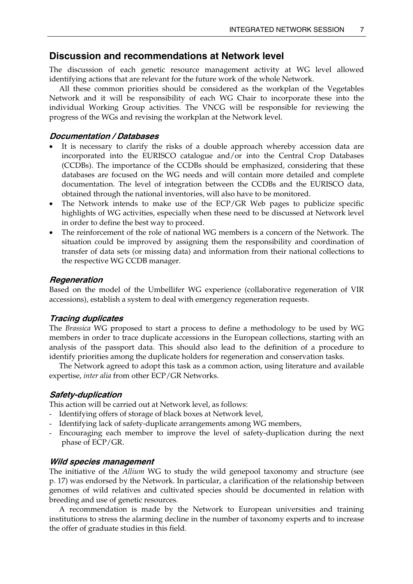## **Discussion and recommendations at Network level**

The discussion of each genetic resource management activity at WG level allowed identifying actions that are relevant for the future work of the whole Network.

 All these common priorities should be considered as the workplan of the Vegetables Network and it will be responsibility of each WG Chair to incorporate these into the individual Working Group activities. The VNCG will be responsible for reviewing the progress of the WGs and revising the workplan at the Network level.

#### **Documentation / Databases**

- It is necessary to clarify the risks of a double approach whereby accession data are incorporated into the EURISCO catalogue and/or into the Central Crop Databases (CCDBs). The importance of the CCDBs should be emphasized, considering that these databases are focused on the WG needs and will contain more detailed and complete documentation. The level of integration between the CCDBs and the EURISCO data, obtained through the national inventories, will also have to be monitored.
- The Network intends to make use of the ECP/GR Web pages to publicize specific highlights of WG activities, especially when these need to be discussed at Network level in order to define the best way to proceed.
- The reinforcement of the role of national WG members is a concern of the Network. The situation could be improved by assigning them the responsibility and coordination of transfer of data sets (or missing data) and information from their national collections to the respective WG CCDB manager.

#### **Regeneration**

Based on the model of the Umbellifer WG experience (collaborative regeneration of VIR accessions), establish a system to deal with emergency regeneration requests.

#### **Tracing duplicates**

The *Brassica* WG proposed to start a process to define a methodology to be used by WG members in order to trace duplicate accessions in the European collections, starting with an analysis of the passport data. This should also lead to the definition of a procedure to identify priorities among the duplicate holders for regeneration and conservation tasks.

 The Network agreed to adopt this task as a common action, using literature and available expertise, *inter alia* from other ECP/GR Networks.

#### **Safety-duplication**

This action will be carried out at Network level, as follows:

- Identifying offers of storage of black boxes at Network level,
- Identifying lack of safety-duplicate arrangements among WG members,
- Encouraging each member to improve the level of safety-duplication during the next phase of ECP/GR.

#### **Wild species management**

The initiative of the *Allium* WG to study the wild genepool taxonomy and structure (see p. 17) was endorsed by the Network. In particular, a clarification of the relationship between genomes of wild relatives and cultivated species should be documented in relation with breeding and use of genetic resources.

 A recommendation is made by the Network to European universities and training institutions to stress the alarming decline in the number of taxonomy experts and to increase the offer of graduate studies in this field.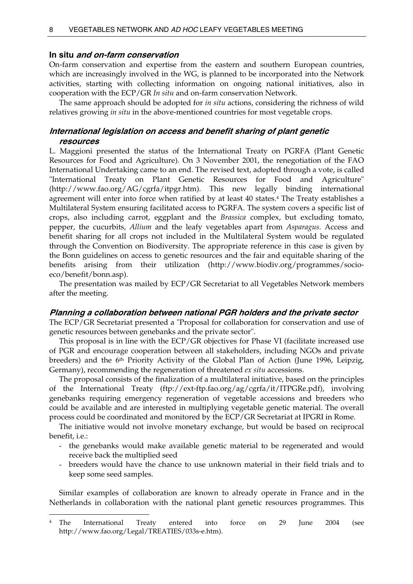### **In situ and on-farm conservation**

 $\overline{a}$ 

On-farm conservation and expertise from the eastern and southern European countries, which are increasingly involved in the WG, is planned to be incorporated into the Network activities, starting with collecting information on ongoing national initiatives, also in cooperation with the ECP/GR *In situ* and on-farm conservation Network.

 The same approach should be adopted for *in situ* actions, considering the richness of wild relatives growing *in situ* in the above-mentioned countries for most vegetable crops.

## **International legislation on access and benefit sharing of plant genetic resources**

L. Maggioni presented the status of the International Treaty on PGRFA (Plant Genetic Resources for Food and Agriculture). On 3 November 2001, the renegotiation of the FAO International Undertaking came to an end. The revised text, adopted through a vote, is called "International Treaty on Plant Genetic Resources for Food and Agriculture" (http://www.fao.org/AG/cgrfa/itpgr.htm). This new legally binding international agreement will enter into force when ratified by at least 40 states.<sup>4</sup> The Treaty establishes a Multilateral System ensuring facilitated access to PGRFA. The system covers a specific list of crops, also including carrot, eggplant and the *Brassica* complex, but excluding tomato, pepper, the cucurbits, *Allium* and the leafy vegetables apart from *Asparagus*. Access and benefit sharing for all crops not included in the Multilateral System would be regulated through the Convention on Biodiversity. The appropriate reference in this case is given by the Bonn guidelines on access to genetic resources and the fair and equitable sharing of the benefits arising from their utilization (http://www.biodiv.org/programmes/socioeco/benefit/bonn.asp).

 The presentation was mailed by ECP/GR Secretariat to all Vegetables Network members after the meeting.

### **Planning a collaboration between national PGR holders and the private sector**

The ECP/GR Secretariat presented a "Proposal for collaboration for conservation and use of genetic resources between genebanks and the private sector".

 This proposal is in line with the ECP/GR objectives for Phase VI (facilitate increased use of PGR and encourage cooperation between all stakeholders, including NGOs and private breeders) and the 6<sup>th</sup> Priority Activity of the Global Plan of Action (June 1996, Leipzig, Germany), recommending the regeneration of threatened *ex situ* accessions.

 The proposal consists of the finalization of a multilateral initiative, based on the principles of the International Treaty (ftp://ext-ftp.fao.org/ag/cgrfa/it/ITPGRe.pdf), involving genebanks requiring emergency regeneration of vegetable accessions and breeders who could be available and are interested in multiplying vegetable genetic material. The overall process could be coordinated and monitored by the ECP/GR Secretariat at IPGRI in Rome.

 The initiative would not involve monetary exchange, but would be based on reciprocal benefit, i.e.:

- the genebanks would make available genetic material to be regenerated and would receive back the multiplied seed
- breeders would have the chance to use unknown material in their field trials and to keep some seed samples.

 Similar examples of collaboration are known to already operate in France and in the Netherlands in collaboration with the national plant genetic resources programmes. This

<sup>4</sup> The International Treaty entered into force on 29 June 2004 (see http://www.fao.org/Legal/TREATIES/033s-e.htm).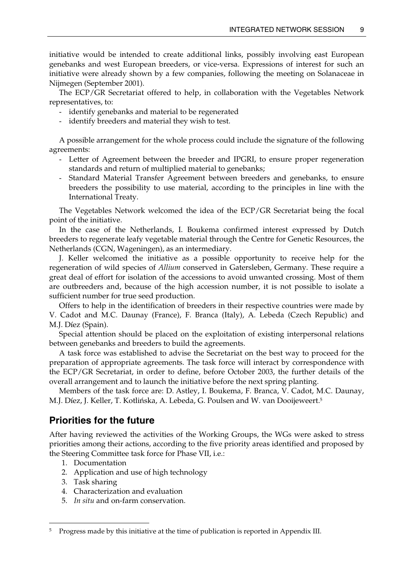initiative would be intended to create additional links, possibly involving east European genebanks and west European breeders, or vice-versa. Expressions of interest for such an initiative were already shown by a few companies, following the meeting on Solanaceae in Nijmegen (September 2001).

 The ECP/GR Secretariat offered to help, in collaboration with the Vegetables Network representatives, to:

- identify genebanks and material to be regenerated
- identify breeders and material they wish to test.

 A possible arrangement for the whole process could include the signature of the following agreements:

- Letter of Agreement between the breeder and IPGRI, to ensure proper regeneration standards and return of multiplied material to genebanks;
- Standard Material Transfer Agreement between breeders and genebanks, to ensure breeders the possibility to use material, according to the principles in line with the International Treaty.

 The Vegetables Network welcomed the idea of the ECP/GR Secretariat being the focal point of the initiative.

 In the case of the Netherlands, I. Boukema confirmed interest expressed by Dutch breeders to regenerate leafy vegetable material through the Centre for Genetic Resources, the Netherlands (CGN, Wageningen), as an intermediary.

 J. Keller welcomed the initiative as a possible opportunity to receive help for the regeneration of wild species of *Allium* conserved in Gatersleben, Germany. These require a great deal of effort for isolation of the accessions to avoid unwanted crossing. Most of them are outbreeders and, because of the high accession number, it is not possible to isolate a sufficient number for true seed production.

 Offers to help in the identification of breeders in their respective countries were made by V. Cadot and M.C. Daunay (France), F. Branca (Italy), A. Lebeda (Czech Republic) and M.J. Díez (Spain).

 Special attention should be placed on the exploitation of existing interpersonal relations between genebanks and breeders to build the agreements.

 A task force was established to advise the Secretariat on the best way to proceed for the preparation of appropriate agreements. The task force will interact by correspondence with the ECP/GR Secretariat, in order to define, before October 2003, the further details of the overall arrangement and to launch the initiative before the next spring planting.

 Members of the task force are: D. Astley, I. Boukema, F. Branca, V. Cadot, M.C. Daunay, M.J. Díez, J. Keller, T. Kotlińska, A. Lebeda, G. Poulsen and W. van Dooijeweert.<sup>5</sup>

## **Priorities for the future**

After having reviewed the activities of the Working Groups, the WGs were asked to stress priorities among their actions, according to the five priority areas identified and proposed by the Steering Committee task force for Phase VII, i.e.:

- 1. Documentation
- 2. Application and use of high technology
- 3. Task sharing

 $\overline{a}$ 

- 4. Characterization and evaluation
- 5. *In situ* and on-farm conservation.

<sup>&</sup>lt;sup>5</sup> Progress made by this initiative at the time of publication is reported in Appendix III.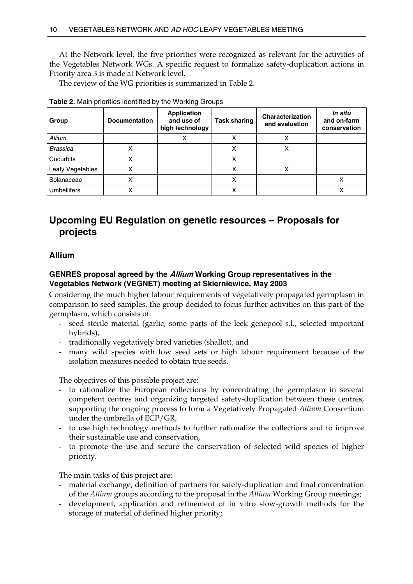At the Network level, the five priorities were recognized as relevant for the activities of the Vegetables Network WGs. A specific request to formalize safety-duplication actions in Priority area 3 is made at Network level.

The review of the WG priorities is summarized in Table 2.

| Group              | <b>Documentation</b> | <b>Application</b><br>and use of<br>high technology | <b>Task sharing</b> | Characterization<br>and evaluation | In situ<br>and on-farm<br>conservation |
|--------------------|----------------------|-----------------------------------------------------|---------------------|------------------------------------|----------------------------------------|
| <b>Allium</b>      |                      | х                                                   | χ                   | x                                  |                                        |
| Brassica           | x                    |                                                     | x                   | x                                  |                                        |
| Cucurbits          |                      |                                                     | x                   |                                    |                                        |
| Leafy Vegetables   | х                    |                                                     |                     | х                                  |                                        |
| Solanaceae         |                      |                                                     | χ                   |                                    |                                        |
| <b>Umbellifers</b> |                      |                                                     |                     |                                    |                                        |

**Table 2.** Main priorities identified by the Working Groups

# **Upcoming EU Regulation on genetic resources – Proposals for projects**

## **Allium**

## **GENRES proposal agreed by the Allium Working Group representatives in the Vegetables Network (VEGNET) meeting at Skierniewice, May 2003**

Considering the much higher labour requirements of vegetatively propagated germplasm in comparison to seed samples, the group decided to focus further activities on this part of the germplasm, which consists of:

- seed sterile material (garlic, some parts of the leek genepool s.l., selected important hybrids),
- traditionally vegetatively bred varieties (shallot), and
- many wild species with low seed sets or high labour requirement because of the isolation measures needed to obtain true seeds.

The objectives of this possible project are:

- to rationalize the European collections by concentrating the germplasm in several competent centres and organizing targeted safety-duplication between these centres, supporting the ongoing process to form a Vegetatively Propagated *Allium* Consortium under the umbrella of ECP/GR,
- to use high technology methods to further rationalize the collections and to improve their sustainable use and conservation,
- to promote the use and secure the conservation of selected wild species of higher priority.

The main tasks of this project are:

- material exchange, definition of partners for safety-duplication and final concentration of the *Allium* groups according to the proposal in the *Allium* Working Group meetings;
- development, application and refinement of in vitro slow-growth methods for the storage of material of defined higher priority;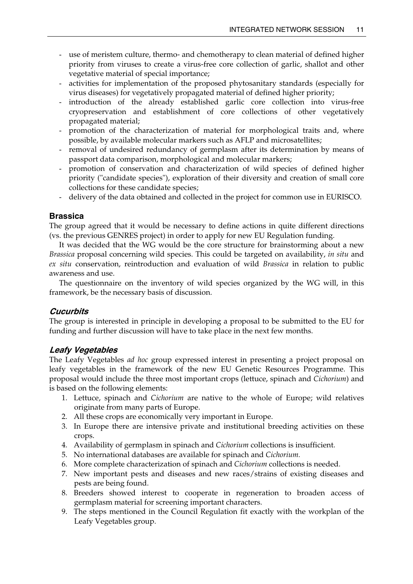- use of meristem culture, thermo- and chemotherapy to clean material of defined higher priority from viruses to create a virus-free core collection of garlic, shallot and other vegetative material of special importance;
- activities for implementation of the proposed phytosanitary standards (especially for virus diseases) for vegetatively propagated material of defined higher priority;
- introduction of the already established garlic core collection into virus-free cryopreservation and establishment of core collections of other vegetatively propagated material;
- promotion of the characterization of material for morphological traits and, where possible, by available molecular markers such as AFLP and microsatellites;
- removal of undesired redundancy of germplasm after its determination by means of passport data comparison, morphological and molecular markers;
- promotion of conservation and characterization of wild species of defined higher priority ("candidate species"), exploration of their diversity and creation of small core collections for these candidate species;
- delivery of the data obtained and collected in the project for common use in EURISCO.

## **Brassica**

The group agreed that it would be necessary to define actions in quite different directions (vs. the previous GENRES project) in order to apply for new EU Regulation funding.

 It was decided that the WG would be the core structure for brainstorming about a new *Brassica* proposal concerning wild species. This could be targeted on availability, *in situ* and *ex situ* conservation, reintroduction and evaluation of wild *Brassica* in relation to public awareness and use.

 The questionnaire on the inventory of wild species organized by the WG will, in this framework, be the necessary basis of discussion.

## **Cucurbits**

The group is interested in principle in developing a proposal to be submitted to the EU for funding and further discussion will have to take place in the next few months.

## **Leafy Vegetables**

The Leafy Vegetables *ad hoc* group expressed interest in presenting a project proposal on leafy vegetables in the framework of the new EU Genetic Resources Programme. This proposal would include the three most important crops (lettuce, spinach and *Cichorium*) and is based on the following elements:

- 1. Lettuce, spinach and *Cichorium* are native to the whole of Europe; wild relatives originate from many parts of Europe.
- 2. All these crops are economically very important in Europe.
- 3. In Europe there are intensive private and institutional breeding activities on these crops.
- 4. Availability of germplasm in spinach and *Cichorium* collections is insufficient.
- 5. No international databases are available for spinach and *Cichorium.*
- 6. More complete characterization of spinach and *Cichorium* collections is needed.
- 7. New important pests and diseases and new races/strains of existing diseases and pests are being found.
- 8. Breeders showed interest to cooperate in regeneration to broaden access of germplasm material for screening important characters.
- 9. The steps mentioned in the Council Regulation fit exactly with the workplan of the Leafy Vegetables group.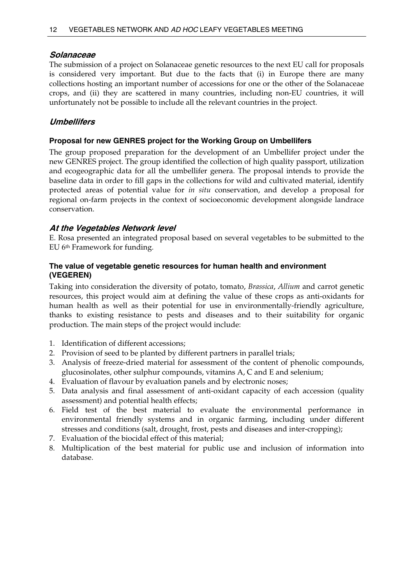## **Solanaceae**

The submission of a project on Solanaceae genetic resources to the next EU call for proposals is considered very important. But due to the facts that (i) in Europe there are many collections hosting an important number of accessions for one or the other of the Solanaceae crops, and (ii) they are scattered in many countries, including non-EU countries, it will unfortunately not be possible to include all the relevant countries in the project.

## **Umbellifers**

## **Proposal for new GENRES project for the Working Group on Umbellifers**

The group proposed preparation for the development of an Umbellifer project under the new GENRES project. The group identified the collection of high quality passport, utilization and ecogeographic data for all the umbellifer genera. The proposal intends to provide the baseline data in order to fill gaps in the collections for wild and cultivated material, identify protected areas of potential value for *in situ* conservation, and develop a proposal for regional on-farm projects in the context of socioeconomic development alongside landrace conservation.

## **At the Vegetables Network level**

E. Rosa presented an integrated proposal based on several vegetables to be submitted to the EU 6th Framework for funding.

## **The value of vegetable genetic resources for human health and environment (VEGEREN)**

Taking into consideration the diversity of potato, tomato, *Brassica*, *Allium* and carrot genetic resources, this project would aim at defining the value of these crops as anti-oxidants for human health as well as their potential for use in environmentally-friendly agriculture, thanks to existing resistance to pests and diseases and to their suitability for organic production. The main steps of the project would include:

- 1. Identification of different accessions;
- 2. Provision of seed to be planted by different partners in parallel trials;
- 3. Analysis of freeze-dried material for assessment of the content of phenolic compounds, glucosinolates, other sulphur compounds, vitamins A, C and E and selenium;
- 4. Evaluation of flavour by evaluation panels and by electronic noses;
- 5. Data analysis and final assessment of anti-oxidant capacity of each accession (quality assessment) and potential health effects;
- 6. Field test of the best material to evaluate the environmental performance in environmental friendly systems and in organic farming, including under different stresses and conditions (salt, drought, frost, pests and diseases and inter-cropping);
- 7. Evaluation of the biocidal effect of this material;
- 8. Multiplication of the best material for public use and inclusion of information into database.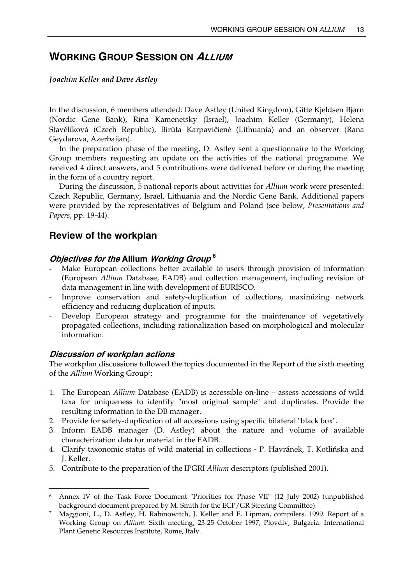## **WORKING GROUP SESSION ON ALLIUM**

### *Joachim Keller and Dave Astley*

In the discussion, 6 members attended: Dave Astley (United Kingdom), Gitte Kjeldsen Bjørn (Nordic Gene Bank), Rina Kamenetsky (Israel), Joachim Keller (Germany), Helena Stavělíková (Czech Republic), Birūta Karpavičienė (Lithuania) and an observer (Rana Geydarova, Azerbaijan).

 In the preparation phase of the meeting, D. Astley sent a questionnaire to the Working Group members requesting an update on the activities of the national programme. We received 4 direct answers, and 5 contributions were delivered before or during the meeting in the form of a country report.

 During the discussion, 5 national reports about activities for *Allium* work were presented: Czech Republic, Germany, Israel, Lithuania and the Nordic Gene Bank. Additional papers were provided by the representatives of Belgium and Poland (see below, *Presentations and Papers*, pp. 19-44).

## **Review of the workplan**

## **Objectives for the Allium Working Group <sup>6</sup>**

- Make European collections better available to users through provision of information (European *Allium* Database, EADB) and collection management, including revision of data management in line with development of EURISCO.
- Improve conservation and safety-duplication of collections, maximizing network efficiency and reducing duplication of inputs.
- Develop European strategy and programme for the maintenance of vegetatively propagated collections, including rationalization based on morphological and molecular information.

### **Discussion of workplan actions**

 $\overline{a}$ 

The workplan discussions followed the topics documented in the Report of the sixth meeting of the *Allium* Working Group7:

- 1. The European *Allium* Database (EADB) is accessible on-line assess accessions of wild taxa for uniqueness to identify "most original sample" and duplicates. Provide the resulting information to the DB manager.
- 2. Provide for safety-duplication of all accessions using specific bilateral "black box".
- 3. Inform EADB manager (D. Astley) about the nature and volume of available characterization data for material in the EADB.
- 4. Clarify taxonomic status of wild material in collections P. Havránek, T. Kotlińska and J. Keller.
- 5. Contribute to the preparation of the IPGRI *Allium* descriptors (published 2001).

<sup>6</sup> Annex IV of the Task Force Document "Priorities for Phase VII" (12 July 2002) (unpublished background document prepared by M. Smith for the ECP/GR Steering Committee). 7 Maggioni, L., D. Astley, H. Rabinowitch, J. Keller and E. Lipman, compilers. 1999. Report of a

Working Group on *Allium*. Sixth meeting, 23-25 October 1997, Plovdiv, Bulgaria. International Plant Genetic Resources Institute, Rome, Italy.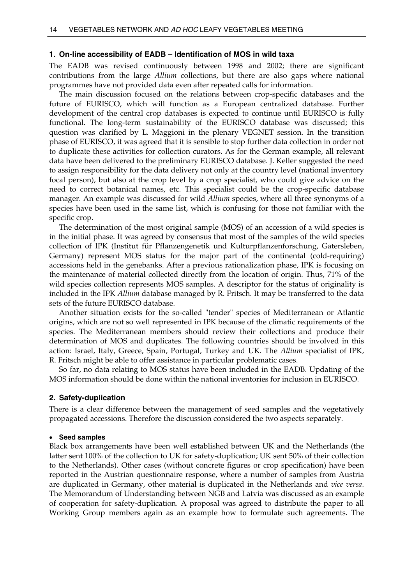#### **1. On-line accessibility of EADB – Identification of MOS in wild taxa**

The EADB was revised continuously between 1998 and 2002; there are significant contributions from the large *Allium* collections, but there are also gaps where national programmes have not provided data even after repeated calls for information.

 The main discussion focused on the relations between crop-specific databases and the future of EURISCO, which will function as a European centralized database. Further development of the central crop databases is expected to continue until EURISCO is fully functional. The long-term sustainability of the EURISCO database was discussed; this question was clarified by L. Maggioni in the plenary VEGNET session. In the transition phase of EURISCO, it was agreed that it is sensible to stop further data collection in order not to duplicate these activities for collection curators. As for the German example, all relevant data have been delivered to the preliminary EURISCO database. J. Keller suggested the need to assign responsibility for the data delivery not only at the country level (national inventory focal person), but also at the crop level by a crop specialist, who could give advice on the need to correct botanical names, etc. This specialist could be the crop-specific database manager. An example was discussed for wild *Allium* species, where all three synonyms of a species have been used in the same list, which is confusing for those not familiar with the specific crop.

 The determination of the most original sample (MOS) of an accession of a wild species is in the initial phase. It was agreed by consensus that most of the samples of the wild species collection of IPK (Institut für Pflanzengenetik und Kulturpflanzenforschung, Gatersleben, Germany) represent MOS status for the major part of the continental (cold-requiring) accessions held in the genebanks. After a previous rationalization phase, IPK is focusing on the maintenance of material collected directly from the location of origin. Thus, 71% of the wild species collection represents MOS samples. A descriptor for the status of originality is included in the IPK *Allium* database managed by R. Fritsch. It may be transferred to the data sets of the future EURISCO database.

 Another situation exists for the so-called "tender" species of Mediterranean or Atlantic origins, which are not so well represented in IPK because of the climatic requirements of the species. The Mediterranean members should review their collections and produce their determination of MOS and duplicates. The following countries should be involved in this action: Israel, Italy, Greece, Spain, Portugal, Turkey and UK. The *Allium* specialist of IPK, R. Fritsch might be able to offer assistance in particular problematic cases.

 So far, no data relating to MOS status have been included in the EADB. Updating of the MOS information should be done within the national inventories for inclusion in EURISCO.

#### **2. Safety-duplication**

There is a clear difference between the management of seed samples and the vegetatively propagated accessions. Therefore the discussion considered the two aspects separately.

#### x **Seed samples**

Black box arrangements have been well established between UK and the Netherlands (the latter sent 100% of the collection to UK for safety-duplication; UK sent 50% of their collection to the Netherlands). Other cases (without concrete figures or crop specification) have been reported in the Austrian questionnaire response, where a number of samples from Austria are duplicated in Germany, other material is duplicated in the Netherlands and *vice versa*. The Memorandum of Understanding between NGB and Latvia was discussed as an example of cooperation for safety-duplication. A proposal was agreed to distribute the paper to all Working Group members again as an example how to formulate such agreements. The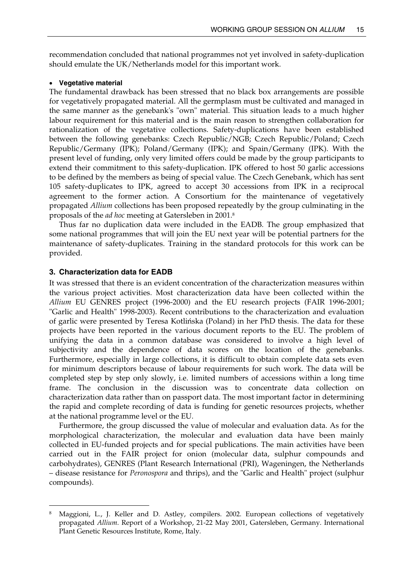recommendation concluded that national programmes not yet involved in safety-duplication should emulate the UK/Netherlands model for this important work.

#### x **Vegetative material**

The fundamental drawback has been stressed that no black box arrangements are possible for vegetatively propagated material. All the germplasm must be cultivated and managed in the same manner as the genebank's "own" material. This situation leads to a much higher labour requirement for this material and is the main reason to strengthen collaboration for rationalization of the vegetative collections. Safety-duplications have been established between the following genebanks: Czech Republic/NGB; Czech Republic/Poland; Czech Republic/Germany (IPK); Poland/Germany (IPK); and Spain/Germany (IPK). With the present level of funding, only very limited offers could be made by the group participants to extend their commitment to this safety-duplication. IPK offered to host 50 garlic accessions to be defined by the members as being of special value. The Czech Genebank, which has sent 105 safety-duplicates to IPK, agreed to accept 30 accessions from IPK in a reciprocal agreement to the former action. A Consortium for the maintenance of vegetatively propagated *Allium* collections has been proposed repeatedly by the group culminating in the proposals of the *ad hoc* meeting at Gatersleben in 2001.8

 Thus far no duplication data were included in the EADB. The group emphasized that some national programmes that will join the EU next year will be potential partners for the maintenance of safety-duplicates. Training in the standard protocols for this work can be provided.

### **3. Characterization data for EADB**

1

It was stressed that there is an evident concentration of the characterization measures within the various project activities. Most characterization data have been collected within the *Allium* EU GENRES project (1996-2000) and the EU research projects (FAIR 1996-2001; "Garlic and Health" 1998-2003). Recent contributions to the characterization and evaluation of garlic were presented by Teresa Kotlińska (Poland) in her PhD thesis. The data for these projects have been reported in the various document reports to the EU. The problem of unifying the data in a common database was considered to involve a high level of subjectivity and the dependence of data scores on the location of the genebanks. Furthermore, especially in large collections, it is difficult to obtain complete data sets even for minimum descriptors because of labour requirements for such work. The data will be completed step by step only slowly, i.e. limited numbers of accessions within a long time frame. The conclusion in the discussion was to concentrate data collection on characterization data rather than on passport data. The most important factor in determining the rapid and complete recording of data is funding for genetic resources projects, whether at the national programme level or the EU.

 Furthermore, the group discussed the value of molecular and evaluation data. As for the morphological characterization, the molecular and evaluation data have been mainly collected in EU-funded projects and for special publications. The main activities have been carried out in the FAIR project for onion (molecular data, sulphur compounds and carbohydrates), GENRES (Plant Research International (PRI), Wageningen, the Netherlands – disease resistance for *Peronospora* and thrips), and the "Garlic and Health" project (sulphur compounds).

<sup>8</sup> Maggioni, L., J. Keller and D. Astley, compilers. 2002. European collections of vegetatively propagated *Allium*. Report of a Workshop, 21-22 May 2001, Gatersleben, Germany. International Plant Genetic Resources Institute, Rome, Italy.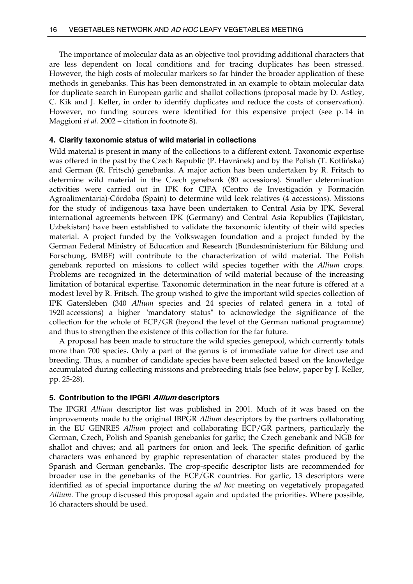The importance of molecular data as an objective tool providing additional characters that are less dependent on local conditions and for tracing duplicates has been stressed. However, the high costs of molecular markers so far hinder the broader application of these methods in genebanks. This has been demonstrated in an example to obtain molecular data for duplicate search in European garlic and shallot collections (proposal made by D. Astley, C. Kik and J. Keller, in order to identify duplicates and reduce the costs of conservation). However, no funding sources were identified for this expensive project (see p. 14 in Maggioni *et al.* 2002 – citation in footnote 8).

## **4. Clarify taxonomic status of wild material in collections**

Wild material is present in many of the collections to a different extent. Taxonomic expertise was offered in the past by the Czech Republic (P. Havránek) and by the Polish (T. Kotlińska) and German (R. Fritsch) genebanks. A major action has been undertaken by R. Fritsch to determine wild material in the Czech genebank (80 accessions). Smaller determination activities were carried out in IPK for CIFA (Centro de Investigación y Formación Agroalimentaria)-Córdoba (Spain) to determine wild leek relatives (4 accessions). Missions for the study of indigenous taxa have been undertaken to Central Asia by IPK. Several international agreements between IPK (Germany) and Central Asia Republics (Tajikistan, Uzbekistan) have been established to validate the taxonomic identity of their wild species material. A project funded by the Volkswagen foundation and a project funded by the German Federal Ministry of Education and Research (Bundesministerium für Bildung und Forschung, BMBF) will contribute to the characterization of wild material. The Polish genebank reported on missions to collect wild species together with the *Allium* crops. Problems are recognized in the determination of wild material because of the increasing limitation of botanical expertise. Taxonomic determination in the near future is offered at a modest level by R. Fritsch. The group wished to give the important wild species collection of IPK Gatersleben (340 *Allium* species and 24 species of related genera in a total of 1920 accessions) a higher "mandatory status" to acknowledge the significance of the collection for the whole of ECP/GR (beyond the level of the German national programme) and thus to strengthen the existence of this collection for the far future.

 A proposal has been made to structure the wild species genepool, which currently totals more than 700 species. Only a part of the genus is of immediate value for direct use and breeding. Thus, a number of candidate species have been selected based on the knowledge accumulated during collecting missions and prebreeding trials (see below, paper by J. Keller, pp. 25-28).

## **5. Contribution to the IPGRI Allium descriptors**

The IPGRI *Allium* descriptor list was published in 2001. Much of it was based on the improvements made to the original IBPGR *Allium* descriptors by the partners collaborating in the EU GENRES *Allium* project and collaborating ECP/GR partners, particularly the German, Czech, Polish and Spanish genebanks for garlic; the Czech genebank and NGB for shallot and chives; and all partners for onion and leek. The specific definition of garlic characters was enhanced by graphic representation of character states produced by the Spanish and German genebanks. The crop-specific descriptor lists are recommended for broader use in the genebanks of the ECP/GR countries. For garlic, 13 descriptors were identified as of special importance during the *ad hoc* meeting on vegetatively propagated *Allium*. The group discussed this proposal again and updated the priorities. Where possible, 16 characters should be used.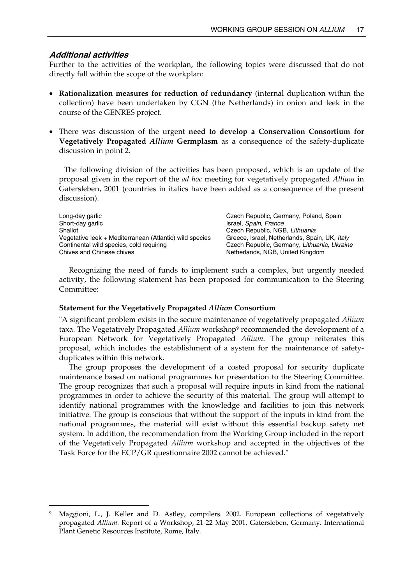### **Additional activities**

1

Further to the activities of the workplan, the following topics were discussed that do not directly fall within the scope of the workplan:

- x **Rationalization measures for reduction of redundancy** (internal duplication within the collection) have been undertaken by CGN (the Netherlands) in onion and leek in the course of the GENRES project.
- There was discussion of the urgent need to develop a Conservation Consortium for **Vegetatively Propagated** *Allium* **Germplasm** as a consequence of the safety-duplicate discussion in point 2.

 The following division of the activities has been proposed, which is an update of the proposal given in the report of the *ad hoc* meeting for vegetatively propagated *Allium* in Gatersleben, 2001 (countries in italics have been added as a consequence of the present discussion).

| Long-day garlic                                         | Czech Republic, Germany, Poland, Spain        |
|---------------------------------------------------------|-----------------------------------------------|
| Short-day garlic                                        | Israel, Spain, France                         |
| Shallot                                                 | Czech Republic, NGB, Lithuania                |
| Vegetative leek + Mediterranean (Atlantic) wild species | Greece, Israel, Netherlands, Spain, UK, Italy |
| Continental wild species, cold requiring                | Czech Republic, Germany, Lithuania, Ukraine   |
| Chives and Chinese chives                               | Netherlands, NGB, United Kingdom              |

 Recognizing the need of funds to implement such a complex, but urgently needed activity, the following statement has been proposed for communication to the Steering Committee:

### **Statement for the Vegetatively Propagated** *Allium* **Consortium**

"A significant problem exists in the secure maintenance of vegetatively propagated *Allium* taxa. The Vegetatively Propagated *Allium* workshop<sup>9</sup> recommended the development of a European Network for Vegetatively Propagated *Allium*. The group reiterates this proposal, which includes the establishment of a system for the maintenance of safetyduplicates within this network.

 The group proposes the development of a costed proposal for security duplicate maintenance based on national programmes for presentation to the Steering Committee. The group recognizes that such a proposal will require inputs in kind from the national programmes in order to achieve the security of this material. The group will attempt to identify national programmes with the knowledge and facilities to join this network initiative. The group is conscious that without the support of the inputs in kind from the national programmes, the material will exist without this essential backup safety net system. In addition, the recommendation from the Working Group included in the report of the Vegetatively Propagated *Allium* workshop and accepted in the objectives of the Task Force for the ECP/GR questionnaire 2002 cannot be achieved."

Maggioni, L., J. Keller and D. Astley, compilers. 2002. European collections of vegetatively propagated *Allium*. Report of a Workshop, 21-22 May 2001, Gatersleben, Germany. International Plant Genetic Resources Institute, Rome, Italy.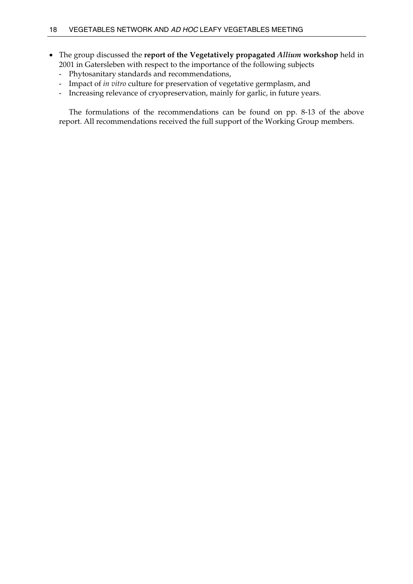- x The group discussed the **report of the Vegetatively propagated** *Allium* **workshop** held in 2001 in Gatersleben with respect to the importance of the following subjects
	- Phytosanitary standards and recommendations,
	- Impact of *in vitro* culture for preservation of vegetative germplasm, and
	- Increasing relevance of cryopreservation, mainly for garlic, in future years.

 The formulations of the recommendations can be found on pp. 8-13 of the above report. All recommendations received the full support of the Working Group members.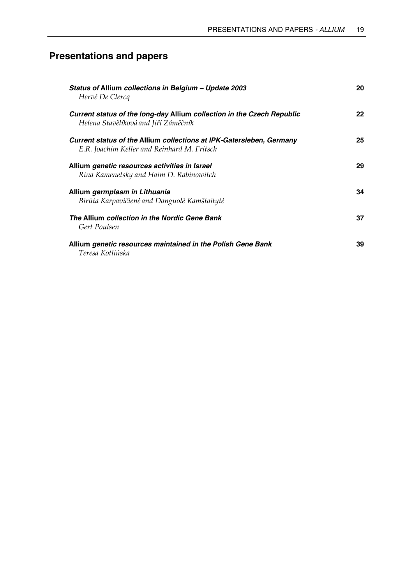# **Presentations and papers**

| Status of Allium collections in Belgium - Update 2003<br>Hervé De Clercq                                            | 20 |
|---------------------------------------------------------------------------------------------------------------------|----|
| Current status of the long-day Allium collection in the Czech Republic<br>Helena Stavělíková and Jiří Záměčník      | 22 |
| Current status of the Allium collections at IPK-Gatersleben, Germany<br>E.R. Joachim Keller and Reinhard M. Fritsch | 25 |
| Allium genetic resources activities in Israel<br>Rina Kamenetsky and Haim D. Rabinowitch                            | 29 |
| Allium germplasm in Lithuania<br>Birūta Karpavičienė and Danguolė Kamštaitytė                                       | 34 |
| The Allium collection in the Nordic Gene Bank<br>Gert Poulsen                                                       | 37 |
| Allium genetic resources maintained in the Polish Gene Bank<br>Teresa Kotlińska                                     | 39 |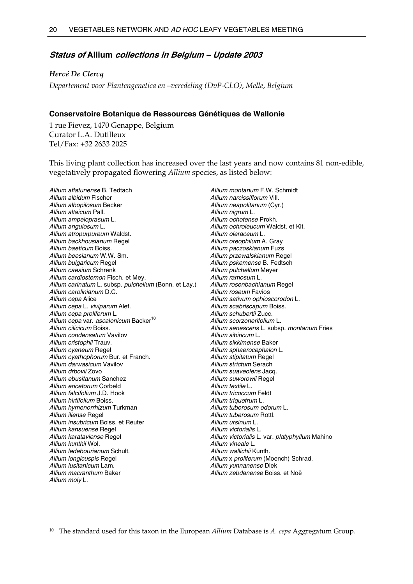### **Status of Allium collections in Belgium – Update 2003**

#### *Hervé De Clercq*

*Departement voor Plantengenetica en –veredeling (DvP-CLO), Melle, Belgium* 

#### **Conservatoire Botanique de Ressources Génétiques de Wallonie**

1 rue Fievez, 1470 Genappe, Belgium Curator L.A. Dutilleux Tel/Fax: +32 2633 2025

This living plant collection has increased over the last years and now contains 81 non-edible, vegetatively propagated flowering *Allium* species, as listed below:

Allium aflatunense B. Tedtach **Allium montanum F.W. Schmidt** Allium montanum F.W. Schmidt<br>Allium albidum Fischer Allium narcissiflorum Vill. Allium albidum Fischer Allium narcissiflorum Vill. Allium altaicum Pall. Allium ampeloprasum L. Allium ochotense Prokh. Allium angulosum L. **Allium ochroleucum Waldst.** et Kit. Allium atropurpureum Waldst. Allium oleraceum L. Allium backhousianum Regel **Allium oreophilum A.** Gray Allium baeticum Boiss. Allium paczoskianum Fuzs Allium bulgaricum Regel **Allium** pskemense B. Fedtsch Allium caesium Schrenk<br>
Allium cardiostemon Fisch. et Mey.<br>
Allium ramosum L. Allium cardiostemon Fisch. et Mey.<br>Allium carinatum L. subsp. pulchellum (Bonn. et Lay.) Allium rosenbachianum Regel Allium carinatum L. subsp. pulchellum (Bonn. et Lay.) Allium rosenbachianu<br>Allium carolinianum D.C. Allium roseum Favios Allium carolinianum D.C.<br>Allium cepa Alice Allium cepa L. viviparum Alef. Allium cepa proliferum L. **Allium schubertii Zucc.** Allium schubertii Zucc. Allium cepa var. ascalonicum Backer<sup>10</sup> Allium scorzonerifolium L. Allium cilicicum Boiss. Allium senescens L. subsp. montanum Fries Allium condensatum Vavilov **Allium sibiricum L.** Allium cristophii Trauv. Allium sikkimense Baker Allium cyaneum Regel **Allium** sphaerocephalon L. Allium cyathophorum Bur. et Franch. Allium stipitatum Regel Allium darwasicum Vavilov **Allium strictum Serach** Allium drbovii Zovo Allium suaveolens Jacq. Allium ebusitanum Sanchez<br>
Allium ericetorum Corbeld<br>
Allium ericetorum Corbeld<br>
Allium textile L. Allium ericetorum Corbeld<br>Allium falcifolium J.D. Hook New York Health Allium tricoccum Feldt Allium falcifolium J.D. Hook **Allium tricoccum Feldt Allium tricoccum Feldt** Allium tricoccum Feldt Allium tricoccum Fe Allium hirtifolium Boiss. Allium hymenorrhizum Turkman **Allium tuberosum odorum L.** Allium iliense Regel Allium tuberosum Rottl. Allium insubricum Boiss. et Reuter **Allium ursinum L.** Allium kansuense Regel and an annual annual allium victorialis L.<br>Allium karataviense Regel annual annual allium victorialis L. Allium kunthii Wol. **Allium vineale L.** Allium vineale L. Allium ledebourianum Schult. **Allium wallichii Kunth.** Allium wallichii Kunth. Allium longicuspis Regel **Allium x** proliferum (Moench) Schrad.<br>Allium Iusitanicum Lam. Allium x proliferum x proliferum (Moench) Schrad. Allium macranthum Baker Allium zebdanense Boiss. et Noë Allium moly L.

 $\overline{a}$ 

Allium neapolitanum (Cyr.)<br>Allium nigrum L. Allium przewalskianum Regel Allium sativum ophioscorodon L.<br>Allium scabriscapum Boiss. Allium victorialis L. var. platyphyllum Mahino Allium yunnanense Diek

<sup>10</sup> The standard used for this taxon in the European *Allium* Database is *A. cepa* Aggregatum Group.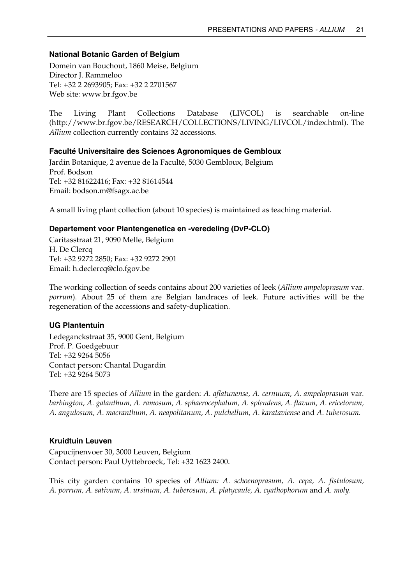### **National Botanic Garden of Belgium**

Domein van Bouchout, 1860 Meise, Belgium Director J. Rammeloo Tel: +32 2 2693905; Fax: +32 2 2701567 Web site: www.br.fgov.be

The Living Plant Collections Database (LIVCOL) is searchable on-line (http://www.br.fgov.be/RESEARCH/COLLECTIONS/LIVING/LIVCOL/index.html). The *Allium* collection currently contains 32 accessions.

## **Faculté Universitaire des Sciences Agronomiques de Gembloux**

Jardin Botanique, 2 avenue de la Faculté, 5030 Gembloux, Belgium Prof. Bodson Tel: +32 81622416; Fax: +32 81614544 Email: bodson.m@fsagx.ac.be

A small living plant collection (about 10 species) is maintained as teaching material.

## **Departement voor Plantengenetica en -veredeling (DvP-CLO)**

Caritasstraat 21, 9090 Melle, Belgium H. De Clercq Tel: +32 9272 2850; Fax: +32 9272 2901 Email: h.declercq@clo.fgov.be

The working collection of seeds contains about 200 varieties of leek (*Allium ampeloprasum* var. *porrum*). About 25 of them are Belgian landraces of leek. Future activities will be the regeneration of the accessions and safety-duplication.

## **UG Plantentuin**

Ledeganckstraat 35, 9000 Gent, Belgium Prof. P. Goedgebuur Tel: +32 9264 5056 Contact person: Chantal Dugardin Tel: +32 9264 5073

There are 15 species of *Allium* in the garden: *A. aflatunense, A. cernuum, A. ampeloprasum* var*. barbington, A. galanthum, A. ramosum, A. sphaerocephalum, A. splendens, A. flavum, A. ericetorum, A. angulosum, A. macranthum, A. neapolitanum, A. pulchellum, A. karataviense* and *A. tuberosum.*

## **Kruidtuin Leuven**

Capucijnenvoer 30, 3000 Leuven, Belgium Contact person: Paul Uyttebroeck, Tel: +32 1623 2400.

This city garden contains 10 species of *Allium: A. schoenoprasum, A. cepa, A. fistulosum, A. porrum, A. sativum, A. ursinum, A. tuberosum, A. platycaule, A. cyathophorum* and *A. moly.*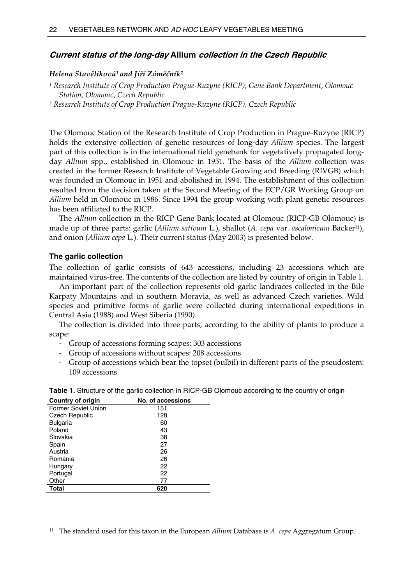#### **Current status of the long-day Allium collection in the Czech Republic**

#### *Helena Stavülíková1 and Jiĥí Zámüìník2*

*1 Research Institute of Crop Production Prague-Ruzyne (RICP), Gene Bank Department, Olomouc Station, Olomouc, Czech Republic* 

*2 Research Institute of Crop Production Prague-Ruzyne (RICP), Czech Republic* 

The Olomouc Station of the Research Institute of Crop Production in Prague-Ruzyne (RICP) holds the extensive collection of genetic resources of long-day *Allium* species. The largest part of this collection is in the international field genebank for vegetatively propagated longday *Allium* spp., established in Olomouc in 1951. The basis of the *Allium* collection was created in the former Research Institute of Vegetable Growing and Breeding (RIVGB) which was founded in Olomouc in 1951 and abolished in 1994. The establishment of this collection resulted from the decision taken at the Second Meeting of the ECP/GR Working Group on *Allium* held in Olomouc in 1986. Since 1994 the group working with plant genetic resources has been affiliated to the RICP.

 The *Allium* collection in the RICP Gene Bank located at Olomouc (RICP-GB Olomouc) is made up of three parts: garlic (*Allium sativum* L.), shallot (*A. cepa* var. *ascalonicum* Backer11), and onion (*Allium cepa* L.). Their current status (May 2003) is presented below.

#### **The garlic collection**

 $\overline{a}$ 

The collection of garlic consists of 643 accessions, including 23 accessions which are maintained virus-free. The contents of the collection are listed by country of origin in Table 1.

 An important part of the collection represents old garlic landraces collected in the Bile Karpaty Mountains and in southern Moravia, as well as advanced Czech varieties. Wild species and primitive forms of garlic were collected during international expeditions in Central Asia (1988) and West Siberia (1990).

 The collection is divided into three parts, according to the ability of plants to produce a scape:

- Group of accessions forming scapes: 303 accessions
- Group of accessions without scapes: 208 accessions
- Group of accessions which bear the topset (bulbil) in different parts of the pseudostem: 109 accessions.

| <b>Country of origin</b>   | No. of accessions |  |
|----------------------------|-------------------|--|
| <b>Former Soviet Union</b> | 151               |  |
| Czech Republic             | 128               |  |
| <b>Bulgaria</b>            | 60                |  |
| Poland                     | 43                |  |
| Slovakia                   | 38                |  |
| Spain                      | 27                |  |
| Austria                    | 26                |  |
| Romania                    | 26                |  |
| Hungary                    | 22                |  |
| Portugal                   | 22                |  |
| Other                      | 77                |  |
| Total                      | 620               |  |

**Table 1.** Structure of the garlic collection in RICP-GB Olomouc according to the country of origin

<sup>11</sup> The standard used for this taxon in the European *Allium* Database is *A. cepa* Aggregatum Group.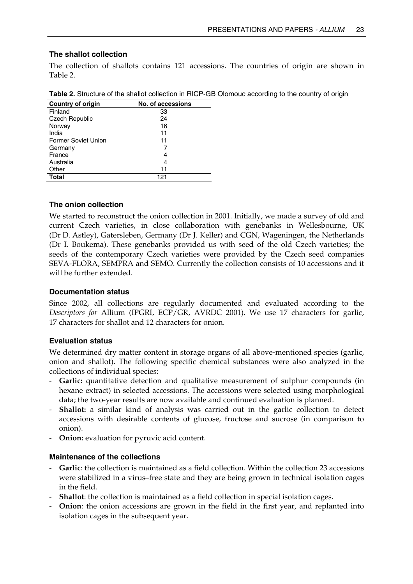## **The shallot collection**

The collection of shallots contains 121 accessions. The countries of origin are shown in Table 2.

| <b>Country of origin</b> | No. of accessions |  |
|--------------------------|-------------------|--|
| Finland                  | 33                |  |
| <b>Czech Republic</b>    | 24                |  |
| Norway                   | 16                |  |
| India                    | 11                |  |
| Former Soviet Union      | 11                |  |
| Germany                  |                   |  |
| France                   | 4                 |  |
| Australia                | 4                 |  |
| Other                    | 11                |  |
| <b>Total</b>             | 121               |  |

**Table 2.** Structure of the shallot collection in RICP-GB Olomouc according to the country of origin

## **The onion collection**

We started to reconstruct the onion collection in 2001. Initially, we made a survey of old and current Czech varieties, in close collaboration with genebanks in Wellesbourne, UK (Dr D. Astley), Gatersleben, Germany (Dr J. Keller) and CGN, Wageningen, the Netherlands (Dr I. Boukema). These genebanks provided us with seed of the old Czech varieties; the seeds of the contemporary Czech varieties were provided by the Czech seed companies SEVA-FLORA, SEMPRA and SEMO. Currently the collection consists of 10 accessions and it will be further extended.

## **Documentation status**

Since 2002, all collections are regularly documented and evaluated according to the *Descriptors for* Allium (IPGRI, ECP/GR, AVRDC 2001). We use 17 characters for garlic, 17 characters for shallot and 12 characters for onion.

## **Evaluation status**

We determined dry matter content in storage organs of all above-mentioned species (garlic, onion and shallot). The following specific chemical substances were also analyzed in the collections of individual species:

- **Garlic:** quantitative detection and qualitative measurement of sulphur compounds (in hexane extract) in selected accessions. The accessions were selected using morphological data; the two-year results are now available and continued evaluation is planned.
- **Shallot:** a similar kind of analysis was carried out in the garlic collection to detect accessions with desirable contents of glucose, fructose and sucrose (in comparison to onion).
- **Onion:** evaluation for pyruvic acid content.

## **Maintenance of the collections**

- **Garlic**: the collection is maintained as a field collection. Within the collection 23 accessions were stabilized in a virus–free state and they are being grown in technical isolation cages in the field.
- **Shallot**: the collection is maintained as a field collection in special isolation cages.
- **Onion**: the onion accessions are grown in the field in the first year, and replanted into isolation cages in the subsequent year.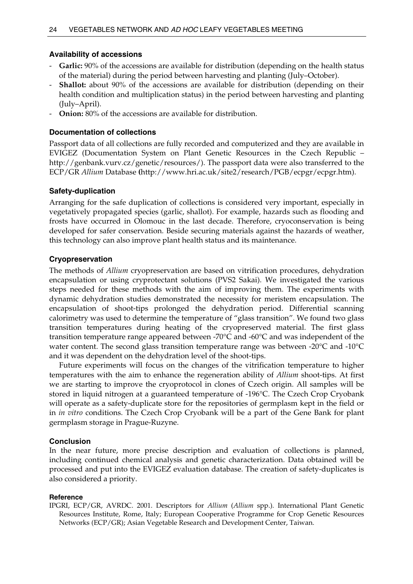### **Availability of accessions**

- Garlic: 90% of the accessions are available for distribution (depending on the health status of the material) during the period between harvesting and planting (July–October).
- Shallot: about 90% of the accessions are available for distribution (depending on their health condition and multiplication status) in the period between harvesting and planting (July–April).
- **Onion:** 80% of the accessions are available for distribution.

### **Documentation of collections**

Passport data of all collections are fully recorded and computerized and they are available in EVIGEZ (Documentation System on Plant Genetic Resources in the Czech Republic – http://genbank.vurv.cz/genetic/resources/). The passport data were also transferred to the ECP/GR *Allium* Database **(**http://www.hri.ac.uk/site2/research/PGB/ecpgr/ecpgr.htm).

### **Safety-duplication**

Arranging for the safe duplication of collections is considered very important, especially in vegetatively propagated species (garlic, shallot). For example, hazards such as flooding and frosts have occurred in Olomouc in the last decade. Therefore, cryoconservation is being developed for safer conservation. Beside securing materials against the hazards of weather, this technology can also improve plant health status and its maintenance.

### **Cryopreservation**

The methods of *Allium* cryopreservation are based on vitrification procedures, dehydration encapsulation or using cryprotectant solutions (PVS2 Sakai). We investigated the various steps needed for these methods with the aim of improving them. The experiments with dynamic dehydration studies demonstrated the necessity for meristem encapsulation. The encapsulation of shoot-tips prolonged the dehydration period. Differential scanning calorimetry was used to determine the temperature of "glass transition". We found two glass transition temperatures during heating of the cryopreserved material. The first glass transition temperature range appeared between -70°C and -60°C and was independent of the water content. The second glass transition temperature range was between -20°C and -10°C and it was dependent on the dehydration level of the shoot-tips.

 Future experiments will focus on the changes of the vitrification temperature to higher temperatures with the aim to enhance the regeneration ability of *Allium* shoot-tips. At first we are starting to improve the cryoprotocol in clones of Czech origin. All samples will be stored in liquid nitrogen at a guaranteed temperature of -196°C. The Czech Crop Cryobank will operate as a safety-duplicate store for the repositories of germplasm kept in the field or in *in vitro* conditions. The Czech Crop Cryobank will be a part of the Gene Bank for plant germplasm storage in Prague-Ruzyne.

### **Conclusion**

In the near future, more precise description and evaluation of collections is planned, including continued chemical analysis and genetic characterization. Data obtained will be processed and put into the EVIGEZ evaluation database. The creation of safety-duplicates is also considered a priority.

### **Reference**

IPGRI, ECP/GR, AVRDC. 2001. Descriptors for *Allium* (*Allium* spp.). International Plant Genetic Resources Institute, Rome, Italy; European Cooperative Programme for Crop Genetic Resources Networks (ECP/GR); Asian Vegetable Research and Development Center, Taiwan.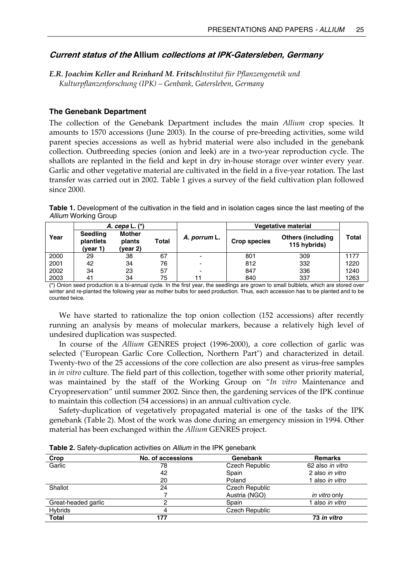#### **Current status of the Allium collections at IPK-Gatersleben, Germany**

*E.R. Joachim Keller and Reinhard M. FritschInstitut für Pflanzengenetik und Kulturpflanzenforschung (IPK) – Genbank, Gatersleben, Germany*

#### **The Genebank Department**

The collection of the Genebank Department includes the main *Allium* crop species. It amounts to 1570 accessions (June 2003). In the course of pre-breeding activities, some wild parent species accessions as well as hybrid material were also included in the genebank collection. Outbreeding species (onion and leek) are in a two-year reproduction cycle. The shallots are replanted in the field and kept in dry in-house storage over winter every year. Garlic and other vegetative material are cultivated in the field in a five-year rotation. The last transfer was carried out in 2002. Table 1 gives a survey of the field cultivation plan followed since 2000.

**Table 1.** Development of the cultivation in the field and in isolation cages since the last meeting of the Allium Working Group

|      |                                          | A. cepa $L$ . $(*)$          |              |              |                     | <b>Vegetative material</b>                |       |
|------|------------------------------------------|------------------------------|--------------|--------------|---------------------|-------------------------------------------|-------|
| Year | <b>Seedling</b><br>plantlets<br>(year 1) | Mother<br>plants<br>(year 2) | <b>Total</b> | A. porrum L. | <b>Crop species</b> | <b>Others (including)</b><br>115 hybrids) | Total |
| 2000 | 29                                       | 38                           | 67           |              | 801                 | 309                                       | 1177  |
| 2001 | 42                                       | 34                           | 76           |              | 812                 | 332                                       | 1220  |
| 2002 | 34                                       | 23                           | 57           |              | 847                 | 336                                       | 1240  |
| 2003 | 41                                       | 34                           | 75           | 11           | 840                 | 337                                       | 1263  |

(\*) Onion seed production is a bi-annual cycle. In the first year, the seedlings are grown to small bulblets, which are stored over winter and re-planted the following year as mother bulbs for seed production. Thus, each accession has to be planted and to be counted twice.

 We have started to rationalize the top onion collection (152 accessions) after recently running an analysis by means of molecular markers, because a relatively high level of undesired duplication was suspected.

 In course of the *Allium* GENRES project (1996-2000), a core collection of garlic was selected ("European Garlic Core Collection, Northern Part") and characterized in detail. Twenty-two of the 25 accessions of the core collection are also present as virus-free samples in *in vitro* culture. The field part of this collection, together with some other priority material, was maintained by the staff of the Working Group on "*In vitro* Maintenance and Cryopreservation" until summer 2002. Since then, the gardening services of the IPK continue to maintain this collection (54 accessions) in an annual cultivation cycle.

 Safety-duplication of vegetatively propagated material is one of the tasks of the IPK genebank (Table 2). Most of the work was done during an emergency mission in 1994. Other material has been exchanged within the *Allium* GENRES project.

| Crop                | No. of accessions | Genebank              | <b>Remarks</b>       |
|---------------------|-------------------|-----------------------|----------------------|
| Garlic              | 78                | Czech Republic        | 62 also in vitro     |
|                     | 42                | Spain                 | 2 also in vitro      |
|                     | 20                | Poland                | 1 also in vitro      |
| Shallot             | 24                | <b>Czech Republic</b> |                      |
|                     |                   | Austria (NGO)         | <i>in vitro</i> only |
| Great-headed garlic |                   | Spain                 | also in vitro        |
| Hybrids             | 4                 | Czech Republic        |                      |
| <b>Total</b>        | 177               |                       | 73 in vitro          |

**Table 2.** Safety-duplication activities on Allium in the IPK genebank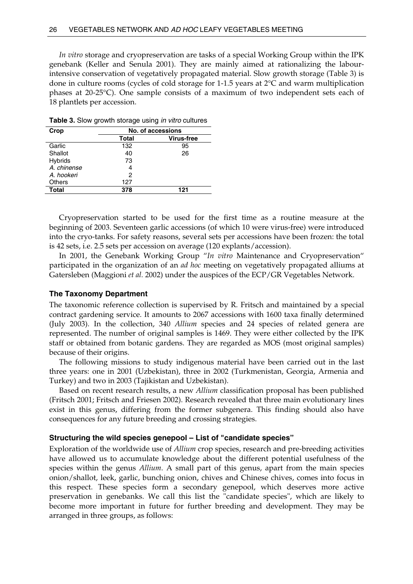*In vitro* storage and cryopreservation are tasks of a special Working Group within the IPK genebank (Keller and Senula 2001). They are mainly aimed at rationalizing the labourintensive conservation of vegetatively propagated material. Slow growth storage (Table 3) is done in culture rooms (cycles of cold storage for 1-1.5 years at 2°C and warm multiplication phases at 20-25°C). One sample consists of a maximum of two independent sets each of 18 plantlets per accession.

| Crop           | No. of accessions |            |  |  |
|----------------|-------------------|------------|--|--|
|                | Total             | Virus-free |  |  |
| Garlic         | 132               | 95         |  |  |
| Shallot        | 40                | 26         |  |  |
| <b>Hybrids</b> | 73                |            |  |  |
| A. chinense    | 4                 |            |  |  |
| A. hookeri     | 2                 |            |  |  |
| <b>Others</b>  | 127               |            |  |  |
| Total          | 378               | 121        |  |  |

Table 3. Slow growth storage using in vitro cultures

 Cryopreservation started to be used for the first time as a routine measure at the beginning of 2003. Seventeen garlic accessions (of which 10 were virus-free) were introduced into the cryo-tanks. For safety reasons, several sets per accessions have been frozen: the total is 42 sets, i.e. 2.5 sets per accession on average (120 explants/accession).

 In 2001, the Genebank Working Group "*In vitro* Maintenance and Cryopreservation" participated in the organization of an *ad hoc* meeting on vegetatively propagated alliums at Gatersleben (Maggioni *et al.* 2002) under the auspices of the ECP/GR Vegetables Network.

#### **The Taxonomy Department**

The taxonomic reference collection is supervised by R. Fritsch and maintained by a special contract gardening service. It amounts to 2067 accessions with 1600 taxa finally determined (July 2003). In the collection, 340 *Allium* species and 24 species of related genera are represented. The number of original samples is 1469. They were either collected by the IPK staff or obtained from botanic gardens. They are regarded as MOS (most original samples) because of their origins.

 The following missions to study indigenous material have been carried out in the last three years: one in 2001 (Uzbekistan), three in 2002 (Turkmenistan, Georgia, Armenia and Turkey) and two in 2003 (Tajikistan and Uzbekistan).

 Based on recent research results, a new *Allium* classification proposal has been published (Fritsch 2001; Fritsch and Friesen 2002). Research revealed that three main evolutionary lines exist in this genus, differing from the former subgenera. This finding should also have consequences for any future breeding and crossing strategies.

#### **Structuring the wild species genepool – List of "candidate species"**

Exploration of the worldwide use of *Allium* crop species, research and pre-breeding activities have allowed us to accumulate knowledge about the different potential usefulness of the species within the genus *Allium*. A small part of this genus, apart from the main species onion/shallot, leek, garlic, bunching onion, chives and Chinese chives, comes into focus in this respect. These species form a secondary genepool, which deserves more active preservation in genebanks. We call this list the "candidate species", which are likely to become more important in future for further breeding and development. They may be arranged in three groups, as follows: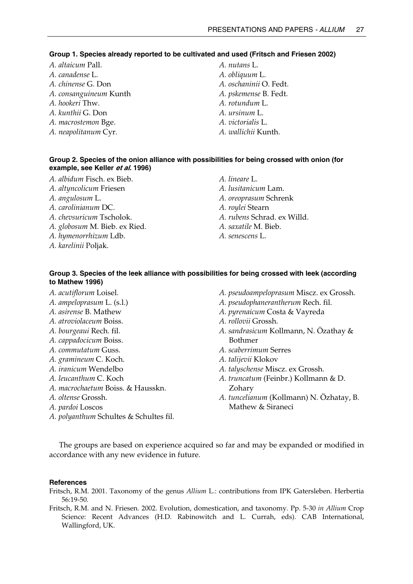#### **Group 1. Species already reported to be cultivated and used (Fritsch and Friesen 2002)**

- *A. altaicum* Pall.
- *A. canadense* L.
- *A. chinense* G. Don
- *A. consanguineum* Kunth
- *A. hookeri* Thw.
- *A. kunthii* G. Don
- *A. macrostemon* Bge.
- *A. neapolitanum* Cyr.

*A. nutans* L. *A. obliquum* L. *A. oschaninii* O. Fedt. *A. pskemense* B. Fedt. *A. rotundum* L. *A. ursinum* L. *A. victorialis* L. *A. wallichii* Kunth.

#### **Group 2. Species of the onion alliance with possibilities for being crossed with onion (for example, see Keller et al. 1996)**

- *A. albidum* Fisch. ex Bieb.
- *A. altyncolicum* Friesen
- *A. angulosum* L.
- *A. carolinianum* DC.
- *A. chevsuricum* Tscholok.
- *A. globosum* M. Bieb. ex Ried.
- *A. hymenorrhizum* Ldb.
- *A. karelinii* Poljak.
- *A. lineare* L.
- *A. lusitanicum* Lam.
- *A. oreoprasum* Schrenk
- *A. roylei* Stearn
- *A. rubens* Schrad. ex Willd.
- *A. saxatile* M. Bieb.
- *A. senescens* L.

#### **Group 3. Species of the leek alliance with possibilities for being crossed with leek (according to Mathew 1996)**

- *A. acutiflorum* Loisel.
- *A. ampeloprasum* L. (s.l.)
- *A. asirense* B. Mathew
- *A. atroviolaceum* Boiss.
- *A. bourgeaui* Rech. fil.
- *A. cappadocicum* Boiss.
- *A. commutatum* Guss.
- *A. gramineum* C. Koch.
- *A. iranicum* Wendelbo
- *A. leucanthum* C. Koch
- *A. macrochaetum* Boiss. & Hausskn.
- *A. oltense* Grossh.
- *A. pardoi* Loscos
- *A. polyanthum* Schultes & Schultes fil.
- *A. pseudoampeloprasum* Miscz. ex Grossh.
- *A. pseudophanerantherum* Rech. fil.
- *A. pyrenaicum* Costa & Vayreda
- *A. rollovii* Grossh.
- *A. sandrasicum* Kollmann, N. Özathay & Bothmer
- *A. scaberrimum* Serres
- *A. talijevii* Klokov
- *A. talyschense* Miscz. ex Grossh.
- *A. truncatum* (Feinbr.) Kollmann & D. Zohary
- *A. tuncelianum* (Kollmann) N. Özhatay, B. Mathew & Siraneci

 The groups are based on experience acquired so far and may be expanded or modified in accordance with any new evidence in future.

#### **References**

- Fritsch, R.M. 2001. Taxonomy of the genus *Allium* L.: contributions from IPK Gatersleben. Herbertia 56:19-50.
- Fritsch, R.M. and N. Friesen. 2002. Evolution, domestication, and taxonomy. Pp. 5-30 *in Allium* Crop Science: Recent Advances (H.D. Rabinowitch and L. Currah, eds). CAB International, Wallingford, UK.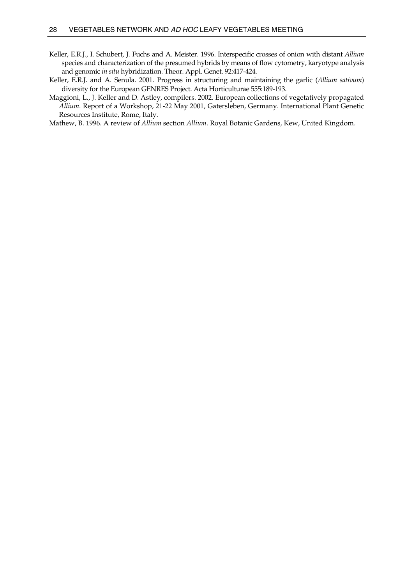- Keller, E.R.J., I. Schubert, J. Fuchs and A. Meister. 1996. Interspecific crosses of onion with distant *Allium* species and characterization of the presumed hybrids by means of flow cytometry, karyotype analysis and genomic *in situ* hybridization. Theor. Appl. Genet. 92:417-424.
- Keller, E.R.J. and A. Senula. 2001. Progress in structuring and maintaining the garlic (*Allium sativum*) diversity for the European GENRES Project. Acta Horticulturae 555:189-193.
- Maggioni, L., J. Keller and D. Astley, compilers. 2002. European collections of vegetatively propagated *Allium*. Report of a Workshop, 21-22 May 2001, Gatersleben, Germany. International Plant Genetic Resources Institute, Rome, Italy.

Mathew, B. 1996. A review of *Allium* section *Allium*. Royal Botanic Gardens, Kew, United Kingdom.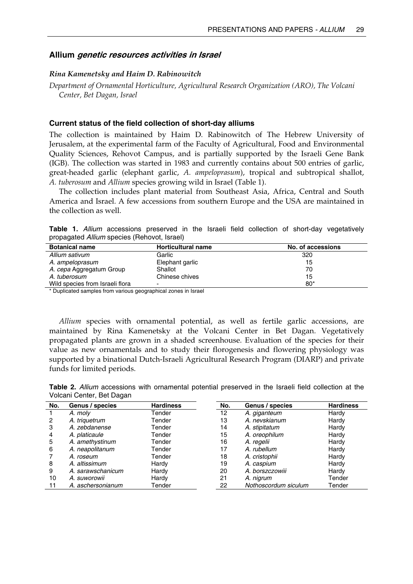#### **Allium genetic resources activities in Israel**

#### *Rina Kamenetsky and Haim D. Rabinowitch*

*Department of Ornamental Horticulture, Agricultural Research Organization (ARO), The Volcani Center, Bet Dagan, Israel*

#### **Current status of the field collection of short-day alliums**

The collection is maintained by Haim D. Rabinowitch of The Hebrew University of Jerusalem, at the experimental farm of the Faculty of Agricultural, Food and Environmental Quality Sciences, Rehovot Campus, and is partially supported by the Israeli Gene Bank (IGB). The collection was started in 1983 and currently contains about 500 entries of garlic, great-headed garlic (elephant garlic, *A. ampeloprasum*), tropical and subtropical shallot, *A. tuberosum* and *Allium* species growing wild in Israel (Table 1).

 The collection includes plant material from Southeast Asia, Africa, Central and South America and Israel. A few accessions from southern Europe and the USA are maintained in the collection as well.

**Table 1.** Allium accessions preserved in the Israeli field collection of short-day vegetatively propagated Allium species (Rehovot, Israel)

| <b>Botanical name</b>           | <b>Horticultural name</b> | No. of accessions |  |
|---------------------------------|---------------------------|-------------------|--|
| Allium sativum                  | Garlic                    | 320               |  |
| A. ampeloprasum                 | Elephant garlic           | 15                |  |
| A. cepa Aggregatum Group        | Shallot                   | 70                |  |
| A. tuberosum                    | Chinese chives            | 15                |  |
| Wild species from Israeli flora | -                         | $80*$             |  |

\* Duplicated samples from various geographical zones in Israel

*Allium* species with ornamental potential, as well as fertile garlic accessions, are maintained by Rina Kamenetsky at the Volcani Center in Bet Dagan. Vegetatively propagated plants are grown in a shaded screenhouse. Evaluation of the species for their value as new ornamentals and to study their florogenesis and flowering physiology was supported by a binational Dutch-Israeli Agricultural Research Program (DIARP) and private funds for limited periods.

**Table 2.** Allium accessions with ornamental potential preserved in the Israeli field collection at the Volcani Center, Bet Dagan

| No. | Genus / species   | <b>Hardiness</b> | No. | Genus / species      | <b>Hardiness</b> |
|-----|-------------------|------------------|-----|----------------------|------------------|
|     | A. moly           | Tender           | 12  | A. giganteum         | Hardy            |
| 2   | A. triguetrum     | Tender           | 13  | A. nevskianum        | Hardy            |
| З   | A. zebdanense     | Tender           | 14  | A. stipitatum        | Hardy            |
| 4   | A. platicaule     | Tender           | 15  | A. oreophilum        | Hardy            |
| 5   | A. amethystinum   | Tender           | 16  | A. regelii           | Hardy            |
| 6   | A. neapolitanum   | Tender           | 17  | A. rubellum          | Hardy            |
|     | A. roseum         | Tender           | 18  | A. cristophii        | Hardy            |
| 8   | A. altissimum     | Hardy            | 19  | A. caspium           | Hardy            |
| 9   | A. sarawschanicum | Hardy            | 20  | A. borszczowiji      | Hardy            |
| 10  | A. suworowii      | Hardy            | 21  | A. nigrum            | Tender           |
|     | A. aschersonianum | Tender           | 22  | Nothoscordum siculum | Tender           |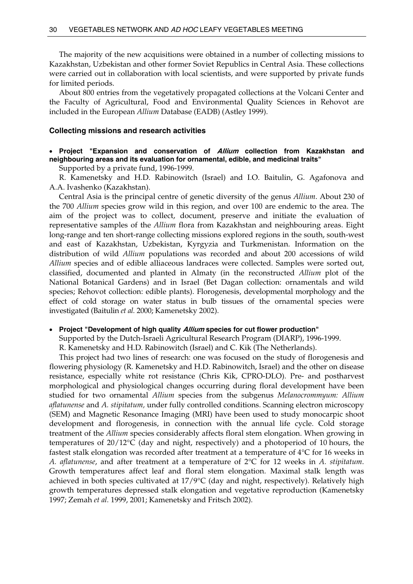The majority of the new acquisitions were obtained in a number of collecting missions to Kazakhstan, Uzbekistan and other former Soviet Republics in Central Asia. These collections were carried out in collaboration with local scientists, and were supported by private funds for limited periods.

 About 800 entries from the vegetatively propagated collections at the Volcani Center and the Faculty of Agricultural, Food and Environmental Quality Sciences in Rehovot are included in the European *Allium* Database (EADB) (Astley 1999).

#### **Collecting missions and research activities**

## x **Project "Expansion and conservation of Allium collection from Kazakhstan and neighbouring areas and its evaluation for ornamental, edible, and medicinal traits"**

Supported by a private fund, 1996-1999.

 R. Kamenetsky and H.D. Rabinowitch (Israel) and I.O. Baitulin, G. Agafonova and A.A. Ivashenko (Kazakhstan).

 Central Asia is the principal centre of genetic diversity of the genus *Allium*. About 230 of the 700 *Allium* species grow wild in this region, and over 100 are endemic to the area. The aim of the project was to collect, document, preserve and initiate the evaluation of representative samples of the *Allium* flora from Kazakhstan and neighbouring areas. Eight long-range and ten short-range collecting missions explored regions in the south, south-west and east of Kazakhstan, Uzbekistan, Kyrgyzia and Turkmenistan. Information on the distribution of wild *Allium* populations was recorded and about 200 accessions of wild *Allium* species and of edible alliaceous landraces were collected. Samples were sorted out, classified, documented and planted in Almaty (in the reconstructed *Allium* plot of the National Botanical Gardens) and in Israel (Bet Dagan collection: ornamentals and wild species; Rehovot collection: edible plants). Florogenesis, developmental morphology and the effect of cold storage on water status in bulb tissues of the ornamental species were investigated (Baitulin *et al.* 2000; Kamenetsky 2002).

#### x **Project "Development of high quality Allium species for cut flower production"**

Supported by the Dutch-Israeli Agricultural Research Program (DIARP), 1996-1999.

R. Kamenetsky and H.D. Rabinowitch (Israel) and C. Kik (The Netherlands).

 This project had two lines of research: one was focused on the study of florogenesis and flowering physiology (R. Kamenetsky and H.D. Rabinowitch, Israel) and the other on disease resistance, especially white rot resistance (Chris Kik, CPRO-DLO). Pre- and postharvest morphological and physiological changes occurring during floral development have been studied for two ornamental *Allium* species from the subgenus *Melanocrommyum: Allium aflatunense* and *A. stipitatum,* under fully controlled conditions. Scanning electron microscopy (SEM) and Magnetic Resonance Imaging (MRI) have been used to study monocarpic shoot development and florogenesis, in connection with the annual life cycle. Cold storage treatment of the *Allium* species considerably affects floral stem elongation. When growing in temperatures of 20/12°C (day and night, respectively) and a photoperiod of 10 hours, the fastest stalk elongation was recorded after treatment at a temperature of 4°C for 16 weeks in *A. aflatunense*, and after treatment at a temperature of 2°C for 12 weeks in *A. stipitatum*. Growth temperatures affect leaf and floral stem elongation. Maximal stalk length was achieved in both species cultivated at 17/9°C (day and night, respectively). Relatively high growth temperatures depressed stalk elongation and vegetative reproduction (Kamenetsky 1997; Zemah *et al.* 1999, 2001; Kamenetsky and Fritsch 2002).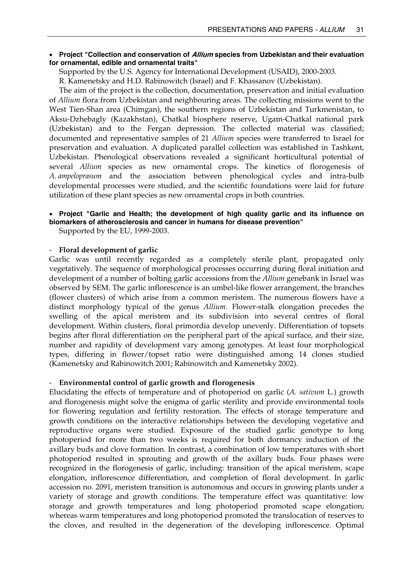## **• Project "Collection and conservation of** *Allium* **species from Uzbekistan and their evaluation for ornamental, edible and ornamental traits"**

Supported by the U.S. Agency for International Development (USAID), 2000-2003.

R. Kamenetsky and H.D. Rabinowitch (Israel) and F. Khassanov (Uzbekistan).

 The aim of the project is the collection, documentation, preservation and initial evaluation of *Allium* flora from Uzbekistan and neighbouring areas. The collecting missions went to the West Tien-Shan area (Chimgan), the southern regions of Uzbekistan and Turkmenistan, to Aksu-Dzhebagly (Kazakhstan), Chatkal biosphere reserve, Ugam-Chatkal national park (Uzbekistan) and to the Fergan depression. The collected material was classified; documented and representative samples of 21 *Allium* species were transferred to Israel for preservation and evaluation. A duplicated parallel collection was established in Tashkent, Uzbekistan. Phenological observations revealed a significant horticultural potential of several *Allium* species as new ornamental crops. The kinetics of florogenesis of *A. ampeloprasum* and the association between phenological cycles and intra-bulb developmental processes were studied, and the scientific foundations were laid for future utilization of these plant species as new ornamental crops in both countries.

## x **Project "Garlic and Health; the development of high quality garlic and its influence on biomarkers of atherosclerosis and cancer in humans for disease prevention"**

Supported by the EU, 1999-2003.

## - **Floral development of garlic**

Garlic was until recently regarded as a completely sterile plant, propagated only vegetatively. The sequence of morphological processes occurring during floral initiation and development of a number of bolting garlic accessions from the *Allium* genebank in Israel was observed by SEM. The garlic inflorescence is an umbel-like flower arrangement, the branches (flower clusters) of which arise from a common meristem. The numerous flowers have a distinct morphology typical of the genus *Allium.* Flower-stalk elongation precedes the swelling of the apical meristem and its subdivision into several centres of floral development. Within clusters, floral primordia develop unevenly. Differentiation of topsets begins after floral differentiation on the peripheral part of the apical surface, and their size, number and rapidity of development vary among genotypes. At least four morphological types, differing in flower/topset ratio were distinguished among 14 clones studied (Kamenetsky and Rabinowitch 2001; Rabinowitch and Kamenetsky 2002).

#### - **Environmental control of garlic growth and florogenesis**

Elucidating the effects of temperature and of photoperiod on garlic (*A. sativum* L.) growth and florogenesis might solve the enigma of garlic sterility and provide environmental tools for flowering regulation and fertility restoration. The effects of storage temperature and growth conditions on the interactive relationships between the developing vegetative and reproductive organs were studied. Exposure of the studied garlic genotype to long photoperiod for more than two weeks is required for both dormancy induction of the axillary buds and clove formation. In contrast, a combination of low temperatures with short photoperiod resulted in sprouting and growth of the axillary buds. Four phases were recognized in the florogenesis of garlic, including: transition of the apical meristem, scape elongation, inflorescence differentiation, and completion of floral development. In garlic accession no. 2091, meristem transition is autonomous and occurs in growing plants under a variety of storage and growth conditions. The temperature effect was quantitative: low storage and growth temperatures and long photoperiod promoted scape elongation; whereas warm temperatures and long photoperiod promoted the translocation of reserves to the cloves, and resulted in the degeneration of the developing inflorescence. Optimal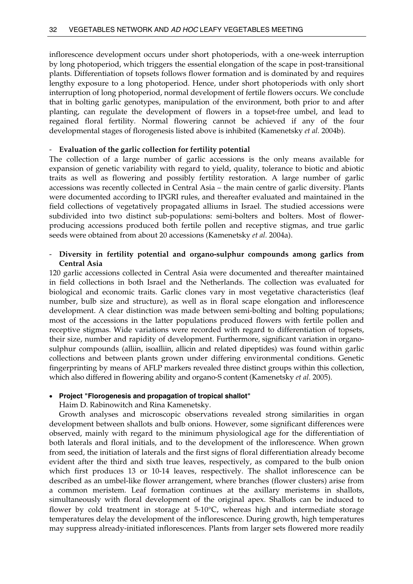inflorescence development occurs under short photoperiods, with a one-week interruption by long photoperiod, which triggers the essential elongation of the scape in post-transitional plants. Differentiation of topsets follows flower formation and is dominated by and requires lengthy exposure to a long photoperiod. Hence, under short photoperiods with only short interruption of long photoperiod, normal development of fertile flowers occurs. We conclude that in bolting garlic genotypes, manipulation of the environment, both prior to and after planting, can regulate the development of flowers in a topset-free umbel, and lead to regained floral fertility. Normal flowering cannot be achieved if any of the four developmental stages of florogenesis listed above is inhibited (Kamenetsky *et al.* 2004b).

## - **Evaluation of the garlic collection for fertility potential**

The collection of a large number of garlic accessions is the only means available for expansion of genetic variability with regard to yield, quality, tolerance to biotic and abiotic traits as well as flowering and possibly fertility restoration. A large number of garlic accessions was recently collected in Central Asia – the main centre of garlic diversity. Plants were documented according to IPGRI rules, and thereafter evaluated and maintained in the field collections of vegetatively propagated alliums in Israel. The studied accessions were subdivided into two distinct sub-populations: semi-bolters and bolters. Most of flowerproducing accessions produced both fertile pollen and receptive stigmas, and true garlic seeds were obtained from about 20 accessions (Kamenetsky *et al.* 2004a).

## - **Diversity in fertility potential and organo-sulphur compounds among garlics from Central Asia**

120 garlic accessions collected in Central Asia were documented and thereafter maintained in field collections in both Israel and the Netherlands. The collection was evaluated for biological and economic traits. Garlic clones vary in most vegetative characteristics (leaf number, bulb size and structure), as well as in floral scape elongation and inflorescence development. A clear distinction was made between semi-bolting and bolting populations; most of the accessions in the latter populations produced flowers with fertile pollen and receptive stigmas. Wide variations were recorded with regard to differentiation of topsets, their size, number and rapidity of development. Furthermore, significant variation in organosulphur compounds (alliin, isoalliin, allicin and related dipeptides) was found within garlic collections and between plants grown under differing environmental conditions. Genetic fingerprinting by means of AFLP markers revealed three distinct groups within this collection, which also differed in flowering ability and organo-S content (Kamenetsky *et al.* 2005).

#### x **Project "Florogenesis and propagation of tropical shallot"**

Haim D. Rabinowitch and Rina Kamenetsky.

 Growth analyses and microscopic observations revealed strong similarities in organ development between shallots and bulb onions. However, some significant differences were observed, mainly with regard to the minimum physiological age for the differentiation of both laterals and floral initials, and to the development of the inflorescence. When grown from seed, the initiation of laterals and the first signs of floral differentiation already become evident after the third and sixth true leaves, respectively, as compared to the bulb onion which first produces 13 or 10-14 leaves, respectively. The shallot inflorescence can be described as an umbel-like flower arrangement, where branches (flower clusters) arise from a common meristem. Leaf formation continues at the axillary meristems in shallots, simultaneously with floral development of the original apex. Shallots can be induced to flower by cold treatment in storage at  $5{\text -}10^{\circ}\text{C}$ , whereas high and intermediate storage temperatures delay the development of the inflorescence. During growth, high temperatures may suppress already-initiated inflorescences. Plants from larger sets flowered more readily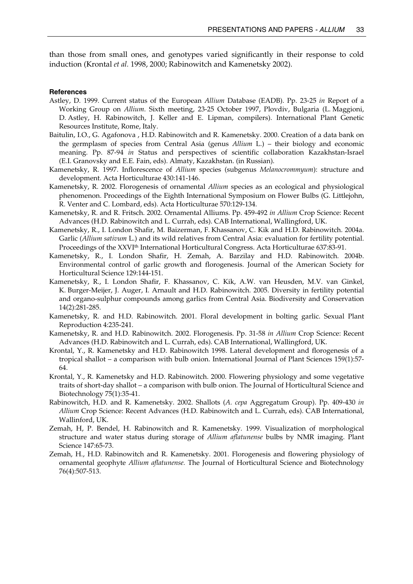than those from small ones, and genotypes varied significantly in their response to cold induction (Krontal *et al.* 1998, 2000; Rabinowitch and Kamenetsky 2002).

#### **References**

- Astley, D. 1999. Current status of the European *Allium* Database (EADB). Pp. 23-25 *in* Report of a Working Group on *Allium*. Sixth meeting, 23-25 October 1997, Plovdiv, Bulgaria (L. Maggioni, D. Astley, H. Rabinowitch, J. Keller and E. Lipman, compilers). International Plant Genetic Resources Institute, Rome, Italy.
- Baitulin, I.O., G. Agafonova , H.D. Rabinowitch and R. Kamenetsky. 2000. Creation of a data bank on the germplasm of species from Central Asia (genus *Allium* L.) – their biology and economic meaning. Pp. 87-94 *in* Status and perspectives of scientific collaboration Kazakhstan-Israel (E.I. Granovsky and E.E. Fain, eds). Almaty, Kazakhstan. (in Russian).
- Kamenetsky, R. 1997. Inflorescence of *Allium* species (subgenus *Melanocrommyum*): structure and development. Acta Horticulturae 430:141-146.
- Kamenetsky, R. 2002. Florogenesis of ornamental *Allium* species as an ecological and physiological phenomenon. Proceedings of the Eighth International Symposium on Flower Bulbs (G. Littlejohn, R. Venter and C. Lombard, eds). Acta Horticulturae 570:129-134.
- Kamenetsky, R. and R. Fritsch. 2002. Ornamental Alliums. Pp. 459-492 *in Allium* Crop Science: Recent Advances (H.D. Rabinowitch and L. Currah, eds). CAB International, Wallingford, UK.
- Kamenetsky, R., I. London Shafir, M. Baizerman, F. Khassanov, C. Kik and H.D. Rabinowitch. 2004a. Garlic (*Allium sativum* L.) and its wild relatives from Central Asia: evaluation for fertility potential. Proceedings of the XXVI<sup>th</sup> International Horticultural Congress. Acta Horticulturae 637:83-91.
- Kamenetsky, R., I. London Shafir, H. Zemah, A. Barzilay and H.D. Rabinowitch. 2004b. Environmental control of garlic growth and florogenesis. Journal of the American Society for Horticultural Science 129:144-151.
- Kamenetsky, R., I. London Shafir, F. Khassanov, C. Kik, A.W. van Heusden, M.V. van Ginkel, K. Burger-Meijer, J. Auger, I. Arnault and H.D. Rabinowitch. 2005. Diversity in fertility potential and organo-sulphur compounds among garlics from Central Asia. Biodiversity and Conservation 14(2):281-285.
- Kamenetsky, R. and H.D. Rabinowitch. 2001. Floral development in bolting garlic. Sexual Plant Reproduction 4:235-241.
- Kamenetsky, R. and H.D. Rabinowitch. 2002. Florogenesis. Pp. 31-58 *in Allium* Crop Science: Recent Advances (H.D. Rabinowitch and L. Currah, eds). CAB International, Wallingford, UK.
- Krontal, Y., R. Kamenetsky and H.D. Rabinowitch 1998. Lateral development and florogenesis of a tropical shallot – a comparison with bulb onion. International Journal of Plant Sciences 159(1):57- 64.
- Krontal, Y., R. Kamenetsky and H.D. Rabinowitch. 2000. Flowering physiology and some vegetative traits of short-day shallot – a comparison with bulb onion*.* The Journal of Horticultural Science and Biotechnology 75(1):35-41.
- Rabinowitch, H.D. and R. Kamenetsky. 2002. Shallots (*A. cepa* Aggregatum Group). Pp. 409-430 *in Allium* Crop Science: Recent Advances (H.D. Rabinowitch and L. Currah, eds). CAB International, Wallinford, UK.
- Zemah, H, P. Bendel, H. Rabinowitch and R. Kamenetsky. 1999. Visualization of morphological structure and water status during storage of *Allium aflatunense* bulbs by NMR imaging. Plant Science 147:65-73.
- Zemah, H., H.D. Rabinowitch and R. Kamenetsky. 2001. Florogenesis and flowering physiology of ornamental geophyte *Allium aflatunense.* The Journal of Horticultural Science and Biotechnology 76(4):507-513.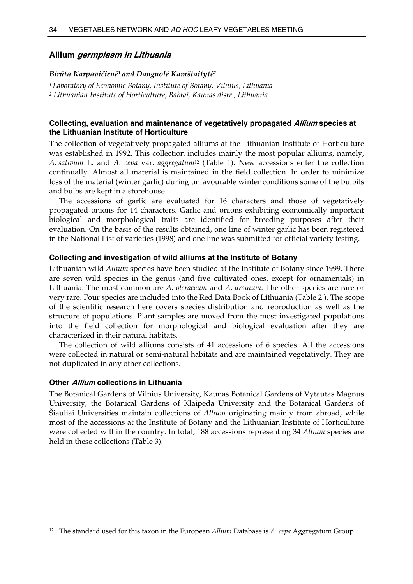## **Allium germplasm in Lithuania**

#### *Birijta Karpaviìienø<sup>1</sup> and Danguolø Kamštaitytø<sup>2</sup>*

*<sup>1</sup> Laboratory of Economic Botany, Institute of Botany, Vilnius, Lithuania 2 Lithuanian Institute of Horticulture, Babtai, Kaunas distr., Lithuania* 

## **Collecting, evaluation and maintenance of vegetatively propagated Allium species at the Lithuanian Institute of Horticulture**

The collection of vegetatively propagated alliums at the Lithuanian Institute of Horticulture was established in 1992. This collection includes mainly the most popular alliums*,* namely, *A. sativum* L. and *A. cepa* var. *aggregatum*12 (Table 1). New accessions enter the collection continually. Almost all material is maintained in the field collection. In order to minimize loss of the material (winter garlic) during unfavourable winter conditions some of the bulbils and bulbs are kept in a storehouse.

 The accessions of garlic are evaluated for 16 characters and those of vegetatively propagated onions for 14 characters. Garlic and onions exhibiting economically important biological and morphological traits are identified for breeding purposes after their evaluation. On the basis of the results obtained, one line of winter garlic has been registered in the National List of varieties (1998) and one line was submitted for official variety testing.

## **Collecting and investigation of wild alliums at the Institute of Botany**

Lithuanian wild *Allium* species have been studied at the Institute of Botany since 1999. There are seven wild species in the genus (and five cultivated ones, except for ornamentals) in Lithuania. The most common are *A. oleraceum* and *A. ursinum*. The other species are rare or very rare. Four species are included into the Red Data Book of Lithuania (Table 2.). The scope of the scientific research here covers species distribution and reproduction as well as the structure of populations. Plant samples are moved from the most investigated populations into the field collection for morphological and biological evaluation after they are characterized in their natural habitats.

 The collection of wild alliums consists of 41 accessions of 6 species. All the accessions were collected in natural or semi-natural habitats and are maintained vegetatively. They are not duplicated in any other collections.

#### **Other Allium collections in Lithuania**

 $\overline{a}$ 

The Botanical Gardens of Vilnius University, Kaunas Botanical Gardens of Vytautas Magnus University, the Botanical Gardens of Klaipėda University and the Botanical Gardens of Šiauliai Universities maintain collections of *Allium* originating mainly from abroad, while most of the accessions at the Institute of Botany and the Lithuanian Institute of Horticulture were collected within the country. In total, 188 accessions representing 34 *Allium* species are held in these collections (Table 3).

<sup>12</sup> The standard used for this taxon in the European *Allium* Database is *A. cepa* Aggregatum Group.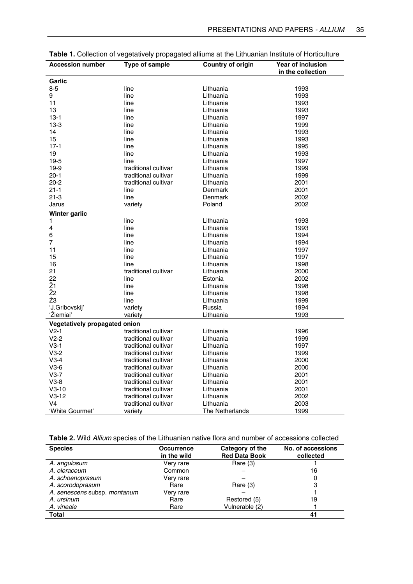| <b>Accession number</b>       | <b>Type of sample</b> | <b>Country of origin</b> | Year of inclusion<br>in the collection |
|-------------------------------|-----------------------|--------------------------|----------------------------------------|
| Garlic                        |                       |                          |                                        |
| $8 - 5$                       | line                  | Lithuania                | 1993                                   |
| 9                             | line                  | Lithuania                | 1993                                   |
| 11                            | line                  | Lithuania                | 1993                                   |
| 13                            | line                  | Lithuania                | 1993                                   |
| $13 - 1$                      | line                  | Lithuania                | 1997                                   |
| $13-3$                        | line                  | Lithuania                | 1999                                   |
| 14                            | line                  | Lithuania                | 1993                                   |
| 15                            | line                  | Lithuania                | 1993                                   |
| $17 - 1$                      | line                  | Lithuania                | 1995                                   |
| 19                            | line                  | Lithuania                | 1993                                   |
| $19-5$                        | line                  | Lithuania                | 1997                                   |
| $19-9$                        | traditional cultivar  | Lithuania                | 1999                                   |
| $20 - 1$                      | traditional cultivar  | Lithuania                | 1999                                   |
| $20 - 2$                      | traditional cultivar  | Lithuania                | 2001                                   |
| $21 - 1$                      | line                  | Denmark                  | 2001                                   |
| $21 - 3$                      | line                  | Denmark                  | 2002                                   |
| Jarus                         | variety               | Poland                   | 2002                                   |
| <b>Winter garlic</b>          |                       |                          |                                        |
| 1                             | line                  | Lithuania                | 1993                                   |
| 4                             | line                  | Lithuania                | 1993                                   |
| 6                             | line                  | Lithuania                | 1994                                   |
| 7                             | line                  | Lithuania                | 1994                                   |
| 11                            | line                  | Lithuania                | 1997                                   |
| 15                            | line                  | Lithuania                | 1997                                   |
| 16                            | line                  | Lithuania                | 1998                                   |
| 21                            | traditional cultivar  | Lithuania                | 2000                                   |
| 22                            | line                  | Estonia                  | 2002                                   |
| Ž1                            | line                  | Lithuania                | 1998                                   |
| Ž2                            | line                  | Lithuania                | 1998                                   |
| Ž3                            | line                  | Lithuania                | 1999                                   |
| 'J.Gribovskij'                | variety               | Russia                   | 1994                                   |
| 'Ziemiai'                     | variety               | Lithuania                | 1993                                   |
| Vegetatively propagated onion |                       |                          |                                        |
| $V2-1$                        | traditional cultivar  | Lithuania                | 1996                                   |
| $V2-2$                        | traditional cultivar  | Lithuania                | 1999                                   |
| $V3-1$                        | traditional cultivar  | Lithuania                | 1997                                   |
| $V3-2$                        | traditional cultivar  | Lithuania                | 1999                                   |
| $V3-4$                        | traditional cultivar  | Lithuania                | 2000                                   |
| $V3-6$                        | traditional cultivar  | Lithuania                | 2000                                   |
| V3-7                          | traditional cultivar  | Lithuania                | 2001                                   |
| $V3-8$                        | traditional cultivar  | Lithuania                | 2001                                   |
| $V3-10$                       | traditional cultivar  | Lithuania                | 2001                                   |
| $V3-12$                       | traditional cultivar  | Lithuania                | 2002                                   |
| V4                            | traditional cultivar  | Lithuania                | 2003                                   |
| 'White Gourmet'               | variety               | The Netherlands          | 1999                                   |

|  |  | <b>Table 2.</b> Wild <i>Allium</i> species of the Lithuanian native flora and number of accessions collected |
|--|--|--------------------------------------------------------------------------------------------------------------|
|--|--|--------------------------------------------------------------------------------------------------------------|

| <b>Species</b>               | <b>Occurrence</b><br>in the wild | Category of the<br><b>Red Data Book</b> | No. of accessions<br>collected |
|------------------------------|----------------------------------|-----------------------------------------|--------------------------------|
| A. angulosum                 | Very rare                        | Rare (3)                                |                                |
| A. oleraceum                 | Common                           |                                         | 16                             |
| A. schoenoprasum             | Very rare                        |                                         | 0                              |
| A. scorodoprasum             | Rare                             | Rare (3)                                | 3                              |
| A. senescens subsp. montanum | Very rare                        |                                         |                                |
| A. ursinum                   | Rare                             | Restored (5)                            | 19                             |
| A. vineale                   | Rare                             | Vulnerable (2)                          |                                |
| <b>Total</b>                 |                                  |                                         | 41                             |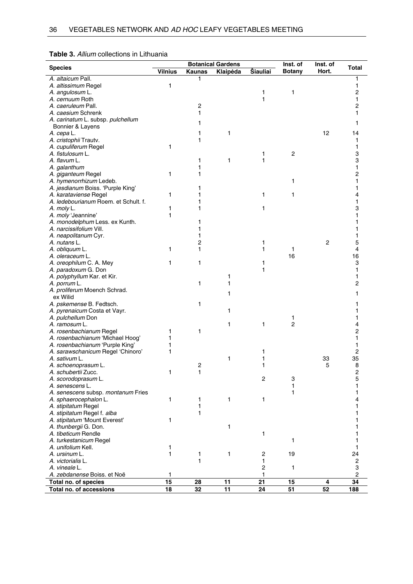|  | Table 3. Allium collections in Lithuania |  |  |
|--|------------------------------------------|--|--|
|--|------------------------------------------|--|--|

| <b>Species</b>                                            |                 |               | <b>Botanical Gardens</b> |              | Inst. of       | Inst. of       | <b>Total</b>   |
|-----------------------------------------------------------|-----------------|---------------|--------------------------|--------------|----------------|----------------|----------------|
|                                                           | <b>Vilnius</b>  | <b>Kaunas</b> | Klaipėda                 | Šiauliai     | <b>Botany</b>  | Hort.          |                |
| A. altaicum Pall.                                         |                 |               |                          |              |                |                | 1              |
| A. altissimum Regel                                       | 1               |               |                          |              |                |                | 1              |
| A. angulosum L.                                           |                 |               |                          | 1            | 1              |                | 2              |
| A. cernuum Roth                                           |                 |               |                          | 1            |                |                | 1              |
| A. caeruleum Pall.                                        |                 | 2             |                          |              |                |                | 2              |
| A. caesium Schrenk                                        |                 | 1             |                          |              |                |                | 1              |
| A. carinatum L. subsp. pulchellum                         |                 | 1             |                          |              |                |                | 1              |
| Bonnier & Layens                                          |                 |               |                          |              |                |                |                |
| A. cepa L.                                                |                 | 1             | 1                        |              |                | 12             | 14             |
| A. cristophii Trautv.                                     |                 | 1             |                          |              |                |                | 1              |
| A. cupuliferum Regel                                      | 1               |               |                          |              |                |                | 1              |
| A. fistulosum L.                                          |                 |               |                          | 1            | $\overline{c}$ |                | 3              |
| A. flavum L.                                              |                 | 1             | 1                        | 1            |                |                | 3              |
| A. galanthum                                              |                 | 1             |                          |              |                |                | 1              |
| A. giganteum Regel                                        | 1               | 1             |                          |              |                |                | 2              |
| A. hymenorrhizum Ledeb.                                   |                 |               |                          |              | 1              |                | 1              |
| A. jesdianum Boiss. 'Purple King'                         |                 | 1             |                          |              |                |                | 1              |
| A. karataviense Regel                                     | 1               | 1             |                          | 1            | 1              |                | 4<br>1         |
| A. ledebourianum Roem. et Schult. f.                      |                 | 1             |                          |              |                |                | 3              |
| A. moly L.                                                | 1<br>1          |               |                          | 1            |                |                | 1              |
| A. moly 'Jeannine'                                        |                 |               |                          |              |                |                |                |
| A. monodelphum Less. ex Kunth.<br>A. narcissifolium Vill. |                 | 1<br>1        |                          |              |                |                |                |
| A. neapolitanum Cyr.                                      |                 | 1             |                          |              |                |                | 1<br>1         |
| A. nutans L.                                              |                 | 2             |                          | 1            |                | $\overline{c}$ | 5              |
| A. obliquum L.                                            | 1               | 1             |                          | 1            | 1              |                | 4              |
| A. oleraceum L.                                           |                 |               |                          |              | 16             |                | 16             |
| A. oreophilum C. A. Mey                                   | 1               | 1             |                          | 1            |                |                | 3              |
| A. paradoxum G. Don                                       |                 |               |                          | 1            |                |                | 1              |
| A. polyphyllum Kar. et Kir.                               |                 |               | 1                        |              |                |                | 1              |
| A. porrum L.                                              |                 | 1             | 1                        |              |                |                | 2              |
| A. proliferum Moench Schrad.                              |                 |               |                          |              |                |                |                |
| ex Wilid                                                  |                 |               | 1                        |              |                |                | 1              |
| A. pskemense B. Fedtsch.                                  |                 | 1             |                          |              |                |                | 1              |
| A. pyrenaicum Costa et Vayr.                              |                 |               | 1                        |              |                |                | 1              |
| A. pulchellum Don                                         |                 |               |                          |              | 1              |                | 1              |
| A. ramosum L.                                             |                 |               | 1                        | $\mathbf{1}$ | $\overline{c}$ |                | 4              |
| A. rosenbachianum Regel                                   | 1               | 1             |                          |              |                |                | 2              |
| A. rosenbachianum 'Michael Hoog'                          | 1               |               |                          |              |                |                | 1              |
| A. rosenbachianum 'Purple King'                           | 1               |               |                          |              |                |                | 1              |
| A. sarawschanicum Regel 'Chinoro'                         | 1               |               |                          | 1            |                |                | 2              |
| A. sativum L.                                             |                 |               | 1                        | 1            |                | 33             | 35             |
| A. schoenoprasum L.                                       |                 | 2             |                          | 1            |                | 5              | 8              |
| A. schubertii Zucc.                                       | 1               | 1             |                          |              |                |                | 2              |
| A. scorodoprasum L.                                       |                 |               |                          | 2            | 3              |                | 5              |
| A. senescens L.                                           |                 |               |                          |              | 1              |                |                |
| A. senescens subsp. montanum Fries                        |                 |               |                          |              | 1              |                |                |
| A. sphaerocephalon L.                                     | 1               | 1             | 1                        | 1            |                |                |                |
| A. stipitatum Regel                                       |                 | 1             |                          |              |                |                |                |
| A. stipitatum Regel f. alba                               |                 | 1             |                          |              |                |                |                |
| A. stipitatum 'Mount Everest'                             | 1               |               |                          |              |                |                |                |
| A. thunbergii G. Don.                                     |                 |               | 1                        |              |                |                |                |
| A. tibeticum Rendle                                       |                 |               |                          | 1            |                |                |                |
| A. turkestanicum Regel                                    |                 |               |                          |              | 1              |                |                |
| A. unifolium Kell.                                        | 1               |               |                          |              |                |                | 1              |
| A. ursinum L.                                             | 1               | 1             | 1                        | 2            | 19             |                | 24             |
| A. victorialis L.                                         |                 | 1             |                          | 1            |                |                | 2              |
| A. vineale L.                                             |                 |               |                          | 2            | 1              |                | 3              |
| A. zebdanense Boiss. et Noë                               | 1               |               |                          | 1            |                |                | $\overline{c}$ |
| Total no. of species                                      | $\overline{15}$ | 28            | 11                       | 21           | 15             | 4              | 34             |
| Total no. of accessions                                   | 18              | 32            | 11                       | 24           | 51             | 52             | 188            |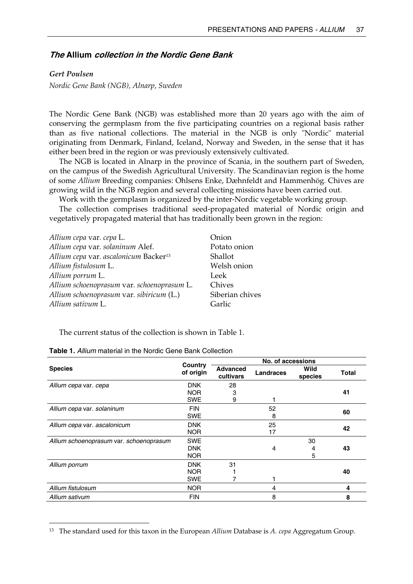## **The Allium collection in the Nordic Gene Bank**

## *Gert Poulsen*

 $\overline{a}$ 

*Nordic Gene Bank (NGB), Alnarp, Sweden* 

The Nordic Gene Bank (NGB) was established more than 20 years ago with the aim of conserving the germplasm from the five participating countries on a regional basis rather than as five national collections. The material in the NGB is only "Nordic" material originating from Denmark, Finland, Iceland, Norway and Sweden, in the sense that it has either been bred in the region or was previously extensively cultivated.

 The NGB is located in Alnarp in the province of Scania, in the southern part of Sweden, on the campus of the Swedish Agricultural University. The Scandinavian region is the home of some *Allium* Breeding companies: Ohlsens Enke, Dæhnfeldt and Hammenhög. Chives are growing wild in the NGB region and several collecting missions have been carried out.

Work with the germplasm is organized by the inter-Nordic vegetable working group.

 The collection comprises traditional seed-propagated material of Nordic origin and vegetatively propagated material that has traditionally been grown in the region:

| Allium cepa var. cepa L.                          | Onion           |
|---------------------------------------------------|-----------------|
| Allium cepa var. solaninum Alef.                  | Potato onion    |
| Allium cepa var. ascalonicum Backer <sup>13</sup> | Shallot         |
| Allium fistulosum L.                              | Welsh onion     |
| Allium porrum L.                                  | Leek            |
| Allium schoenoprasum var. schoenoprasum L.        | Chives          |
| Allium schoenoprasum var. sibiricum (L.)          | Siberian chives |
| Allium sativum L.                                 | Garlic          |

The current status of the collection is shown in Table 1.

|                                         |                             | No. of accessions            |                  |                 |              |  |  |
|-----------------------------------------|-----------------------------|------------------------------|------------------|-----------------|--------------|--|--|
| <b>Species</b>                          | <b>Country</b><br>of origin | <b>Advanced</b><br>cultivars | <b>Landraces</b> | Wild<br>species | <b>Total</b> |  |  |
| Allium cepa var. cepa                   | <b>DNK</b>                  | 28                           |                  |                 |              |  |  |
|                                         | <b>NOR</b>                  | 3                            |                  |                 | 41           |  |  |
|                                         | <b>SWE</b>                  | 9                            |                  |                 |              |  |  |
| Allium cepa var. solaninum              | <b>FIN</b>                  |                              | 52               |                 | 60           |  |  |
|                                         | <b>SWE</b>                  |                              | 8                |                 |              |  |  |
| Allium cepa var. ascalonicum            | <b>DNK</b>                  |                              | 25               |                 |              |  |  |
|                                         | <b>NOR</b>                  |                              | 17               |                 | 42           |  |  |
| Allium schoenoprasum var. schoenoprasum | <b>SWE</b>                  |                              |                  | 30              |              |  |  |
|                                         | <b>DNK</b>                  |                              | 4                | 4               | 43           |  |  |
|                                         | <b>NOR</b>                  |                              |                  | 5               |              |  |  |
| Allium porrum                           | <b>DNK</b>                  | 31                           |                  |                 |              |  |  |
|                                         | <b>NOR</b>                  |                              |                  |                 | 40           |  |  |
|                                         | <b>SWE</b>                  | 7                            |                  |                 |              |  |  |
| Allium fistulosum                       | <b>NOR</b>                  |                              | 4                |                 | 4            |  |  |
| Allium sativum                          | <b>FIN</b>                  |                              | 8                |                 | 8            |  |  |
|                                         |                             |                              |                  |                 |              |  |  |

|  |  |  |  |  |  |  | <b>Table 1.</b> Allium material in the Nordic Gene Bank Collection |
|--|--|--|--|--|--|--|--------------------------------------------------------------------|
|--|--|--|--|--|--|--|--------------------------------------------------------------------|

<sup>13</sup> The standard used for this taxon in the European *Allium* Database is *A. cepa* Aggregatum Group.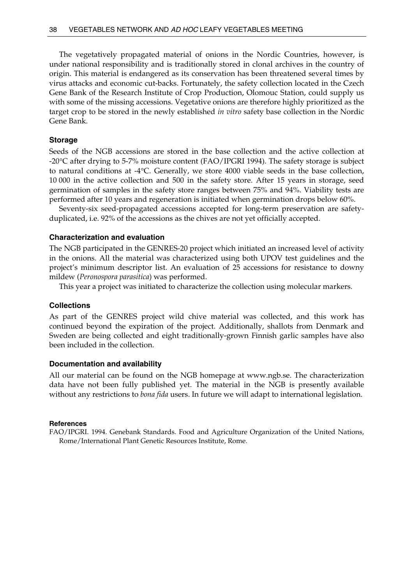The vegetatively propagated material of onions in the Nordic Countries, however, is under national responsibility and is traditionally stored in clonal archives in the country of origin. This material is endangered as its conservation has been threatened several times by virus attacks and economic cut-backs. Fortunately, the safety collection located in the Czech Gene Bank of the Research Institute of Crop Production, Olomouc Station, could supply us with some of the missing accessions. Vegetative onions are therefore highly prioritized as the target crop to be stored in the newly established *in vitro* safety base collection in the Nordic Gene Bank.

## **Storage**

Seeds of the NGB accessions are stored in the base collection and the active collection at -20 $\degree$ C after drying to 5-7% moisture content (FAO/IPGRI 1994). The safety storage is subject to natural conditions at -4 $\degree$ C. Generally, we store 4000 viable seeds in the base collection, 10 000 in the active collection and 500 in the safety store. After 15 years in storage, seed germination of samples in the safety store ranges between 75% and 94%. Viability tests are performed after 10 years and regeneration is initiated when germination drops below 60%.

 Seventy-six seed-propagated accessions accepted for long-term preservation are safetyduplicated, i.e. 92% of the accessions as the chives are not yet officially accepted.

#### **Characterization and evaluation**

The NGB participated in the GENRES-20 project which initiated an increased level of activity in the onions. All the material was characterized using both UPOV test guidelines and the project's minimum descriptor list. An evaluation of 25 accessions for resistance to downy mildew (*Peronospora parasitica*) was performed.

This year a project was initiated to characterize the collection using molecular markers.

#### **Collections**

As part of the GENRES project wild chive material was collected, and this work has continued beyond the expiration of the project. Additionally, shallots from Denmark and Sweden are being collected and eight traditionally-grown Finnish garlic samples have also been included in the collection.

#### **Documentation and availability**

All our material can be found on the NGB homepage at www.ngb.se. The characterization data have not been fully published yet. The material in the NGB is presently available without any restrictions to *bona fida* users. In future we will adapt to international legislation.

#### **References**

FAO/IPGRI. 1994. Genebank Standards. Food and Agriculture Organization of the United Nations, Rome/International Plant Genetic Resources Institute, Rome.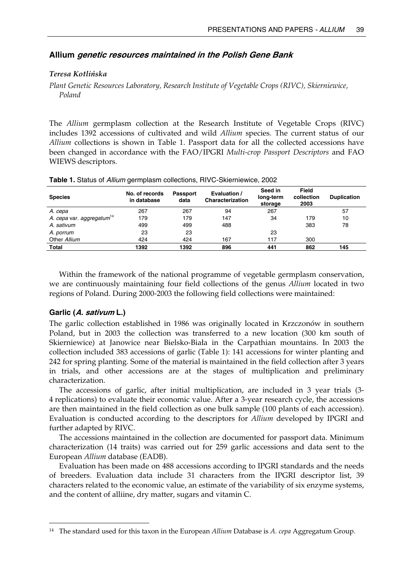## **Allium genetic resources maintained in the Polish Gene Bank**

### *Teresa Kotliēska*

*Plant Genetic Resources Laboratory, Research Institute of Vegetable Crops (RIVC), Skierniewice, Poland*

The *Allium* germplasm collection at the Research Institute of Vegetable Crops (RIVC) includes 1392 accessions of cultivated and wild *Allium* species. The current status of our *Allium* collections is shown in Table 1. Passport data for all the collected accessions have been changed in accordance with the FAO/IPGRI *Multi-crop Passport Descriptors* and FAO WIEWS descriptors.

| <b>Species</b>                        | No. of records<br>in database | Passport<br>data | Evaluation /<br>Characterization | Seed in<br>long-term<br>storage | <b>Field</b><br>collection<br>2003 | <b>Duplication</b> |
|---------------------------------------|-------------------------------|------------------|----------------------------------|---------------------------------|------------------------------------|--------------------|
| A. cepa                               | 267                           | 267              | 94                               | 267                             |                                    | 57                 |
| A. cepa var. aggregatum <sup>14</sup> | 179                           | 179              | 147                              | 34                              | 179                                | 10                 |
| A. sativum                            | 499                           | 499              | 488                              |                                 | 383                                | 78                 |
| A. porrum                             | 23                            | 23               |                                  | 23                              |                                    |                    |
| Other Allium                          | 424                           | 424              | 167                              | 117                             | 300                                |                    |
| Total                                 | 1392                          | 1392             | 896                              | 441                             | 862                                | 145                |

**Table 1.** Status of Allium germplasm collections, RIVC-Skierniewice, 2002

 Within the framework of the national programme of vegetable germplasm conservation, we are continuously maintaining four field collections of the genus *Allium* located in two regions of Poland. During 2000-2003 the following field collections were maintained:

#### **Garlic (A. sativum L.)**

 $\overline{a}$ 

The garlic collection established in 1986 was originally located in Krzczonów in southern Poland, but in 2003 the collection was transferred to a new location (300 km south of Skierniewice) at Janowice near Bielsko-Biađa in the Carpathian mountains. In 2003 the collection included 383 accessions of garlic (Table 1): 141 accessions for winter planting and 242 for spring planting. Some of the material is maintained in the field collection after 3 years in trials, and other accessions are at the stages of multiplication and preliminary characterization.

 The accessions of garlic, after initial multiplication, are included in 3 year trials (3- 4 replications) to evaluate their economic value. After a 3-year research cycle, the accessions are then maintained in the field collection as one bulk sample (100 plants of each accession). Evaluation is conducted according to the descriptors for *Allium* developed by IPGRI and further adapted by RIVC.

 The accessions maintained in the collection are documented for passport data. Minimum characterization (14 traits) was carried out for 259 garlic accessions and data sent to the European *Allium* database (EADB).

 Evaluation has been made on 488 accessions according to IPGRI standards and the needs of breeders. Evaluation data include 31 characters from the IPGRI descriptor list, 39 characters related to the economic value, an estimate of the variability of six enzyme systems, and the content of alliine, dry matter, sugars and vitamin C.

<sup>14</sup> The standard used for this taxon in the European *Allium* Database is *A. cepa* Aggregatum Group.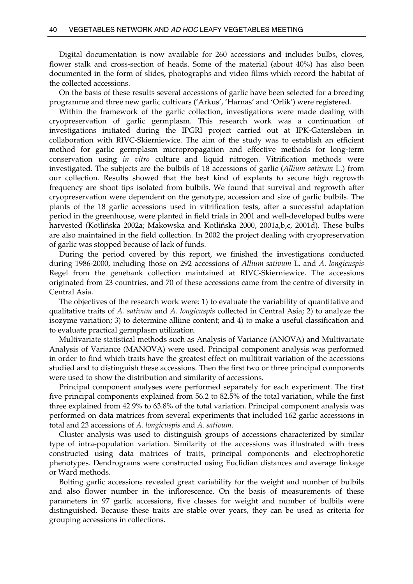Digital documentation is now available for 260 accessions and includes bulbs, cloves, flower stalk and cross-section of heads. Some of the material (about 40%) has also been documented in the form of slides, photographs and video films which record the habitat of the collected accessions.

 On the basis of these results several accessions of garlic have been selected for a breeding programme and three new garlic cultivars ('Arkus', 'Harnas' and 'Orlik') were registered.

Within the framework of the garlic collection, investigations were made dealing with cryopreservation of garlic germplasm. This research work was a continuation of investigations initiated during the IPGRI project carried out at IPK-Gatersleben in collaboration with RIVC-Skierniewice. The aim of the study was to establish an efficient method for garlic germplasm micropropagation and effective methods for long-term conservation using *in vitro* culture and liquid nitrogen. Vitrification methods were investigated. The subjects are the bulbils of 18 accessions of garlic (*Allium sativum* L.) from our collection. Results showed that the best kind of explants to secure high regrowth frequency are shoot tips isolated from bulbils. We found that survival and regrowth after cryopreservation were dependent on the genotype, accession and size of garlic bulbils. The plants of the 18 garlic accessions used in vitrification tests, after a successful adaptation period in the greenhouse, were planted in field trials in 2001 and well-developed bulbs were harvested (Kotlińska 2002a; Makowska and Kotlińska 2000, 2001a,b,c, 2001d). These bulbs are also maintained in the field collection. In 2002 the project dealing with cryopreservation of garlic was stopped because of lack of funds.

 During the period covered by this report, we finished the **i**nvestigations conducted during 1986-2000, including those on 292 accessions of *Allium sativum* L. and *A. longicuspis* Regel from the genebank collection maintained at RIVC-Skierniewice. The accessions originated from 23 countries, and 70 of these accessions came from the centre of diversity in Central Asia.

 The objectives of the research work were: 1) to evaluate the variability of quantitative and qualitative traits of *A. sativum* and *A. longicuspis* collected in Central Asia; 2) to analyze the isozyme variation; 3) to determine alliine content; and 4) to make a useful classification and to evaluate practical germplasm utilization.

 Multivariate statistical methods such as Analysis of Variance (ANOVA) and Multivariate Analysis of Variance (MANOVA) were used. Principal component analysis was performed in order to find which traits have the greatest effect on multitrait variation of the accessions studied and to distinguish these accessions. Then the first two or three principal components were used to show the distribution and similarity of accessions.

 Principal component analyses were performed separately for each experiment. The first five principal components explained from 56.2 to 82.5% of the total variation, while the first three explained from 42.9% to 63.8% of the total variation. Principal component analysis was performed on data matrices from several experiments that included 162 garlic accessions in total and 23 accessions of *A. longicuspis* and *A. sativum*.

 Cluster analysis was used to distinguish groups of accessions characterized by similar type of intra-population variation. Similarity of the accessions was illustrated with trees constructed using data matrices of traits, principal components and electrophoretic phenotypes. Dendrograms were constructed using Euclidian distances and average linkage or Ward methods.

 Bolting garlic accessions revealed great variability for the weight and number of bulbils and also flower number in the inflorescence. On the basis of measurements of these parameters in 97 garlic accessions, five classes for weight and number of bulbils were distinguished. Because these traits are stable over years, they can be used as criteria for grouping accessions in collections.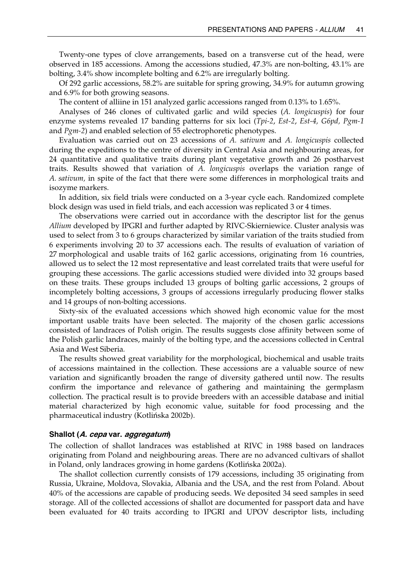Twenty-one types of clove arrangements, based on a transverse cut of the head, were observed in 185 accessions. Among the accessions studied, 47.3% are non-bolting, 43.1% are bolting, 3.4% show incomplete bolting and 6.2% are irregularly bolting.

 Of 292 garlic accessions, 58.2% are suitable for spring growing, 34.9% for autumn growing and 6.9% for both growing seasons.

The content of alliine in 151 analyzed garlic accessions ranged from 0.13% to 1.65%.

 Analyses of 246 clones of cultivated garlic and wild species (*A. longicuspis*) for four enzyme systems revealed 17 banding patterns for six loci (*Tpi-2*, *Est-2*, *Est-4, G6pd, Pgm-1*  and *Pgm-2*) and enabled selection of 55 electrophoretic phenotypes.

 Evaluation was carried out on 23 accessions of *A. sativum* and *A. longicuspis* collected during the expeditions to the centre of diversity in Central Asia and neighbouring areas, for 24 quantitative and qualitative traits during plant vegetative growth and 26 postharvest traits. Results showed that variation of *A. longicuspis* overlaps the variation range of *A. sativum,* in spite of the fact that there were some differences in morphological traits and isozyme markers.

 In addition, six field trials were conducted on a 3-year cycle each. Randomized complete block design was used in field trials, and each accession was replicated 3 or 4 times.

 The observations were carried out in accordance with the descriptor list for the genus *Allium* developed by IPGRI and further adapted by RIVC-Skierniewice. Cluster analysis was used to select from 3 to 6 groups characterized by similar variation of the traits studied from 6 experiments involving 20 to 37 accessions each. The results of evaluation of variation of 27 morphological and usable traits of 162 garlic accessions, originating from 16 countries, allowed us to select the 12 most representative and least correlated traits that were useful for grouping these accessions. The garlic accessions studied were divided into 32 groups based on these traits. These groups included 13 groups of bolting garlic accessions, 2 groups of incompletely bolting accessions, 3 groups of accessions irregularly producing flower stalks and 14 groups of non-bolting accessions.

 Sixty-six of the evaluated accessions which showed high economic value for the most important usable traits have been selected. The majority of the chosen garlic accessions consisted of landraces of Polish origin. The results suggests close affinity between some of the Polish garlic landraces, mainly of the bolting type, and the accessions collected in Central Asia and West Siberia*.*

 The results showed great variability for the morphological, biochemical and usable traits of accessions maintained in the collection. These accessions are a valuable source of new variation and significantly broaden the range of diversity gathered until now. The results confirm the importance and relevance of gathering and maintaining the germplasm collection. The practical result is to provide breeders with an accessible database and initial material characterized by high economic value, suitable for food processing and the pharmaceutical industry (Kotlińska 2002b).

#### **Shallot (A. cepa var. aggregatum)**

The collection of shallot landraces was established at RIVC in 1988 based on landraces originating from Poland and neighbouring areas. There are no advanced cultivars of shallot in Poland, only landraces growing in home gardens (Kotlińska 2002a).

 The shallot collection currently consists of 179 accessions, including 35 originating from Russia, Ukraine, Moldova, Slovakia, Albania and the USA, and the rest from Poland. About 40% of the accessions are capable of producing seeds. We deposited 34 seed samples in seed storage. All of the collected accessions of shallot are documented for passport data and have been evaluated for 40 traits according to IPGRI and UPOV descriptor lists, including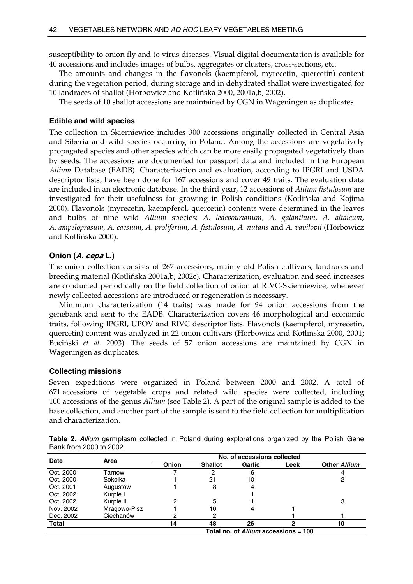susceptibility to onion fly and to virus diseases. Visual digital documentation is available for 40 accessions and includes images of bulbs, aggregates or clusters, cross-sections, etc.

 The amounts and changes in the flavonols (kaempferol, myrecetin, quercetin) content during the vegetation period, during storage and in dehydrated shallot were investigated for 10 landraces of shallot (Horbowicz and Kotlińska 2000, 2001a,b, 2002).

The seeds of 10 shallot accessions are maintained by CGN in Wageningen as duplicates.

## **Edible and wild species**

The collection in Skierniewice includes 300 accessions originally collected in Central Asia and Siberia and wild species occurring in Poland. Among the accessions are vegetatively propagated species and other species which can be more easily propagated vegetatively than by seeds. The accessions are documented for passport data and included in the European *Allium* Database (EADB). Characterization and evaluation, according to IPGRI and USDA descriptor lists, have been done for 167 accessions and cover 49 traits. The evaluation data are included in an electronic database. In the third year, 12 accessions of *Allium fistulosum* are investigated for their usefulness for growing in Polish conditions (Kotlińska and Kojima 2000). Flavonols (myrecetin, kaempferol, quercetin) contents were determined in the leaves and bulbs of nine wild *Allium* species: *A. ledebourianum, A. galanthum, A. altaicum, A. ampeloprasum, A. caesium, A. proliferum, A. fistulosum, A. nutans* and *A. vavilovii* (Horbowicz and Kotlińska 2000).

## **Onion (A. cepa L.)**

The onion collection consists of 267 accessions, mainly old Polish cultivars, landraces and breeding material (Kotlińska 2001a,b, 2002c). Characterization, evaluation and seed increases are conducted periodically on the field collection of onion at RIVC-Skierniewice, whenever newly collected accessions are introduced or regeneration is necessary.

 Minimum characterization (14 traits) was made for 94 onion accessions from the genebank and sent to the EADB. Characterization covers 46 morphological and economic traits, following IPGRI, UPOV and RIVC descriptor lists. Flavonols (kaempferol, myrecetin, quercetin) content was analyzed in 22 onion cultivars (Horbowicz and Kotlińska 2000, 2001; Buciński et al. 2003). The seeds of 57 onion accessions are maintained by CGN in Wageningen as duplicates.

#### **Collecting missions**

Seven expeditions were organized in Poland between 2000 and 2002. A total of 671 accessions of vegetable crops and related wild species were collected, including 100 accessions of the genus *Allium* (see Table 2). A part of the original sample is added to the base collection, and another part of the sample is sent to the field collection for multiplication and characterization.

|                        |  |  |  | <b>Table 2.</b> Allium germplasm collected in Poland during explorations organized by the Polish Gene |  |  |  |
|------------------------|--|--|--|-------------------------------------------------------------------------------------------------------|--|--|--|
| Bank from 2000 to 2002 |  |  |  |                                                                                                       |  |  |  |

| <b>Date</b>  | Area         | No. of accessions collected          |                |        |      |                     |  |  |  |
|--------------|--------------|--------------------------------------|----------------|--------|------|---------------------|--|--|--|
|              |              | Onion                                | <b>Shallot</b> | Garlic | Leek | <b>Other Allium</b> |  |  |  |
| Oct. 2000    | Tarnow       |                                      | ົ              | 6      |      |                     |  |  |  |
| Oct. 2000    | Sokolka      |                                      | 21             | 10     |      |                     |  |  |  |
| Oct. 2001    | Augustów     |                                      | 8              | 4      |      |                     |  |  |  |
| Oct. 2002    | Kurpie I     |                                      |                |        |      |                     |  |  |  |
| Oct. 2002    | Kurpie II    | 2                                    | 5              |        |      | 3                   |  |  |  |
| Nov. 2002    | Mragowo-Pisz |                                      | 10             |        |      |                     |  |  |  |
| Dec. 2002    | Ciechanów    | 0                                    |                |        |      |                     |  |  |  |
| <b>Total</b> |              | 14                                   | 48             | 26     | ≏    | 10                  |  |  |  |
|              |              | Total no. of Allium accessions = 100 |                |        |      |                     |  |  |  |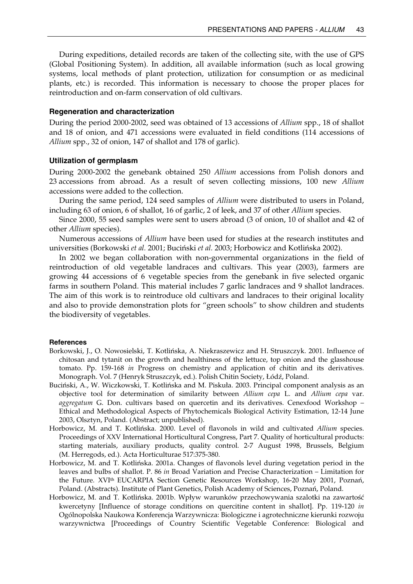During expeditions, detailed records are taken of the collecting site, with the use of GPS (Global Positioning System). In addition, all available information (such as local growing systems, local methods of plant protection, utilization for consumption or as medicinal plants, etc.) is recorded. This information is necessary to choose the proper places for reintroduction and on-farm conservation of old cultivars.

#### **Regeneration and characterization**

During the period 2000-2002, seed was obtained of 13 accessions of *Allium* spp., 18 of shallot and 18 of onion, and 471 accessions were evaluated in field conditions (114 accessions of *Allium* spp., 32 of onion, 147 of shallot and 178 of garlic).

#### **Utilization of germplasm**

During 2000-2002 the genebank obtained 250 *Allium* accessions from Polish donors and 23 accessions from abroad. As a result of seven collecting missions, 100 new *Allium* accessions were added to the collection.

 During the same period, 124 seed samples of *Allium* were distributed to users in Poland, including 63 of onion, 6 of shallot, 16 of garlic, 2 of leek, and 37 of other *Allium* species.

 Since 2000, 55 seed samples were sent to users abroad (3 of onion, 10 of shallot and 42 of other *Allium* species).

 Numerous accessions of *Allium* have been used for studies at the research institutes and universities (Borkowski *et al.* 2001; Buciński *et al.* 2003; Horbowicz and Kotlińska 2002).

 In 2002 we began collaboration with non-governmental organizations in the field of reintroduction of old vegetable landraces and cultivars. This year (2003), farmers are growing 44 accessions of 6 vegetable species from the genebank in five selected organic farms in southern Poland. This material includes 7 garlic landraces and 9 shallot landraces. The aim of this work is to reintroduce old cultivars and landraces to their original locality and also to provide demonstration plots for "green schools" to show children and students the biodiversity of vegetables.

#### **References**

- Borkowski, J., O. Nowosielski, T. Kotlińska, A. Niekraszewicz and H. Struszczyk. 2001. Influence of chitosan and tytanit on the growth and healthiness of the lettuce, top onion and the glasshouse tomato. Pp. 159-168 *in* Progress on chemistry and application of chitin and its derivatives. Monograph. Vol. 7 (Henryk Struszczyk, ed.). Polish Chitin Society, Łódź, Poland.
- Buciński, A., W. Wiczkowski, T. Kotlińska and M. Piskuła. 2003. Principal component analysis as an objective tool for determination of similarity between *Allium cepa* L. and *Allium cepa* var. *aggregatum* G. Don. cultivars based on quercetin and its derivatives. Cenexfood Workshop – Ethical and Methodological Aspects of Phytochemicals Biological Activity Estimation, 12-14 June 2003, Olsztyn, Poland. (Abstract; unpublished).
- Horbowicz, M. and T. Kotlińska. 2000. Level of flavonols in wild and cultivated *Allium* species. Proceedings of XXV International Horticultural Congress, Part 7. Quality of horticultural products: starting materials, auxiliary products, quality control. 2-7 August 1998, Brussels, Belgium (M. Herregods, ed.). Acta Horticulturae 517:375-380.
- Horbowicz, M. and T. Kotlińska. 2001a. Changes of flavonols level during vegetation period in the leaves and bulbs of shallot. P. 86 *in* Broad Variation and Precise Characterization – Limitation for the Future. XVI<sup>th</sup> EUCARPIA Section Genetic Resources Workshop, 16-20 May 2001, Poznań, Poland. (Abstracts). Institute of Plant Genetics, Polish Academy of Sciences, Poznań, Poland.
- Horbowicz, M. and T. Kotlińska. 2001b. Wpływ warunków przechowywania szalotki na zawartość kwercetyny [Influence of storage conditions on quercitine content in shallot]. Pp. 119-120 *in* Ogólnopolska Naukowa Konferencja Warzywnicza: Biologiczne i agrotechniczne kierunki rozwoju warzywnictwa [Proceedings of Country Scientific Vegetable Conference: Biological and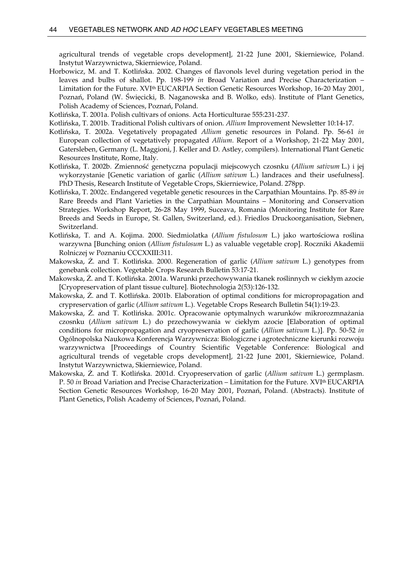agricultural trends of vegetable crops development], 21-22 June 2001, Skierniewice, Poland. Instytut Warzywnictwa, Skierniewice, Poland.

Horbowicz, M. and T. Kotlińska. 2002. Changes of flavonols level during vegetation period in the leaves and bulbs of shallot. Pp. 198-199 *in* Broad Variation and Precise Characterization – Limitation for the Future. XVI<sup>th</sup> EUCARPIA Section Genetic Resources Workshop, 16-20 May 2001, Poznań, Poland (W. Święcicki, B. Naganowska and B. Wolko, eds). Institute of Plant Genetics, Polish Academy of Sciences, Poznań, Poland.

Kotlińska, T. 2001a. Polish cultivars of onions. Acta Horticulturae 555:231-237.

Kotliēska, T. 2001b. Traditional Polish cultivars of onion. *Allium* Improvement Newsletter 10:14-17.

- Kotlińska, T. 2002a. Vegetatively propagated *Allium* genetic resources in Poland. Pp. 56-61 in European collection of vegetatively propagated *Allium*. Report of a Workshop, 21-22 May 2001, Gatersleben, Germany (L. Maggioni, J. Keller and D. Astley, compilers). International Plant Genetic Resources Institute, Rome, Italy.
- Kotlińska, T. 2002b. Zmienność genetyczna populacji miejscowych czosnku (*Allium sativum* L.) i jej wykorzystanie [Genetic variation of garlic (*Allium sativum* L.) landraces and their usefulness]. PhD Thesis, Research Institute of Vegetable Crops, Skierniewice, Poland. 278pp.
- Kotliēska, T. 2002c. Endangered vegetable genetic resources in the Carpathian Mountains. Pp. 85-89 *in* Rare Breeds and Plant Varieties in the Carpathian Mountains – Monitoring and Conservation Strategies. Workshop Report, 26-28 May 1999, Suceava, Romania (Monitoring Institute for Rare Breeds and Seeds in Europe, St. Gallen, Switzerland, ed.). Friedlos Druckoorganisation, Siebnen, Switzerland.
- Kotlińska, T. and A. Kojima. 2000. Siedmiolatka (*Allium fistulosum L.*) jako wartościowa roślina warzywna [Bunching onion (*Allium fistulosum* L.) as valuable vegetable crop]. Roczniki Akademii Rolniczej w Poznaniu CCCXXIII:311.
- Makowska, Ż. and T. Kotlińska. 2000. Regeneration of garlic (Allium sativum L.) genotypes from genebank collection. Vegetable Crops Research Bulletin 53:17-21.
- Makowska, Ż. and T. Kotlińska. 2001a. Warunki przechowywania tkanek roślinnych w ciekłym azocie [Cryopreservation of plant tissue culture]. Biotechnologia 2(53):126-132.
- Makowska, Ż. and T. Kotlińska. 2001b. Elaboration of optimal conditions for micropropagation and crypreservation of garlic (*Allium sativum* L.). Vegetable Crops Research Bulletin 54(1):19-23.
- Makowska, Ż. and T. Kotlińska. 2001c. Opracowanie optymalnych warunków mikrorozmnażania czosnku (*Allium sativum* L.) do przechowywania w ciekđym azocie [Elaboration of optimal conditions for micropropagation and cryopreservation of garlic (*Allium sativum* L.)]. Pp. 50-52 *in* Ogólnopolska Naukowa Konferencja Warzywnicza: Biologiczne i agrotechniczne kierunki rozwoju warzywnictwa [Proceedings of Country Scientific Vegetable Conference: Biological and agricultural trends of vegetable crops development], 21-22 June 2001, Skierniewice, Poland. Instytut Warzywnictwa, Skierniewice, Poland.
- Makowska, Ż. and T. Kotlińska. 2001d. Cryopreservation of garlic (*Allium sativum* L.) germplasm. P. 50 in Broad Variation and Precise Characterization - Limitation for the Future. XVI<sup>th</sup> EUCARPIA Section Genetic Resources Workshop, 16-20 May 2001, Poznań, Poland. (Abstracts). Institute of Plant Genetics, Polish Academy of Sciences, Poznań, Poland.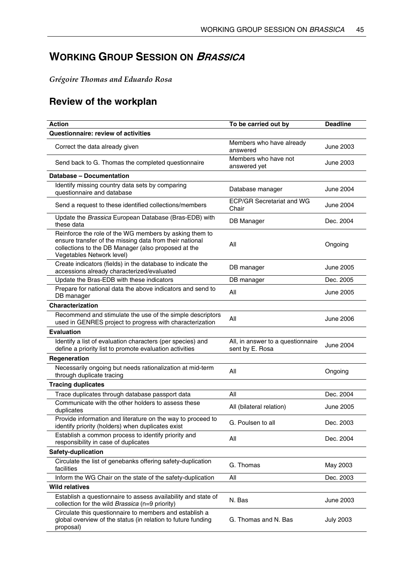# **WORKING GROUP SESSION ON BRASSICA**

*Grégoire Thomas and Eduardo Rosa* 

# **Review of the workplan**

| <b>Action</b>                                                                                                                                                                                         | To be carried out by                                 | <b>Deadline</b>  |
|-------------------------------------------------------------------------------------------------------------------------------------------------------------------------------------------------------|------------------------------------------------------|------------------|
| <b>Questionnaire: review of activities</b>                                                                                                                                                            |                                                      |                  |
| Correct the data already given                                                                                                                                                                        | Members who have already<br>answered                 | June 2003        |
| Send back to G. Thomas the completed questionnaire                                                                                                                                                    | Members who have not<br>answered yet                 | June 2003        |
| <b>Database - Documentation</b>                                                                                                                                                                       |                                                      |                  |
| Identify missing country data sets by comparing<br>questionnaire and database                                                                                                                         | Database manager                                     | June 2004        |
| Send a request to these identified collections/members                                                                                                                                                | <b>ECP/GR Secretariat and WG</b><br>Chair            | <b>June 2004</b> |
| Update the Brassica European Database (Bras-EDB) with<br>these data                                                                                                                                   | DB Manager                                           | Dec. 2004        |
| Reinforce the role of the WG members by asking them to<br>ensure transfer of the missing data from their national<br>collections to the DB Manager (also proposed at the<br>Vegetables Network level) | All                                                  | Ongoing          |
| Create indicators (fields) in the database to indicate the<br>accessions already characterized/evaluated                                                                                              | DB manager                                           | June 2005        |
| Update the Bras-EDB with these indicators                                                                                                                                                             | DB manager                                           | Dec. 2005        |
| Prepare for national data the above indicators and send to<br>DB manager                                                                                                                              | All                                                  | <b>June 2005</b> |
| <b>Characterization</b>                                                                                                                                                                               |                                                      |                  |
| Recommend and stimulate the use of the simple descriptors<br>used in GENRES project to progress with characterization                                                                                 | All                                                  | June 2006        |
| <b>Evaluation</b>                                                                                                                                                                                     |                                                      |                  |
| Identify a list of evaluation characters (per species) and<br>define a priority list to promote evaluation activities                                                                                 | All, in answer to a questionnaire<br>sent by E. Rosa | <b>June 2004</b> |
| Regeneration                                                                                                                                                                                          |                                                      |                  |
| Necessarily ongoing but needs rationalization at mid-term<br>through duplicate tracing                                                                                                                | All                                                  | Ongoing          |
| <b>Tracing duplicates</b>                                                                                                                                                                             |                                                      |                  |
| Trace duplicates through database passport data                                                                                                                                                       | All                                                  | Dec. 2004        |
| Communicate with the other holders to assess these<br>duplicates                                                                                                                                      | All (bilateral relation)                             | June 2005        |
| Provide information and literature on the way to proceed to<br>identify priority (holders) when duplicates exist                                                                                      | G. Poulsen to all                                    | Dec. 2003        |
| Establish a common process to identify priority and<br>responsibility in case of duplicates                                                                                                           | All                                                  | Dec. 2004        |
| Safety-duplication                                                                                                                                                                                    |                                                      |                  |
| Circulate the list of genebanks offering safety-duplication<br>facilities                                                                                                                             | G. Thomas                                            | May 2003         |
| Inform the WG Chair on the state of the safety-duplication                                                                                                                                            | All                                                  | Dec. 2003        |
| <b>Wild relatives</b>                                                                                                                                                                                 |                                                      |                  |
| Establish a questionnaire to assess availability and state of<br>collection for the wild Brassica (n=9 priority)                                                                                      | N. Bas                                               | June 2003        |
| Circulate this questionnaire to members and establish a<br>global overview of the status (in relation to future funding<br>proposal)                                                                  | G. Thomas and N. Bas                                 | <b>July 2003</b> |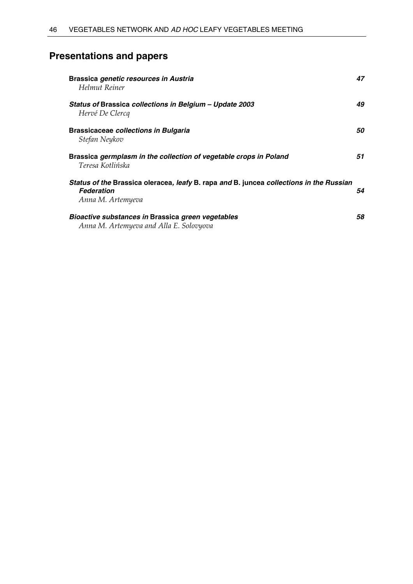# **Presentations and papers**

| Brassica genetic resources in Austria<br>Helmut Reiner                                                                            | 47 |
|-----------------------------------------------------------------------------------------------------------------------------------|----|
| Status of Brassica collections in Belgium - Update 2003<br>Hervé De Clercq                                                        | 49 |
| <b>Brassicaceae collections in Bulgaria</b><br>Stefan Neykov                                                                      | 50 |
| Brassica germplasm in the collection of vegetable crops in Poland<br>Teresa Kotlińska                                             | 51 |
| Status of the Brassica oleracea, leafy B. rapa and B. juncea collections in the Russian<br><b>Federation</b><br>Anna M. Artemyeva | 54 |
| Bioactive substances in Brassica green vegetables<br>Anna M. Artemyeva and Alla E. Solovyova                                      | 58 |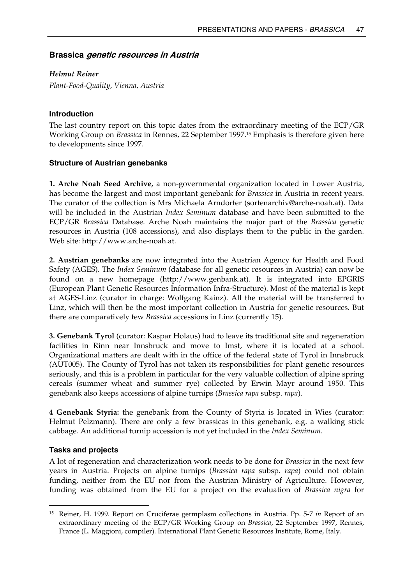## **Brassica genetic resources in Austria**

## *Helmut Reiner*

*Plant-Food-Quality, Vienna, Austria*

## **Introduction**

The last country report on this topic dates from the extraordinary meeting of the ECP/GR Working Group on *Brassica* in Rennes, 22 September 1997.15 Emphasis is therefore given here to developments since 1997.

## **Structure of Austrian genebanks**

**1. Arche Noah Seed Archive,** a non-governmental organization located in Lower Austria, has become the largest and most important genebank for *Brassica* in Austria in recent years. The curator of the collection is Mrs Michaela Arndorfer (sortenarchiv@arche-noah.at). Data will be included in the Austrian *Index Seminum* database and have been submitted to the ECP/GR *Brassica* Database. Arche Noah maintains the major part of the *Brassica* genetic resources in Austria (108 accessions), and also displays them to the public in the garden. Web site: http://www.arche-noah.at.

**2. Austrian genebanks** are now integrated into the Austrian Agency for Health and Food Safety (AGES). The *Index Seminum* (database for all genetic resources in Austria) can now be found on a new homepage (http://www.genbank.at). It is integrated into EPGRIS (European Plant Genetic Resources Information Infra-Structure). Most of the material is kept at AGES-Linz (curator in charge: Wolfgang Kainz). All the material will be transferred to Linz, which will then be the most important collection in Austria for genetic resources. But there are comparatively few *Brassica* accessions in Linz (currently 15).

**3. Genebank Tyrol** (curator: Kaspar Holaus) had to leave its traditional site and regeneration facilities in Rinn near Innsbruck and move to Imst, where it is located at a school. Organizational matters are dealt with in the office of the federal state of Tyrol in Innsbruck (AUT005). The County of Tyrol has not taken its responsibilities for plant genetic resources seriously, and this is a problem in particular for the very valuable collection of alpine spring cereals (summer wheat and summer rye) collected by Erwin Mayr around 1950. This genebank also keeps accessions of alpine turnips (*Brassica rapa* subsp. *rapa*).

**4 Genebank Styria:** the genebank from the County of Styria is located in Wies (curator: Helmut Pelzmann). There are only a few brassicas in this genebank, e.g. a walking stick cabbage. An additional turnip accession is not yet included in the *Index Seminum*.

## **Tasks and projects**

1

A lot of regeneration and characterization work needs to be done for *Brassica* in the next few years in Austria. Projects on alpine turnips (*Brassica rapa* subsp. *rapa*) could not obtain funding, neither from the EU nor from the Austrian Ministry of Agriculture. However, funding was obtained from the EU for a project on the evaluation of *Brassica nigra* for

<sup>15</sup> Reiner, H. 1999. Report on Cruciferae germplasm collections in Austria. Pp. 5-7 *in* Report of an extraordinary meeting of the ECP/GR Working Group on *Brassica*, 22 September 1997, Rennes, France (L. Maggioni, compiler). International Plant Genetic Resources Institute, Rome, Italy.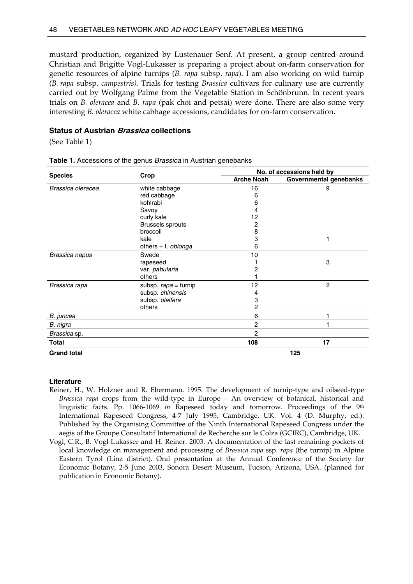mustard production, organized by Lustenauer Senf. At present, a group centred around Christian and Brigitte Vogl-Lukasser is preparing a project about on-farm conservation for genetic resources of alpine turnips (*B. rapa* subsp. *rapa*). I am also working on wild turnip (*B. rapa* subsp. *campestris).* Trials for testing *Brassica* cultivars for culinary use are currently carried out by Wolfgang Palme from the Vegetable Station in Schönbrunn. In recent years trials on *B. oleracea* and *B. rapa* (pak choi and petsai) were done. There are also some very interesting *B. oleracea* white cabbage accessions, candidates for on-farm conservation.

## **Status of Austrian Brassica collections**

(See Table 1)

| Crop<br><b>Species</b> |                         | No. of accessions held by |                        |  |  |  |  |
|------------------------|-------------------------|---------------------------|------------------------|--|--|--|--|
|                        |                         | <b>Arche Noah</b>         | Governmental genebanks |  |  |  |  |
| Brassica oleracea      | white cabbage           | 16                        | 9                      |  |  |  |  |
|                        | red cabbage             | 6                         |                        |  |  |  |  |
|                        | kohlrabi                | 6                         |                        |  |  |  |  |
|                        | Savoy                   | 4                         |                        |  |  |  |  |
|                        | curly kale              | 12                        |                        |  |  |  |  |
|                        | <b>Brussels sprouts</b> | 2                         |                        |  |  |  |  |
|                        | broccoli                | 8                         |                        |  |  |  |  |
|                        | kale                    | 3                         | 1                      |  |  |  |  |
|                        | others + f. oblonga     | 6                         |                        |  |  |  |  |
| Brassica napus         | Swede                   | 10                        |                        |  |  |  |  |
|                        | rapeseed                |                           | 3                      |  |  |  |  |
|                        | var. pabularia          | 2                         |                        |  |  |  |  |
|                        | others                  |                           |                        |  |  |  |  |
| Brassica rapa          | subsp. rapa = turnip    | 12                        | $\overline{c}$         |  |  |  |  |
|                        | subsp. chinensis        | 4                         |                        |  |  |  |  |
|                        | subsp. oleifera         | 3                         |                        |  |  |  |  |
|                        | others                  | 2                         |                        |  |  |  |  |
| B. juncea              |                         | 6                         | 1                      |  |  |  |  |
| B. nigra               |                         | 2                         |                        |  |  |  |  |
| <i>Brassica</i> sp.    |                         | $\overline{c}$            |                        |  |  |  |  |
| <b>Total</b>           |                         | 108                       | 17                     |  |  |  |  |
| <b>Grand total</b>     |                         |                           | 125                    |  |  |  |  |

#### **Table 1.** Accessions of the genus Brassica in Austrian genebanks

#### **Literature**

- Reiner, H., W. Holzner and R. Ebermann. 1995. The development of turnip-type and oilseed-type *Brassica rapa* crops from the wild-type in Europe – An overview of botanical, historical and linguistic facts. Pp. 1066-1069 *in* Rapeseed today and tomorrow. Proceedings of the 9th International Rapeseed Congress, 4-7 July 1995, Cambridge, UK. Vol. 4 (D. Murphy, ed.). Published by the Organising Committee of the Ninth International Rapeseed Congress under the aegis of the Groupe Consultatif International de Recherche sur le Colza (GCIRC), Cambridge, UK.
- Vogl, C.R., B. Vogl-Lukasser and H. Reiner. 2003. A documentation of the last remaining pockets of local knowledge on management and processing of *Brassica rapa* ssp. *rapa* (the turnip) in Alpine Eastern Tyrol (Linz district). Oral presentation at the Annual Conference of the Society for Economic Botany, 2-5 June 2003, Sonora Desert Museum, Tucson, Arizona, USA. (planned for publication in Economic Botany).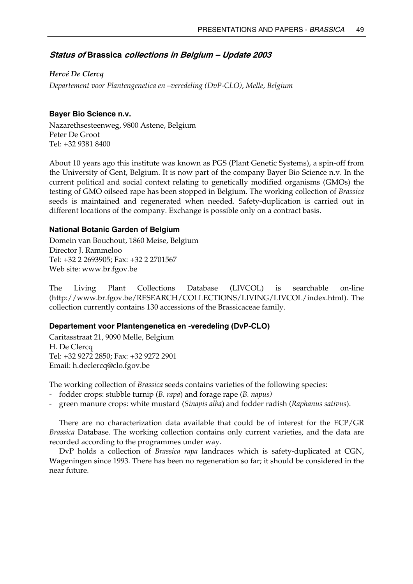## **Status of Brassica collections in Belgium – Update 2003**

## *Hervé De Clercq*

*Departement voor Plantengenetica en –veredeling (DvP-CLO), Melle, Belgium* 

## **Bayer Bio Science n.v.**

Nazarethsesteenweg, 9800 Astene, Belgium Peter De Groot Tel: +32 9381 8400

About 10 years ago this institute was known as PGS (Plant Genetic Systems), a spin-off from the University of Gent, Belgium. It is now part of the company Bayer Bio Science n.v. In the current political and social context relating to genetically modified organisms (GMOs) the testing of GMO oilseed rape has been stopped in Belgium. The working collection of *Brassica* seeds is maintained and regenerated when needed. Safety-duplication is carried out in different locations of the company. Exchange is possible only on a contract basis.

## **National Botanic Garden of Belgium**

Domein van Bouchout, 1860 Meise, Belgium Director J. Rammeloo Tel: +32 2 2693905; Fax: +32 2 2701567 Web site: www.br.fgov.be

The Living Plant Collections Database (LIVCOL) is searchable on-line (http://www.br.fgov.be/RESEARCH/COLLECTIONS/LIVING/LIVCOL/index.html). The collection currently contains 130 accessions of the Brassicaceae family.

## **Departement voor Plantengenetica en -veredeling (DvP-CLO)**

Caritasstraat 21, 9090 Melle, Belgium H. De Clercq Tel: +32 9272 2850; Fax: +32 9272 2901 Email: h.declercq@clo.fgov.be

The working collection of *Brassica* seeds contains varieties of the following species:

- fodder crops: stubble turnip (*B. rapa*) and forage rape (*B. napus)*
- green manure crops: white mustard (*Sinapis alba*) and fodder radish (*Raphanus sativus*).

 There are no characterization data available that could be of interest for the ECP/GR *Brassica* Database. The working collection contains only current varieties, and the data are recorded according to the programmes under way.

 DvP holds a collection of *Brassica rapa* landraces which is safety-duplicated at CGN, Wageningen since 1993. There has been no regeneration so far; it should be considered in the near future.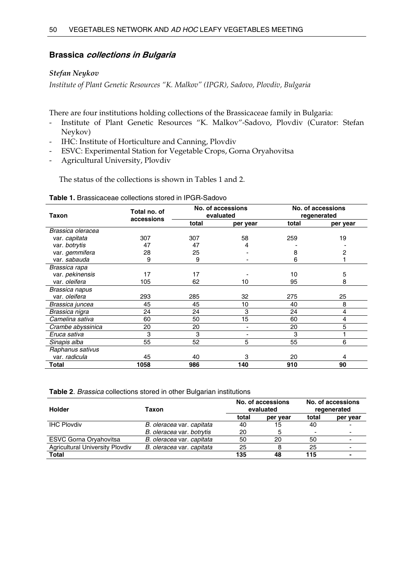## **Brassica collections in Bulgaria**

## *Stefan Neykov*

*Institute of Plant Genetic Resources "K. Malkov" (IPGR), Sadovo, Plovdiv, Bulgaria* 

There are four institutions holding collections of the Brassicaceae family in Bulgaria:

- Institute of Plant Genetic Resources "K. Malkov"-Sadovo, Plovdiv (Curator: Stefan Neykov)
- IHC: Institute of Horticulture and Canning, Plovdiv
- ESVC: Experimental Station for Vegetable Crops, Gorna Oryahovitsa
- Agricultural University, Plovdiv

The status of the collections is shown in Tables 1 and 2.

| <b>Table 1.</b> Brassicaceae collections stored in IPGR-Sadovo |
|----------------------------------------------------------------|
|----------------------------------------------------------------|

| <b>Taxon</b>      | Total no, of<br>accessions |           | No. of accessions<br>evaluated | No. of accessions<br>regenerated |          |    |   |
|-------------------|----------------------------|-----------|--------------------------------|----------------------------------|----------|----|---|
|                   |                            | total     | per year                       | total                            | per year |    |   |
| Brassica oleracea |                            |           |                                |                                  |          |    |   |
| var. capitata     | 307                        | 307<br>58 |                                | 259                              | 19       |    |   |
| var. botrytis     | 47                         | 47<br>4   |                                |                                  |          |    |   |
| var. gemmifera    | 28                         | 25        |                                | 8                                | 2        |    |   |
| var. sabauda      | 9                          | 9         |                                |                                  |          | 6  |   |
| Brassica rapa     |                            |           |                                |                                  |          |    |   |
| var. pekinensis   | 17                         | 17        |                                |                                  |          | 10 | 5 |
| var. oleifera     | 105                        | 62        | 10                             | 95                               | 8        |    |   |
| Brassica napus    |                            |           |                                |                                  |          |    |   |
| var. oleifera     | 293                        | 285<br>32 |                                | 275                              | 25       |    |   |
| Brassica juncea   | 45                         | 45        | 10                             | 40                               | 8        |    |   |
| Brassica nigra    | 24                         | 24        | 3                              | 24                               | 4        |    |   |
| Camelina sativa   | 60                         | 50        | 15                             | 60                               | 4        |    |   |
| Crambe abyssinica | 20                         | 20        |                                | 20                               | 5        |    |   |
| Eruca sativa      | 3                          | 3         |                                | 3                                |          |    |   |
| Sinapis alba      | 55                         | 52        | 5<br>55                        |                                  | 6        |    |   |
| Raphanus sativus  |                            |           |                                |                                  |          |    |   |
| var. radicula     | 45                         | 40        | 3                              | 20                               | 4        |    |   |
| Total             | 1058                       | 986       | 140                            | 910                              | 90       |    |   |

| <b>Holder</b>                          | Taxon                     |       | No. of accessions<br>evaluated | No. of accessions<br>regenerated |          |  |
|----------------------------------------|---------------------------|-------|--------------------------------|----------------------------------|----------|--|
|                                        |                           | total | per year                       | total                            | per year |  |
| <b>IHC Plovdiv</b>                     | B. oleracea var. capitata | 40    | 15                             | 40                               |          |  |
|                                        | B. oleracea var. botrytis | 20    | 5                              |                                  |          |  |
| <b>ESVC Gorna Oryahovitsa</b>          | B. oleracea var. capitata | 50    | 20                             | 50                               |          |  |
| <b>Agricultural University Plovdiv</b> | B. oleracea var. capitata | 25    | 8                              | 25                               |          |  |
| <b>Total</b>                           |                           | 135   | 48                             | 115                              |          |  |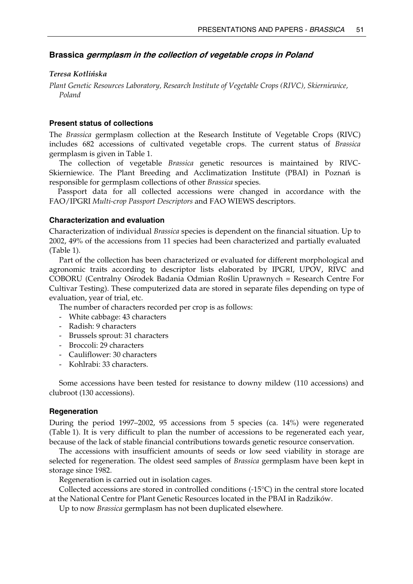## **Brassica germplasm in the collection of vegetable crops in Poland**

#### *Teresa Kotliēska*

*Plant Genetic Resources Laboratory, Research Institute of Vegetable Crops (RIVC), Skierniewice, Poland*

#### **Present status of collections**

The *Brassica* germplasm collection at the Research Institute of Vegetable Crops (RIVC) includes 682 accessions of cultivated vegetable crops. The current status of *Brassica* germplasm is given in Table 1.

 The collection of vegetable *Brassica* genetic resources is maintained by RIVC-Skierniewice. The Plant Breeding and Acclimatization Institute (PBAI) in Poznań is responsible for germplasm collections of other *Brassica* species.

Passport data for all collected accessions were changed in accordance with the FAO/IPGRI *Multi-crop Passport Descriptors* and FAO WIEWS descriptors.

#### **Characterization and evaluation**

Characterization of individual *Brassica* species is dependent on the financial situation. Up to 2002, 49% of the accessions from 11 species had been characterized and partially evaluated (Table 1).

 Part of the collection has been characterized or evaluated for different morphological and agronomic traits according to descriptor lists elaborated by IPGRI, UPOV, RIVC and COBORU (Centralny Ośrodek Badania Odmian Roślin Uprawnych = Research Centre For Cultivar Testing). These computerized data are stored in separate files depending on type of evaluation, year of trial, etc.

The number of characters recorded per crop is as follows:

- White cabbage: 43 characters
- Radish: 9 characters
- Brussels sprout: 31 characters
- Broccoli: 29 characters
- Cauliflower: 30 characters
- Kohlrabi: 33 characters.

 Some accessions have been tested for resistance to downy mildew (110 accessions) and clubroot (130 accessions).

#### **Regeneration**

During the period 1997–2002, 95 accessions from 5 species (ca. 14%) were regenerated (Table 1). It is very difficult to plan the number of accessions to be regenerated each year, because of the lack of stable financial contributions towards genetic resource conservation.

 The accessions with insufficient amounts of seeds or low seed viability in storage are selected for regeneration. The oldest seed samples of *Brassica* germplasm have been kept in storage since 1982.

Regeneration is carried out in isolation cages.

 Collected accessions are stored in controlled conditions (-15°C) in the central store located at the National Centre for Plant Genetic Resources located in the PBAI in Radzików.

Up to now *Brassica* germplasm has not been duplicated elsewhere.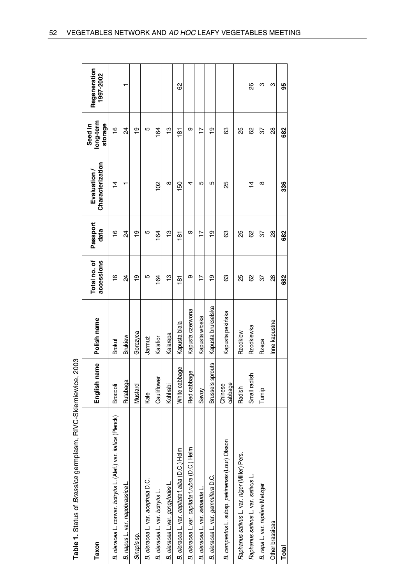| Table 1. Status of Brassica germplasm, RIVC-Skierniewice, 2003   |                    |                    |                            |                  |                                |                                 |                           |
|------------------------------------------------------------------|--------------------|--------------------|----------------------------|------------------|--------------------------------|---------------------------------|---------------------------|
| Taxon                                                            | English name       | Polish name        | Total no. of<br>accessions | Passport<br>data | Characterization<br>Evaluation | long-term<br>storage<br>Seed in | Regeneration<br>1997-2002 |
| B. oleracea L. convar. botrytis L. (Alef.) var. italica (Plenck) | <b>Broccoli</b>    | <b>Brokuł</b>      | $\frac{6}{1}$              | $\frac{6}{1}$    | $\frac{1}{4}$                  | $\frac{6}{5}$                   |                           |
| B. napus L. var. napobrassica L.                                 | Rutabaga           | Brukiew            | $\overline{2}$             | 24               |                                | $\overline{2}$                  |                           |
| Sinapis sp.                                                      | Mustard            | Gorczyca           | <u>ဝှ</u>                  | <u>ဝှ</u>        |                                | စ္                              |                           |
| B. oleracea L. var. acephala D.C.                                | Kale               | Jarmuż             | ю                          | ιΩ               |                                | 5                               |                           |
| B. oleracea L. var. botrytis L.                                  | Cauliflower        | Kalafior           | 164                        | 164              | 102                            | 164                             |                           |
| B. oleracea L.var. gongylodes L.                                 | Kohlrabi           | Kalarepa           | က်<br>(                    | ဗ္               | ∞                              | ဗ္                              |                           |
| B. oleracea L. var. capitata f.alba (D.C.) Helm                  | White cabbage      | Kapusta biala      | $\frac{18}{1}$             | $\overline{8}$   | 150                            | $\frac{18}{1}$                  | 8                         |
| B. oleracea L.var. capitata f.rubra (D.C.) Helm                  | Red cabbage        | Kapusta czerwona   | တ                          | თ                | 4                              | თ                               |                           |
| B. oleracea L. var. sabauda L.                                   | Savoy              | Kapusta włoska     | $\overline{1}$             | $\overline{1}$   | ю                              | 17                              |                           |
| B. oleracea L. var. gemmifera D.C.                               | Brussels sprouts   | Kapusta brukselska | $\frac{1}{2}$              | $\frac{6}{1}$    | Ю                              | ი<br>1                          |                           |
| B. campestris L. subsp. pekinensis (Lour) Olsson                 | cabbage<br>Chinese | Kapusta pekińska   | යි                         | 83               | 25                             | 83                              |                           |
| Raphanus sativus L. var. niger (Miller) Pers.                    | Radish             | <b>Rzodkiew</b>    | 25                         | 25               |                                | 25                              |                           |
| Raphanus sativus L. var. sativus L.                              | Small radish       | <b>Rzodkiewka</b>  | 8                          | 8                | $\overline{4}$                 | 8                               | 88                        |
| B. rapa L. var. rapifera Metzger                                 | Turnip             | Rzepa              | 57                         | 57               | $^\infty$                      | 57                              | ო                         |
| Other brassicas                                                  |                    | Inne kapustne      | 28                         | $\frac{8}{2}$    |                                | 28                              | ო                         |
| Total                                                            |                    |                    | 682                        | 682              | 336                            | 682                             | 95                        |

| $\frac{1}{2}$                |  |
|------------------------------|--|
| <b>Exploration Continued</b> |  |
| an Braccios annonlaco        |  |
|                              |  |
| ة<br>جات<br>.<br>C           |  |
|                              |  |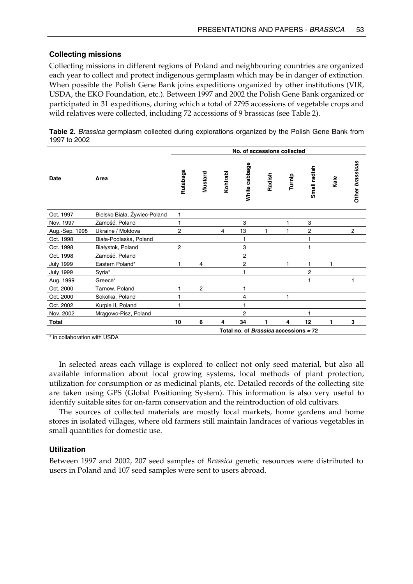## **Collecting missions**

Collecting missions in different regions of Poland and neighbouring countries are organized each year to collect and protect indigenous germplasm which may be in danger of extinction. When possible the Polish Gene Bank joins expeditions organized by other institutions (VIR, USDA, the EKO Foundation, etc.). Between 1997 and 2002 the Polish Gene Bank organized or participated in 31 expeditions, during which a total of 2795 accessions of vegetable crops and wild relatives were collected, including 72 accessions of 9 brassicas (see Table 2).

| Table 2. Brassica germplasm collected during explorations organized by the Polish Gene Bank from |  |  |  |  |  |
|--------------------------------------------------------------------------------------------------|--|--|--|--|--|
| 1997 to 2002                                                                                     |  |  |  |  |  |

|                  |                              |                |                |          | No. of accessions collected           |        |        |              |      |                 |
|------------------|------------------------------|----------------|----------------|----------|---------------------------------------|--------|--------|--------------|------|-----------------|
| <b>Date</b>      | Area                         | Rutabaga       | Mustard        | Kohlrabi | White cabbage                         | Radish | Turnip | Small radish | Kale | Other brassicas |
| Oct. 1997        | Bielsko Biała, Żywiec-Poland | 1              |                |          |                                       |        |        |              |      |                 |
| Nov. 1997        | Zamość, Poland               | 1              |                |          | 3                                     |        | 1      | 3            |      |                 |
| Aug.-Sep. 1998   | Ukraine / Moldova            | $\overline{2}$ |                | 4        | 13                                    |        | 1      | 2            |      | $\mathbf{2}$    |
| Oct. 1998        | Biała-Podlaska, Poland       |                |                |          | 1                                     |        |        | 1            |      |                 |
| Oct. 1998        | Białystok, Poland            | $\overline{2}$ |                |          | 3                                     |        |        | 1            |      |                 |
| Oct. 1998        | Zamość, Poland               |                |                |          | $\overline{c}$                        |        |        |              |      |                 |
| <b>July 1999</b> | Eastern Poland*              | 1              | 4              |          | $\overline{c}$                        |        | 1      | 1            | 1    |                 |
| <b>July 1999</b> | Syria*                       |                |                |          | 1                                     |        |        | 2            |      |                 |
| Aug. 1999        | Greece*                      |                |                |          |                                       |        |        | 1            |      |                 |
| Oct. 2000        | Tarnow, Poland               |                | $\overline{c}$ |          | 1                                     |        |        |              |      |                 |
| Oct. 2000        | Sokolka, Poland              |                |                |          | 4                                     |        | 1      |              |      |                 |
| Oct. 2002        | Kurpie II, Poland            |                |                |          | 1                                     |        |        |              |      |                 |
| Nov. 2002        | Mrągowo-Pisz, Poland         |                |                |          | $\overline{2}$                        |        |        | 1            |      |                 |
| <b>Total</b>     |                              | 10             | 6              | 4        | 34                                    | 1      | 4      | 12           | 1    | 3               |
|                  |                              |                |                |          | Total no. of Brassica accessions = 72 |        |        |              |      |                 |

\* in collaboration with USDA

 In selected areas each village is explored to collect not only seed material, but also all available information about local growing systems, local methods of plant protection, utilization for consumption or as medicinal plants, etc. Detailed records of the collecting site are taken using GPS (Global Positioning System). This information is also very useful to identify suitable sites for on-farm conservation and the reintroduction of old cultivars.

 The sources of collected materials are mostly local markets, home gardens and home stores in isolated villages, where old farmers still maintain landraces of various vegetables in small quantities for domestic use.

## **Utilization**

Between 1997 and 2002, 207 seed samples of *Brassica* genetic resources were distributed to users in Poland and 107 seed samples were sent to users abroad.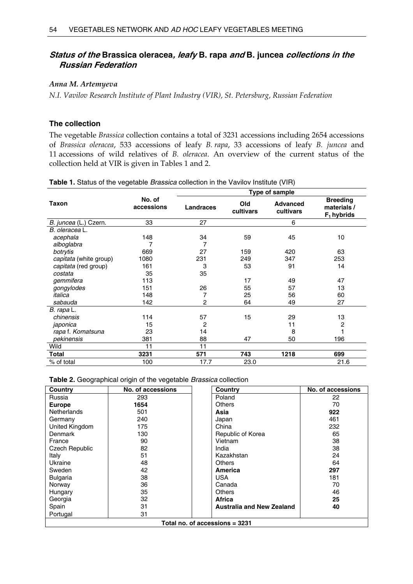## **Status of the Brassica oleracea, leafy B. rapa and B. juncea collections in the Russian Federation**

## *Anna M. Artemyeva*

*N.I. Vavilov Research Institute of Plant Industry (VIR), St. Petersburg, Russian Federation*

## **The collection**

The vegetable *Brassica* collection contains a total of 3231 accessions including 2654 accessions of *Brassica oleracea*, 533 accessions of leafy *B. rapa*, 33 accessions of leafy *B. juncea* and 11 accessions of wild relatives of *B. oleracea*. An overview of the current status of the collection held at VIR is given in Tables 1 and 2.

|                        |                      |                  |                  | Type of sample               |                                                 |
|------------------------|----------------------|------------------|------------------|------------------------------|-------------------------------------------------|
| <b>Taxon</b>           | No. of<br>accessions | <b>Landraces</b> | Old<br>cultivars | <b>Advanced</b><br>cultivars | <b>Breeding</b><br>materials /<br>$F_1$ hybrids |
| B. juncea (L.) Czern.  | 33                   | 27               |                  | 6                            |                                                 |
| B. oleracea L.         |                      |                  |                  |                              |                                                 |
| acephala               | 148                  | 34               | 59               | 45                           | 10                                              |
| alboglabra             | 7                    | 7                |                  |                              |                                                 |
| botrytis               | 669                  | 27               | 159              | 420                          | 63                                              |
| capitata (white group) | 1080                 | 231              | 249              | 347                          | 253                                             |
| capitata (red group)   | 161                  | 3                | 53               | 91                           | 14                                              |
| costata                | 35                   | 35               |                  |                              |                                                 |
| gemmifera              | 113                  |                  | 17               | 49                           | 47                                              |
| gongylodes             | 151                  | 26               | 55               | 57                           | 13                                              |
| italica                | 148                  | 7                | 25               | 56                           | 60                                              |
| sabauda                | 142                  | $\overline{2}$   | 64               | 49                           | 27                                              |
| B. rapa L.             |                      |                  |                  |                              |                                                 |
| chinensis              | 114                  | 57               | 15               | 29                           | 13                                              |
| japonica               | 15                   | 2                |                  | 11                           | $\overline{c}$                                  |
| rapa f. Komatsuna      | 23                   | 14               |                  | 8                            |                                                 |
| pekinensis             | 381                  | 88               | 47               | 50                           | 196                                             |
| Wild                   | 11                   | 11               |                  |                              |                                                 |
| <b>Total</b>           | 3231                 | 571              | 743              | 1218                         | 699                                             |
| % of total             | 100                  | 17.7             | 23.0             |                              | 21.6                                            |

| Table 1. Status of the vegetable Brassica collection in the Vavilov Institute (VIR) |  |  |
|-------------------------------------------------------------------------------------|--|--|
|-------------------------------------------------------------------------------------|--|--|

**Table 2.** Geographical origin of the vegetable Brassica collection

| Country                        | No. of accessions | Country                          | <b>No. of accessions</b> |  |  |  |
|--------------------------------|-------------------|----------------------------------|--------------------------|--|--|--|
| Russia                         | 293               | Poland                           | 22                       |  |  |  |
| <b>Europe</b>                  | 1654              | <b>Others</b>                    | 70                       |  |  |  |
| <b>Netherlands</b>             | 501               | Asia                             | 922                      |  |  |  |
| Germany                        | 240               | Japan                            | 461                      |  |  |  |
| United Kingdom                 | 175               | China                            | 232                      |  |  |  |
| Denmark                        | 130               | Republic of Korea                | 65                       |  |  |  |
| France                         | 90                | Vietnam                          | 38                       |  |  |  |
| Czech Republic                 | 82                | India                            | 38                       |  |  |  |
| Italy                          | 51                | Kazakhstan                       | 24                       |  |  |  |
| Ukraine                        | 48                | <b>Others</b>                    | 64                       |  |  |  |
| Sweden                         | 42                | America                          | 297                      |  |  |  |
| <b>Bulgaria</b>                | 38                | <b>USA</b>                       | 181                      |  |  |  |
| Norway                         | 36                | Canada                           | 70                       |  |  |  |
| Hungary                        | 35                | <b>Others</b>                    | 46                       |  |  |  |
| Georgia                        | 32                | <b>Africa</b>                    | 25                       |  |  |  |
| Spain                          | 31                | <b>Australia and New Zealand</b> | 40                       |  |  |  |
| Portugal                       | 31                |                                  |                          |  |  |  |
| Total no. of accessions = 3231 |                   |                                  |                          |  |  |  |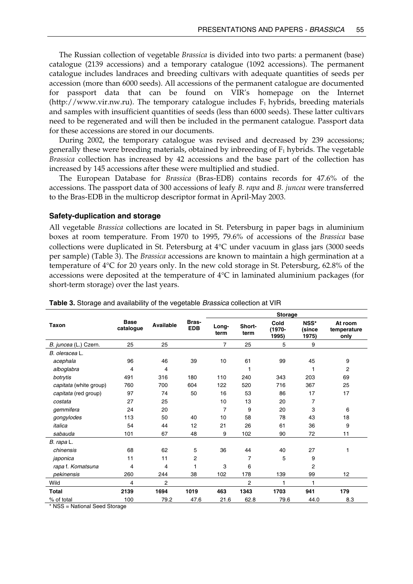The Russian collection of vegetable *Brassica* is divided into two parts: a permanent (base) catalogue (2139 accessions) and a temporary catalogue (1092 accessions). The permanent catalogue includes landraces and breeding cultivars with adequate quantities of seeds per accession (more than 6000 seeds). All accessions of the permanent catalogue are documented for passport data that can be found on VIR's homepage on the Internet (http://www.vir.nw.ru). The temporary catalogue includes  $F_1$  hybrids, breeding materials and samples with insufficient quantities of seeds (less than 6000 seeds). These latter cultivars need to be regenerated and will then be included in the permanent catalogue. Passport data for these accessions are stored in our documents.

 During 2002, the temporary catalogue was revised and decreased by 239 accessions; generally these were breeding materials, obtained by inbreeding of  $F_1$  hybrids. The vegetable *Brassica* collection has increased by 42 accessions and the base part of the collection has increased by 145 accessions after these were multiplied and studied.

 The European Database for *Brassica* (Bras-EDB) contains records for 47.6% of the accessions. The passport data of 300 accessions of leafy *B. rapa* and *B. juncea* were transferred to the Bras-EDB in the multicrop descriptor format in April-May 2003.

#### **Safety-duplication and storage**

All vegetable *Brassica* collections are located in St. Petersburg in paper bags in aluminium boxes at room temperature. From 1970 to 1995, 79.6% of accessions of the *Brassica* base collections were duplicated in St. Petersburg at  $4^{\circ}$ C under vacuum in glass jars (3000 seeds per sample) (Table 3). The *Brassica* accessions are known to maintain a high germination at a temperature of 4°C for 20 years only. In the new cold storage in St. Petersburg, 62.8% of the accessions were deposited at the temperature of 4°C in laminated aluminium packages (for short-term storage) over the last years.

|                        |                          | ັ         |                     |                |                |                         |                         |                                |
|------------------------|--------------------------|-----------|---------------------|----------------|----------------|-------------------------|-------------------------|--------------------------------|
|                        |                          |           |                     | <b>Storage</b> |                |                         |                         |                                |
| Taxon                  | <b>Base</b><br>catalogue | Available | Bras-<br><b>EDB</b> | Long-<br>term  | Short-<br>term | Cold<br>(1970-<br>1995) | NSS*<br>(since<br>1975) | At room<br>temperature<br>only |
| B. juncea (L.) Czern.  | 25                       | 25        |                     | $\overline{7}$ | 25             | 5                       | 9                       |                                |
| B. oleracea L.         |                          |           |                     |                |                |                         |                         |                                |
| acephala               | 96                       | 46        | 39                  | 10             | 61             | 99                      | 45                      | 9                              |
| alboglabra             | 4                        | 4         |                     |                | 1              |                         | 1                       | 2                              |
| botrytis               | 491                      | 316       | 180                 | 110            | 240            | 343                     | 203                     | 69                             |
| capitata (white group) | 760                      | 700       | 604                 | 122            | 520            | 716                     | 367                     | 25                             |
| capitata (red group)   | 97                       | 74        | 50                  | 16             | 53             | 86                      | 17                      | 17                             |
| costata                | 27                       | 25        |                     | 10             | 13             | 20                      | 7                       |                                |
| gemmifera              | 24                       | 20        |                     | $\overline{7}$ | 9              | 20                      | 3                       | 6                              |
| gongylodes             | 113                      | 50        | 40                  | 10             | 58             | 78                      | 43                      | 18                             |
| italica                | 54                       | 44        | 12                  | 21             | 26             | 61                      | 36                      | 9                              |
| sabauda                | 101                      | 67        | 48                  | 9              | 102            | 90                      | 72                      | 11                             |
| B. rapa L.             |                          |           |                     |                |                |                         |                         |                                |
| chinensis              | 68                       | 62        | 5                   | 36             | 44             | 40                      | 27                      | 1                              |
| japonica               | 11                       | 11        | 2                   |                | $\overline{7}$ | 5                       | 9                       |                                |
| rapa f. Komatsuna      | 4                        | 4         | 1                   | 3              | 6              |                         | 2                       |                                |
| pekinensis             | 260                      | 244       | 38                  | 102            | 178            | 139                     | 99                      | 12                             |
| Wild                   | 4                        | 2         |                     |                | $\overline{2}$ | 1                       | 1                       |                                |
| <b>Total</b>           | 2139                     | 1694      | 1019                | 463            | 1343           | 1703                    | 941                     | 179                            |
| % of total             | 100                      | 79.2      | 47.6                | 21.6           | 62.8           | 79.6                    | 44.0                    | 8.3                            |

**Table 3.** Storage and availability of the vegetable Brassica collection at VIR

\* NSS = National Seed Storage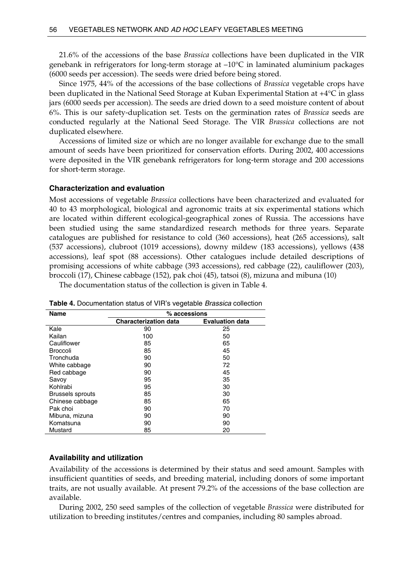21.6% of the accessions of the base *Brassica* collections have been duplicated in the VIR genebank in refrigerators for long-term storage at  $-10^{\circ}C$  in laminated aluminium packages (6000 seeds per accession). The seeds were dried before being stored.

 Since 1975, 44% of the accessions of the base collections of *Brassica* vegetable crops have been duplicated in the National Seed Storage at Kuban Experimental Station at  $+4^{\circ}C$  in glass jars (6000 seeds per accession). The seeds are dried down to a seed moisture content of about 6%. This is our safety-duplication set. Tests on the germination rates of *Brassica* seeds are conducted regularly at the National Seed Storage. The VIR *Brassica* collections are not duplicated elsewhere.

 Accessions of limited size or which are no longer available for exchange due to the small amount of seeds have been prioritized for conservation efforts. During 2002, 400 accessions were deposited in the VIR genebank refrigerators for long-term storage and 200 accessions for short-term storage.

#### **Characterization and evaluation**

Most accessions of vegetable *Brassica* collections have been characterized and evaluated for 40 to 43 morphological, biological and agronomic traits at six experimental stations which are located within different ecological-geographical zones of Russia. The accessions have been studied using the same standardized research methods for three years. Separate catalogues are published for resistance to cold (360 accessions), heat (265 accessions), salt (537 accessions), clubroot (1019 accessions), downy mildew (183 accessions), yellows (438 accessions), leaf spot (88 accessions). Other catalogues include detailed descriptions of promising accessions of white cabbage (393 accessions), red cabbage (22), cauliflower (203), broccoli (17), Chinese cabbage (152), pak choi (45), tatsoi (8), mizuna and mibuna (10)

The documentation status of the collection is given in Table 4.

| <b>Name</b>             | % accessions                 |                        |  |  |  |  |
|-------------------------|------------------------------|------------------------|--|--|--|--|
|                         | <b>Characterization data</b> | <b>Evaluation data</b> |  |  |  |  |
| Kale                    | 90                           | 25                     |  |  |  |  |
| Kailan                  | 100                          | 50                     |  |  |  |  |
| Cauliflower             | 85                           | 65                     |  |  |  |  |
| <b>Broccoli</b>         | 85                           | 45                     |  |  |  |  |
| Tronchuda               | 90                           | 50                     |  |  |  |  |
| White cabbage           | 90                           | 72                     |  |  |  |  |
| Red cabbage             | 90                           | 45                     |  |  |  |  |
| Savoy                   | 95                           | 35                     |  |  |  |  |
| Kohlrabi                | 95                           | 30                     |  |  |  |  |
| <b>Brussels sprouts</b> | 85                           | 30                     |  |  |  |  |
| Chinese cabbage         | 85                           | 65                     |  |  |  |  |
| Pak choi                | 90                           | 70                     |  |  |  |  |
| Mibuna, mizuna          | 90                           | 90                     |  |  |  |  |
| Komatsuna               | 90                           | 90                     |  |  |  |  |
| Mustard                 | 85                           | 20                     |  |  |  |  |

**Table 4.** Documentation status of VIR's vegetable Brassica collection

#### **Availability and utilization**

Availability of the accessions is determined by their status and seed amount. Samples with insufficient quantities of seeds, and breeding material, including donors of some important traits, are not usually available. At present 79.2% of the accessions of the base collection are available.

 During 2002, 250 seed samples of the collection of vegetable *Brassica* were distributed for utilization to breeding institutes/centres and companies, including 80 samples abroad.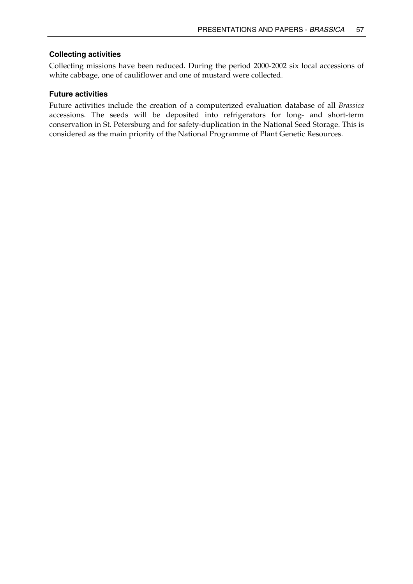## **Collecting activities**

Collecting missions have been reduced. During the period 2000-2002 six local accessions of white cabbage, one of cauliflower and one of mustard were collected.

## **Future activities**

Future activities include the creation of a computerized evaluation database of all *Brassica* accessions. The seeds will be deposited into refrigerators for long- and short-term conservation in St. Petersburg and for safety-duplication in the National Seed Storage. This is considered as the main priority of the National Programme of Plant Genetic Resources.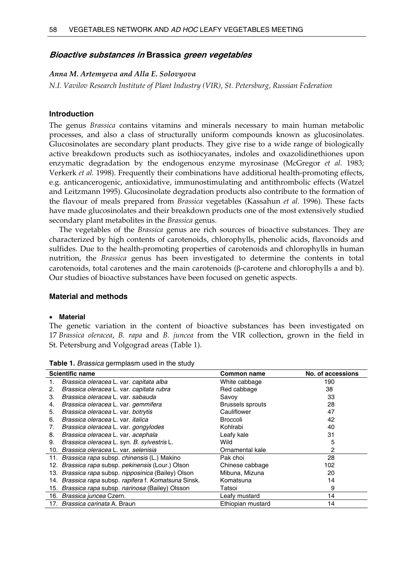## **Bioactive substances in Brassica green vegetables**

#### *Anna M. Artemyeva and Alla E. Solovyova*

*N.I. Vavilov Research Institute of Plant Industry (VIR), St. Petersburg, Russian Federation* 

#### **Introduction**

The genus *Brassica* contains vitamins and minerals necessary to main human metabolic processes, and also a class of structurally uniform compounds known as glucosinolates. Glucosinolates are secondary plant products. They give rise to a wide range of biologically active breakdown products such as isothiocyanates, indoles and oxazolidinethiones upon enzymatic degradation by the endogenous enzyme myrosinase (McGregor *et al.* 1983; Verkerk *et al.* 1998). Frequently their combinations have additional health-promoting effects, e.g. anticancerogenic, antioxidative, immunostimulating and antithrombolic effects (Watzel and Leitzmann 1995). Glucosinolate degradation products also contribute to the formation of the flavour of meals prepared from *Brassica* vegetables (Kassahun *et al.* 1996). These facts have made glucosinolates and their breakdown products one of the most extensively studied secondary plant metabolites in the *Brassica* genus.

 The vegetables of the *Brassica* genus are rich sources of bioactive substances. They are characterized by high contents of carotenoids, chlorophylls, phenolic acids, flavonoids and sulfides. Due to the health-promoting properties of carotenoids and chlorophylls in human nutrition, the *Brassica* genus has been investigated to determine the contents in total carotenoids, total carotenes and the main carotenoids ( $\beta$ -carotene and chlorophylls a and b). Our studies of bioactive substances have been focused on genetic aspects.

#### **Material and methods**

#### x **Material**

The genetic variation in the content of bioactive substances has been investigated on 17 *Brassica oleracea*, *B. rapa* and *B. juncea* from the VIR collection, grown in the field in St. Petersburg and Volgograd areas (Table 1).

|    | <b>Scientific name</b>                                | <b>Common name</b>      | No. of accessions |
|----|-------------------------------------------------------|-------------------------|-------------------|
| 1. | Brassica oleracea L. var. capitata alba               | White cabbage           | 190               |
| 2. | Brassica oleracea L. var. capitata rubra              | Red cabbage             | 38                |
| З. | Brassica oleracea L. var. sabauda                     | Savov                   | 33                |
| 4. | Brassica oleracea L. var. gemmifera                   | <b>Brussels sprouts</b> | 28                |
| 5. | Brassica oleracea L. var. botrytis                    | Cauliflower             | 47                |
| 6. | Brassica oleracea L. var. italica                     | <b>Broccoli</b>         | 42                |
| 7. | Brassica oleracea L. var. gongylodes                  | Kohlrabi                | 40                |
| 8. | Brassica oleracea L. var. acephala                    | Leafy kale              | 31                |
| 9. | Brassica oleracea L. syn. B. sylvestris L.            | Wild                    | 5                 |
|    | 10. Brassica oleracea L. var. selenisia               | Ornamental kale         | 2                 |
|    | 11. Brassica rapa subsp. chinensis (L.) Makino        | Pak choi                | 28                |
|    | 12. Brassica rapa subsp. pekinensis (Lour.) Olson     | Chinese cabbage         | 102               |
|    | 13. Brassica rapa subsp. nipposinica (Bailey) Olson   | Mibuna, Mizuna          | 20                |
|    | 14. Brassica rapa subsp. rapifera f. Komatsuna Sinsk. | Komatsuna               | 14                |
|    | 15. Brassica rapa subsp. narinosa (Bailey) Olsson     | Tatsoi                  | 9                 |
|    | 16. Brassica juncea Czern.                            | Leafv mustard           | 14                |
|    | 17. Brassica carinata A. Braun                        | Ethiopian mustard       | 14                |

**Table 1.** Brassica germplasm used in the study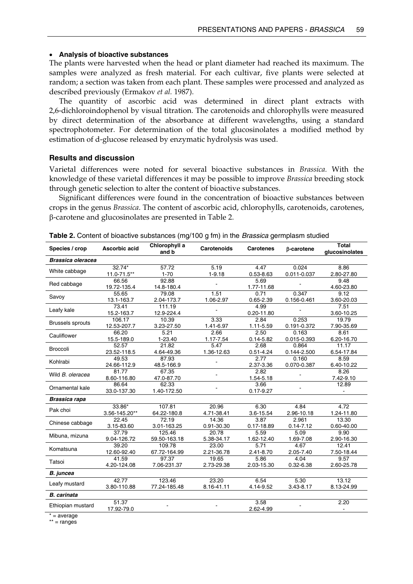#### x **Analysis of bioactive substances**

The plants were harvested when the head or plant diameter had reached its maximum. The samples were analyzed as fresh material. For each cultivar, five plants were selected at random; a section was taken from each plant. These samples were processed and analyzed as described previously (Ermakov *et al.* 1987).

 The quantity of ascorbic acid was determined in direct plant extracts with 2,6-dichloroindophenol by visual titration. The carotenoids and chlorophylls were measured by direct determination of the absorbance at different wavelengths, using a standard spectrophotometer. For determination of the total glucosinolates a modified method by estimation of d-glucose released by enzymatic hydrolysis was used.

## **Results and discussion**

Varietal differences were noted for several bioactive substances in *Brassica.* With the knowledge of these varietal differences it may be possible to improve *Brassica* breeding stock through genetic selection to alter the content of bioactive substances.

 Significant differences were found in the concentration of bioactive substances between crops in the genus *Brassica*. The content of ascorbic acid, chlorophylls, carotenoids, carotenes, E-carotene and glucosinolates are presented in Table 2.

| Species / crop           | Ascorbic acid | Chlorophyll a<br>and b | <b>Carotenoids</b> | <b>Carotenes</b> | <b>B-carotene</b> | <b>Total</b><br>qlucosinolates |
|--------------------------|---------------|------------------------|--------------------|------------------|-------------------|--------------------------------|
| <b>Brassica oleracea</b> |               |                        |                    |                  |                   |                                |
| White cabbage            | $32.74*$      | 57.72                  | 5.19               | 4.47             | 0.024             | 8.86                           |
|                          | 11.0-71.5**   | $1 - 70$               | $1 - 9.18$         | $0.53 - 8.63$    | 0.011-0.037       | 2.80-27.80                     |
| Red cabbage              | 66.56         | 92.88                  |                    | 5.69             |                   | 9.48                           |
|                          | 19.72-135.4   | 14.8-180.4             |                    | 1.77-11.68       |                   | 4.60-23.80                     |
| Savoy                    | 55.65         | 79.08                  | 1.51               | 0.71             | 0.347             | 9.12                           |
|                          | 13.1-163.7    | 2.04-173.7             | 1.06-2.97          | $0.65 - 2.39$    | 0.156-0.461       | 3.60-20.03                     |
| Leafy kale               | 73.41         | 111.19                 |                    | 4.99             |                   | 7.51                           |
|                          | 15.2-163.7    | 12.9-224.4             |                    | $0.20 - 11.80$   |                   | 3.60-10.25                     |
| <b>Brussels sprouts</b>  | 106.17        | 10.39                  | 3.33               | 2.84             | 0.253             | 19.79                          |
|                          | 12.53-207.7   | 3.23-27.50             | 1.41-6.97          | 1.11-5.59        | 0.191-0.372       | 7.90-35.69                     |
| Cauliflower              | 66.20         | 5.21                   | 2.66               | 2.50             | 0.163             | 8.61                           |
|                          | 15.5-189.0    | 1-23.40                | 1.17-7.54          | $0.14 - 5.82$    | 0.015-0.393       | 6.20-16.70                     |
| <b>Broccoli</b>          | 52.57         | 21.82                  | 5.47               | 2.68             | 0.864             | 11.17                          |
|                          | 23.52-118.5   | 4.64-49.36             | 1.36-12.63         | $0.51 - 4.24$    | 0.144-2.500       | 6.54-17.84                     |
| Kohlrabi                 | 49.53         | 87.93                  |                    | 2.77             | 0.160             | 8.59                           |
|                          | 24.66-112.9   | 48.5-166.9             |                    | 2.37-3.36        | 0.070-0.387       | 6.40-10.22                     |
| Wild B. oleracea         | 81.77         | 67.35                  |                    | 2.82             |                   | 8.26                           |
|                          | 8.60-116.80   | 47.0-87.70             |                    | 1.54-5.18        |                   | 7.42-9.10                      |
| Ornamental kale          | 86.64         | 62.33                  |                    | 3.66             |                   | 12.89                          |
|                          | 33.0-137.30   | 1.40-172.50            |                    | $0.17 - 9.27$    |                   | $\blacksquare$                 |
| <b>Brassica rapa</b>     |               |                        |                    |                  |                   |                                |
| Pak choi                 | 33.86*        | 107.81                 | 20.96              | 6.30             | 4.84              | 4.72                           |
|                          | 3.56-145.20** | 64.22-180.8            | 4.71-38.41         | 3.6-15.54        | 2.96-10.18        | 1.24-11.80                     |
| Chinese cabbage          | 22.45         | 72.19                  | 14.36              | 3.87             | 2.961             | 13.30                          |
|                          | 3.15-83.60    | 3.01-163.25            | 0.91-30.30         | 0.17-18.89       | $0.14 - 7.12$     | 0.60-40.00                     |
| Mibuna, mizuna           | 37.79         | 125.46                 | 20.78              | 5.59             | 5.09              | 9.90                           |
|                          | 9.04-126.72   | 59.50-163.18           | 5.38-34.17         | 1.62-12.40       | 1.69-7.08         | 2.90-16.30                     |
| Komatsuna                | 39.20         | 109.78                 | 23.00              | 5.71             | 4.67              | 12.41                          |
|                          | 12.60-92.40   | 67.72-164.99           | 2.21-36.78         | 2.41-8.70        | 2.05-7.40         | 7.50-18.44                     |
| Tatsoi                   | 41.59         | 97.37                  | 19.65              | 5.86             | 4.04              | 9.57                           |
|                          | 4.20-124.08   | 7.06-231.37            | 2.73-29.38         | 2.03-15.30       | $0.32 - 6.38$     | 2.60-25.78                     |
| <b>B.</b> juncea         |               |                        |                    |                  |                   |                                |
| Leafy mustard            | 42.77         | 123.46                 | 23.20              | 6.54             | 5.30              | 13.12                          |
|                          | 3.80-110.88   | 77.24-185.48           | 8.16-41.11         | 4.14-9.52        | $3.43 - 8.17$     | 8.13-24.99                     |
| <b>B.</b> carinata       |               |                        |                    |                  |                   |                                |
|                          | 51.37         |                        |                    | 3.58             |                   | 2.20                           |
| Ethiopian mustard        | 17.92-79.0    |                        |                    | 2.62-4.99        |                   | $\blacksquare$                 |
| $* = average$            |               |                        |                    |                  |                   |                                |

**Table 2.** Content of bioactive substances (mg/100 g fm) in the Brassica germplasm studied

\*\* = ranges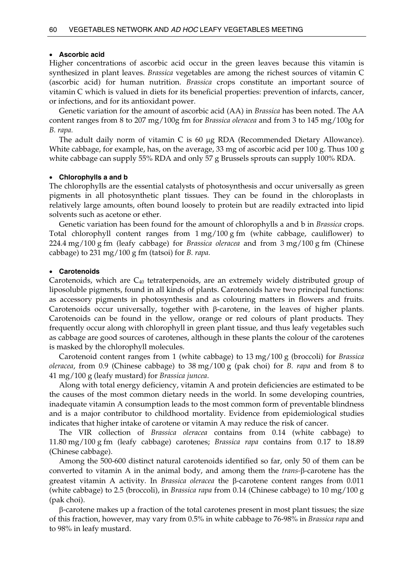#### x **Ascorbic acid**

Higher concentrations of ascorbic acid occur in the green leaves because this vitamin is synthesized in plant leaves. *Brassica* vegetables are among the richest sources of vitamin C (ascorbic acid) for human nutrition. *Brassica* crops constitute an important source of vitamin C which is valued in diets for its beneficial properties: prevention of infarcts, cancer, or infections, and for its antioxidant power.

 Genetic variation for the amount of ascorbic acid (AA) in *Brassica* has been noted. The AA content ranges from 8 to 207 mg/100g fm for *Brassica oleracea* and from 3 to 145 mg/100g for *B. rapa.* 

The adult daily norm of vitamin C is  $60 \mu g$  RDA (Recommended Dietary Allowance). White cabbage, for example, has, on the average, 33 mg of ascorbic acid per 100 g. Thus 100 g white cabbage can supply 55% RDA and only 57 g Brussels sprouts can supply 100% RDA.

#### x **Chlorophylls a and b**

The chlorophylls are the essential catalysts of photosynthesis and occur universally as green pigments in all photosynthetic plant tissues. They can be found in the chloroplasts in relatively large amounts, often bound loosely to protein but are readily extracted into lipid solvents such as acetone or ether.

 Genetic variation has been found for the amount of chlorophylls a and b in *Brassica* crops. Total chlorophyll content ranges from 1 mg/100 g fm (white cabbage, cauliflower) to 224.4 mg/100 g fm (leafy cabbage) for *Brassica oleracea* and from 3 mg/100 g fm (Chinese cabbage) to 231 mg/100 g fm (tatsoi) for *B. rapa.*

#### x **Carotenoids**

Carotenoids, which are  $C_{40}$  tetraterpenoids, are an extremely widely distributed group of liposoluble pigments, found in all kinds of plants. Carotenoids have two principal functions: as accessory pigments in photosynthesis and as colouring matters in flowers and fruits. Carotenoids occur universally, together with  $\beta$ -carotene, in the leaves of higher plants. Carotenoids can be found in the yellow, orange or red colours of plant products. They frequently occur along with chlorophyll in green plant tissue, and thus leafy vegetables such as cabbage are good sources of carotenes, although in these plants the colour of the carotenes is masked by the chlorophyll molecules.

 Carotenoid content ranges from 1 (white cabbage) to 13 mg/100 g (broccoli) for *Brassica oleracea*, from 0.9 (Chinese cabbage) to 38 mg/100 g (pak choi) for *B. rapa* and from 8 to 41 mg/100 g (leafy mustard) for *Brassica juncea*.

 Along with total energy deficiency, vitamin A and protein deficiencies are estimated to be the causes of the most common dietary needs in the world. In some developing countries, inadequate vitamin A consumption leads to the most common form of preventable blindness and is a major contributor to childhood mortality. Evidence from epidemiological studies indicates that higher intake of carotene or vitamin A may reduce the risk of cancer.

 The VIR collection of *Brassica oleracea* contains from 0.14 (white cabbage) to 11.80 mg/100 g fm (leafy cabbage) carotenes; *Brassica rapa* contains from 0.17 to 18.89 (Chinese cabbage).

 Among the 500-600 distinct natural carotenoids identified so far, only 50 of them can be converted to vitamin A in the animal body, and among them the *trans-* $\beta$ -carotene has the greatest vitamin A activity. In *Brassica oleracea* the  $\beta$ -carotene content ranges from 0.011 (white cabbage) to 2.5 (broccoli), in *Brassica rapa* from 0.14 (Chinese cabbage) to 10 mg/100 g (pak choi).

 $\beta$ -carotene makes up a fraction of the total carotenes present in most plant tissues; the size of this fraction, however, may vary from 0.5% in white cabbage to 76-98% in *Brassica rapa* and to 98% in leafy mustard.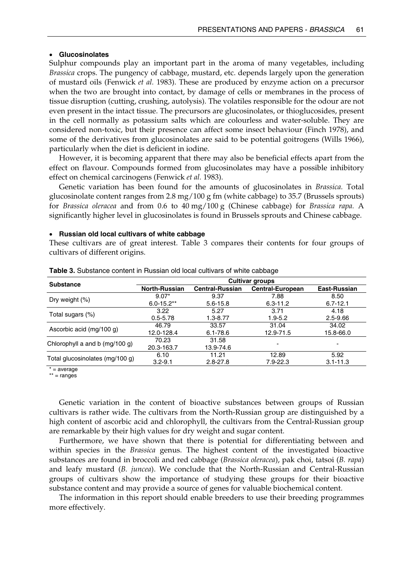#### x **Glucosinolates**

Sulphur compounds play an important part in the aroma of many vegetables, including *Brassica* crops. The pungency of cabbage, mustard, etc. depends largely upon the generation of mustard oils (Fenwick *et al.* 1983). These are produced by enzyme action on a precursor when the two are brought into contact, by damage of cells or membranes in the process of tissue disruption (cutting, crushing, autolysis). The volatiles responsible for the odour are not even present in the intact tissue. The precursors are glucosinolates, or thioglucosides, present in the cell normally as potassium salts which are colourless and water-soluble. They are considered non-toxic, but their presence can affect some insect behaviour (Finch 1978), and some of the derivatives from glucosinolates are said to be potential goitrogens (Wills 1966), particularly when the diet is deficient in iodine.

However, it is becoming apparent that there may also be beneficial effects apart from the effect on flavour. Compounds formed from glucosinolates may have a possible inhibitory effect on chemical carcinogens (Fenwick *et al.* 1983).

 Genetic variation has been found for the amounts of glucosinolates in *Brassica.* Total glucosinolate content ranges from 2.8 mg/100 g fm (white cabbage) to 35.7 (Brussels sprouts) for *Brassica oleracea* and from 0.6 to 40 mg/100 g (Chinese cabbage) for *Brassica rapa.* A significantly higher level in glucosinolates is found in Brussels sprouts and Chinese cabbage.

#### x **Russian old local cultivars of white cabbage**

These cultivars are of great interest. Table 3 compares their contents for four groups of cultivars of different origins.

| <b>Substance</b>                | <b>Cultivar groups</b> |                        |                  |                     |  |  |  |
|---------------------------------|------------------------|------------------------|------------------|---------------------|--|--|--|
|                                 | <b>North-Russian</b>   | <b>Central-Russian</b> | Central-European | <b>East-Russian</b> |  |  |  |
|                                 | $9.07*$                | 9.37                   | 7.88             | 8.50                |  |  |  |
| Dry weight $(\%)$               | $6.0 - 15.2**$         | $5.6 - 15.8$           | $6.3 - 11.2$     | $6.7 - 12.1$        |  |  |  |
| Total sugars (%)                | 3.22                   | 5.27                   | 3.71             | 4.18                |  |  |  |
|                                 | $0.5 - 5.78$           | $1.3 - 8.77$           | $1.9 - 5.2$      | $2.5 - 9.66$        |  |  |  |
|                                 | 46.79                  | 33.57                  | 31.04            | 34.02               |  |  |  |
| Ascorbic acid (mg/100 g)        | 12.0-128.4             | $6.1 - 78.6$           | 12.9-71.5        | 15.8-66.0           |  |  |  |
| Chlorophyll a and b (mg/100 g)  | 70.23                  | 31.58                  |                  |                     |  |  |  |
|                                 | 20.3-163.7             | 13.9-74.6              |                  |                     |  |  |  |
| Total glucosinolates (mg/100 g) | 6.10                   | 11.21                  | 12.89            | 5.92                |  |  |  |
|                                 | $3.2 - 9.1$            | $2.8 - 27.8$           | 7.9-22.3         | $3.1 - 11.3$        |  |  |  |

**Table 3.** Substance content in Russian old local cultivars of white cabbage

 $* = average$ 

 $**$  = ranges

 Genetic variation in the content of bioactive substances between groups of Russian cultivars is rather wide. The cultivars from the North-Russian group are distinguished by a high content of ascorbic acid and chlorophyll, the cultivars from the Central-Russian group are remarkable by their high values for dry weight and sugar content.

 Furthermore, we have shown that there is potential for differentiating between and within species in the *Brassica* genus. The highest content of the investigated bioactive substances are found in broccoli and red cabbage (*Brassica oleracea*), pak choi, tatsoi (*B. rapa*) and leafy mustard (*B. juncea*). We conclude that the North-Russian and Central-Russian groups of cultivars show the importance of studying these groups for their bioactive substance content and may provide a source of genes for valuable biochemical content.

 The information in this report should enable breeders to use their breeding programmes more effectively.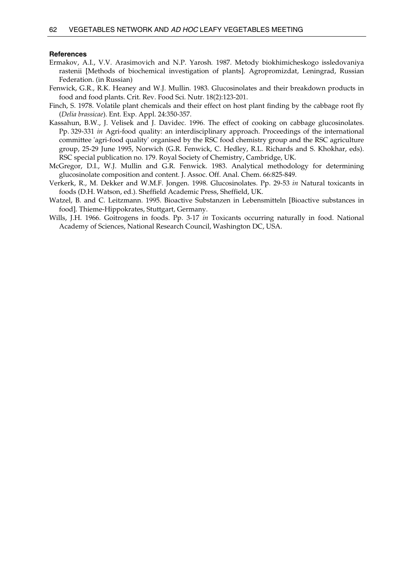#### **References**

- Ermakov, A.I., V.V. Arasimovich and N.P. Yarosh*.* 1987. Metody biokhimicheskogo issledovaniya rastenii [Methods of biochemical investigation of plants]. Agropromizdat, Leningrad, Russian Federation. (in Russian)
- Fenwick, G.R., R.K. Heaney and W.J. Mullin. 1983. Glucosinolates and their breakdown products in food and food plants. Crit. Rev. Food Sci. Nutr. 18(2):123-201.
- Finch, S. 1978. Volatile plant chemicals and their effect on host plant finding by the cabbage root fly (*Delia brassicae*). Ent. Exp. Appl. 24:350-357.
- Kassahun, B.W., J. Velisek and J. Davidec. 1996. The effect of cooking on cabbage glucosinolates. Pp. 329-331 *in* Agri-food quality: an interdisciplinary approach. Proceedings of the international committee 'agri-food quality' organised by the RSC food chemistry group and the RSC agriculture group, 25-29 June 1995, Norwich (G.R. Fenwick, C. Hedley, R.L. Richards and S. Khokhar, eds). RSC special publication no. 179. Royal Society of Chemistry, Cambridge, UK.
- McGregor, D.I., W.J. Mullin and G.R. Fenwick. 1983. Analytical methodology for determining glucosinolate composition and content. J. Assoc. Off. Anal. Chem. 66:825-849.
- Verkerk, R., M. Dekker and W.M.F. Jongen. 1998. Glucosinolates. Pp. 29-53 *in* Natural toxicants in foods (D.H. Watson, ed.). Sheffield Academic Press, Sheffield, UK.
- Watzel, B. and C. Leitzmann. 1995. Bioactive Substanzen in Lebensmitteln [Bioactive substances in food]. Thieme-Hippokrates, Stuttgart, Germany.
- Wills, J.H. 1966. Goitrogens in foods. Pp. 3-17 *in* Toxicants occurring naturally in food. National Academy of Sciences, National Research Council, Washington DC, USA.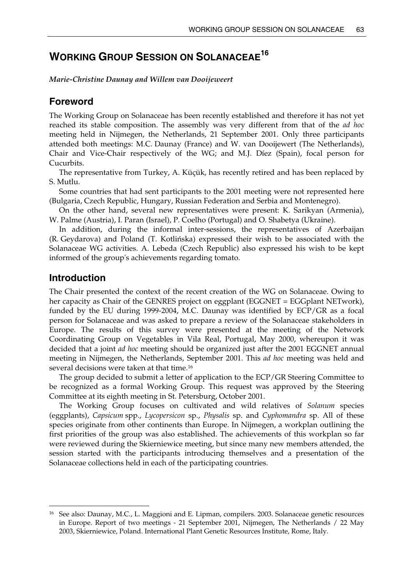# **WORKING GROUP SESSION ON SOLANACEAE<sup>16</sup>**

*Marie-Christine Daunay and Willem van Dooijeweert* 

## **Foreword**

The Working Group on Solanaceae has been recently established and therefore it has not yet reached its stable composition. The assembly was very different from that of the *ad hoc*  meeting held in Nijmegen, the Netherlands, 21 September 2001. Only three participants attended both meetings: M.C. Daunay (France) and W. van Dooijewert (The Netherlands), Chair and Vice-Chair respectively of the WG; and M.J. Díez (Spain), focal person for Cucurbits.

 The representative from Turkey, A. Küçük, has recently retired and has been replaced by S. Mutlu.

 Some countries that had sent participants to the 2001 meeting were not represented here (Bulgaria, Czech Republic, Hungary, Russian Federation and Serbia and Montenegro).

 On the other hand, several new representatives were present: K. Sarikyan (Armenia), W. Palme (Austria), I. Paran (Israel), P. Coelho (Portugal) and O. Shabetya (Ukraine).

 In addition, during the informal inter-sessions, the representatives of Azerbaijan (R. Geydarova) and Poland (T. Kotlińska) expressed their wish to be associated with the Solanaceae WG activities. A. Lebeda (Czech Republic) also expressed his wish to be kept informed of the group's achievements regarding tomato.

## **Introduction**

 $\overline{a}$ 

The Chair presented the context of the recent creation of the WG on Solanaceae. Owing to her capacity as Chair of the GENRES project on eggplant (EGGNET = EGGplant NETwork), funded by the EU during 1999-2004, M.C. Daunay was identified by ECP/GR as a focal person for Solanaceae and was asked to prepare a review of the Solanaceae stakeholders in Europe. The results of this survey were presented at the meeting of the Network Coordinating Group on Vegetables in Vila Real, Portugal, May 2000, whereupon it was decided that a joint *ad hoc* meeting should be organized just after the 2001 EGGNET annual meeting in Nijmegen, the Netherlands, September 2001. This *ad hoc* meeting was held and several decisions were taken at that time.16

 The group decided to submit a letter of application to the ECP/GR Steering Committee to be recognized as a formal Working Group. This request was approved by the Steering Committee at its eighth meeting in St. Petersburg, October 2001.

 The Working Group focuses on cultivated and wild relatives of *Solanum* species (eggplants), *Capsicum* spp., *Lycopersicon* sp., *Physalis* sp. and *Cyphomandra* sp. All of these species originate from other continents than Europe. In Nijmegen, a workplan outlining the first priorities of the group was also established. The achievements of this workplan so far were reviewed during the Skierniewice meeting, but since many new members attended, the session started with the participants introducing themselves and a presentation of the Solanaceae collections held in each of the participating countries.

<sup>16</sup> See also: Daunay, M.C., L. Maggioni and E. Lipman, compilers. 2003. Solanaceae genetic resources in Europe. Report of two meetings - 21 September 2001, Nijmegen, The Netherlands / 22 May 2003, Skierniewice, Poland. International Plant Genetic Resources Institute, Rome, Italy.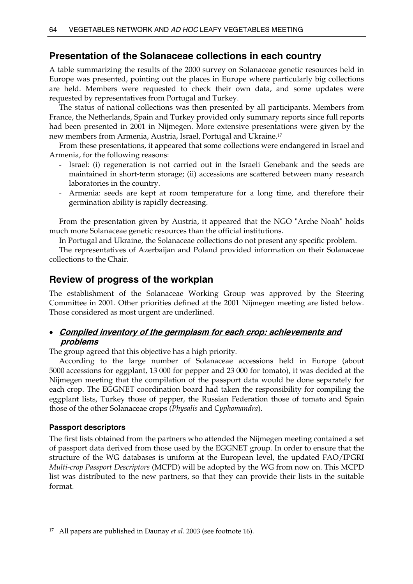## **Presentation of the Solanaceae collections in each country**

A table summarizing the results of the 2000 survey on Solanaceae genetic resources held in Europe was presented, pointing out the places in Europe where particularly big collections are held. Members were requested to check their own data, and some updates were requested by representatives from Portugal and Turkey.

 The status of national collections was then presented by all participants. Members from France, the Netherlands, Spain and Turkey provided only summary reports since full reports had been presented in 2001 in Nijmegen. More extensive presentations were given by the new members from Armenia, Austria, Israel, Portugal and Ukraine.17

 From these presentations, it appeared that some collections were endangered in Israel and Armenia, for the following reasons:

- *-* Israel: (i) regeneration is not carried out in the Israeli Genebank and the seeds are maintained in short-term storage; (ii) accessions are scattered between many research laboratories in the country.
- *-* Armenia: seeds are kept at room temperature for a long time, and therefore their germination ability is rapidly decreasing.

 From the presentation given by Austria, it appeared that the NGO "Arche Noah" holds much more Solanaceae genetic resources than the official institutions.

In Portugal and Ukraine, the Solanaceae collections do not present any specific problem.

 The representatives of Azerbaijan and Poland provided information on their Solanaceae collections to the Chair.

## **Review of progress of the workplan**

The establishment of the Solanaceae Working Group was approved by the Steering Committee in 2001. Other priorities defined at the 2001 Nijmegen meeting are listed below. Those considered as most urgent are underlined.

## x **Compiled inventory of the germplasm for each crop: achievements and problems**

The group agreed that this objective has a high priority.

 According to the large number of Solanaceae accessions held in Europe (about 5000 accessions for eggplant, 13 000 for pepper and 23 000 for tomato), it was decided at the Nijmegen meeting that the compilation of the passport data would be done separately for each crop. The EGGNET coordination board had taken the responsibility for compiling the eggplant lists, Turkey those of pepper, the Russian Federation those of tomato and Spain those of the other Solanaceae crops (*Physalis* and *Cyphomandra*).

## **Passport descriptors**

 $\overline{a}$ 

The first lists obtained from the partners who attended the Nijmegen meeting contained a set of passport data derived from those used by the EGGNET group. In order to ensure that the structure of the WG databases is uniform at the European level, the updated FAO/IPGRI *Multi-crop Passport Descriptors* (MCPD) will be adopted by the WG from now on. This MCPD list was distributed to the new partners, so that they can provide their lists in the suitable format.

<sup>17</sup> All papers are published in Daunay *et al.* 2003 (see footnote 16).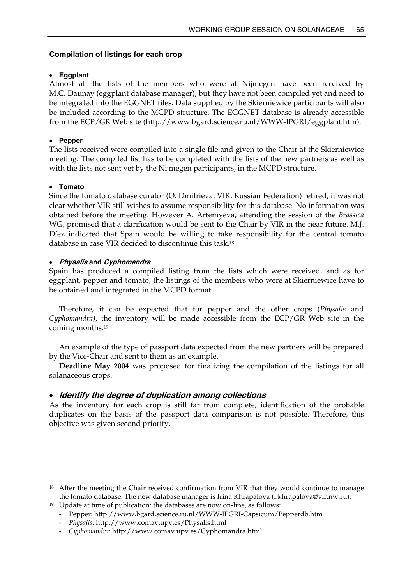## **Compilation of listings for each crop**

## x **Eggplant**

Almost all the lists of the members who were at Nijmegen have been received by M.C. Daunay (eggplant database manager), but they have not been compiled yet and need to be integrated into the EGGNET files. Data supplied by the Skierniewice participants will also be included according to the MCPD structure. The EGGNET database is already accessible from the ECP/GR Web site (http://www.bgard.science.ru.nl/WWW-IPGRI/eggplant.htm).

## x **Pepper**

The lists received were compiled into a single file and given to the Chair at the Skierniewice meeting. The compiled list has to be completed with the lists of the new partners as well as with the lists not sent yet by the Nijmegen participants, in the MCPD structure.

## x **Tomato**

 $\overline{a}$ 

Since the tomato database curator (O. Dmitrieva, VIR, Russian Federation) retired, it was not clear whether VIR still wishes to assume responsibility for this database. No information was obtained before the meeting. However A. Artemyeva, attending the session of the *Brassica* WG, promised that a clarification would be sent to the Chair by VIR in the near future. M.J. Díez indicated that Spain would be willing to take responsibility for the central tomato database in case VIR decided to discontinue this task.18

## x **Physalis and Cyphomandra**

Spain has produced a compiled listing from the lists which were received, and as for eggplant, pepper and tomato, the listings of the members who were at Skierniewice have to be obtained and integrated in the MCPD format.

 Therefore, it can be expected that for pepper and the other crops (*Physalis* and *Cyphomandra)*, the inventory will be made accessible from the ECP/GR Web site in the coming months.19

 An example of the type of passport data expected from the new partners will be prepared by the Vice-Chair and sent to them as an example.

 **Deadline May 2004** was proposed for finalizing the compilation of the listings for all solanaceous crops.

## x **Identify the degree of duplication among collections**

As the inventory for each crop is still far from complete, identification of the probable duplicates on the basis of the passport data comparison is not possible. Therefore, this objective was given second priority.

<sup>&</sup>lt;sup>18</sup> After the meeting the Chair received confirmation from VIR that they would continue to manage the tomato database. The new database manager is Irina Khrapalova (i.khrapalova@vir.nw.ru).

<sup>&</sup>lt;sup>19</sup> Update at time of publication: the databases are now on-line, as follows:

<sup>-</sup> Pepper: http://www.bgard.science.ru.nl/WWW-IPGRI-Capsicum/Pepperdb.htm

<sup>-</sup> *Physalis*: http://www.comav.upv.es/Physalis.html

<sup>-</sup> *Cyphomandra*: http://www.comav.upv.es/Cyphomandra.html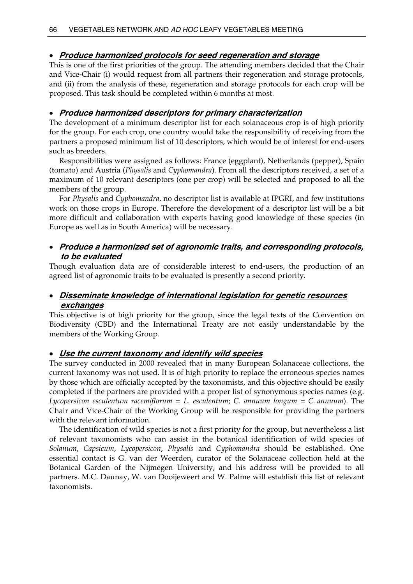## x **Produce harmonized protocols for seed regeneration and storage**

This is one of the first priorities of the group. The attending members decided that the Chair and Vice-Chair (i) would request from all partners their regeneration and storage protocols, and (ii) from the analysis of these, regeneration and storage protocols for each crop will be proposed. This task should be completed within 6 months at most.

## x **Produce harmonized descriptors for primary characterization**

The development of a minimum descriptor list for each solanaceous crop is of high priority for the group. For each crop, one country would take the responsibility of receiving from the partners a proposed minimum list of 10 descriptors, which would be of interest for end-users such as breeders.

 Responsibilities were assigned as follows: France (eggplant), Netherlands (pepper), Spain (tomato) and Austria (*Physalis* and *Cyphomandra*). From all the descriptors received, a set of a maximum of 10 relevant descriptors (one per crop) will be selected and proposed to all the members of the group.

 For *Physalis* and *Cyphomandra*, no descriptor list is available at IPGRI, and few institutions work on those crops in Europe. Therefore the development of a descriptor list will be a bit more difficult and collaboration with experts having good knowledge of these species (in Europe as well as in South America) will be necessary.

## x **Produce a harmonized set of agronomic traits, and corresponding protocols, to be evaluated**

Though evaluation data are of considerable interest to end-users, the production of an agreed list of agronomic traits to be evaluated is presently a second priority.

## x **Disseminate knowledge of international legislation for genetic resources exchanges**

This objective is of high priority for the group, since the legal texts of the Convention on Biodiversity (CBD) and the International Treaty are not easily understandable by the members of the Working Group.

## x **Use the current taxonomy and identify wild species**

The survey conducted in 2000 revealed that in many European Solanaceae collections, the current taxonomy was not used. It is of high priority to replace the erroneous species names by those which are officially accepted by the taxonomists, and this objective should be easily completed if the partners are provided with a proper list of synonymous species names (e.g. *Lycopersicon esculentum racemiflorum* = *L. esculentum*; *C. annuum longum* = *C. annuum*). The Chair and Vice-Chair of the Working Group will be responsible for providing the partners with the relevant information.

 The identification of wild species is not a first priority for the group, but nevertheless a list of relevant taxonomists who can assist in the botanical identification of wild species of *Solanum*, *Capsicum*, *Lycopersicon*, *Physalis* and *Cyphomandra* should be established. One essential contact is G. van der Weerden, curator of the Solanaceae collection held at the Botanical Garden of the Nijmegen University, and his address will be provided to all partners. M.C. Daunay, W. van Dooijeweert and W. Palme will establish this list of relevant taxonomists.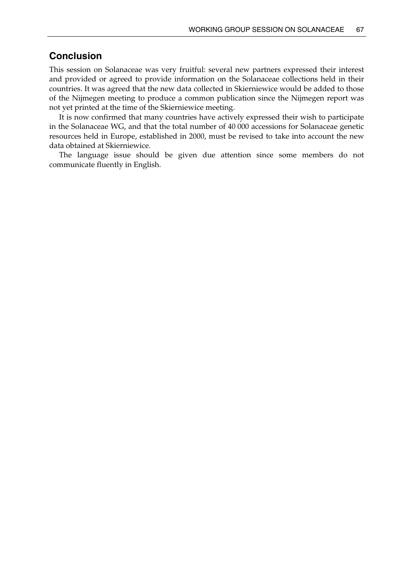## **Conclusion**

This session on Solanaceae was very fruitful: several new partners expressed their interest and provided or agreed to provide information on the Solanaceae collections held in their countries. It was agreed that the new data collected in Skierniewice would be added to those of the Nijmegen meeting to produce a common publication since the Nijmegen report was not yet printed at the time of the Skierniewice meeting.

 It is now confirmed that many countries have actively expressed their wish to participate in the Solanaceae WG, and that the total number of 40 000 accessions for Solanaceae genetic resources held in Europe, established in 2000, must be revised to take into account the new data obtained at Skierniewice.

 The language issue should be given due attention since some members do not communicate fluently in English.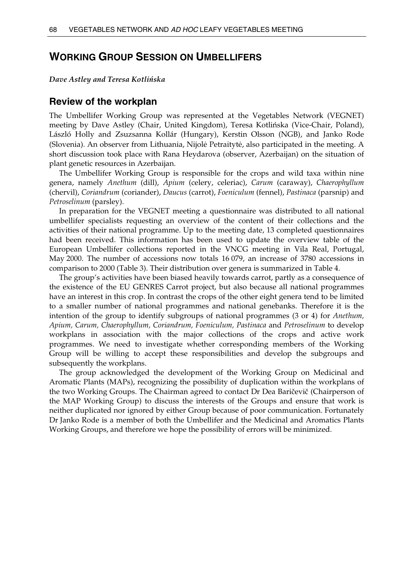## **WORKING GROUP SESSION ON UMBELLIFERS**

*Dave Astley and Teresa Kotliēska*

### **Review of the workplan**

The Umbellifer Working Group was represented at the Vegetables Network (VEGNET) meeting by Dave Astley (Chair, United Kingdom), Teresa Kotlińska (Vice-Chair, Poland), László Holly and Zsuzsanna Kollár (Hungary), Kerstin Olsson (NGB), and Janko Rode (Slovenia). An observer from Lithuania, Nijolė Petraitytė, also participated in the meeting. A short discussion took place with Rana Heydarova (observer, Azerbaijan) on the situation of plant genetic resources in Azerbaijan.

 The Umbellifer Working Group is responsible for the crops and wild taxa within nine genera, namely *Anethum* (dill), *Apium* (celery, celeriac), *Carum* (caraway), *Chaerophyllum* (chervil), *Coriandrum* (coriander), *Daucus* (carrot), *Foeniculum* (fennel), *Pastinaca* (parsnip) and *Petroselinum* (parsley).

 In preparation for the VEGNET meeting a questionnaire was distributed to all national umbellifer specialists requesting an overview of the content of their collections and the activities of their national programme. Up to the meeting date, 13 completed questionnaires had been received. This information has been used to update the overview table of the European Umbellifer collections reported in the VNCG meeting in Vila Real, Portugal, May 2000. The number of accessions now totals 16 079, an increase of 3780 accessions in comparison to 2000 (Table 3). Their distribution over genera is summarized in Table 4.

 The group's activities have been biased heavily towards carrot, partly as a consequence of the existence of the EU GENRES Carrot project, but also because all national programmes have an interest in this crop. In contrast the crops of the other eight genera tend to be limited to a smaller number of national programmes and national genebanks. Therefore it is the intention of the group to identify subgroups of national programmes (3 or 4) for *Anethum, Apium, Carum, Chaerophyllum, Coriandrum, Foeniculum, Pastinaca* and *Petroselinum* to develop workplans in association with the major collections of the crops and active work programmes. We need to investigate whether corresponding members of the Working Group will be willing to accept these responsibilities and develop the subgroups and subsequently the workplans.

 The group acknowledged the development of the Working Group on Medicinal and Aromatic Plants (MAPs), recognizing the possibility of duplication within the workplans of the two Working Groups. The Chairman agreed to contact Dr Dea Baričevič (Chairperson of the MAP Working Group) to discuss the interests of the Groups and ensure that work is neither duplicated nor ignored by either Group because of poor communication. Fortunately Dr Janko Rode is a member of both the Umbellifer and the Medicinal and Aromatics Plants Working Groups, and therefore we hope the possibility of errors will be minimized.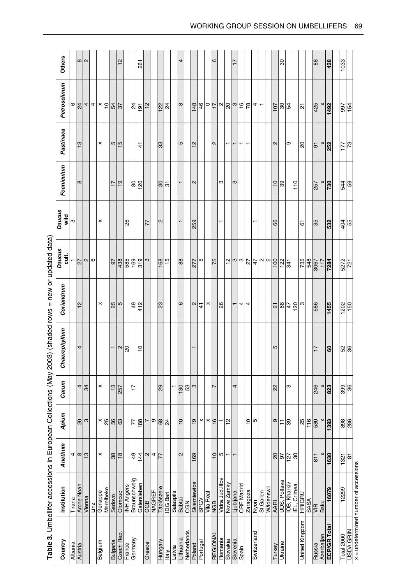|                       |                   |                     |                       |               | Table 3. Umbellifer accessions in European Collections (May 2003) (shaded rows = new or updated data) |                         |                       |                              |                         |                          |                           |                |
|-----------------------|-------------------|---------------------|-----------------------|---------------|-------------------------------------------------------------------------------------------------------|-------------------------|-----------------------|------------------------------|-------------------------|--------------------------|---------------------------|----------------|
| Country               | Institution       | Anethum             | Apium                 | Carum         | Chaerophyllum                                                                                         | Coriandrum              | Daucus<br>$\ddot{a}$  | Daucus<br>wild               | Foeniculum              | Pastinaca                | Petroselinum              | <b>Others</b>  |
| Albania               | Tirana            | 4                   |                       |               |                                                                                                       |                         |                       | ო                            |                         |                          | ဖ                         |                |
| Austria               | Arche Noah        | $\infty$            | $\Omega$              | 4             | 4                                                                                                     | $\frac{1}{2}$           |                       |                              | $\infty$                | $\frac{3}{2}$            | 24                        |                |
|                       | Vienna            | ဗ္                  | S                     | 34            |                                                                                                       |                         | $\frac{1}{2}$         |                              |                         |                          | 4                         | ∞∣ഢ            |
|                       | Linz              |                     |                       |               |                                                                                                       |                         |                       |                              |                         |                          | 4                         |                |
| <b>Belgium</b>        | Genappe           | ×                   | $\boldsymbol{\times}$ | ×             |                                                                                                       | ×                       |                       | $\times$                     |                         | ×                        | $\times$                  |                |
|                       | Merelbeke         |                     | မ္မ                   |               |                                                                                                       |                         |                       |                              |                         |                          | $\vert$ 2                 |                |
| <b>Bulgaria</b>       | Sadovo            | $38\,$              | 56                    | $\frac{3}{2}$ | $\mathbf{r}$                                                                                          | 25                      | 97                    |                              | $\overline{1}$          | <u>က်</u>                | $\frac{24}{3}$            |                |
| Czech Rep.            | Olomouc           | ∣∞                  | အြ                    | $\sqrt{257}$  | $\overline{\mathsf{N}}$                                                                               | ယ                       | 438                   |                              | $\overline{0}$          |                          |                           | $\frac{1}{2}$  |
| France                | INH Angers        |                     |                       |               | ္လ                                                                                                    |                         | 585                   | $\frac{8}{2}$                |                         |                          |                           |                |
| Germany               | Braunschweig      | $\frac{6}{7}$       | 77                    | 17            |                                                                                                       | $\frac{4}{9}$           | 169                   |                              | 8                       |                          | $\overline{24}$           |                |
|                       | Gatersleben       | 144                 | 188                   |               | $\overline{C}$                                                                                        | 412                     | $\frac{5}{3}$         |                              | $\overline{120}$        | $\frac{4}{1}$            | 191                       | 261            |
| Greece                | GGB               | $\sim$              | $\overline{ }$        |               |                                                                                                       |                         |                       | 77                           |                         |                          | $\frac{1}{2}$             |                |
|                       | <b>NAGREF</b>     | 4                   | თ                     |               |                                                                                                       |                         |                       |                              |                         |                          |                           |                |
| Hungary               | Tápiószele        | 77                  | 68                    | 29            |                                                                                                       | 23                      | 168                   | $\mathbf{\Omega}$            | $\mathcal{S}$           | 33                       | 122                       |                |
| <b>Italy</b>          | IDG Bari          |                     | $\overline{2}$        |               |                                                                                                       |                         | မှ                    |                              | $ \bar{z}$              |                          | $\vert 4$                 |                |
| Latvia                | Salaspils         |                     |                       |               |                                                                                                       |                         |                       |                              |                         |                          |                           |                |
| Lithuania             | <b>Babtai</b>     | $\mathbf{\Omega}$   | $\overline{0}$        | 130           |                                                                                                       | ဖ                       | 88                    | $\overline{ }$               | $\mathbf$               | 5                        | $\infty$                  | 4              |
| Netherlands           | <b>ZGN</b>        |                     |                       | 53            |                                                                                                       |                         |                       |                              |                         |                          |                           |                |
| Poland                | Skierniewice      | 169                 | $\overline{9}$        | S             |                                                                                                       | $\mathbf{\Omega}$       | $\sqrt{27}$           | $\overline{259}$             | $\mathbf{\Omega}$       | $\frac{1}{2}$            | 148                       |                |
| Portugal              | <b>BPGV</b>       |                     | $\boldsymbol{\times}$ |               |                                                                                                       | $\frac{4}{3}$           | Ю                     |                              |                         |                          | 46                        |                |
|                       | Vila Real         |                     | $\pmb{\times}$        |               |                                                                                                       | $\pmb{\times}$          |                       |                              |                         |                          | $\circ$                   |                |
| <b>REGIONAL</b>       | <b>NGB</b>        | $\overline{0}$      | $\frac{6}{5}$         | Ņ             |                                                                                                       |                         | 75                    |                              |                         | $\mathbf{\Omega}$        | $\frac{17}{2}$            | ဖ              |
| Romania               | Vidra.Jud.llfov   | Ю                   | ᠇                     |               |                                                                                                       | 26                      |                       | ᠇                            | ω                       |                          | $\frac{2}{20}$            |                |
| Slovakia              | Nove Zamky        | T                   | 얻                     |               |                                                                                                       |                         | $\frac{1}{2}$         |                              |                         |                          |                           |                |
| Slovenia              | Ljubljana         |                     |                       | 4             |                                                                                                       | $\mathbf$               | $\boldsymbol{\infty}$ |                              | ო                       | $\mathbf$                | $\mathfrak{S}$            | $\overline{1}$ |
| Spain                 | <b>CRF Madrid</b> |                     |                       |               |                                                                                                       | 4                       | ო                     |                              |                         |                          | $\vert \frac{6}{5} \vert$ |                |
|                       | Zaragoza          |                     | $\tilde{c}$           |               |                                                                                                       | 4                       | 27                    |                              |                         |                          | $\overline{78}$           |                |
| Switzerland           | Nyon              |                     | Ю                     |               |                                                                                                       |                         | 47                    | ↽                            |                         |                          | 4                         |                |
|                       | St.Gallen         |                     |                       |               |                                                                                                       |                         | $\boldsymbol{\sim}$   |                              |                         |                          | $\overline{ }$            |                |
|                       | Wädenswil         |                     |                       |               |                                                                                                       |                         | $\frac{1}{2}$         |                              |                         |                          |                           |                |
| Turkey                | AARI              | $\overline{c}$      | თ                     | 22            | LO.                                                                                                   | $\overline{\mathbf{c}}$ |                       | 89                           | $\overline{C}$          | $\mathbf{\Omega}$        | 107                       |                |
| <b>Ukraine</b>        | UDS, Poltava      | $\overline{6}$      | Ξ                     |               |                                                                                                       |                         | 122                   |                              | 39                      |                          | $\rm ^{8}$                | 30             |
|                       | IOB, Kharkiv      | $\frac{5}{25}$      | 89                    | S             |                                                                                                       | $rac{4}{5}$             | $\sqrt{341}$          |                              |                         | თ                        | Ճ                         |                |
|                       | Crimea<br>Ē       |                     |                       |               |                                                                                                       | 120                     |                       |                              | 110                     |                          |                           |                |
| United Kingdom        | HRIGRU            |                     | 25                    |               |                                                                                                       | က                       | 735                   | 6                            |                         | 20                       | 21                        |                |
|                       | SASA              |                     | 116                   |               |                                                                                                       |                         | 548                   |                              |                         |                          |                           |                |
| <b>Russia</b>         | $\sqrt{25}$       | 811                 | 580                   | 246           | $\overline{1}$                                                                                        | 586                     | 3067                  | 35                           | 257                     | 5                        | 425                       | 88             |
| Azerbaijan            | <b>Baku</b>       | $\pmb{\times}$      | $\boldsymbol{\times}$ | ×             |                                                                                                       |                         | 117                   |                              | $\pmb{\times}$          | $\pmb{\times}$           | $\pmb{\times}$            |                |
| ECP/GR Total          | 16079             | 1630                | 1393                  | 823           | 60                                                                                                    | 1455                    | 7284                  | 532                          | 730                     | 252                      | 1492                      | 428            |
|                       |                   |                     |                       |               |                                                                                                       |                         |                       |                              |                         |                          |                           |                |
| MIND VOSN<br>LOO STOL | 12299             | 1321                | $\frac{8}{80}$        | 399           | <u>အ</u> န္တြ                                                                                         | $\frac{1202}{150}$      | $\frac{5272}{721}$    | $\left  \frac{4}{3} \right $ | $rac{2}{3}$ $rac{1}{3}$ | 177                      | $rac{95}{154}$            | 1033           |
|                       |                   | $\overline{\infty}$ |                       | န္တ           |                                                                                                       |                         |                       |                              |                         | $\overline{\mathcal{E}}$ |                           |                |

Ŕ  $\frac{1}{2}$ anna) (chi  $\overline{a}$  $\cdot$  $\frac{6}{2}$ Č ū J J.  $\frac{1}{2}$ é  $\frac{1}{2}$ 

 $x =$  undetermined number of accessions x = undetermined number of accessions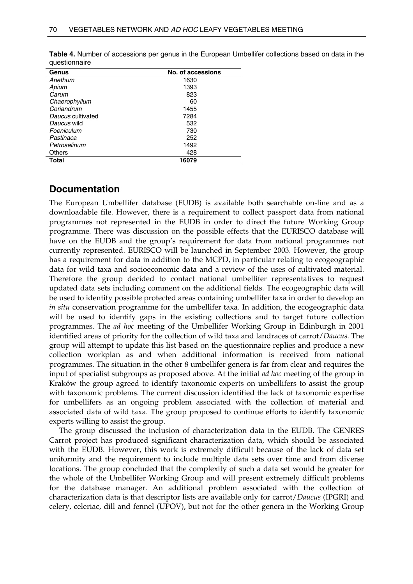| Genus             | No. of accessions |
|-------------------|-------------------|
| Anethum           | 1630              |
| Apium             | 1393              |
| Carum             | 823               |
| Chaerophyllum     | 60                |
| Coriandrum        | 1455              |
| Daucus cultivated | 7284              |
| Daucus wild       | 532               |
| Foeniculum        | 730               |
| Pastinaca         | 252               |
| Petroselinum      | 1492              |
| <b>Others</b>     | 428               |
| Total             | 16079             |

**Table 4.** Number of accessions per genus in the European Umbellifer collections based on data in the questionnaire

## **Documentation**

The European Umbellifer database (EUDB) is available both searchable on-line and as a downloadable file. However, there is a requirement to collect passport data from national programmes not represented in the EUDB in order to direct the future Working Group programme. There was discussion on the possible effects that the EURISCO database will have on the EUDB and the group's requirement for data from national programmes not currently represented. EURISCO will be launched in September 2003. However, the group has a requirement for data in addition to the MCPD, in particular relating to ecogeographic data for wild taxa and socioeconomic data and a review of the uses of cultivated material. Therefore the group decided to contact national umbellifer representatives to request updated data sets including comment on the additional fields. The ecogeographic data will be used to identify possible protected areas containing umbellifer taxa in order to develop an *in situ* conservation programme for the umbellifer taxa. In addition, the ecogeographic data will be used to identify gaps in the existing collections and to target future collection programmes. The *ad hoc* meeting of the Umbellifer Working Group in Edinburgh in 2001 identified areas of priority for the collection of wild taxa and landraces of carrot/*Daucus*. The group will attempt to update this list based on the questionnaire replies and produce a new collection workplan as and when additional information is received from national programmes. The situation in the other 8 umbellifer genera is far from clear and requires the input of specialist subgroups as proposed above. At the initial *ad hoc* meeting of the group in Kraków the group agreed to identify taxonomic experts on umbellifers to assist the group with taxonomic problems. The current discussion identified the lack of taxonomic expertise for umbellifers as an ongoing problem associated with the collection of material and associated data of wild taxa. The group proposed to continue efforts to identify taxonomic experts willing to assist the group.

 The group discussed the inclusion of characterization data in the EUDB. The GENRES Carrot project has produced significant characterization data, which should be associated with the EUDB. However, this work is extremely difficult because of the lack of data set uniformity and the requirement to include multiple data sets over time and from diverse locations. The group concluded that the complexity of such a data set would be greater for the whole of the Umbellifer Working Group and will present extremely difficult problems for the database manager. An additional problem associated with the collection of characterization data is that descriptor lists are available only for carrot/*Daucus* (IPGRI) and celery, celeriac, dill and fennel (UPOV), but not for the other genera in the Working Group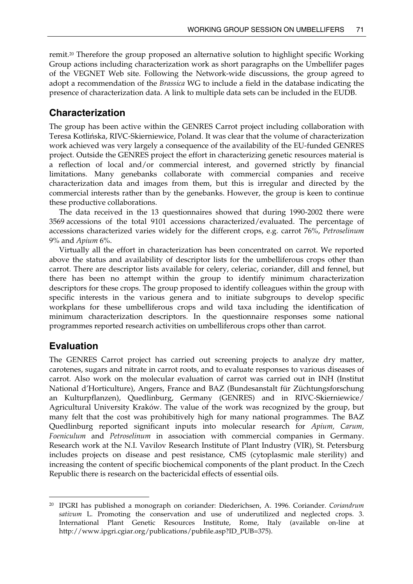remit.20 Therefore the group proposed an alternative solution to highlight specific Working Group actions including characterization work as short paragraphs on the Umbellifer pages of the VEGNET Web site. Following the Network-wide discussions, the group agreed to adopt a recommendation of the *Brassica* WG to include a field in the database indicating the presence of characterization data. A link to multiple data sets can be included in the EUDB.

## **Characterization**

The group has been active within the GENRES Carrot project including collaboration with Teresa Kotlińska, RIVC-Skierniewice, Poland. It was clear that the volume of characterization work achieved was very largely a consequence of the availability of the EU-funded GENRES project. Outside the GENRES project the effort in characterizing genetic resources material is a reflection of local and/or commercial interest, and governed strictly by financial limitations. Many genebanks collaborate with commercial companies and receive characterization data and images from them, but this is irregular and directed by the commercial interests rather than by the genebanks. However, the group is keen to continue these productive collaborations.

 The data received in the 13 questionnaires showed that during 1990-2002 there were 3569 accessions of the total 9101 accessions characterized/evaluated. The percentage of accessions characterized varies widely for the different crops, e.g. carrot 76%, *Petroselinum* 9% and *Apium* 6%.

 Virtually all the effort in characterization has been concentrated on carrot. We reported above the status and availability of descriptor lists for the umbelliferous crops other than carrot. There are descriptor lists available for celery, celeriac, coriander, dill and fennel, but there has been no attempt within the group to identify minimum characterization descriptors for these crops. The group proposed to identify colleagues within the group with specific interests in the various genera and to initiate subgroups to develop specific workplans for these umbelliferous crops and wild taxa including the identification of minimum characterization descriptors. In the questionnaire responses some national programmes reported research activities on umbelliferous crops other than carrot.

## **Evaluation**

 $\overline{a}$ 

The GENRES Carrot project has carried out screening projects to analyze dry matter, carotenes, sugars and nitrate in carrot roots, and to evaluate responses to various diseases of carrot. Also work on the molecular evaluation of carrot was carried out in INH (Institut National d'Horticulture), Angers, France and BAZ (Bundesanstalt für Züchtungsforschung an Kulturpflanzen), Quedlinburg, Germany (GENRES) and in RIVC-Skierniewice/ Agricultural University Kraków. The value of the work was recognized by the group, but many felt that the cost was prohibitively high for many national programmes. The BAZ Quedlinburg reported significant inputs into molecular research for *Apium, Carum, Foeniculum* and *Petroselinum* in association with commercial companies in Germany. Research work at the N.I. Vavilov Research Institute of Plant Industry (VIR), St. Petersburg includes projects on disease and pest resistance, CMS (cytoplasmic male sterility) and increasing the content of specific biochemical components of the plant product. In the Czech Republic there is research on the bactericidal effects of essential oils.

<sup>20</sup> IPGRI has published a monograph on coriander: Diederichsen, A. 1996. Coriander. *Coriandrum sativum* L. Promoting the conservation and use of underutilized and neglected crops. 3. International Plant Genetic Resources Institute, Rome, Italy (available on-line at http://www.ipgri.cgiar.org/publications/pubfile.asp?ID\_PUB=375).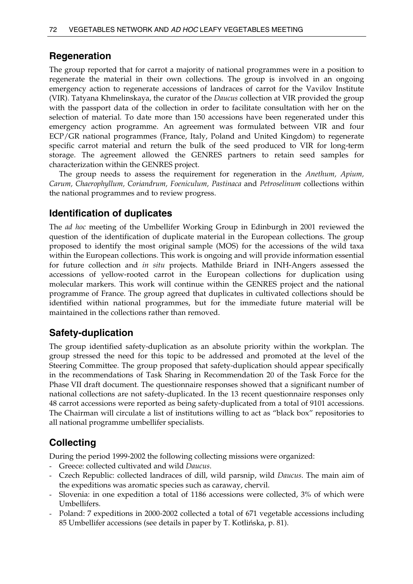## **Regeneration**

The group reported that for carrot a majority of national programmes were in a position to regenerate the material in their own collections. The group is involved in an ongoing emergency action to regenerate accessions of landraces of carrot for the Vavilov Institute (VIR). Tatyana Khmelinskaya, the curator of the *Daucus* collection at VIR provided the group with the passport data of the collection in order to facilitate consultation with her on the selection of material. To date more than 150 accessions have been regenerated under this emergency action programme. An agreement was formulated between VIR and four ECP/GR national programmes (France, Italy, Poland and United Kingdom) to regenerate specific carrot material and return the bulk of the seed produced to VIR for long-term storage. The agreement allowed the GENRES partners to retain seed samples for characterization within the GENRES project.

 The group needs to assess the requirement for regeneration in the *Anethum, Apium, Carum, Chaerophyllum, Coriandrum, Foeniculum, Pastinaca* and *Petroselinum* collections within the national programmes and to review progress.

## **Identification of duplicates**

The *ad hoc* meeting of the Umbellifer Working Group in Edinburgh in 2001 reviewed the question of the identification of duplicate material in the European collections. The group proposed to identify the most original sample (MOS) for the accessions of the wild taxa within the European collections. This work is ongoing and will provide information essential for future collection and *in situ* projects. Mathilde Briard in INH-Angers assessed the accessions of yellow-rooted carrot in the European collections for duplication using molecular markers. This work will continue within the GENRES project and the national programme of France. The group agreed that duplicates in cultivated collections should be identified within national programmes, but for the immediate future material will be maintained in the collections rather than removed.

## **Safety-duplication**

The group identified safety-duplication as an absolute priority within the workplan. The group stressed the need for this topic to be addressed and promoted at the level of the Steering Committee. The group proposed that safety-duplication should appear specifically in the recommendations of Task Sharing in Recommendation 20 of the Task Force for the Phase VII draft document. The questionnaire responses showed that a significant number of national collections are not safety-duplicated. In the 13 recent questionnaire responses only 48 carrot accessions were reported as being safety-duplicated from a total of 9101 accessions. The Chairman will circulate a list of institutions willing to act as "black box" repositories to all national programme umbellifer specialists.

## **Collecting**

During the period 1999-2002 the following collecting missions were organized:

- *-* Greece: collected cultivated and wild *Daucus*.
- *-* Czech Republic: collected landraces of dill, wild parsnip, wild *Daucus*. The main aim of the expeditions was aromatic species such as caraway, chervil.
- *-* Slovenia: in one expedition a total of 1186 accessions were collected, 3% of which were Umbellifers.
- *-* Poland: 7 expeditions in 2000-2002 collected a total of 671 vegetable accessions including 85 Umbellifer accessions (see details in paper by T. Kotlińska, p. 81).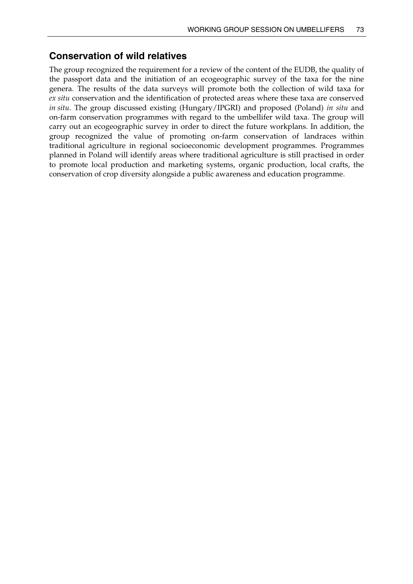## **Conservation of wild relatives**

The group recognized the requirement for a review of the content of the EUDB, the quality of the passport data and the initiation of an ecogeographic survey of the taxa for the nine genera. The results of the data surveys will promote both the collection of wild taxa for *ex situ* conservation and the identification of protected areas where these taxa are conserved *in situ*. The group discussed existing (Hungary/IPGRI) and proposed (Poland) *in situ* and on-farm conservation programmes with regard to the umbellifer wild taxa. The group will carry out an ecogeographic survey in order to direct the future workplans. In addition, the group recognized the value of promoting on-farm conservation of landraces within traditional agriculture in regional socioeconomic development programmes. Programmes planned in Poland will identify areas where traditional agriculture is still practised in order to promote local production and marketing systems, organic production, local crafts, the conservation of crop diversity alongside a public awareness and education programme.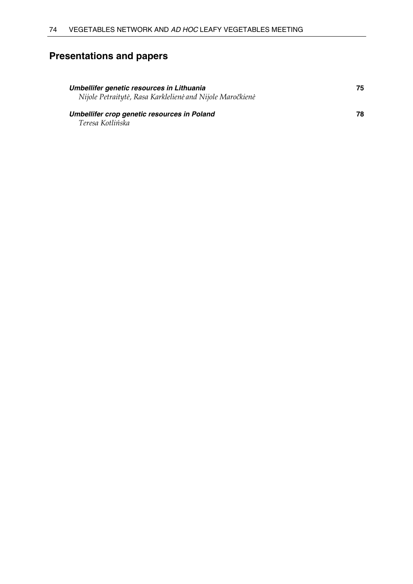# **Presentations and papers**

| Umbellifer genetic resources in Lithuania<br>Nijole Petraitytė, Rasa Karklelienė and Nijole Maročkienė | 75 |
|--------------------------------------------------------------------------------------------------------|----|
| Umbellifer crop genetic resources in Poland<br>Teresa Kotlińska                                        | 78 |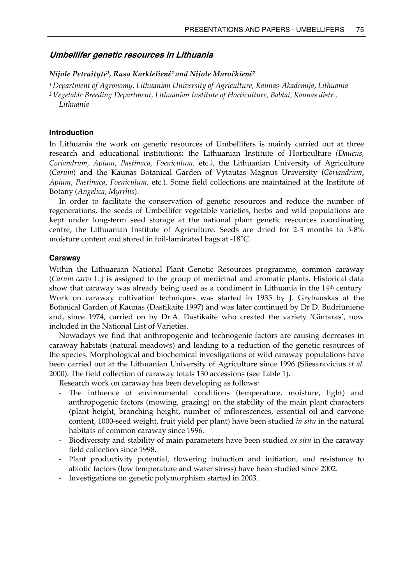#### **Umbellifer genetic resources in Lithuania**

#### *Nijole Petraitytø1, Rasa Karklelienø<sup>2</sup> and Nijole Maroìkienø<sup>2</sup>*

*<sup>1</sup> Department of Agronomy, Lithuanian University of Agriculture, Kaunas-Akademija, Lithuania* 

*<sup>2</sup> Vegetable Breeding Department, Lithuanian Institute of Horticulture, Babtai, Kaunas distr., Lithuania*

#### **Introduction**

In Lithuania the work on genetic resources of Umbellifers is mainly carried out at three research and educational institutions: the Lithuanian Institute of Horticulture *(Daucus, Coriandrum, Apium, Pastinaca, Foeniculum,* etc*.)*, the Lithuanian University of Agriculture (*Carum*) and the Kaunas Botanical Garden of Vytautas Magnus University (*Coriandrum*, *Apium*, *Pastinaca*, *Foeniculum,* etc.). Some field collections are maintained at the Institute of Botany (*Angelica, Myrrhis*).

 In order to facilitate the conservation of genetic resources and reduce the number of regenerations, the seeds of Umbellifer vegetable varieties, herbs and wild populations are kept under long-term seed storage at the national plant genetic resources coordinating centre, the Lithuanian Institute of Agriculture. Seeds are dried for 2-3 months to 5-8% moisture content and stored in foil-laminated bags at -18°C.

#### **Caraway**

Within the Lithuanian National Plant Genetic Resources programme, common caraway (*Carum carvi* L.) is assigned to the group of medicinal and aromatic plants. Historical data show that caraway was already being used as a condiment in Lithuania in the 14<sup>th</sup> century. Work on caraway cultivation techniques was started in 1935 by J. Grybauskas at the Botanical Garden of Kaunas (Dastikaitė 1997) and was later continued by Dr D. Budriūnienė and, since 1974, carried on by Dr A. Dastikaitø who created the variety 'Gintaras', now included in the National List of Varieties.

 Nowadays we find that anthropogenic and technogenic factors are causing decreases in caraway habitats (natural meadows) and leading to a reduction of the genetic resources of the species. Morphological and biochemical investigations of wild caraway populations have been carried out at the Lithuanian University of Agriculture since 1996 (Sliesaravicius *et al.*  2000). The field collection of caraway totals 130 accessions (see Table 1).

Research work on caraway has been developing as follows:

- The influence of environmental conditions (temperature, moisture, light) and anthropogenic factors (mowing, grazing) on the stability of the main plant characters (plant height, branching height, number of inflorescences, essential oil and carvone content, 1000-seed weight, fruit yield per plant) have been studied *in situ* in the natural habitats of common caraway since 1996.
- Biodiversity and stability of main parameters have been studied *ex situ* in the caraway field collection since 1998.
- Plant productivity potential, flowering induction and initiation, and resistance to abiotic factors (low temperature and water stress) have been studied since 2002.
- Investigations on genetic polymorphism started in 2003.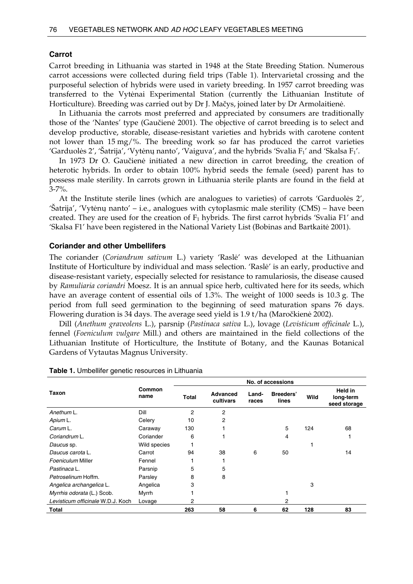#### **Carrot**

Carrot breeding in Lithuania was started in 1948 at the State Breeding Station. Numerous carrot accessions were collected during field trips (Table 1). Intervarietal crossing and the purposeful selection of hybrids were used in variety breeding. In 1957 carrot breeding was transferred to the Vytønai Experimental Station (currently the Lithuanian Institute of Horticulture). Breeding was carried out by Dr J. Mačys, joined later by Dr Armolaitienė.

 In Lithuania the carrots most preferred and appreciated by consumers are traditionally those of the 'Nantes' type (Gaučienė 2001). The objective of carrot breeding is to select and develop productive, storable, disease-resistant varieties and hybrids with carotene content not lower than 15 mg/%. The breeding work so far has produced the carrot varieties 'Garduolės 2', 'Šatrija', 'Vytėnų nanto', 'Vaiguva', and the hybrids 'Svalia F<sub>1</sub>' and 'Skalsa F<sub>1</sub>'.

In 1973 Dr O. Gaučienė initiated a new direction in carrot breeding, the creation of heterotic hybrids. In order to obtain 100% hybrid seeds the female (seed) parent has to possess male sterility. In carrots grown in Lithuania sterile plants are found in the field at 3-7%.

At the Institute sterile lines (which are analogues to varieties) of carrots 'Garduolės 2', 'Šatrija', 'Vytėnų nanto' – i.e., analogues with cytoplasmic male sterility (CMS) – have been created. They are used for the creation of  $F_1$  hybrids. The first carrot hybrids 'Svalia F1' and 'Skalsa F1' have been registered in the National Variety List (Bobinas and Bartkaitø 2001).

#### **Coriander and other Umbellifers**

The coriander (*Coriandrum sativum L.*) variety 'Raslė' was developed at the Lithuanian Institute of Horticulture by individual and mass selection. 'Raslė' is an early, productive and disease-resistant variety, especially selected for resistance to ramulariosis, the disease caused by *Ramuliaria coriandri* Moesz. It is an annual spice herb, cultivated here for its seeds, which have an average content of essential oils of 1.3%. The weight of 1000 seeds is 10.3 g. The period from full seed germination to the beginning of seed maturation spans 76 days. Flowering duration is 34 days. The average seed yield is 1.9 t/ha (Maročkienė 2002).

Dill (*Anethum graveolens* L.), parsnip (*Pastinaca sativa* L.), lovage (*Levisticum officinale* L.), fennel (*Foeniculum vulgare* Mill.) and others are maintained in the field collections of the Lithuanian Institute of Horticulture, the Institute of Botany, and the Kaunas Botanical Gardens of Vytautas Magnus University.

|                                   |                |       |                              |                | No. of accessions  |      |                                      |
|-----------------------------------|----------------|-------|------------------------------|----------------|--------------------|------|--------------------------------------|
| Taxon                             | Common<br>name | Total | <b>Advanced</b><br>cultivars | Land-<br>races | Breeders'<br>lines | Wild | Held in<br>long-term<br>seed storage |
| Anethum L.                        | Dill           | 2     | 2                            |                |                    |      |                                      |
| Apium L.                          | Celery         | 10    | 2                            |                |                    |      |                                      |
| Carum L.                          | Caraway        | 130   |                              |                | 5                  | 124  | 68                                   |
| Coriandrum L.                     | Coriander      | 6     |                              |                | 4                  |      |                                      |
| Daucus sp.                        | Wild species   |       |                              |                |                    |      |                                      |
| Daucus carota L.                  | Carrot         | 94    | 38                           | 6              | 50                 |      | 14                                   |
| <b>Foeniculum Miller</b>          | Fennel         |       |                              |                |                    |      |                                      |
| Pastinaca L.                      | Parsnip        | 5     | 5                            |                |                    |      |                                      |
| Petroselinum Hoffm.               | Parsley        | 8     | 8                            |                |                    |      |                                      |
| Angelica archangelica L.          | Angelica       | 3     |                              |                |                    | 3    |                                      |
| Myrrhis odorata (L.) Scob.        | Myrrh          |       |                              |                |                    |      |                                      |
| Levisticum officinale W.D.J. Koch | Lovage         | 2     |                              |                | 2                  |      |                                      |
| Total                             |                | 263   | 58                           | 6              | 62                 | 128  | 83                                   |

#### **Table 1.** Umbellifer genetic resources in Lithuania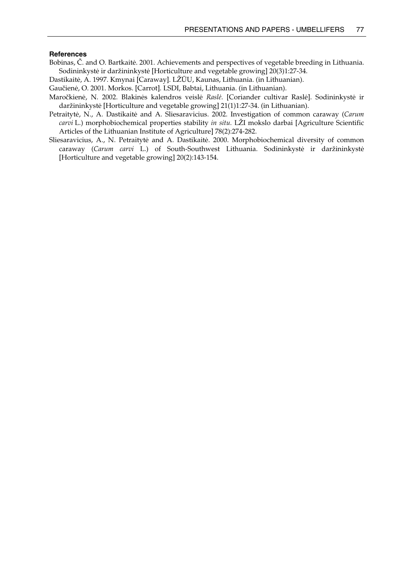#### **References**

- Bobinas, Č. and O. Bartkaitė. 2001. Achievements and perspectives of vegetable breeding in Lithuania. Sodininkystė ir daržininkystė [Horticulture and vegetable growing] 20(3)1:27-34.
- Dastikaitø, A. 1997. Kmynai [Caraway]. LŽIJU, Kaunas, Lithuania. (in Lithuanian).
- Gaučienė, O. 2001. Morkos. [Carrot]. LSDI, Babtai, Lithuania. (in Lithuanian).
- Maročkienė, N. 2002. Blakinės kalendros veislė *Raslė*. [Coriander cultivar Raslė]. Sodininkystė ir daržininkystø [Horticulture and vegetable growing] 21(1)1:27-34. (in Lithuanian).
- Petraitytė, N., A. Dastikaitė and A. Sliesaravicius. 2002. Investigation of common caraway (*Carum carvi* L.) morphobiochemical properties stability *in situ.* LŽI mokslo darbai [Agriculture Scientific Articles of the Lithuanian Institute of Agriculture] 78(2):274-282.
- Sliesaravicius, A., N. Petraitytė and A. Dastikaitė. 2000. Morphobiochemical diversity of common caraway (Carum carvi L.) of South-Southwest Lithuania. Sodininkystė ir daržininkystė [Horticulture and vegetable growing] 20(2):143-154.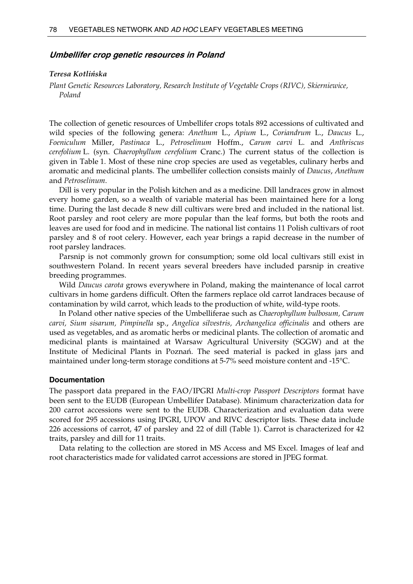#### **Umbellifer crop genetic resources in Poland**

#### *Teresa Kotliēska*

*Plant Genetic Resources Laboratory, Research Institute of Vegetable Crops (RIVC), Skierniewice, Poland*

The collection of genetic resources of Umbellifer crops totals 892 accessions of cultivated and wild species of the following genera: *Anethum* L., *Apium* L., *Coriandrum* L., *Daucus* L., *Foeniculum* Miller, *Pastinaca* L., *Petroselinum* Hoffm., *Carum carvi* L. and *Anthriscus cerefolium* L. (syn. *Chaerophyllum cerefolium* Cranc.) The current status of the collection is given in Table 1. Most of these nine crop species are used as vegetables, culinary herbs and aromatic and medicinal plants. The umbellifer collection consists mainly of *Daucus*, *Anethum* and *Petroselinum*.

 Dill is very popular in the Polish kitchen and as a medicine. Dill landraces grow in almost every home garden, so a wealth of variable material has been maintained here for a long time. During the last decade 8 new dill cultivars were bred and included in the national list. Root parsley and root celery are more popular than the leaf forms, but both the roots and leaves are used for food and in medicine. The national list contains 11 Polish cultivars of root parsley and 8 of root celery. However, each year brings a rapid decrease in the number of root parsley landraces.

 Parsnip is not commonly grown for consumption; some old local cultivars still exist in southwestern Poland. In recent years several breeders have included parsnip in creative breeding programmes.

 Wild *Daucus carota* grows everywhere in Poland, making the maintenance of local carrot cultivars in home gardens difficult. Often the farmers replace old carrot landraces because of contamination by wild carrot, which leads to the production of white, wild-type roots.

 In Poland other native species of the Umbelliferae such as *Chaerophyllum bulbosum, Carum carvi, Sium sisarum, Pimpinella* sp., *Angelica silvestris, Archangelica officinalis* and others are used as vegetables, and as aromatic herbs or medicinal plants. The collection of aromatic and medicinal plants is maintained at Warsaw Agricultural University (SGGW) and at the Institute of Medicinal Plants in Poznaē. The seed material is packed in glass jars and maintained under long-term storage conditions at 5-7% seed moisture content and -15°C.

#### **Documentation**

The passport data prepared in the FAO/IPGRI *Multi-crop Passport Descriptors* format have been sent to the EUDB (European Umbellifer Database). Minimum characterization data for 200 carrot accessions were sent to the EUDB. Characterization and evaluation data were scored for 295 accessions using IPGRI, UPOV and RIVC descriptor lists. These data include 226 accessions of carrot, 47 of parsley and 22 of dill (Table 1). Carrot is characterized for 42 traits, parsley and dill for 11 traits.

 Data relating to the collection are stored in MS Access and MS Excel. Images of leaf and root characteristics made for validated carrot accessions are stored in JPEG format.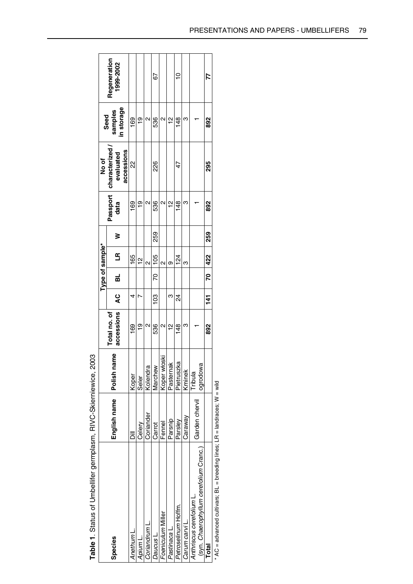|                                                                    |                |                     |                            |     |          | Type of sample*   |     |                | b<br>2                                              | Seed                  |                           |
|--------------------------------------------------------------------|----------------|---------------------|----------------------------|-----|----------|-------------------|-----|----------------|-----------------------------------------------------|-----------------------|---------------------------|
| <b>Species</b>                                                     | English name   | Polish name         | accessions<br>Total no. of | Q   | al       | <u>r</u>          | ⋧   | data           | Passport   characterized<br>accessions<br>evaluated | in storage<br>samples | Regeneration<br>1999-2002 |
| Anethum L.                                                         |                | Koper               | စ္မ                        | 4   |          | 165               |     | စ္မ            | $\frac{2}{3}$                                       | <b>69</b>             |                           |
| Apium L.                                                           | Celery         | Seler               | $\frac{6}{1}$              |     |          | $\frac{2}{1}$     |     | თ<br>T         |                                                     | <u>စု</u>             |                           |
| Coriandrum L.                                                      | Coriander      | Kolendra            | ุ                          |     |          | $\mathbf{\Omega}$ |     | N              |                                                     | $\mathbf{\alpha}$     |                           |
| Jaucus <sub>L</sub>                                                | Carrot         | Marchew             | 536                        | 103 | R        | 105               | 259 | 536            | 226                                                 | 536                   | 52                        |
| Foeniculum Miller                                                  | Fennel         | Koper włoski        | $\scriptstyle\sim$         |     |          | $\mathbf{\alpha}$ |     | $\sim$         |                                                     | $\mathbf{\Omega}$     |                           |
| Pastinaca L.                                                       | Parsnip        | Pasternak           | $\frac{2}{1}$              | ო   |          | σ.                |     | $\frac{2}{1}$  |                                                     | $\frac{1}{2}$         |                           |
| Petroselinum Hoffm.                                                | Parsley        | Pietruszka          | 148                        | 24  |          | 24                |     | $\frac{48}{5}$ | $\overline{4}$                                      | $\frac{48}{5}$        | ≘                         |
| Carum carvi L.                                                     | Caraway        | Kminek              | ო                          |     |          | ო                 |     | ო              |                                                     | ო                     |                           |
| (syn. Chaerophyllum cerefolium Cranc.)<br>Anthriscus cerefolium L. | Garden chervil | anopatoo<br>Tribula |                            |     |          |                   |     |                |                                                     |                       |                           |
| Total                                                              |                |                     | 892                        | 141 | <b>გ</b> | 422               | 259 | 892            | 295                                                 | 892                   | 7                         |
|                                                                    |                |                     |                            |     |          |                   |     |                |                                                     |                       |                           |

Table 1. Status of Umbellifer germplasm, RIVC-Skierniewice, 2003 **Table 1**. Status of Umbellifer germplasm, RIVC-Skierniewice, 2003

 $*$  AC = advanced cultivars; BL = breeding lines; LR = landraces; W = wild  $*$  AC = advanced cultivars; BL = breeding lines; LR = landraces; W = wild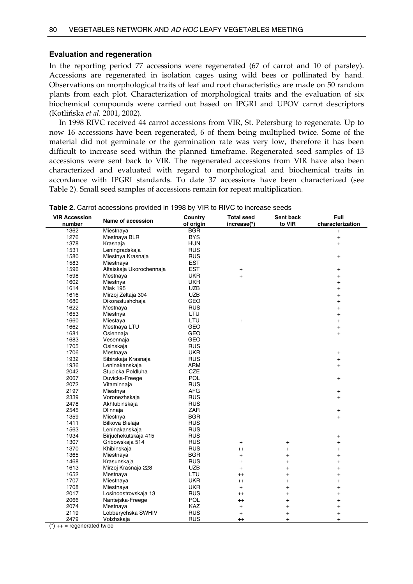#### **Evaluation and regeneration**

In the reporting period 77 accessions were regenerated (67 of carrot and 10 of parsley). Accessions are regenerated in isolation cages using wild bees or pollinated by hand. Observations on morphological traits of leaf and root characteristics are made on 50 random plants from each plot. Characterization of morphological traits and the evaluation of six biochemical compounds were carried out based on IPGRI and UPOV carrot descriptors (Kotliēska *et al.* 2001, 2002).

 In 1998 RIVC received 44 carrot accessions from VIR, St. Petersburg to regenerate. Up to now 16 accessions have been regenerated, 6 of them being multiplied twice. Some of the material did not germinate or the germination rate was very low, therefore it has been difficult to increase seed within the planned timeframe. Regenerated seed samples of 13 accessions were sent back to VIR. The regenerated accessions from VIR have also been characterized and evaluated with regard to morphological and biochemical traits in accordance with IPGRI standards. To date 37 accessions have been characterized (see Table 2). Small seed samples of accessions remain for repeat multiplication.

| <b>VIR Accession</b> | Name of accession        | Country    | <b>Total seed</b> | Sent back | Full                             |
|----------------------|--------------------------|------------|-------------------|-----------|----------------------------------|
| number               |                          | of origin  | increase(*)       | to VIR    | characterization                 |
| 1362                 | Miestnaya                | <b>BGR</b> |                   |           | $+$                              |
| 1276                 | Mestnaya BLR             | <b>BYS</b> |                   |           | $\begin{array}{c} + \end{array}$ |
| 1378                 | Krasnaja                 | <b>HUN</b> |                   |           | $\begin{array}{c} + \end{array}$ |
| 1531                 | Leningradskaja           | <b>RUS</b> |                   |           |                                  |
| 1580                 | Miestnya Krasnaja        | <b>RUS</b> |                   |           | $\ddot{}$                        |
| 1583                 | Miestnaya                | <b>EST</b> |                   |           |                                  |
| 1596                 | Altaiskaja Ukorochennaja | <b>EST</b> | $\pmb{+}$         |           | $\ddot{}$                        |
| 1598                 | Mestnaya                 | <b>UKR</b> | $\ddot{}$         |           | $\ddot{}$                        |
| 1602                 | Miestnya                 | <b>UKR</b> |                   |           | $\ddot{}$                        |
| 1614                 | <b>Miak 195</b>          | <b>UZB</b> |                   |           | $\ddot{}$                        |
| 1616                 | Mirzoj Zeltaja 304       | <b>UZB</b> |                   |           | $\ddot{}$                        |
| 1680                 | Dikorastushchaja         | <b>GEO</b> |                   |           | $+$                              |
| 1622                 | Mestnaya                 | <b>RUS</b> |                   |           | $\ddot{}$                        |
| 1653                 | Miestnya                 | LTU        |                   |           | $\ddot{}$                        |
| 1660                 | Miestaya                 | LTU        | $\ddot{}$         |           | $\ddot{}$                        |
| 1662                 | Mestnaya LTU             | GEO        |                   |           | $\begin{array}{c} + \end{array}$ |
| 1681                 | Osiennaja                | GEO        |                   |           | $+$                              |
| 1683                 | Vesennaja                | GEO        |                   |           |                                  |
| 1705                 | Osinskaja                | <b>RUS</b> |                   |           |                                  |
| 1706                 | Mestnaya                 | <b>UKR</b> |                   |           | $\ddot{}$                        |
| 1932                 | Sibirskaja Krasnaja      | <b>RUS</b> |                   |           | $+$                              |
| 1936                 | Leninakanskaja           | ARM        |                   |           | $+$                              |
| 2042                 | Stupicka Poldluha        | <b>CZE</b> |                   |           |                                  |
| 2067                 | Duvicka-Freege           | <b>POL</b> |                   |           | $\ddot{}$                        |
| 2072                 | Vitaminnaja              | <b>RUS</b> |                   |           |                                  |
| 2197                 | Miestnya                 | <b>AFG</b> |                   |           | $\ddot{}$                        |
| 2339                 | Voronezhskaja            | <b>RUS</b> |                   |           | $+$                              |
| 2478                 | Akhtubinskaja            | <b>RUS</b> |                   |           |                                  |
| 2545                 | Dlinnaja                 | <b>ZAR</b> |                   |           | $\begin{array}{c} + \end{array}$ |
| 1359                 | Miestnya                 | <b>BGR</b> |                   |           | $+$                              |
| 1411                 | Bilkova Bielaja          | <b>RUS</b> |                   |           |                                  |
| 1563                 | Leninakanskaja           | <b>RUS</b> |                   |           |                                  |
| 1934                 |                          | <b>RUS</b> |                   |           |                                  |
| 1307                 | Birjuchekutskaja 415     | <b>RUS</b> |                   |           | $\ddot{}$                        |
| 1370                 | Gribowskaja 514          | <b>RUS</b> | $\pmb{+}$         | +         | $\ddot{}$                        |
|                      | Khibinskaja              |            | $^{++}$           | $\ddot{}$ | $\ddot{}$                        |
| 1365                 | Miestnaya                | <b>BGR</b> | $^{+}$            | $\ddot{}$ | $\ddot{}$                        |
| 1468                 | Krasunskaja              | <b>RUS</b> | $^{+}$            | $\ddot{}$ | $\ddot{}$                        |
| 1613                 | Mirzoj Krasnaja 228      | <b>UZB</b> | $\ddot{}$         | $+$       | $+$                              |
| 1652                 | Mestnaya                 | LTU        | $^{++}$           | $+$       | $\ddot{}$                        |
| 1707                 | Miestnaya                | UKR        | $^{++}$           | $\ddot{}$ | $\ddot{}$                        |
| 1708                 | Miestnaya                | <b>UKR</b> | $^{+}$            | $\ddot{}$ | $\ddot{}$                        |
| 2017                 | Losinoostrovskaja 13     | <b>RUS</b> | $^{++}$           | $\ddot{}$ | $\ddot{}$                        |
| 2066                 | Nantejska-Freege         | POL        | $^{++}$           | $+$       | $\ddot{}$                        |
| 2074                 | Mestnaya                 | <b>KAZ</b> | $^{+}$            | $\ddot{}$ | $\ddot{}$                        |
| 2119                 | Lobberychska SWHIV       | <b>RUS</b> | $\ddot{}$         | $\ddot{}$ | $\ddot{}$                        |
| 2479                 | Volzhskaja               | <b>RUS</b> | $^{++}$           | $+$       | $+$                              |

**Table 2.** Carrot accessions provided in 1998 by VIR to RIVC to increase seeds

 $(*)$  ++ = regenerated twice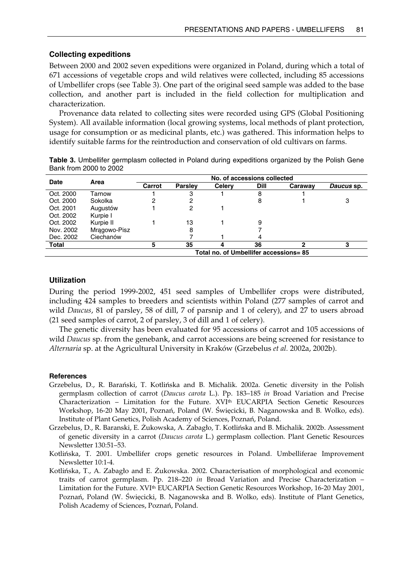#### **Collecting expeditions**

Between 2000 and 2002 seven expeditions were organized in Poland, during which a total of 671 accessions of vegetable crops and wild relatives were collected, including 85 accessions of Umbellifer crops (see Table 3). One part of the original seed sample was added to the base collection, and another part is included in the field collection for multiplication and characterization.

 Provenance data related to collecting sites were recorded using GPS (Global Positioning System). All available information (local growing systems, local methods of plant protection, usage for consumption or as medicinal plants, etc.) was gathered. This information helps to identify suitable farms for the reintroduction and conservation of old cultivars on farms.

**Table 3.** Umbellifer germplasm collected in Poland during expeditions organized by the Polish Gene Bank from 2000 to 2002

| <b>Date</b>  |              |        |                |                                        | No. of accessions collected |         |                   |
|--------------|--------------|--------|----------------|----------------------------------------|-----------------------------|---------|-------------------|
|              | Area         | Carrot | <b>Parsley</b> | Celery                                 | Dill                        | Caraway | <i>Daucus</i> sp. |
| Oct. 2000    | Tarnow       |        |                |                                        | 8                           |         |                   |
| Oct. 2000    | Sokolka      |        |                |                                        | 8                           |         | 3                 |
| Oct. 2001    | Augustów     |        | 2              |                                        |                             |         |                   |
| Oct. 2002    | Kurpie I     |        |                |                                        |                             |         |                   |
| Oct. 2002    | Kurpie II    |        | 13             |                                        | 9                           |         |                   |
| Nov. 2002    | Mragowo-Pisz |        |                |                                        |                             |         |                   |
| Dec. 2002    | Ciechanów    |        |                |                                        |                             |         |                   |
| <b>Total</b> |              |        | 35             |                                        | 36                          | າ       |                   |
|              |              |        |                | Total no. of Umbellifer accessions= 85 |                             |         |                   |

#### **Utilization**

During the period 1999-2002, 451 seed samples of Umbellifer crops were distributed, including 424 samples to breeders and scientists within Poland (277 samples of carrot and wild *Daucus*, 81 of parsley, 58 of dill, 7 of parsnip and 1 of celery), and 27 to users abroad (21 seed samples of carrot, 2 of parsley, 3 of dill and 1 of celery).

 The genetic diversity has been evaluated for 95 accessions of carrot and 105 accessions of wild *Daucus* sp. from the genebank, and carrot accessions are being screened for resistance to *Alternaria* sp. at the Agricultural University in Kraków (Grzebelus *et al.* 2002a, 2002b).

#### **References**

- Grzebelus, D., R. Barański, T. Kotlińska and B. Michalik. 2002a. Genetic diversity in the Polish germplasm collection of carrot (*Daucus carota* L.). Pp. 183–185 *in* Broad Variation and Precise Characterization - Limitation for the Future.  $XVI<sup>th</sup>$  EUCARPIA Section Genetic Resources Workshop, 16-20 May 2001, Poznań, Poland (W. Święcicki, B. Naganowska and B. Wolko, eds). Institute of Plant Genetics, Polish Academy of Sciences, Poznań, Poland.
- Grzebelus, D., R. Baranski, E. Żukowska, A. Zabagło, T. Kotlińska and B. Michalik. 2002b. Assessment of genetic diversity in a carrot (*Daucus carota* L.) germplasm collection. Plant Genetic Resources Newsletter 130:51–53.
- Kotlińska, T. 2001. Umbellifer crops genetic resources in Poland. Umbelliferae Improvement Newsletter 10:1-4.
- Kotlińska, T., A. Zabagło and E. Żukowska. 2002. Characterisation of morphological and economic traits of carrot germplasm. Pp. 218–220 *in* Broad Variation and Precise Characterization – Limitation for the Future. XVI<sup>th</sup> EUCARPIA Section Genetic Resources Workshop, 16-20 May 2001, Poznań, Poland (W. Święcicki, B. Naganowska and B. Wolko, eds). Institute of Plant Genetics, Polish Academy of Sciences, Poznań, Poland.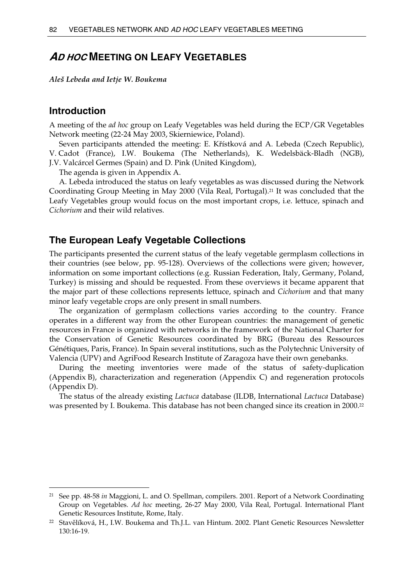## **AD HOC MEETING ON LEAFY VEGETABLES**

*Aleš Lebeda and Ietje W. Boukema* 

## **Introduction**

1

A meeting of the *ad hoc* group on Leafy Vegetables was held during the ECP/GR Vegetables Network meeting (22-24 May 2003, Skierniewice, Poland).

Seven participants attended the meeting: E. Křístková and A. Lebeda (Czech Republic), V. Cadot (France), I.W. Boukema (The Netherlands), K. Wedelsbäck-Bladh (NGB), J.V. Valcárcel Germes (Spain) and D. Pink (United Kingdom),

The agenda is given in Appendix A.

 A. Lebeda introduced the status on leafy vegetables as was discussed during the Network Coordinating Group Meeting in May 2000 (Vila Real, Portugal).21 It was concluded that the Leafy Vegetables group would focus on the most important crops, i.e. lettuce, spinach and *Cichorium* and their wild relatives*.*

## **The European Leafy Vegetable Collections**

The participants presented the current status of the leafy vegetable germplasm collections in their countries (see below, pp. 95-128). Overviews of the collections were given; however, information on some important collections (e.g. Russian Federation, Italy, Germany, Poland, Turkey) is missing and should be requested. From these overviews it became apparent that the major part of these collections represents lettuce, spinach and *Cichorium* and that many minor leafy vegetable crops are only present in small numbers.

 The organization of germplasm collections varies according to the country. France operates in a different way from the other European countries: the management of genetic resources in France is organized with networks in the framework of the National Charter for the Conservation of Genetic Resources coordinated by BRG (Bureau des Ressources Génétiques, Paris, France). In Spain several institutions, such as the Polytechnic University of Valencia (UPV) and AgriFood Research Institute of Zaragoza have their own genebanks.

 During the meeting inventories were made of the status of safety-duplication (Appendix B), characterization and regeneration (Appendix C) and regeneration protocols (Appendix D).

 The status of the already existing *Lactuca* database (ILDB, International *Lactuca* Database) was presented by I. Boukema. This database has not been changed since its creation in 2000.22

<sup>21</sup> See pp. 48-58 *in* Maggioni, L. and O. Spellman, compilers. 2001. Report of a Network Coordinating Group on Vegetables. *Ad hoc* meeting, 26-27 May 2000, Vila Real, Portugal. International Plant Genetic Resources Institute, Rome, Italy.

<sup>&</sup>lt;sup>22</sup> Stavělíková, H., I.W. Boukema and Th.J.L. van Hintum. 2002. Plant Genetic Resources Newsletter 130:16-19.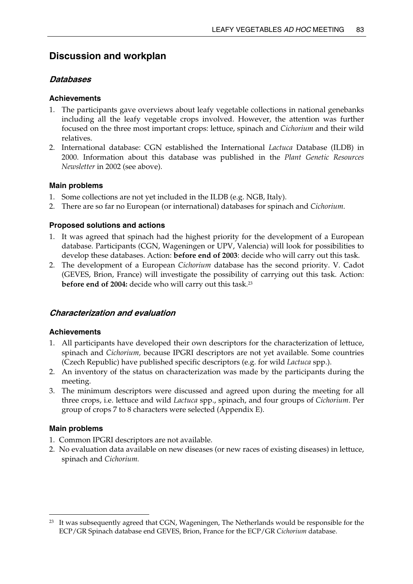## **Discussion and workplan**

## **Databases**

### **Achievements**

- 1. The participants gave overviews about leafy vegetable collections in national genebanks including all the leafy vegetable crops involved. However, the attention was further focused on the three most important crops: lettuce, spinach and *Cichorium* and their wild relatives.
- 2. International database: CGN established the International *Lactuca* Database (ILDB) in 2000. Information about this database was published in the *Plant Genetic Resources Newsletter* in 2002 (see above).

### **Main problems**

- 1. Some collections are not yet included in the ILDB (e.g. NGB, Italy).
- 2. There are so far no European (or international) databases for spinach and *Cichorium*.

### **Proposed solutions and actions**

- 1. It was agreed that spinach had the highest priority for the development of a European database. Participants (CGN, Wageningen or UPV, Valencia) will look for possibilities to develop these databases. Action: **before end of 2003**: decide who will carry out this task.
- 2. The development of a European *Cichorium* database has the second priority. V. Cadot (GEVES, Brion, France) will investigate the possibility of carrying out this task. Action: **before end of 2004:** decide who will carry out this task.23

## **Characterization and evaluation**

## **Achievements**

- 1. All participants have developed their own descriptors for the characterization of lettuce, spinach and *Cichorium,* because IPGRI descriptors are not yet available. Some countries (Czech Republic) have published specific descriptors (e.g. for wild *Lactuca* spp.).
- 2. An inventory of the status on characterization was made by the participants during the meeting.
- 3. The minimum descriptors were discussed and agreed upon during the meeting for all three crops, i.e. lettuce and wild *Lactuca* spp., spinach, and four groups of *Cichorium*. Per group of crops 7 to 8 characters were selected (Appendix E).

## **Main problems**

- 1. Common IPGRI descriptors are not available.
- 2. No evaluation data available on new diseases (or new races of existing diseases) in lettuce, spinach and *Cichorium.*

 $\overline{a}$ <sup>23</sup> It was subsequently agreed that CGN, Wageningen, The Netherlands would be responsible for the ECP/GR Spinach database end GEVES, Brion, France for the ECP/GR *Cichorium* database.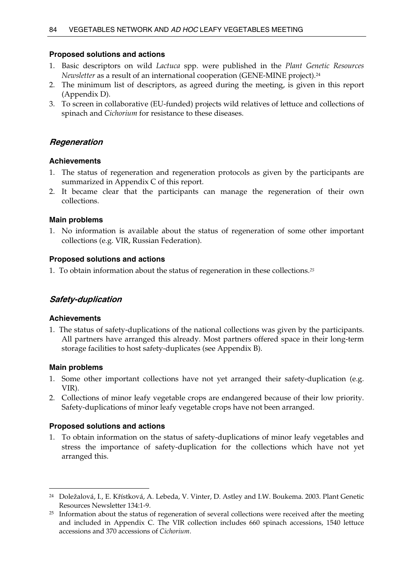### **Proposed solutions and actions**

- 1. Basic descriptors on wild *Lactuca* spp. were published in the *Plant Genetic Resources Newsletter* as a result of an international cooperation (GENE-MINE project).<sup>24</sup>
- 2. The minimum list of descriptors, as agreed during the meeting, is given in this report (Appendix D).
- 3. To screen in collaborative (EU-funded) projects wild relatives of lettuce and collections of spinach and *Cichorium* for resistance to these diseases.

## **Regeneration**

### **Achievements**

- 1. The status of regeneration and regeneration protocols as given by the participants are summarized in Appendix C of this report.
- 2. It became clear that the participants can manage the regeneration of their own collections.

### **Main problems**

1. No information is available about the status of regeneration of some other important collections (e.g. VIR, Russian Federation).

### **Proposed solutions and actions**

1. To obtain information about the status of regeneration in these collections.*<sup>25</sup>*

## **Safety-duplication**

### **Achievements**

1. The status of safety-duplications of the national collections was given by the participants. All partners have arranged this already. Most partners offered space in their long-term storage facilities to host safety-duplicates (see Appendix B).

### **Main problems**

 $\overline{a}$ 

- 1. Some other important collections have not yet arranged their safety-duplication (e.g. VIR).
- 2. Collections of minor leafy vegetable crops are endangered because of their low priority. Safety-duplications of minor leafy vegetable crops have not been arranged.

## **Proposed solutions and actions**

1. To obtain information on the status of safety-duplications of minor leafy vegetables and stress the importance of safety-duplication for the collections which have not yet arranged this.

<sup>&</sup>lt;sup>24</sup> Doležalová, I., E. Křístková, A. Lebeda, V. Vinter, D. Astley and I.W. Boukema. 2003. Plant Genetic Resources Newsletter 134:1-9.

<sup>&</sup>lt;sup>25</sup> Information about the status of regeneration of several collections were received after the meeting and included in Appendix C. The VIR collection includes 660 spinach accessions, 1540 lettuce accessions and 370 accessions of *Cichorium*.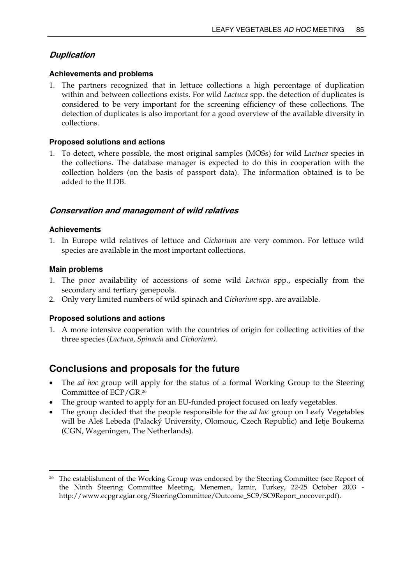## **Duplication**

### **Achievements and problems**

1. The partners recognized that in lettuce collections a high percentage of duplication within and between collections exists. For wild *Lactuca* spp. the detection of duplicates is considered to be very important for the screening efficiency of these collections. The detection of duplicates is also important for a good overview of the available diversity in collections.

### **Proposed solutions and actions**

1. To detect, where possible, the most original samples (MOSs) for wild *Lactuca* species in the collections. The database manager is expected to do this in cooperation with the collection holders (on the basis of passport data). The information obtained is to be added to the ILDB.

### **Conservation and management of wild relatives**

### **Achievements**

1. In Europe wild relatives of lettuce and *Cichorium* are very common. For lettuce wild species are available in the most important collections.

### **Main problems**

 $\overline{a}$ 

- 1. The poor availability of accessions of some wild *Lactuca* spp., especially from the secondary and tertiary genepools.
- 2. Only very limited numbers of wild spinach and *Cichorium* spp. are available.

#### **Proposed solutions and actions**

1. A more intensive cooperation with the countries of origin for collecting activities of the three species (*Lactuca*, *Spinacia* and *Cichorium)*.

## **Conclusions and proposals for the future**

- x The *ad hoc* group will apply for the status of a formal Working Group to the Steering Committee of ECP/GR.26
- The group wanted to apply for an EU-funded project focused on leafy vegetables.
- x The group decided that the people responsible for the *ad hoc* group on Leafy Vegetables will be Aleš Lebeda (Palacký University, Olomouc, Czech Republic) and Ietje Boukema (CGN, Wageningen, The Netherlands).

<sup>&</sup>lt;sup>26</sup> The establishment of the Working Group was endorsed by the Steering Committee (see Report of the Ninth Steering Committee Meeting, Menemen, Izmir, Turkey, 22-25 October 2003 http://www.ecpgr.cgiar.org/SteeringCommittee/Outcome\_SC9/SC9Report\_nocover.pdf).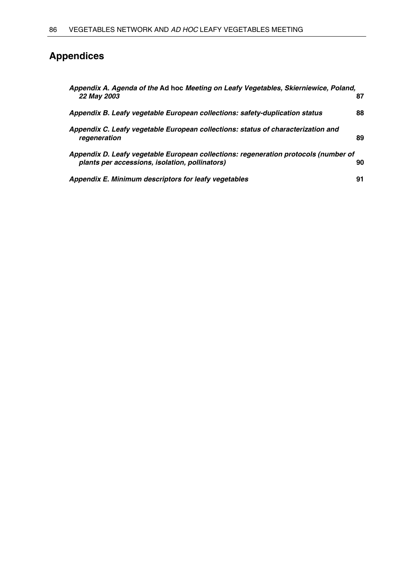# **Appendices**

| Appendix A. Agenda of the Ad hoc Meeting on Leafy Vegetables, Skierniewice, Poland,<br>22 May 2003                                    | 87 |
|---------------------------------------------------------------------------------------------------------------------------------------|----|
| Appendix B. Leafy vegetable European collections: safety-duplication status                                                           | 88 |
| Appendix C. Leafy vegetable European collections: status of characterization and<br>regeneration                                      | 89 |
| Appendix D. Leafy vegetable European collections: regeneration protocols (number of<br>plants per accessions, isolation, pollinators) | 90 |
| Appendix E. Minimum descriptors for leafy vegetables                                                                                  | 91 |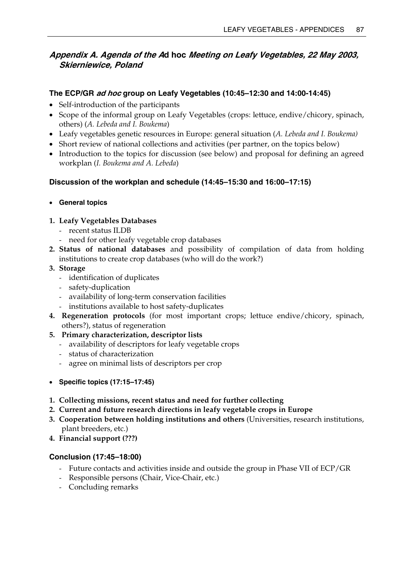## **Appendix A. Agenda of the Ad hoc Meeting on Leafy Vegetables, 22 May 2003, Skierniewice, Poland**

## **The ECP/GR ad hoc group on Leafy Vegetables (10:45–12:30 and 14:00-14:45)**

- Self-introduction of the participants
- Scope of the informal group on Leafy Vegetables (crops: lettuce, endive/chicory, spinach, others) (*A. Lebeda and I. Boukema*)
- x Leafy vegetables genetic resources in Europe: general situation (*A. Lebeda and I. Boukema)*
- Short review of national collections and activities (per partner, on the topics below)
- Introduction to the topics for discussion (see below) and proposal for defining an agreed workplan (*I. Boukema and A. Lebeda*)

## **Discussion of the workplan and schedule (14:45–15:30 and 16:00–17:15)**

x **General topics** 

## **1. Leafy Vegetables Databases**

- *-* recent status ILDB
- *-* need for other leafy vegetable crop databases
- **2. Status of national databases** and possibility of compilation of data from holding institutions to create crop databases (who will do the work?)
- **3. Storage**
	- *-* identification of duplicates
	- *-* safety-duplication
	- *-* availability of long-term conservation facilities
	- *-* institutions available to host safety-duplicates
- **4. Regeneration protocols** (for most important crops; lettuce endive/chicory, spinach, others?), status of regeneration
- **5. Primary characterization, descriptor lists** 
	- *-* availability of descriptors for leafy vegetable crops
	- *-* status of characterization
	- *-* agree on minimal lists of descriptors per crop
- x **Specific topics (17:15–17:45)**
- **1. Collecting missions, recent status and need for further collecting**
- **2. Current and future research directions in leafy vegetable crops in Europe**
- **3. Cooperation between holding institutions and others** (Universities, research institutions, plant breeders, etc.)
- **4. Financial support (???)**

### **Conclusion (17:45–18:00)**

- *-* Future contacts and activities inside and outside the group in Phase VII of ECP/GR
- *-* Responsible persons (Chair, Vice-Chair, etc.)
- *-* Concluding remarks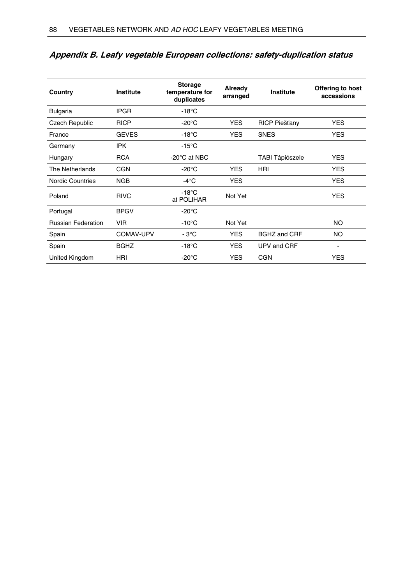| <b>Country</b>            | <b>Institute</b> | <b>Storage</b><br>temperature for<br>duplicates | <b>Already</b><br>arranged | Institute              | Offering to host<br>accessions |
|---------------------------|------------------|-------------------------------------------------|----------------------------|------------------------|--------------------------------|
| <b>Bulgaria</b>           | <b>IPGR</b>      | $-18^{\circ}$ C                                 |                            |                        |                                |
| <b>Czech Republic</b>     | <b>RICP</b>      | $-20^{\circ}$ C                                 | <b>YES</b>                 | <b>RICP Piešťany</b>   | <b>YES</b>                     |
| France                    | <b>GEVES</b>     | $-18^{\circ}$ C                                 | <b>YES</b>                 | <b>SNES</b>            | <b>YES</b>                     |
| Germany                   | <b>IPK</b>       | $-15^{\circ}$ C                                 |                            |                        |                                |
| Hungary                   | <b>RCA</b>       | -20°C at NBC                                    |                            | <b>TABI Tápiószele</b> | <b>YES</b>                     |
| The Netherlands           | <b>CGN</b>       | $-20^{\circ}$ C                                 | <b>YES</b>                 | <b>HRI</b>             | <b>YES</b>                     |
| <b>Nordic Countries</b>   | <b>NGB</b>       | -4°C                                            | <b>YES</b>                 |                        | <b>YES</b>                     |
| Poland                    | <b>RIVC</b>      | $-18^{\circ}$ C<br>at POLIHAR                   | Not Yet                    |                        | <b>YES</b>                     |
| Portugal                  | <b>BPGV</b>      | $-20^{\circ}$ C                                 |                            |                        |                                |
| <b>Russian Federation</b> | <b>VIR</b>       | $-10^{\circ}$ C                                 | Not Yet                    |                        | <b>NO</b>                      |
| Spain                     | COMAV-UPV        | - 3°C                                           | <b>YES</b>                 | <b>BGHZ and CRF</b>    | <b>NO</b>                      |
| Spain                     | <b>BGHZ</b>      | $-18^{\circ}$ C                                 | <b>YES</b>                 | UPV and CRF            | ٠                              |
| United Kingdom            | <b>HRI</b>       | $-20^{\circ}$ C                                 | <b>YES</b>                 | <b>CGN</b>             | <b>YES</b>                     |

# **Appendix B. Leafy vegetable European collections: safety-duplication status**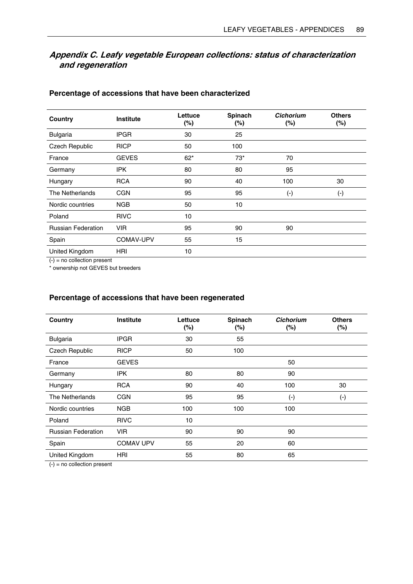## **Appendix C. Leafy vegetable European collections: status of characterization and regeneration**

| Country                   | <b>Institute</b> | Lettuce<br>(%) | Spinach<br>$(\%)$ | <b>Cichorium</b><br>$(\%)$ | <b>Others</b><br>$(\%)$ |
|---------------------------|------------------|----------------|-------------------|----------------------------|-------------------------|
| <b>Bulgaria</b>           | <b>IPGR</b>      | 30             | 25                |                            |                         |
| <b>Czech Republic</b>     | <b>RICP</b>      | 50             | 100               |                            |                         |
| France                    | <b>GEVES</b>     | $62*$          | $73*$             | 70                         |                         |
| Germany                   | IPK.             | 80             | 80                | 95                         |                         |
| Hungary                   | <b>RCA</b>       | 90             | 40                | 100                        | 30                      |
| The Netherlands           | <b>CGN</b>       | 95             | 95                | $(\cdot)$                  | $(\cdot)$               |
| Nordic countries          | <b>NGB</b>       | 50             | 10                |                            |                         |
| Poland                    | <b>RIVC</b>      | 10             |                   |                            |                         |
| <b>Russian Federation</b> | <b>VIR</b>       | 95             | 90                | 90                         |                         |
| Spain                     | <b>COMAV-UPV</b> | 55             | 15                |                            |                         |
| United Kingdom            | HRI              | 10             |                   |                            |                         |

#### **Percentage of accessions that have been characterized**

 $(-)$  = no collection present

\* ownership not GEVES but breeders

#### **Percentage of accessions that have been regenerated**

| Country                   | <b>Institute</b> | Lettuce<br>$(\%)$ | Spinach<br>$(\%)$ | <b>Cichorium</b><br>$(\%)$ | <b>Others</b><br>$(\%)$ |
|---------------------------|------------------|-------------------|-------------------|----------------------------|-------------------------|
| Bulgaria                  | <b>IPGR</b>      | 30                | 55                |                            |                         |
| <b>Czech Republic</b>     | <b>RICP</b>      | 50                | 100               |                            |                         |
| France                    | <b>GEVES</b>     |                   |                   | 50                         |                         |
| Germany                   | <b>IPK</b>       | 80                | 80                | 90                         |                         |
| Hungary                   | <b>RCA</b>       | 90                | 40                | 100                        | 30                      |
| The Netherlands           | <b>CGN</b>       | 95                | 95                | $(-)$                      | $(\cdot)$               |
| Nordic countries          | <b>NGB</b>       | 100               | 100               | 100                        |                         |
| Poland                    | <b>RIVC</b>      | 10                |                   |                            |                         |
| <b>Russian Federation</b> | <b>VIR</b>       | 90                | 90                | 90                         |                         |
| Spain                     | <b>COMAV UPV</b> | 55                | 20                | 60                         |                         |
| United Kingdom            | HRI              | 55                | 80                | 65                         |                         |

 $(-)$  = no collection present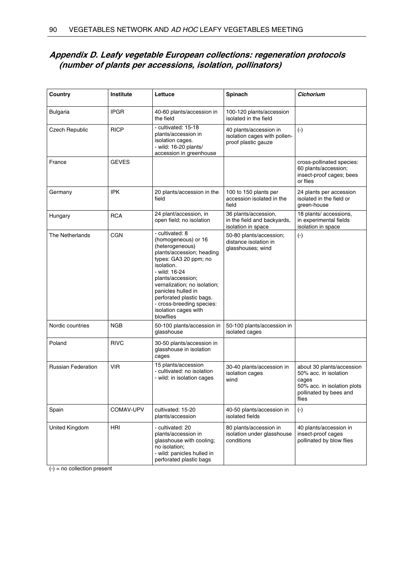## **Appendix D. Leafy vegetable European collections: regeneration protocols (number of plants per accessions, isolation, pollinators)**

| Country                   | <b>Institute</b> | Lettuce                                                                                                                                                                                                                                                                                                                 | Spinach                                                                       | <b>Cichorium</b>                                                                                                              |
|---------------------------|------------------|-------------------------------------------------------------------------------------------------------------------------------------------------------------------------------------------------------------------------------------------------------------------------------------------------------------------------|-------------------------------------------------------------------------------|-------------------------------------------------------------------------------------------------------------------------------|
| <b>Bulgaria</b>           | <b>IPGR</b>      | 40-60 plants/accession in<br>the field                                                                                                                                                                                                                                                                                  | 100-120 plants/accession<br>isolated in the field                             |                                                                                                                               |
| <b>Czech Republic</b>     | <b>RICP</b>      | - cultivated: 15-18<br>plants/accession in<br>isolation cages.<br>- wild: 16-20 plants/<br>accession in greenhouse                                                                                                                                                                                                      | 40 plants/accession in<br>isolation cages with pollen-<br>proof plastic gauze | $(\cdot)$                                                                                                                     |
| France                    | <b>GEVES</b>     |                                                                                                                                                                                                                                                                                                                         |                                                                               | cross-pollinated species:<br>60 plants/accession;<br>insect-proof cages; bees<br>or flies                                     |
| Germany                   | <b>IPK</b>       | 20 plants/accession in the<br>field                                                                                                                                                                                                                                                                                     | 100 to 150 plants per<br>accession isolated in the<br>field                   | 24 plants per accession<br>isolated in the field or<br>green-house                                                            |
| Hungary                   | <b>RCA</b>       | 24 plant/accession, in<br>open field; no isolation                                                                                                                                                                                                                                                                      | 36 plants/accession,<br>in the field and backyards,<br>isolation in space     | 18 plants/ accessions,<br>in experimental fields<br>isolation in space                                                        |
| The Netherlands           | <b>CGN</b>       | - cultivated: 8<br>(homogeneous) or 16<br>(heterogeneous)<br>plants/accession; heading<br>types: GA3 20 ppm; no<br>isolation.<br>- wild: 16-24<br>plants/accession;<br>vernalization; no isolation;<br>panicles hulled in<br>perforated plastic bags.<br>- cross-breeding species:<br>isolation cages with<br>blowflies | 50-80 plants/accession;<br>distance isolation in<br>glasshouses; wind         | $(\cdot)$                                                                                                                     |
| Nordic countries          | <b>NGB</b>       | 50-100 plants/accession in<br>glasshouse                                                                                                                                                                                                                                                                                | 50-100 plants/accession in<br>isolated cages                                  |                                                                                                                               |
| Poland                    | <b>RIVC</b>      | 30-50 plants/accession in<br>glasshouse in isolation<br>cages                                                                                                                                                                                                                                                           |                                                                               |                                                                                                                               |
| <b>Russian Federation</b> | <b>VIR</b>       | 15 plants/accession<br>- cultivated: no isolation<br>- wild: in isolation cages                                                                                                                                                                                                                                         | 30-40 plants/accession in<br>isolation cages<br>wind                          | about 30 plants/accession<br>50% acc. in isolation<br>cages<br>50% acc. in isolation plots<br>pollinated by bees and<br>flies |
| Spain                     | COMAV-UPV        | cultivated: 15-20<br>plants/accession                                                                                                                                                                                                                                                                                   | 40-50 plants/accession in<br>isolated fields                                  | $(\cdot)$                                                                                                                     |
| United Kingdom            | HRI              | - cultivated: 20<br>plants/accession in<br>glasshouse with cooling;<br>no isolation;<br>- wild: panicles hulled in<br>perforated plastic bags                                                                                                                                                                           | 80 plants/accession in<br>isolation under glasshouse<br>conditions            | 40 plants/accession in<br>insect-proof cages<br>pollinated by blow flies                                                      |

 $(-) = no$  collection present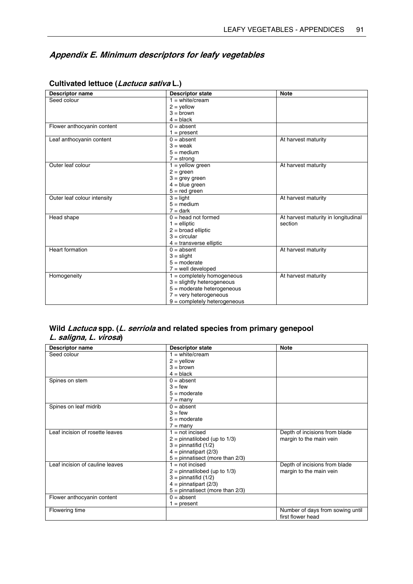## **Appendix E. Minimum descriptors for leafy vegetables**

| <b>Descriptor name</b>      | <b>Descriptor state</b>        | <b>Note</b>                         |
|-----------------------------|--------------------------------|-------------------------------------|
| Seed colour                 | $1 = \text{white/cream}$       |                                     |
|                             | $2 =$ yellow                   |                                     |
|                             | $3 =$ brown                    |                                     |
|                             | $4 = black$                    |                                     |
| Flower anthocyanin content  | $0 =$ absent                   |                                     |
|                             | $1 = present$                  |                                     |
| Leaf anthocyanin content    | $0 =$ absent                   | At harvest maturity                 |
|                             | $3 =$ weak                     |                                     |
|                             | $5 = \text{medium}$            |                                     |
|                             | $7 =$ strong                   |                                     |
| Outer leaf colour           | $1 =$ yellow green             | At harvest maturity                 |
|                             | $2 =$ green                    |                                     |
|                             | $3 =$ grey green               |                                     |
|                             | $4 = blue$ green               |                                     |
|                             | $5 = red$ green                |                                     |
| Outer leaf colour intensity | $3 =$ light                    | At harvest maturity                 |
|                             | $5 = \text{medium}$            |                                     |
|                             | $7 =$ dark                     |                                     |
| Head shape                  | $0 =$ head not formed          | At harvest maturity in longitudinal |
|                             | $1 =$ elliptic                 | section                             |
|                             | $2 = broad$ elliptic           |                                     |
|                             | $3 =$ circular                 |                                     |
|                             | $4 =$ transverse elliptic      |                                     |
| <b>Heart formation</b>      | $0 =$ absent                   | At harvest maturity                 |
|                             | $3 =$ slight                   |                                     |
|                             | $5 =$ moderate                 |                                     |
|                             | $7 =$ well developed           |                                     |
| Homogeneity                 | $1 =$ completely homogeneous   | At harvest maturity                 |
|                             | $3 =$ slightly heterogeneous   |                                     |
|                             | 5 = moderate heterogeneous     |                                     |
|                             | $7 =$ very heterogeneous       |                                     |
|                             | $9 =$ completely heterogeneous |                                     |

## **Cultivated lettuce (Lactuca sativa L.)**

### **Wild Lactuca spp. (L. serriola and related species from primary genepool L. saligna, L. virosa)**

| <b>Descriptor name</b>          | <b>Descriptor state</b>           | <b>Note</b>                      |
|---------------------------------|-----------------------------------|----------------------------------|
| Seed colour                     | $1 = white/cream$                 |                                  |
|                                 | $2 =$ vellow                      |                                  |
|                                 | $3 =$ brown                       |                                  |
|                                 | $4 = black$                       |                                  |
| Spines on stem                  | $0 =$ absent                      |                                  |
|                                 | $3 = few$                         |                                  |
|                                 | $5 =$ moderate                    |                                  |
|                                 | $7 =$ many                        |                                  |
| Spines on leaf midrib           | $0 =$ absent                      |                                  |
|                                 | $3 = few$                         |                                  |
|                                 | $5 =$ moderate                    |                                  |
|                                 | $7 =$ many                        |                                  |
| Leaf incision of rosette leaves | $1 = not incised$                 | Depth of incisions from blade    |
|                                 | $2 =$ pinnatilobed (up to $1/3$ ) | margin to the main vein          |
|                                 | $3 =$ pinnatifid $(1/2)$          |                                  |
|                                 | $4 =$ pinnatipart (2/3)           |                                  |
|                                 | $5 =$ pinnatisect (more than 2/3) |                                  |
| Leaf incision of cauline leaves | $1 = not incised$                 | Depth of incisions from blade    |
|                                 | $2 =$ pinnatilobed (up to $1/3$ ) | margin to the main vein          |
|                                 | $3 =$ pinnatifid $(1/2)$          |                                  |
|                                 | $4 =$ pinnatipart (2/3)           |                                  |
|                                 | $5 =$ pinnatisect (more than 2/3) |                                  |
| Flower anthocyanin content      | $0 =$ absent                      |                                  |
|                                 | $1 = present$                     |                                  |
| Flowering time                  |                                   | Number of days from sowing until |
|                                 |                                   | first flower head                |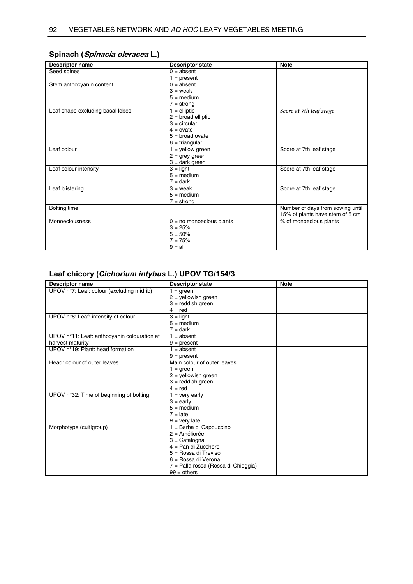## **Spinach (Spinacia oleracea L.)**

| Descriptor name                  | <b>Descriptor state</b>    | <b>Note</b>                      |
|----------------------------------|----------------------------|----------------------------------|
| Seed spines                      | $0 =$ absent               |                                  |
|                                  | $1 = present$              |                                  |
| Stem anthocyanin content         | $0 =$ absent               |                                  |
|                                  | $3 =$ weak                 |                                  |
|                                  | $5 = \text{medium}$        |                                  |
|                                  | $7 =$ strong               |                                  |
| Leaf shape excluding basal lobes | $1 =$ elliptic             | Score at 7th leaf stage          |
|                                  | $2 = broad$ elliptic       |                                  |
|                                  | $3 =$ circular             |                                  |
|                                  | $4 = 0$ vate               |                                  |
|                                  | $5 =$ broad ovate          |                                  |
|                                  | $6 =$ triangular           |                                  |
| Leaf colour                      | $1 =$ yellow green         | Score at 7th leaf stage          |
|                                  | $2 =$ grey green           |                                  |
|                                  | $3 =$ dark green           |                                  |
| Leaf colour intensity            | $3 =$ light                | Score at 7th leaf stage          |
|                                  | $5 = \text{medium}$        |                                  |
|                                  | $7 =$ dark                 |                                  |
| Leaf blistering                  | $3 =$ weak                 | Score at 7th leaf stage          |
|                                  | $5 = \text{medium}$        |                                  |
|                                  | $7 =$ strong               |                                  |
| Bolting time                     |                            | Number of days from sowing until |
|                                  |                            | 15% of plants have stem of 5 cm  |
| <b>Monoeciousness</b>            | $0 = no$ monoecious plants | % of monoecious plants           |
|                                  | $3 = 25%$                  |                                  |
|                                  | $5 = 50%$                  |                                  |
|                                  | $7 = 75%$                  |                                  |
|                                  | $9 = all$                  |                                  |

## **Leaf chicory (***Cichorium intybus* **L.) UPOV TG/154/3**

| <b>Descriptor name</b>                      | <b>Descriptor state</b>             | <b>Note</b> |
|---------------------------------------------|-------------------------------------|-------------|
| UPOV n°7: Leaf: colour (excluding midrib)   | $1 =$ green                         |             |
|                                             | $2 =$ yellowish green               |             |
|                                             | $3 =$ reddish green                 |             |
|                                             | $4 = red$                           |             |
| UPOV n°8: Leaf: intensity of colour         | $3 =$ light                         |             |
|                                             | $5 = \text{medium}$                 |             |
|                                             | $7 =$ dark                          |             |
| UPOV n°11: Leaf: anthocyanin colouration at | $1 = absent$                        |             |
| harvest maturity                            | $9 = present$                       |             |
| UPOV n°19: Plant: head formation            | $=$ absent                          |             |
|                                             | $9 = present$                       |             |
| Head: colour of outer leaves                | Main colour of outer leaves         |             |
|                                             | $1 = green$                         |             |
|                                             | $2 =$ yellowish green               |             |
|                                             | $3 =$ reddish green                 |             |
|                                             | $4 = red$                           |             |
| UPOV n°32: Time of beginning of bolting     | $1 = \text{very early}$             |             |
|                                             | $3 =$ early                         |             |
|                                             | $5 = \text{medium}$                 |             |
|                                             | $7 =$ late                          |             |
|                                             | $9 = \text{very late}$              |             |
| Morphotype (cultigroup)                     | $1 =$ Barba di Cappuccino           |             |
|                                             | 2 = Améliorée                       |             |
|                                             | $3 =$ Catalogna                     |             |
|                                             | $4 =$ Pan di Zucchero               |             |
|                                             | 5 = Rossa di Treviso                |             |
|                                             | 6 = Rossa di Verona                 |             |
|                                             | 7 = Palla rossa (Rossa di Chioggia) |             |
|                                             | $99 =$ others                       |             |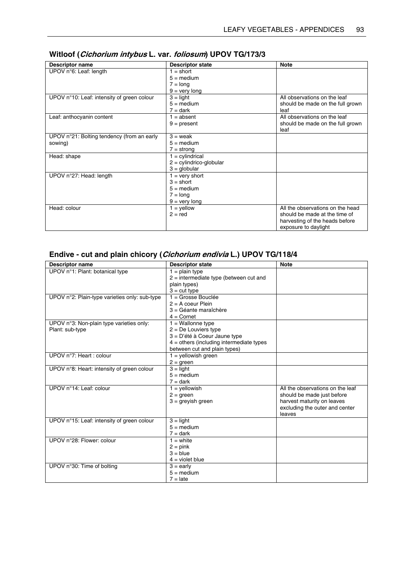| <b>Descriptor name</b>                     | <b>Descriptor state</b>   | <b>Note</b>                      |
|--------------------------------------------|---------------------------|----------------------------------|
| UPOV $n^{\circ}6$ : Leaf: length           | $1 = short$               |                                  |
|                                            | $5 = \text{medium}$       |                                  |
|                                            | $7 =$ long                |                                  |
|                                            | $9 = \text{very long}$    |                                  |
| UPOV n°10: Leaf: intensity of green colour | $3 =$ light               | All observations on the leaf     |
|                                            | $5 = \text{medium}$       | should be made on the full grown |
|                                            | $7 =$ dark                | leaf                             |
| Leaf: anthocyanin content                  | $1 = absent$              | All observations on the leaf     |
|                                            | $9 = present$             | should be made on the full grown |
|                                            |                           | leaf                             |
| UPOV n°21: Bolting tendency (from an early | $3 =$ weak                |                                  |
| sowing)                                    | $5 = \text{medium}$       |                                  |
|                                            | $7 =$ strong              |                                  |
| Head: shape                                | $1 =$ cylindrical         |                                  |
|                                            | $2 =$ cylindrico-globular |                                  |
|                                            | $3 =$ globular            |                                  |
| UPOV n°27: Head: length                    | $1 = \text{very short}$   |                                  |
|                                            | $3 = short$               |                                  |
|                                            | $5 = \text{medium}$       |                                  |
|                                            | $7 =$ long                |                                  |
|                                            | $9 = \text{very long}$    |                                  |
| Head: colour                               | $1 =$ yellow              | All the observations on the head |
|                                            | $2 = red$                 | should be made at the time of    |
|                                            |                           | harvesting of the heads before   |
|                                            |                           | exposure to daylight             |

## **Witloof (Cichorium intybus L. var. foliosum) UPOV TG/173/3**

## **Endive - cut and plain chicory (Cichorium endivia L.) UPOV TG/118/4**

| <b>Descriptor name</b>                        | <b>Descriptor state</b>                    | <b>Note</b>                      |
|-----------------------------------------------|--------------------------------------------|----------------------------------|
| UPOV n°1: Plant: botanical type               | $1 =$ plain type                           |                                  |
|                                               | $2$ = intermediate type (between cut and   |                                  |
|                                               | plain types)                               |                                  |
|                                               | $3 = cut type$                             |                                  |
| UPOV n°2: Plain-type varieties only: sub-type | $1 =$ Grosse Bouclée                       |                                  |
|                                               | $2 = A$ coeur Plein                        |                                  |
|                                               | $3 =$ Géante maraîchère                    |                                  |
|                                               | $4 =$ Cornet                               |                                  |
| UPOV n°3: Non-plain type varieties only:      | $1 =$ Wallonne type                        |                                  |
| Plant: sub-type                               | $2 = De$ Louviers type                     |                                  |
|                                               | 3 = D'été à Coeur Jaune type               |                                  |
|                                               | $4 =$ others (including intermediate types |                                  |
|                                               | between cut and plain types)               |                                  |
| UPOV n°7: Heart : colour                      | $1 =$ yellowish green                      |                                  |
|                                               | $2 = green$                                |                                  |
| UPOV n°8: Heart: intensity of green colour    | $3 =$ light                                |                                  |
|                                               | $5 = \text{medium}$                        |                                  |
|                                               | $7 =$ dark                                 |                                  |
| UPOV n°14: Leaf: colour                       | $1 =$ yellowish                            | All the observations on the leaf |
|                                               | $2 = green$                                | should be made just before       |
|                                               | $3 =$ greyish green                        | harvest maturity on leaves       |
|                                               |                                            | excluding the outer and center   |
|                                               |                                            | leaves                           |
| UPOV n°15: Leaf: intensity of green colour    | $3 =$ light                                |                                  |
|                                               | $5 = \text{medium}$                        |                                  |
|                                               | $7 =$ dark                                 |                                  |
| UPOV n°28: Flower: colour                     | $1 =$ white                                |                                  |
|                                               | $2 = pink$                                 |                                  |
|                                               | $3 =$ blue                                 |                                  |
|                                               | $4 =$ violet blue                          |                                  |
| UPOV n°30: Time of bolting                    | $3 =$ early                                |                                  |
|                                               | $5 = \text{medium}$                        |                                  |
|                                               | $7 =$ late                                 |                                  |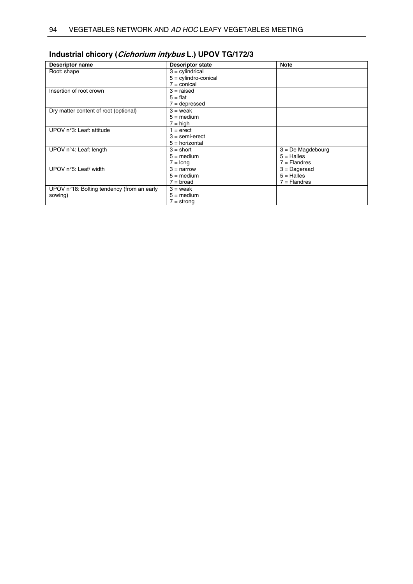| <b>Descriptor name</b>                               | <b>Descriptor state</b> | <b>Note</b>         |
|------------------------------------------------------|-------------------------|---------------------|
| Root: shape                                          | $3$ = cylindrical       |                     |
|                                                      | $5 =$ cylindro-conical  |                     |
|                                                      | $7 = \text{conical}$    |                     |
| Insertion of root crown                              | $3 = raised$            |                     |
|                                                      | $5 = \text{flat}$       |                     |
|                                                      | $7 =$ depressed         |                     |
| Dry matter content of root (optional)                | $3 =$ weak              |                     |
|                                                      | $5 = \text{medium}$     |                     |
|                                                      | $7 = high$              |                     |
| UPOV n°3: Leaf: attitude                             | $1 =$ erect             |                     |
|                                                      | $3 =$ semi-erect        |                     |
|                                                      | $5 =$ horizontal        |                     |
| UPOV n°4: Leaf: length                               | $3 = short$             | $3 = De Maqdebourq$ |
|                                                      | $5 = \text{medium}$     | $5 =$ Halles        |
|                                                      | $7 =$ long              | $7 =$ Flandres      |
| UPOV n°5: Leaf/ width                                | $3 =$ narrow            | $3 =$ Dageraad      |
|                                                      | $5 = \text{medium}$     | $5 =$ Halles        |
|                                                      | $7 = broad$             | $7 =$ Flandres      |
| UPOV $n^{\circ}$ 18: Bolting tendency (from an early | $3 =$ weak              |                     |
| sowing)                                              | $5 = \text{medium}$     |                     |
|                                                      | $7 =$ strong            |                     |

## **Industrial chicory (Cichorium intybus L.) UPOV TG/172/3**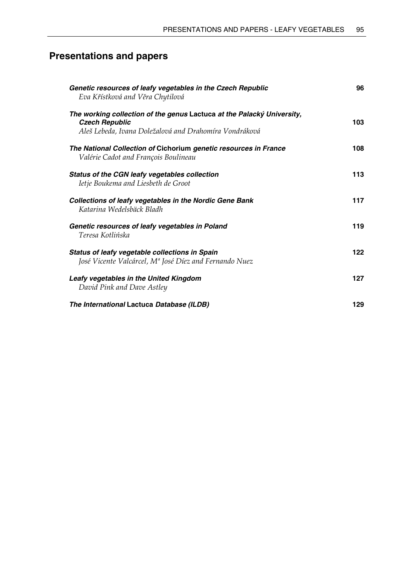# **Presentations and papers**

| Genetic resources of leafy vegetables in the Czech Republic<br>Eva Křístková and Věra Chytilová                                                           | 96  |
|-----------------------------------------------------------------------------------------------------------------------------------------------------------|-----|
| The working collection of the genus Lactuca at the Palacký University,<br><b>Czech Republic</b><br>Aleš Lebeda, Ivana Doležalová and Drahomíra Vondráková | 103 |
| The National Collection of Cichorium genetic resources in France<br>Valérie Cadot and François Boulineau                                                  | 108 |
| Status of the CGN leafy vegetables collection<br>Ietje Boukema and Liesbeth de Groot                                                                      | 113 |
| <b>Collections of leafy vegetables in the Nordic Gene Bank</b><br>Katarina Wedelsbäck Bladh                                                               | 117 |
| Genetic resources of leafy vegetables in Poland<br>Teresa Kotlińska                                                                                       | 119 |
| Status of leafy vegetable collections in Spain<br>José Vicente Valcárcel, M <sup>a</sup> José Díez and Fernando Nuez                                      | 122 |
| Leafy vegetables in the United Kingdom<br>David Pink and Dave Astley                                                                                      | 127 |
| The International Lactuca Database (ILDB)                                                                                                                 | 129 |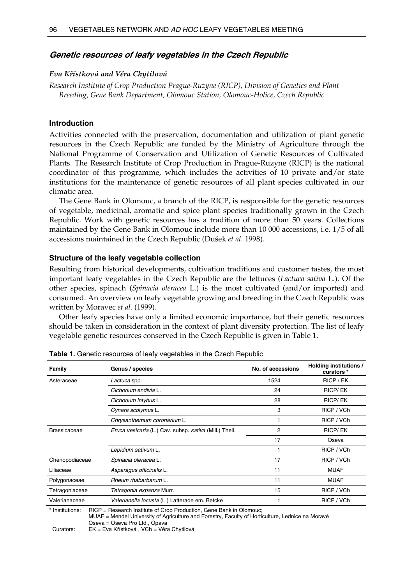### **Genetic resources of leafy vegetables in the Czech Republic**

#### *Eva Kĥístková and Vüra Chytilová*

*Research Institute of Crop Production Prague-Ruzyne (RICP), Division of Genetics and Plant Breeding, Gene Bank Department, Olomouc Station, Olomouc-Holice, Czech Republic* 

#### **Introduction**

Activities connected with the preservation, documentation and utilization of plant genetic resources in the Czech Republic are funded by the Ministry of Agriculture through the National Programme of Conservation and Utilization of Genetic Resources of Cultivated Plants. The Research Institute of Crop Production in Prague-Ruzyne (RICP) is the national coordinator of this programme, which includes the activities of 10 private and/or state institutions for the maintenance of genetic resources of all plant species cultivated in our climatic area.

 The Gene Bank in Olomouc, a branch of the RICP, is responsible for the genetic resources of vegetable, medicinal, aromatic and spice plant species traditionally grown in the Czech Republic. Work with genetic resources has a tradition of more than 50 years. Collections maintained by the Gene Bank in Olomouc include more than 10 000 accessions, i.e. 1/5 of all accessions maintained in the Czech Republic (Dušek *et al*. 1998).

#### **Structure of the leafy vegetable collection**

Resulting from historical developments, cultivation traditions and customer tastes, the most important leafy vegetables in the Czech Republic are the lettuces (*Lactuca sativa* L.). Of the other species, spinach (*Spinacia oleracea* L.) is the most cultivated (and/or imported) and consumed. An overview on leafy vegetable growing and breeding in the Czech Republic was written by Moravec *et al.* (1999).

 Other leafy species have only a limited economic importance, but their genetic resources should be taken in consideration in the context of plant diversity protection. The list of leafy vegetable genetic resources conserved in the Czech Republic is given in Table 1.

| Family                                                                                 | Genus / species                                        | No. of accessions | Holding institutions /<br>curators * |  |
|----------------------------------------------------------------------------------------|--------------------------------------------------------|-------------------|--------------------------------------|--|
| Asteraceae                                                                             | Lactuca spp.                                           | 1524              | RICP/EK                              |  |
|                                                                                        | Cichorium endivia L.                                   | 24                | RICP/EK                              |  |
|                                                                                        | Cichorium intybus L.                                   | 28                | RICP/EK                              |  |
|                                                                                        | Cynara scolymus L.                                     | 3                 | RICP / VCh                           |  |
|                                                                                        | Chrysanthemum coronarium L.                            |                   | RICP / VCh                           |  |
| Brassicaceae                                                                           | Eruca vesicaria (L.) Cav. subsp. sativa (Mill.) Thell. | 2                 | RICP/EK                              |  |
|                                                                                        |                                                        | 17                | Oseva                                |  |
|                                                                                        | Lepidium sativum L.                                    |                   | RICP / VCh                           |  |
| Chenopodiaceae                                                                         | Spinacia oleracea L.                                   | 17                | RICP / VCh                           |  |
| Liliaceae                                                                              | Asparagus officinalis L.                               | 11                | <b>MUAF</b>                          |  |
| Polygonaceae                                                                           | Rheum rhabarbarum L.                                   | 11                | <b>MUAF</b>                          |  |
| Tetragoniaceae                                                                         | Tetragonia expanza Murr.                               | 15                | RICP / VCh                           |  |
| Valerianaceae                                                                          | Valerianella locusta (L.) Latterade em. Betcke         | 1                 | RICP / VCh                           |  |
| * Institutions:<br>RICP = Research Institute of Crop Production, Gene Bank in Olomouc; |                                                        |                   |                                      |  |

**Table 1.** Genetic resources of leafy vegetables in the Czech Republic

MUAF = Mendel University of Agriculture and Forestry, Faculty of Horticulture, Lednice na Moravě

Oseva = Oseva Pro Ltd., Opava

Curators: EK = Eva Křístková, VCh = Věra Chytilová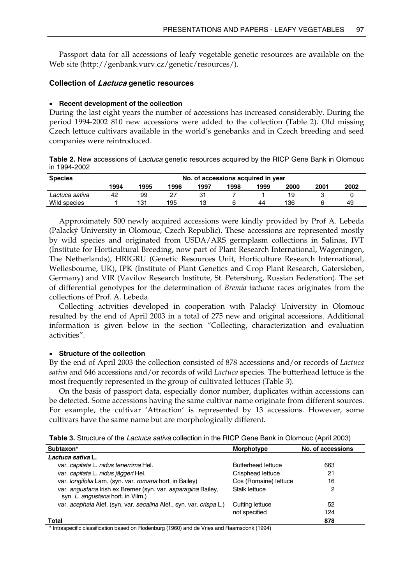Passport data for all accessions of leafy vegetable genetic resources are available on the Web site (http://genbank.vurv.cz/genetic/resources/).

#### **Collection of Lactuca genetic resources**

#### x **Recent development of the collection**

During the last eight years the number of accessions has increased considerably. During the period 1994-2002 810 new accessions were added to the collection (Table 2). Old missing Czech lettuce cultivars available in the world's genebanks and in Czech breeding and seed companies were reintroduced.

**Table 2.** New accessions of Lactuca genetic resources acquired by the RICP Gene Bank in Olomouc in 1994-2002

| <b>Species</b> | No. of accessions acquired in year |      |      |      |      |      |      |      |      |
|----------------|------------------------------------|------|------|------|------|------|------|------|------|
|                | 1994                               | 1995 | 1996 | 1997 | 1998 | 1999 | 2000 | 2001 | 2002 |
| Lactuca sativa | 42                                 | 99   |      | 31   |      |      | 19   |      |      |
| Wild species   |                                    | 131  | 195  | 10   |      | 44   | 136  |      | 49   |

 Approximately 500 newly acquired accessions were kindly provided by Prof A. Lebeda (Palacký University in Olomouc, Czech Republic). These accessions are represented mostly by wild species and originated from USDA/ARS germplasm collections in Salinas, IVT (Institute for Horticultural Breeding, now part of Plant Research International, Wageningen, The Netherlands), HRIGRU (Genetic Resources Unit, Horticulture Research International, Wellesbourne, UK), IPK (Institute of Plant Genetics and Crop Plant Research, Gatersleben, Germany) and VIR (Vavilov Research Institute, St. Petersburg, Russian Federation). The set of differential genotypes for the determination of *Bremia lactucae* races originates from the collections of Prof. A. Lebeda.

 Collecting activities developed in cooperation with Palacký University in Olomouc resulted by the end of April 2003 in a total of 275 new and original accessions. Additional information is given below in the section "Collecting, characterization and evaluation activities".

#### x **Structure of the collection**

By the end of April 2003 the collection consisted of 878 accessions and/or records of *Lactuca sativa* and 646 accessions and/or records of wild *Lactuca* species. The butterhead lettuce is the most frequently represented in the group of cultivated lettuces (Table 3).

 On the basis of passport data, especially donor number, duplicates within accessions can be detected. Some accessions having the same cultivar name originate from different sources. For example, the cultivar 'Attraction' is represented by 13 accessions. However, some cultivars have the same name but are morphologically different.

**Table 3.** Structure of the Lactuca sativa collection in the RICP Gene Bank in Olomouc (April 2003)

| Subtaxon*                                                                                         | <b>Morphotype</b>     | No. of accessions |
|---------------------------------------------------------------------------------------------------|-----------------------|-------------------|
| Lactuca sativa L.                                                                                 |                       |                   |
| var. capitata L. nidus tenerrima Hel.                                                             | Butterhead lettuce    | 663               |
| var. capitata L. nidus jäggeri Hel.                                                               | Crisphead lettuce     | 21                |
| var. longifolia Lam. (syn. var. romana hort. in Bailey)                                           | Cos (Romaine) lettuce | 16                |
| var. angustana Irish ex Bremer (syn. var. asparagina Bailey,<br>syn. L. angustana hort. in Vilm.) | Stalk lettuce         | 2                 |
| var. acephala Alef. (syn. var. secalina Alef., syn. var. crispa L.)                               | Cutting lettuce       | 52                |
|                                                                                                   | not specified         | 124               |
| <b>Total</b>                                                                                      |                       | 878               |

\* Intraspecific classification based on Rodenburg (1960) and de Vries and Raamsdonk (1994)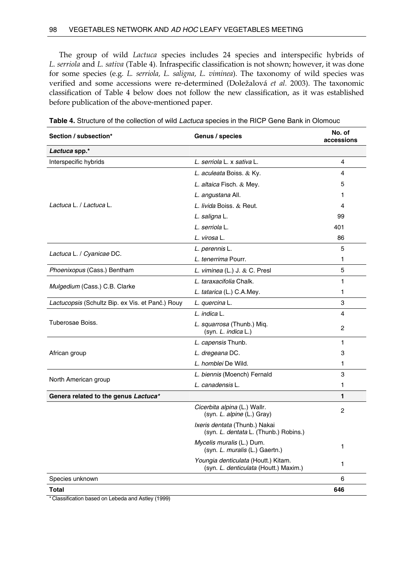The group of wild *Lactuca* species includes 24 species and interspecific hybrids of *L. serriola* and *L. sativa* (Table 4). Infraspecific classification is not shown; however, it was done for some species (e.g. *L. serriola, L. saligna, L. viminea*). The taxonomy of wild species was verified and some accessions were re-determined (Doležalová *et al.* 2003). The taxonomic classification of Table 4 below does not follow the new classification, as it was established before publication of the above-mentioned paper.

| Section / subsection*                            | Genus / species                                                              | No. of<br>accessions |
|--------------------------------------------------|------------------------------------------------------------------------------|----------------------|
| Lactuca spp.*                                    |                                                                              |                      |
| Interspecific hybrids                            | L. serriola L. x sativa L.                                                   | 4                    |
|                                                  | L. aculeata Boiss. & Ky.                                                     | 4                    |
|                                                  | L. altaica Fisch. & Mey.                                                     | 5                    |
|                                                  | L. angustana All.                                                            | 1                    |
| Lactuca L. / Lactuca L.                          | L. livida Boiss, & Reut.                                                     | 4                    |
|                                                  | L. saligna L.                                                                | 99                   |
|                                                  | L. serriola L.                                                               | 401                  |
|                                                  | L. virosa L.                                                                 | 86                   |
|                                                  | L. perennis L.                                                               | 5                    |
| Lactuca L. / Cyanicae DC.                        | L. tenerrima Pourr.                                                          | 1                    |
| Phoenixopus (Cass.) Bentham                      | L. viminea (L.) J. & C. Presl                                                | 5                    |
|                                                  | L. taraxacifolia Chalk.                                                      | 1                    |
| Mulgedium (Cass.) C.B. Clarke                    | L. tatarica (L.) C.A.Mey.                                                    | 1                    |
| Lactucopsis (Schultz Bip. ex Vis. et Panč.) Rouy | L. quercina L.                                                               | 3                    |
|                                                  | L. indica L.                                                                 | 4                    |
| Tuberosae Boiss.                                 | L. squarrosa (Thunb.) Miq.<br>(syn. L. indica L.)                            | 2                    |
|                                                  | L. capensis Thunb.                                                           | 1                    |
| African group                                    | L. dregeana DC.                                                              | 3                    |
|                                                  | L. homblei De Wild.                                                          | 1                    |
|                                                  | L. biennis (Moench) Fernald                                                  | 3                    |
| North American group                             | L. canadensis L.                                                             | 1                    |
| Genera related to the genus Lactuca*             |                                                                              | 1                    |
|                                                  | Cicerbita alpina (L.) Wallr.<br>(syn. L. alpine (L.) Gray)                   | $\overline{c}$       |
|                                                  | Ixeris dentata (Thunb.) Nakai<br>(syn. L. dentata L. (Thunb.) Robins.)       |                      |
|                                                  | Mycelis muralis (L.) Dum.<br>(syn. L. muralis (L.) Gaertn.)                  | 1                    |
|                                                  | Youngia denticulata (Houtt.) Kitam.<br>(syn. L. denticulata (Houtt.) Maxim.) | 1                    |
| Species unknown                                  |                                                                              | 6                    |
| <b>Total</b>                                     |                                                                              | 646                  |

\* Classification based on Lebeda and Astley (1999)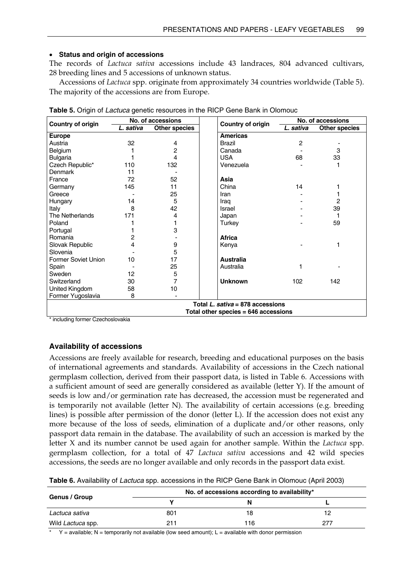#### x **Status and origin of accessions**

The records of *Lactuca sativa* accessions include 43 landraces, 804 advanced cultivars, 28 breeding lines and 5 accessions of unknown status.

 Accessions of *Lactuca* spp. originate from approximately 34 countries worldwide (Table 5). The majority of the accessions are from Europe.

| <b>Country of origin</b>             | No. of accessions                |                      |                   | No. of accessions |                      |  |
|--------------------------------------|----------------------------------|----------------------|-------------------|-------------------|----------------------|--|
|                                      | L. sativa                        | <b>Other species</b> | Country of origin | L. sativa         | <b>Other species</b> |  |
| <b>Europe</b>                        |                                  |                      | <b>Americas</b>   |                   |                      |  |
| Austria                              | 32                               | 4                    | Brazil            | $\overline{c}$    |                      |  |
| Belgium                              |                                  | 2                    | Canada            |                   | 3                    |  |
| Bulgaria                             |                                  | 4                    | <b>USA</b>        | 68                | 33                   |  |
| Czech Republic*                      | 110                              | 132                  | Venezuela         |                   |                      |  |
| Denmark                              | 11                               |                      |                   |                   |                      |  |
| France                               | 72                               | 52                   | Asia              |                   |                      |  |
| Germany                              | 145                              | 11                   | China             | 14                |                      |  |
| Greece                               |                                  | 25                   | Iran              |                   |                      |  |
| Hungary                              | 14                               | 5                    | Irag              |                   | 2                    |  |
| Italy                                | 8                                | 42                   | Israel            |                   | 39                   |  |
| The Netherlands                      | 171                              | 4                    | Japan             |                   |                      |  |
| Poland                               |                                  |                      | Turkey            |                   | 59                   |  |
| Portugal                             |                                  | 3                    |                   |                   |                      |  |
| Romania                              | 2                                |                      | <b>Africa</b>     |                   |                      |  |
| Slovak Republic                      | 4                                | 9                    | Kenya             |                   | 1                    |  |
| Slovenia                             |                                  | 5                    |                   |                   |                      |  |
| Former Soviet Union                  | 10                               | 17                   | <b>Australia</b>  |                   |                      |  |
| Spain                                |                                  | 25                   | Australia         |                   |                      |  |
| Sweden                               | 12                               | 5                    |                   |                   |                      |  |
| Switzerland                          | 30                               | 7                    | <b>Unknown</b>    | 102               | 142                  |  |
| United Kingdom                       | 58                               | 10                   |                   |                   |                      |  |
| Former Yugoslavia                    | 8                                |                      |                   |                   |                      |  |
|                                      | Total L. sativa = 878 accessions |                      |                   |                   |                      |  |
| Total other species = 646 accessions |                                  |                      |                   |                   |                      |  |

| Table 5. Origin of Lactuca genetic resources in the RICP Gene Bank in Olomouc |  |  |  |
|-------------------------------------------------------------------------------|--|--|--|
|-------------------------------------------------------------------------------|--|--|--|

\* including former Czechoslovakia

### **Availability of accessions**

Accessions are freely available for research, breeding and educational purposes on the basis of international agreements and standards. Availability of accessions in the Czech national germplasm collection, derived from their passport data, is listed in Table 6. Accessions with a sufficient amount of seed are generally considered as available (letter Y). If the amount of seeds is low and/or germination rate has decreased, the accession must be regenerated and is temporarily not available (letter N). The availability of certain accessions (e.g. breeding lines) is possible after permission of the donor (letter L). If the accession does not exist any more because of the loss of seeds, elimination of a duplicate and/or other reasons, only passport data remain in the database. The availability of such an accession is marked by the letter X and its number cannot be used again for another sample. Within the *Lactuca* spp. germplasm collection, for a total of 47 *Lactuca sativa* accessions and 42 wild species accessions, the seeds are no longer available and only records in the passport data exist.

| Table 6. Availability of Lactuca spp. accessions in the RICP Gene Bank in Olomouc (April 2003) |  |  |  |
|------------------------------------------------------------------------------------------------|--|--|--|
|------------------------------------------------------------------------------------------------|--|--|--|

| Genus / Group            | No. of accessions according to availability* |     |     |  |
|--------------------------|----------------------------------------------|-----|-----|--|
|                          |                                              |     |     |  |
| Lactuca sativa           | 801                                          | 18  |     |  |
| Wild <i>Lactuca</i> spp. | 211                                          | 116 | 277 |  |

 $Y =$  available; N = temporarily not available (low seed amount); L = available with donor permission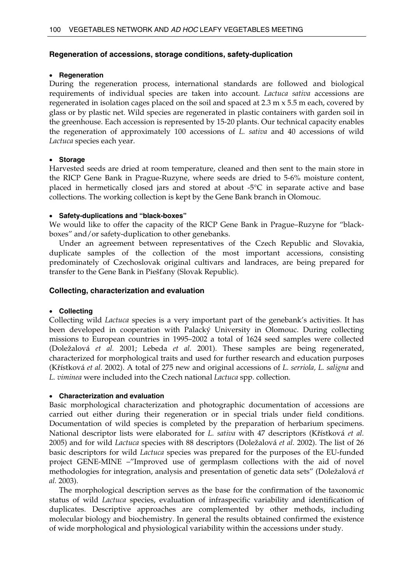### **Regeneration of accessions, storage conditions, safety-duplication**

#### **•** Regeneration

During the regeneration process, international standards are followed and biological requirements of individual species are taken into account. *Lactuca sativa* accessions are regenerated in isolation cages placed on the soil and spaced at  $2.3 \text{ m} \times 5.5 \text{ m}$  each, covered by glass or by plastic net. Wild species are regenerated in plastic containers with garden soil in the greenhouse. Each accession is represented by 15-20 plants. Our technical capacity enables the regeneration of approximately 100 accessions of *L. sativa* and 40 accessions of wild *Lactuca* species each year.

#### x **Storage**

Harvested seeds are dried at room temperature, cleaned and then sent to the main store in the RICP Gene Bank in Prague-Ruzyne, where seeds are dried to 5-6% moisture content, placed in hermetically closed jars and stored at about -5°C in separate active and base collections. The working collection is kept by the Gene Bank branch in Olomouc.

#### x **Safety-duplications and "black-boxes"**

We would like to offer the capacity of the RICP Gene Bank in Prague–Ruzyne for "blackboxes" and/or safety-duplication to other genebanks.

 Under an agreement between representatives of the Czech Republic and Slovakia, duplicate samples of the collection of the most important accessions, consisting predominately of Czechoslovak original cultivars and landraces, are being prepared for transfer to the Gene Bank in Piešťany (Slovak Republic).

### **Collecting, characterization and evaluation**

#### x **Collecting**

Collecting wild *Lactuca* species is a very important part of the genebank's activities. It has been developed in cooperation with Palacký University in Olomouc. During collecting missions to European countries in 1995–2002 a total of 1624 seed samples were collected (Doležalová *et al.* 2001; Lebeda *et al.* 2001). These samples are being regenerated, characterized for morphological traits and used for further research and education purposes (Kĥístková *et al.* 2002). A total of 275 new and original accessions of *L. serriola, L. saligna* and *L. viminea* were included into the Czech national *Lactuca* spp. collection.

#### x **Characterization and evaluation**

Basic morphological characterization and photographic documentation of accessions are carried out either during their regeneration or in special trials under field conditions. Documentation of wild species is completed by the preparation of herbarium specimens. National descriptor lists were elaborated for *L. sativa* with 47 descriptors (Křístková *et al.* 2005) and for wild *Lactuca* species with 88 descriptors (Doležalová *et al.* 2002). The list of 26 basic descriptors for wild *Lactuca* species was prepared for the purposes of the EU-funded project GENE-MINE –"Improved use of germplasm collections with the aid of novel methodologies for integration, analysis and presentation of genetic data sets" (Doležalová *et al.* 2003).

 The morphological description serves as the base for the confirmation of the taxonomic status of wild *Lactuca* species, evaluation of infraspecific variability and identification of duplicates. Descriptive approaches are complemented by other methods, including molecular biology and biochemistry. In general the results obtained confirmed the existence of wide morphological and physiological variability within the accessions under study.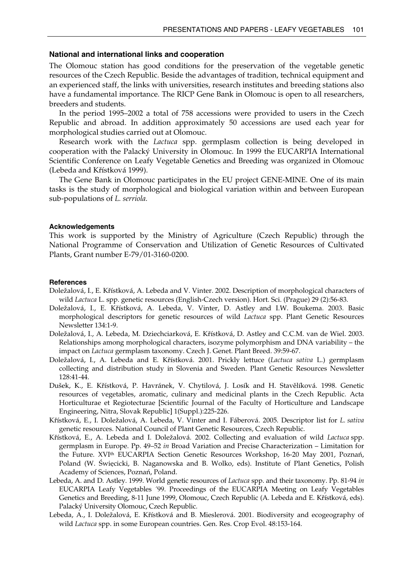#### **National and international links and cooperation**

The Olomouc station has good conditions for the preservation of the vegetable genetic resources of the Czech Republic. Beside the advantages of tradition, technical equipment and an experienced staff, the links with universities, research institutes and breeding stations also have a fundamental importance. The RICP Gene Bank in Olomouc is open to all researchers, breeders and students.

 In the period 1995–2002 a total of 758 accessions were provided to users in the Czech Republic and abroad. In addition approximately 50 accessions are used each year for morphological studies carried out at Olomouc.

 Research work with the *Lactuca* spp. germplasm collection is being developed in cooperation with the Palacký University in Olomouc. In 1999 the EUCARPIA International Scientific Conference on Leafy Vegetable Genetics and Breeding was organized in Olomouc (Lebeda and Křístková 1999).

 The Gene Bank in Olomouc participates in the EU project GENE-MINE. One of its main tasks is the study of morphological and biological variation within and between European sub-populations of *L. serriola.* 

#### **Acknowledgements**

This work is supported by the Ministry of Agriculture (Czech Republic) through the National Programme of Conservation and Utilization of Genetic Resources of Cultivated Plants, Grant number E-79/01-3160-0200.

#### **References**

- Doležalová, I., E. Kĥístková, A. Lebeda and V. Vinter. 2002. Description of morphological characters of wild *Lactuca* L. spp. genetic resources (English-Czech version). Hort. Sci. (Prague) 29 (2):56-83.
- Doležalová, I., E. Kĥístková, A. Lebeda, V. Vinter, D. Astley and I.W. Boukema. 2003. Basic morphological descriptors for genetic resources of wild *Lactuca* spp. Plant Genetic Resources Newsletter 134:1-9.
- Doležalová, I., A. Lebeda, M. Dziechciarková, E. Kĥístková, D. Astley and C.C.M. van de Wiel. 2003. Relationships among morphological characters, isozyme polymorphism and DNA variability – the impact on *Lactuca* germplasm taxonomy. Czech J. Genet. Plant Breed. 39:59-67.
- Doležalová, I., A. Lebeda and E. Kĥístková. 2001. Prickly lettuce (*Lactuca sativa* L.) germplasm collecting and distribution study in Slovenia and Sweden. Plant Genetic Resources Newsletter 128:41-44.
- Dušek, K., E. Křístková, P. Havránek, V. Chytilová, J. Losík and H. Stavělíková. 1998. Genetic resources of vegetables, aromatic, culinary and medicinal plants in the Czech Republic. Acta Horticulturae et Regiotecturae [Scientific Journal of the Faculty of Horticulture and Landscape Engineering, Nitra, Slovak Republic] 1(Suppl.):225-226.
- Kĥístková, E., I. Doležalová, A. Lebeda, V. Vinter and I. Fáberová. 2005. Descriptor list for *L. sativa*  genetic resources. National Council of Plant Genetic Resources, Czech Republic.
- Kĥístková, E., A. Lebeda and I. Doležalová. 2002. Collecting and evaluation of wild *Lactuca* spp. germplasm in Europe. Pp. 49–52 *in* Broad Variation and Precise Characterization – Limitation for the Future. XVI<sup>th</sup> EUCARPIA Section Genetic Resources Workshop, 16-20 May 2001, Poznań, Poland (W. Święcicki, B. Naganowska and B. Wolko, eds). Institute of Plant Genetics, Polish Academy of Sciences, Poznań, Poland.
- Lebeda, A. and D. Astley. 1999. World genetic resources of *Lactuca* spp. and their taxonomy. Pp. 81-94 *in* EUCARPIA Leafy Vegetables ´99. Proceedings of the EUCARPIA Meeting on Leafy Vegetables Genetics and Breeding, 8-11 June 1999, Olomouc, Czech Republic (A. Lebeda and E. Křístková, eds). Palacký University Olomouc, Czech Republic.
- Lebeda, A., I. Doležalová, E. Kĥístková and B. Mieslerová. 2001. Biodiversity and ecogeography of wild *Lactuca* spp. in some European countries. Gen. Res. Crop Evol. 48:153-164.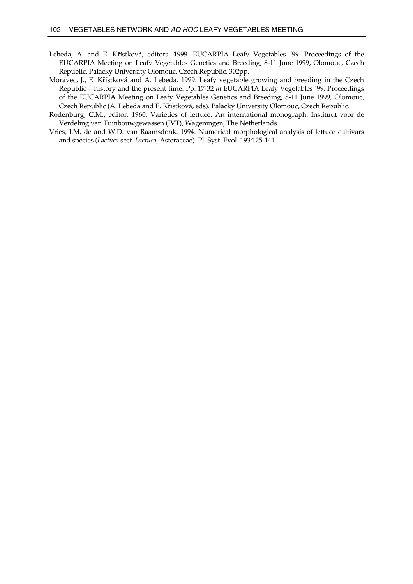- Lebeda, A. and E. Křístková, editors. 1999. EUCARPIA Leafy Vegetables '99. Proceedings of the EUCARPIA Meeting on Leafy Vegetables Genetics and Breeding, 8-11 June 1999, Olomouc, Czech Republic. Palacký University Olomouc, Czech Republic. 302pp.
- Moravec, J., E. Křístková and A. Lebeda. 1999. Leafy vegetable growing and breeding in the Czech Republic – history and the present time. Pp. 17-32 *in* EUCARPIA Leafy Vegetables ´99. Proceedings of the EUCARPIA Meeting on Leafy Vegetables Genetics and Breeding, 8-11 June 1999, Olomouc, Czech Republic (A. Lebeda and E. Kĥístková, eds). Palacký University Olomouc, Czech Republic.
- Rodenburg, C.M., editor. 1960. Varieties of lettuce. An international monograph. Instituut voor de Verdeling van Tuinbouwgewassen (IVT), Wageningen, The Netherlands.
- Vries, I.M. de and W.D. van Raamsdonk. 1994. Numerical morphological analysis of lettuce cultivars and species (*Lactuca* sect. *Lactuca,* Asteraceae). Pl. Syst. Evol. 193:125-141.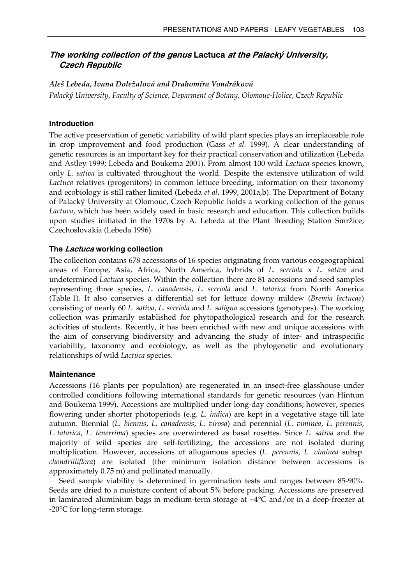# **The working collection of the genus Lactuca at the Palacký University, Czech Republic**

## *Aleš Lebeda, Ivana Doležalová and Drahomíra Vondráková*

*Palacký University, Faculty of Science, Deparment of Botany, Olomouc-Holice, Czech Republic*

#### **Introduction**

The active preservation of genetic variability of wild plant species plays an irreplaceable role in crop improvement and food production (Gass *et al.* 1999). A clear understanding of genetic resources is an important key for their practical conservation and utilization (Lebeda and Astley 1999; Lebeda and Boukema 2001). From almost 100 wild *Lactuca* species known, only *L. sativa* is cultivated throughout the world. Despite the extensive utilization of wild *Lactuca* relatives (progenitors) in common lettuce breeding, information on their taxonomy and ecobiology is still rather limited (Lebeda *et al*. 1999, 2001a,b). The Department of Botany of Palacký University at Olomouc, Czech Republic holds a working collection of the genus *Lactuca*, which has been widely used in basic research and education. This collection builds upon studies initiated in the 1970s by A. Lebeda at the Plant Breeding Station Smržice, Czechoslovakia (Lebeda 1996).

### **The Lactuca working collection**

The collection contains 678 accessions of 16 species originating from various ecogeographical areas of Europe, Asia, Africa, North America, hybrids of *L. serriola* x *L*. *sativa* and undetermined *Lactuca* species. Within the collection there are 81 accessions and seed samples representing three species, *L*. *canadensis*, *L. serriola* and *L. tatarica* from North America (Table 1). It also conserves a differential set for lettuce downy mildew (*Bremia lactucae*) consisting of nearly 60 *L. sativa*, *L. serriola* and *L. saligna* accessions (genotypes). The working collection was primarily established for phytopathological research and for the research activities of students. Recently, it has been enriched with new and unique accessions with the aim of conserving biodiversity and advancing the study of inter- and intraspecific variability, taxonomy and ecobiology, as well as the phylogenetic and evolutionary relationships of wild *Lactuca* species.

#### **Maintenance**

Accessions (16 plants per population) are regenerated in an insect-free glasshouse under controlled conditions following international standards for genetic resources (van Hintum and Boukema 1999). Accessions are multiplied under long-day conditions; however, species flowering under shorter photoperiods (e.g. *L. indica*) are kept in a vegetative stage till late autumn. Biennial (*L. biennis*, *L. canadensis*, *L. virosa*) and perennial (*L. viminea*, *L. perennis*, *L. tatarica*, *L. tenerrima*) species are overwintered as basal rosettes. Since *L. sativa* and the majority of wild species are self-fertilizing, the accessions are not isolated during multiplication. However, accessions of allogamous species (*L. perennis*, *L. viminea* subsp. *chondrilliflora*) are isolated (the minimum isolation distance between accessions is approximately 0.75 m) and pollinated manually.

 Seed sample viability is determined in germination tests and ranges between 85-90%. Seeds are dried to a moisture content of about 5% before packing. Accessions are preserved in laminated aluminium bags in medium-term storage at  $+4^{\circ}C$  and/or in a deep-freezer at -20°C for long-term storage.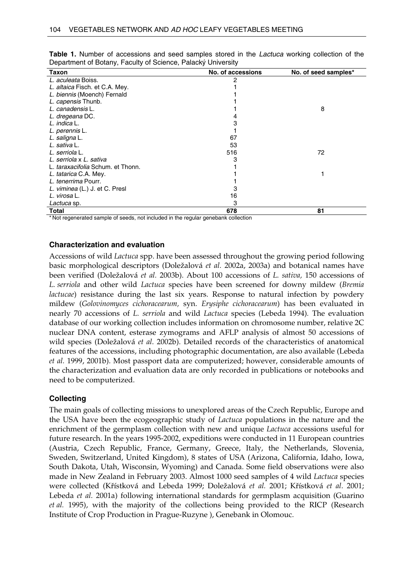| Taxon                             | No. of accessions | No. of seed samples* |
|-----------------------------------|-------------------|----------------------|
| L. aculeata Boiss.                | 2                 |                      |
| L. altaica Fisch. et C.A. Mey.    |                   |                      |
| L. biennis (Moench) Fernald       |                   |                      |
| L. capensis Thunb.                |                   |                      |
| L. canadensis L.                  |                   | 8                    |
| L. dregeana DC.                   | 4                 |                      |
| L. indica L.                      | 3                 |                      |
| L. perennis L.                    |                   |                      |
| L. saligna L.                     | 67                |                      |
| L. sativa L.                      | 53                |                      |
| L. serriola L.                    | 516               | 72                   |
| L. serriola x L. sativa           | 3                 |                      |
| L. taraxacifolia Schum. et Thonn. |                   |                      |
| L. tatarica C.A. Mey.             |                   |                      |
| L. tenerrima Pourr.               |                   |                      |
| L. viminea (L.) J. et C. Presl    | 3                 |                      |
| L. virosa L.                      | 16                |                      |
| Lactuca sp.                       | 3                 |                      |
| Total                             | 678               | 81                   |

**Table 1.** Number of accessions and seed samples stored in the Lactuca working collection of the Department of Botany, Faculty of Science, Palacký University

\* Not regenerated sample of seeds, not included in the regular genebank collection

## **Characterization and evaluation**

Accessions of wild *Lactuca* spp. have been assessed throughout the growing period following basic morphological descriptors (Doležalová *et al.* 2002a, 2003a) and botanical names have been verified (Doležalová *et al.* 2003b). About 100 accessions of *L. sativa,* 150 accessions of *L. serriola* and other wild *Lactuca* species have been screened for downy mildew (*Bremia lactucae*) resistance during the last six years. Response to natural infection by powdery mildew (*Golovinomyces cichoracearum,* syn. *Erysiphe cichoracearum*) has been evaluated in nearly 70 accessions of *L. serriola* and wild *Lactuca* species (Lebeda 1994)*.* The evaluation database of our working collection includes information on chromosome number, relative 2C nuclear DNA content, esterase zymograms and AFLP analysis of almost 50 accessions of wild species (Doležalová *et al*. 2002b). Detailed records of the characteristics of anatomical features of the accessions, including photographic documentation, are also available (Lebeda *et al.* 1999, 2001b). Most passport data are computerized; however, considerable amounts of the characterization and evaluation data are only recorded in publications or notebooks and need to be computerized.

## **Collecting**

The main goals of collecting missions to unexplored areas of the Czech Republic, Europe and the USA have been the ecogeographic study of *Lactuca* populations in the nature and the enrichment of the germplasm collection with new and unique *Lactuca* accessions useful for future research. In the years 1995-2002, expeditions were conducted in 11 European countries (Austria, Czech Republic, France, Germany, Greece, Italy, the Netherlands, Slovenia, Sweden, Switzerland, United Kingdom), 8 states of USA (Arizona, California, Idaho, Iowa, South Dakota, Utah, Wisconsin, Wyoming) and Canada. Some field observations were also made in New Zealand in February 2003. Almost 1000 seed samples of 4 wild *Lactuca* species were collected (Kĥístková and Lebeda 1999; Doležalová *et al.* 2001; Kĥístková *et al*. 2001; Lebeda *et al.* 2001a) following international standards for germplasm acquisition (Guarino *et al.* 1995), with the majority of the collections being provided to the RICP (Research Institute of Crop Production in Prague-Ruzyne ), Genebank in Olomouc.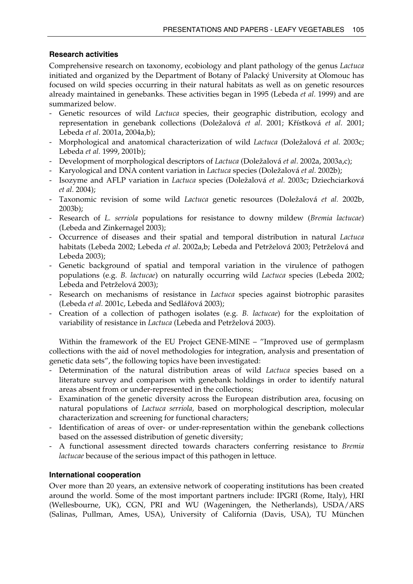# **Research activities**

Comprehensive research on taxonomy, ecobiology and plant pathology of the genus *Lactuca* initiated and organized by the Department of Botany of Palacký University at Olomouc has focused on wild species occurring in their natural habitats as well as on genetic resources already maintained in genebanks. These activities began in 1995 (Lebeda *et al.* 1999) and are summarized below.

- Genetic resources of wild *Lactuca* species, their geographic distribution, ecology and representation in genebank collections (Doležalová et al. 2001; Křístková et al. 2001; Lebeda *et al*. 2001a, 2004a,b);
- Morphological and anatomical characterization of wild *Lactuca* (Doležalová *et al.* 2003c; Lebeda *et al.* 1999, 2001b);
- Development of morphological descriptors of *Lactuca* (Doležalová *et al*. 2002a, 2003a,c);
- Karyological and DNA content variation in *Lactuca* species (Doležalová *et al.* 2002b);
- Isozyme and AFLP variation in *Lactuca* species (Doležalová *et al.* 2003c; Dziechciarková *et al.* 2004);
- Taxonomic revision of some wild *Lactuca* genetic resources (Doležalová *et al.* 2002b, 2003b);
- Research of *L. serriola* populations for resistance to downy mildew (*Bremia lactucae*) (Lebeda and Zinkernagel 2003);
- Occurrence of diseases and their spatial and temporal distribution in natural *Lactuca* habitats (Lebeda 2002; Lebeda *et al*. 2002a,b; Lebeda and Petrželová 2003; Petrželová and Lebeda 2003);
- Genetic background of spatial and temporal variation in the virulence of pathogen populations (e.g. *B. lactucae*) on naturally occurring wild *Lactuca* species (Lebeda 2002; Lebeda and Petrželová 2003);
- Research on mechanisms of resistance in *Lactuca* species against biotrophic parasites (Lebeda *et al.* 2001c, Lebeda and Sedlářová 2003);
- Creation of a collection of pathogen isolates (e.g. *B. lactucae*) for the exploitation of variability of resistance in *Lactuca* (Lebeda and Petrželová 2003).

 Within the framework of the EU Project GENE-MINE – "Improved use of germplasm collections with the aid of novel methodologies for integration, analysis and presentation of genetic data sets", the following topics have been investigated:

- Determination of the natural distribution areas of wild *Lactuca* species based on a literature survey and comparison with genebank holdings in order to identify natural areas absent from or under-represented in the collections;
- Examination of the genetic diversity across the European distribution area, focusing on natural populations of *Lactuca serriola,* based on morphological description, molecular characterization and screening for functional characters;
- Identification of areas of over- or under-representation within the genebank collections based on the assessed distribution of genetic diversity;
- A functional assessment directed towards characters conferring resistance to *Bremia lactucae* because of the serious impact of this pathogen in lettuce.

# **International cooperation**

Over more than 20 years, an extensive network of cooperating institutions has been created around the world. Some of the most important partners include: IPGRI (Rome, Italy), HRI (Wellesbourne, UK), CGN, PRI and WU (Wageningen, the Netherlands), USDA/ARS (Salinas, Pullman, Ames, USA), University of California (Davis, USA), TU München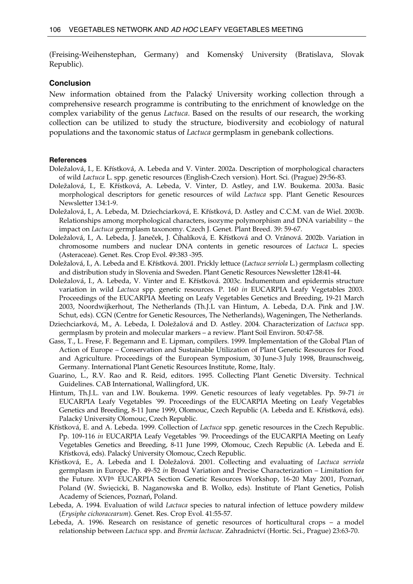(Freising-Weihenstephan, Germany) and Komenský University (Bratislava, Slovak Republic).

#### **Conclusion**

New information obtained from the Palacký University working collection through a comprehensive research programme is contributing to the enrichment of knowledge on the complex variability of the genus *Lactuca*. Based on the results of our research, the working collection can be utilized to study the structure, biodiversity and ecobiology of natural populations and the taxonomic status of *Lactuca* germplasm in genebank collections.

#### **References**

- Doležalová, I., E. Kĥístková, A. Lebeda and V. Vinter. 2002a. Description of morphological characters of wild *Lactuca* L. spp. genetic resources (English-Czech version). Hort. Sci. (Prague) 29:56-83.
- Doležalová, I., E. Kĥístková, A. Lebeda, V. Vinter, D. Astley, and I.W. Boukema. 2003a. Basic morphological descriptors for genetic resources of wild *Lactuca* spp. Plant Genetic Resources Newsletter 134:1-9.
- Doležalová, I., A. Lebeda, M. Dziechciarková, E. Kĥístková, D. Astley and C.C.M. van de Wiel. 2003b. Relationships among morphological characters, isozyme polymorphism and DNA variability – the impact on *Lactuca* germplasm taxonomy. Czech J. Genet. Plant Breed. 39: 59-67.
- Doležalová, I., A. Lebeda, J. Janeček, J. Číhalíková, E. Křístková and O. Vránová. 2002b. Variation in chromosome numbers and nuclear DNA contents in genetic resources of *Lactuca* L. species (Asteraceae). Genet. Res. Crop Evol. 49:383 -395.
- Doležalová, I., A. Lebeda and E. Kĥístková. 2001. Prickly lettuce (*Lactuca serriola* L.) germplasm collecting and distribution study in Slovenia and Sweden. Plant Genetic Resources Newsletter 128:41-44.
- Doležalová, I., A. Lebeda, V. Vinter and E. Křístková. 2003c. Indumentum and epidermis structure variation in wild *Lactuca* spp. genetic resources. P. 160 *in* EUCARPIA Leafy Vegetables 2003. Proceedings of the EUCARPIA Meeting on Leafy Vegetables Genetics and Breeding, 19-21 March 2003, Noordwijkerhout, The Netherlands (Th.J.L van Hintum, A. Lebeda, D.A. Pink and J.W. Schut, eds). CGN (Centre for Genetic Resources, The Netherlands), Wageningen, The Netherlands.
- Dziechciarková, M., A. Lebeda, I. Doležalová and D. Astley. 2004. Characterization of *Lactuca* spp. germplasm by protein and molecular markers – a review. Plant Soil Environ. 50:47-58.
- Gass, T., L. Frese, F. Begemann and E. Lipman, compilers. 1999. Implementation of the Global Plan of Action of Europe – Conservation and Sustainable Utilization of Plant Genetic Resources for Food and Agriculture. Proceedings of the European Symposium, 30 June-3 July 1998, Braunschweig, Germany. International Plant Genetic Resources Institute, Rome, Italy.
- Guarino, L., R.V. Rao and R. Reid, editors. 1995. Collecting Plant Genetic Diversity. Technical Guidelines. CAB International, Wallingford, UK.
- Hintum, Th.J.L. van and I.W. Boukema. 1999. Genetic resources of leafy vegetables. Pp. 59-71 *in* EUCARPIA Leafy Vegetables ´99. Proceedings of the EUCARPIA Meeting on Leafy Vegetables Genetics and Breeding, 8-11 June 1999, Olomouc, Czech Republic (A. Lebeda and E. Křístková, eds). Palacký University Olomouc, Czech Republic.
- Kĥístková, E. and A. Lebeda. 1999. Collection of *Lactuca* spp. genetic resources in the Czech Republic. Pp. 109-116 *in* EUCARPIA Leafy Vegetables ´99. Proceedings of the EUCARPIA Meeting on Leafy Vegetables Genetics and Breeding, 8-11 June 1999, Olomouc, Czech Republic (A. Lebeda and E. Křístková, eds). Palacký University Olomouc, Czech Republic.
- Kĥístková, E., A. Lebeda and I. Doležalová. 2001. Collecting and evaluating of *Lactuca serriola*  germplasm in Europe. Pp. 49-52 *in* Broad Variation and Precise Characterization – Limitation for the Future. XVI<sup>th</sup> EUCARPIA Section Genetic Resources Workshop, 16-20 May 2001, Poznań, Poland (W. Święcicki, B. Naganowska and B. Wolko, eds). Institute of Plant Genetics, Polish Academy of Sciences, Poznań, Poland.
- Lebeda, A. 1994. Evaluation of wild *Lactuca* species to natural infection of lettuce powdery mildew (*Erysiphe cichoracearum*). Genet. Res. Crop Evol. 41:55-57.
- Lebeda, A. 1996. Research on resistance of genetic resources of horticultural crops a model relationship between *Lactuca* spp. and *Bremia lactucae*. Zahradnictví (Hortic. Sci., Prague) 23:63-70.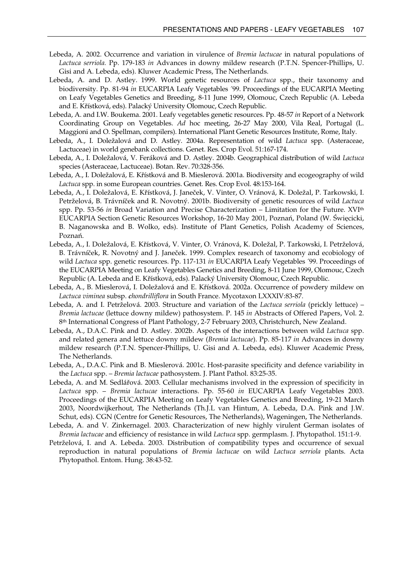- Lebeda, A. 2002. Occurrence and variation in virulence of *Bremia lactucae* in natural populations of *Lactuca serriola.* Pp. 179-183 *in* Advances in downy mildew research (P.T.N. Spencer-Phillips, U. Gisi and A. Lebeda, eds). Kluwer Academic Press, The Netherlands.
- Lebeda, A. and D. Astley. 1999. World genetic resources of *Lactuca* spp., their taxonomy and biodiversity. Pp. 81-94 *in* EUCARPIA Leafy Vegetables ´99. Proceedings of the EUCARPIA Meeting on Leafy Vegetables Genetics and Breeding, 8-11 June 1999, Olomouc, Czech Republic (A. Lebeda and E. Křístková, eds). Palacký University Olomouc, Czech Republic.
- Lebeda, A. and I.W. Boukema. 2001. Leafy vegetables genetic resources. Pp. 48-57 *in* Report of a Network Coordinating Group on Vegetables. *Ad* hoc meeting, 26-27 May 2000, Vila Real, Portugal (L. Maggioni and O. Spellman, compilers). International Plant Genetic Resources Institute, Rome, Italy.
- Lebeda, A., I. Doležalová and D. Astley. 2004a. Representation of wild *Lactuca* spp. (Asteraceae, Lactuceae) in world genebank collections. Genet. Res. Crop Evol. 51:167-174.
- Lebeda, A., I. Doležalová, V. Feráková and D. Astley. 2004b. Geographical distribution of wild *Lactuca* species (Asteraceae, Lactuceae). Botan. Rev. 70:328-356.
- Lebeda, A., I. Doležalová, E. Kĥístková and B. Mieslerová. 2001a. Biodiversity and ecogeography of wild *Lactuca* spp. in some European countries. Genet. Res. Crop Evol. 48:153-164.
- Lebeda, A., I. Doležalová, E. Křístková, J. Janeček, V. Vinter, O. Vránová, K. Doležal, P. Tarkowski, I. Petrželová, B. Trávníìek and R. Novotný. 2001b. Biodiversity of genetic resources of wild *Lactuca* spp. Pp. 53-56 *in* Broad Variation and Precise Characterization – Limitation for the Future. XVIth EUCARPIA Section Genetic Resources Workshop, 16-20 May 2001, Poznań, Poland (W. Święcicki, B. Naganowska and B. Wolko, eds). Institute of Plant Genetics, Polish Academy of Sciences, Poznań.
- Lebeda, A., I. Doležalová, E. Kĥístková, V. Vinter, O. Vránová, K. Doležal, P. Tarkowski, I. Petrželová, B. Trávníček, R. Novotný and J. Janeček. 1999. Complex research of taxonomy and ecobiology of wild *Lactuca* spp. genetic resources. Pp. 117-131 *in* EUCARPIA Leafy Vegetables ´99. Proceedings of the EUCARPIA Meeting on Leafy Vegetables Genetics and Breeding, 8-11 June 1999, Olomouc, Czech Republic (A. Lebeda and E. Křístková, eds). Palacký University Olomouc, Czech Republic.
- Lebeda, A., B. Mieslerová, I. Doležalová and E. Křístková. 2002a. Occurrence of powdery mildew on *Lactuca viminea* subsp. *chondrilliflora* in South France. Mycotaxon LXXXIV:83-87.
- Lebeda, A. and I. Petrželová. 2003. Structure and variation of the *Lactuca serriola* (prickly lettuce) *Bremia lactucae* (lettuce downy mildew) pathosystem. P. 145 *in* Abstracts of Offered Papers, Vol. 2. 8<sup>th</sup> International Congress of Plant Pathology, 2-7 February 2003, Christchurch, New Zealand.
- Lebeda, A., D.A.C. Pink and D. Astley. 2002b. Aspects of the interactions between wild *Lactuca* spp. and related genera and lettuce downy mildew (*Bremia lactucae*). Pp. 85-117 *in* Advances in downy mildew research (P.T.N. Spencer-Phillips, U. Gisi and A. Lebeda, eds). Kluwer Academic Press, The Netherlands.
- Lebeda, A., D.A.C. Pink and B. Mieslerová. 2001c. Host-parasite specificity and defence variability in the *Lactuca* spp. – *Bremia lactucae* pathosystem. J. Plant Pathol. 83:25-35.
- Lebeda, A. and M. Sedlářová. 2003. Cellular mechanisms involved in the expression of specificity in *Lactuca* spp. – *Bremia lactucae* interactions. Pp. 55-60 *in* EUCARPIA Leafy Vegetables 2003. Proceedings of the EUCARPIA Meeting on Leafy Vegetables Genetics and Breeding, 19-21 March 2003, Noordwijkerhout, The Netherlands (Th.J.L van Hintum, A. Lebeda, D.A. Pink and J.W. Schut, eds). CGN (Centre for Genetic Resources, The Netherlands), Wageningen, The Netherlands.
- Lebeda, A. and V. Zinkernagel. 2003. Characterization of new highly virulent German isolates of *Bremia lactucae* and efficiency of resistance in wild *Lactuca* spp. germplasm. J. Phytopathol. 151:1-9.
- Petrželová, I. and A. Lebeda. 2003. Distribution of compatibility types and occurrence of sexual reproduction in natural populations of *Bremia lactucae* on wild *Lactuca serriola* plants. Acta Phytopathol. Entom. Hung. 38:43-52.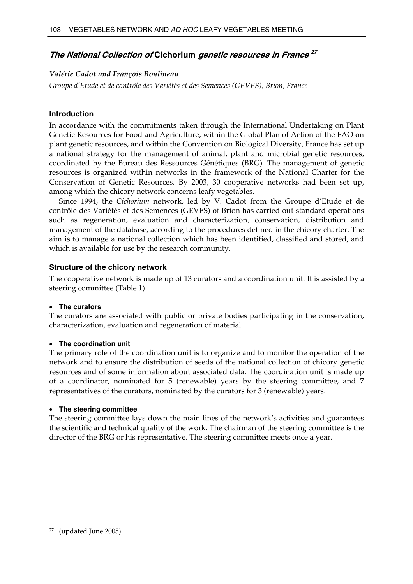# **The National Collection of Cichorium genetic resources in France** *<sup>27</sup>*

# *Valérie Cadot and François Boulineau*

*Groupe d'Etude et de contrôle des Variétés et des Semences (GEVES), Brion, France* 

# **Introduction**

In accordance with the commitments taken through the International Undertaking on Plant Genetic Resources for Food and Agriculture, within the Global Plan of Action of the FAO on plant genetic resources, and within the Convention on Biological Diversity, France has set up a national strategy for the management of animal, plant and microbial genetic resources, coordinated by the Bureau des Ressources Génétiques (BRG). The management of genetic resources is organized within networks in the framework of the National Charter for the Conservation of Genetic Resources. By 2003, 30 cooperative networks had been set up, among which the chicory network concerns leafy vegetables.

 Since 1994, the *Cichorium* network, led by V. Cadot from the Groupe d'Etude et de contrôle des Variétés et des Semences (GEVES) of Brion has carried out standard operations such as regeneration, evaluation and characterization, conservation, distribution and management of the database, according to the procedures defined in the chicory charter. The aim is to manage a national collection which has been identified, classified and stored, and which is available for use by the research community.

## **Structure of the chicory network**

The cooperative network is made up of 13 curators and a coordination unit. It is assisted by a steering committee (Table 1).

## x **The curators**

The curators are associated with public or private bodies participating in the conservation, characterization, evaluation and regeneration of material.

## **• The coordination unit**

The primary role of the coordination unit is to organize and to monitor the operation of the network and to ensure the distribution of seeds of the national collection of chicory genetic resources and of some information about associated data. The coordination unit is made up of a coordinator, nominated for 5 (renewable) years by the steering committee, and 7 representatives of the curators, nominated by the curators for 3 (renewable) years.

## x **The steering committee**

The steering committee lays down the main lines of the network's activities and guarantees the scientific and technical quality of the work. The chairman of the steering committee is the director of the BRG or his representative. The steering committee meets once a year.

 $\overline{a}$ 

<sup>27 (</sup>updated June 2005)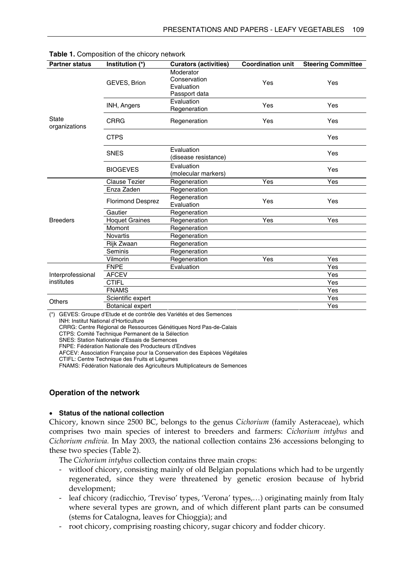| <b>Partner status</b>         | Institution (*)          | <b>Curators (activities)</b>       | <b>Coordination unit</b> | <b>Steering Committee</b> |
|-------------------------------|--------------------------|------------------------------------|--------------------------|---------------------------|
|                               |                          | Moderator                          |                          |                           |
|                               | GEVES, Brion             | Conservation<br>Evaluation         | Yes                      | Yes                       |
|                               |                          | Passport data                      |                          |                           |
|                               | INH, Angers              | Evaluation<br>Regeneration         | Yes                      | Yes                       |
| <b>State</b><br>organizations | <b>CRRG</b>              | Regeneration                       | Yes                      | Yes                       |
|                               | <b>CTPS</b>              |                                    |                          | Yes                       |
|                               | <b>SNES</b>              | Evaluation<br>(disease resistance) |                          | Yes                       |
|                               | <b>BIOGEVES</b>          | Evaluation<br>(molecular markers)  |                          | Yes                       |
|                               | Clause Tezier            | Regeneration                       | Yes                      | Yes                       |
|                               | Enza Zaden               | Regeneration                       |                          |                           |
|                               | <b>Florimond Desprez</b> | Regeneration<br>Evaluation         | Yes                      | Yes                       |
|                               | Gautier                  | Regeneration                       |                          |                           |
| <b>Breeders</b>               | <b>Hoquet Graines</b>    | Regeneration                       | Yes                      | Yes                       |
|                               | Momont                   | Regeneration                       |                          |                           |
|                               | <b>Novartis</b>          | Regeneration                       |                          |                           |
|                               | Rijk Zwaan               | Regeneration                       |                          |                           |
|                               | Seminis                  | Regeneration                       |                          |                           |
|                               | Vilmorin                 | Regeneration                       | Yes                      | Yes                       |
|                               | <b>FNPE</b>              | Evaluation                         |                          | Yes                       |
| Interprofessional             | <b>AFCEV</b>             |                                    |                          | <b>Yes</b>                |
| institutes                    | <b>CTIFL</b>             |                                    |                          | Yes                       |
|                               | <b>FNAMS</b>             |                                    |                          | Yes                       |
| <b>Others</b>                 | Scientific expert        |                                    |                          | Yes                       |
|                               | <b>Botanical expert</b>  |                                    |                          | Yes                       |

**Table 1.** Composition of the chicory network

(\*) GEVES: Groupe d'Etude et de contrôle des Variétés et des Semences

INH: Institut National d'Horticulture

CRRG: Centre Régional de Ressources Génétiques Nord Pas-de-Calais

CTPS: Comité Technique Permanent de la Sélection

SNES: Station Nationale d'Essais de Semences

FNPE: Fédération Nationale des Producteurs d'Endives

AFCEV: Association Française pour la Conservation des Espèces Végétales

CTIFL: Centre Technique des Fruits et Légumes

## **Operation of the network**

## x **Status of the national collection**

Chicory, known since 2500 BC, belongs to the genus *Cichorium* (family Asteraceae), which comprises two main species of interest to breeders and farmers: *Cichorium intybus* and *Cichorium endivia.* In May 2003, the national collection contains 236 accessions belonging to these two species (Table 2).

The *Cichorium intybus* collection contains three main crops:

- witloof chicory, consisting mainly of old Belgian populations which had to be urgently regenerated, since they were threatened by genetic erosion because of hybrid development;
- leaf chicory (radicchio, 'Treviso' types, 'Verona' types,…) originating mainly from Italy where several types are grown, and of which different plant parts can be consumed (stems for Catalogna, leaves for Chioggia); and
- root chicory, comprising roasting chicory, sugar chicory and fodder chicory.

FNAMS: Fédération Nationale des Agriculteurs Multiplicateurs de Semences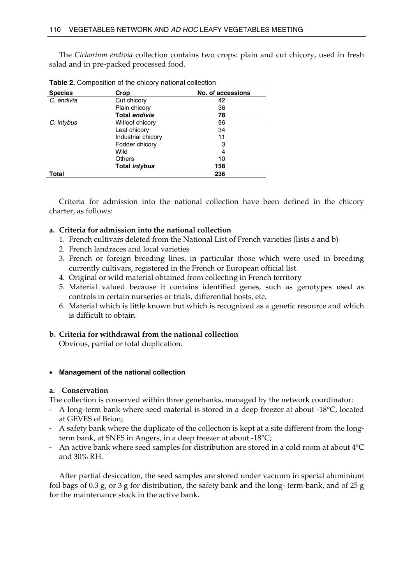The *Cichorium endivia* collection contains two crops: plain and cut chicory, used in fresh salad and in pre-packed processed food.

| <b>Species</b> | Crop               | No. of accessions |
|----------------|--------------------|-------------------|
| C. endivia     | Cut chicory        | 42                |
|                | Plain chicory      | 36                |
|                | Total endivia      | 78                |
| C. intybus     | Witloof chicory    | 96                |
|                | Leaf chicory       | 34                |
|                | Industrial chicory | 11                |
|                | Fodder chicory     | 3                 |
|                | Wild               | 4                 |
|                | <b>Others</b>      | 10                |
|                | Total intybus      | 158               |
| Total          |                    | 236               |

|  |  |  | Table 2. Composition of the chicory national collection |
|--|--|--|---------------------------------------------------------|
|--|--|--|---------------------------------------------------------|

 Criteria for admission into the national collection have been defined in the chicory charter, as follows:

## **a. Criteria for admission into the national collection**

- 1. French cultivars deleted from the National List of French varieties (lists a and b)
- 2. French landraces and local varieties
- 3. French or foreign breeding lines, in particular those which were used in breeding currently cultivars, registered in the French or European official list.
- 4. Original or wild material obtained from collecting in French territory
- 5. Material valued because it contains identified genes, such as genotypes used as controls in certain nurseries or trials, differential hosts, etc.
- 6. Material which is little known but which is recognized as a genetic resource and which is difficult to obtain.

## **b. Criteria for withdrawal from the national collection**

Obvious, partial or total duplication.

## **Management of the national collection**

## **a. Conservation**

The collection is conserved within three genebanks, managed by the network coordinator:

- A long-term bank where seed material is stored in a deep freezer at about -18°C, located at GEVES of Brion;
- A safety bank where the duplicate of the collection is kept at a site different from the longterm bank, at SNES in Angers, in a deep freezer at about -18°C;
- An active bank where seed samples for distribution are stored in a cold room at about  $4^{\circ}C$ and 30% RH.

 After partial desiccation, the seed samples are stored under vacuum in special aluminium foil bags of 0.3 g, or 3 g for distribution, the safety bank and the long- term-bank, and of 25 g for the maintenance stock in the active bank.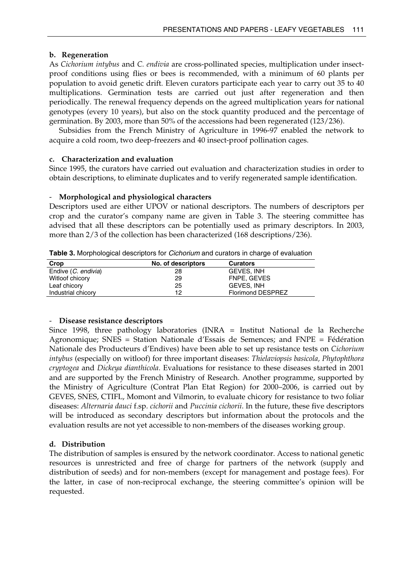# **b. Regeneration**

As *Cichorium intybus* and *C. endivia* are cross-pollinated species, multiplication under insectproof conditions using flies or bees is recommended, with a minimum of 60 plants per population to avoid genetic drift. Eleven curators participate each year to carry out 35 to 40 multiplications. Germination tests are carried out just after regeneration and then periodically. The renewal frequency depends on the agreed multiplication years for national genotypes (every 10 years), but also on the stock quantity produced and the percentage of germination. By 2003, more than 50% of the accessions had been regenerated (123/236).

 Subsidies from the French Ministry of Agriculture in 1996-97 enabled the network to acquire a cold room, two deep-freezers and 40 insect-proof pollination cages.

# **c. Characterization and evaluation**

Since 1995, the curators have carried out evaluation and characterization studies in order to obtain descriptions, to eliminate duplicates and to verify regenerated sample identification.

# - **Morphological and physiological characters**

Descriptors used are either UPOV or national descriptors. The numbers of descriptors per crop and the curator's company name are given in Table 3. The steering committee has advised that all these descriptors can be potentially used as primary descriptors. In 2003, more than 2/3 of the collection has been characterized (168 descriptions/236).

**Table 3.** Morphological descriptors for Cichorium and curators in charge of evaluation

| Crop                | No. of descriptors | <b>Curators</b>          |
|---------------------|--------------------|--------------------------|
| Endive (C. endivia) | 28                 | GEVES. INH               |
| Witloof chicory     | 29                 | FNPE, GEVES              |
| Leaf chicory        | 25                 | <b>GEVES, INH</b>        |
| Industrial chicory  | 12                 | <b>Florimond DESPREZ</b> |

# - **Disease resistance descriptors**

Since 1998, three pathology laboratories (INRA = Institut National de la Recherche Agronomique; SNES = Station Nationale d'Essais de Semences; and FNPE = Fédération Nationale des Producteurs d'Endives) have been able to set up resistance tests on *Cichorium intybus* (especially on witloof) for three important diseases: *Thielaviopsis basicola, Phytophthora cryptogea* and *Dickeya dianthicola*. Evaluations for resistance to these diseases started in 2001 and are supported by the French Ministry of Research. Another programme, supported by the Ministry of Agriculture (Contrat Plan Etat Region) for 2000–2006, is carried out by GEVES, SNES, CTIFL, Momont and Vilmorin, to evaluate chicory for resistance to two foliar diseases: *Alternaria dauci* f.sp. *cichorii* and *Puccinia cichorii*. In the future, these five descriptors will be introduced as secondary descriptors but information about the protocols and the evaluation results are not yet accessible to non-members of the diseases working group.

# **d. Distribution**

The distribution of samples is ensured by the network coordinator. Access to national genetic resources is unrestricted and free of charge for partners of the network (supply and distribution of seeds) and for non-members (except for management and postage fees). For the latter, in case of non-reciprocal exchange, the steering committee's opinion will be requested.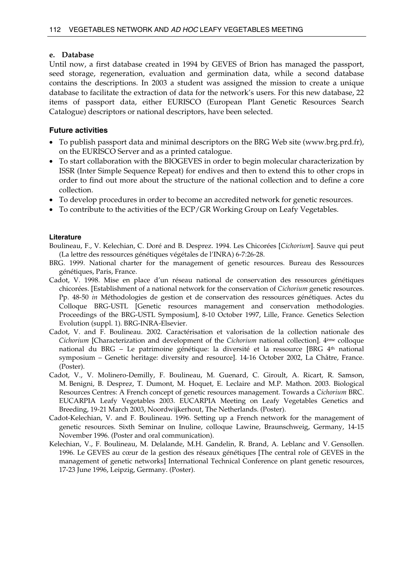## **e. Database**

Until now, a first database created in 1994 by GEVES of Brion has managed the passport, seed storage, regeneration, evaluation and germination data, while a second database contains the descriptions. In 2003 a student was assigned the mission to create a unique database to facilitate the extraction of data for the network's users. For this new database, 22 items of passport data, either EURISCO (European Plant Genetic Resources Search Catalogue) descriptors or national descriptors, have been selected.

## **Future activities**

- To publish passport data and minimal descriptors on the BRG Web site (www.brg.prd.fr), on the EURISCO Server and as a printed catalogue.
- To start collaboration with the BIOGEVES in order to begin molecular characterization by ISSR (Inter Simple Sequence Repeat) for endives and then to extend this to other crops in order to find out more about the structure of the national collection and to define a core collection.
- To develop procedures in order to become an accredited network for genetic resources.
- To contribute to the activities of the ECP/GR Working Group on Leafy Vegetables.

## **Literature**

- Boulineau, F., V. Kelechian, C. Doré and B. Desprez. 1994. Les Chicorées [*Cichorium*]. Sauve qui peut (La lettre des ressources génétiques végétales de l'INRA) 6-7:26-28.
- BRG. 1999. National charter for the management of genetic resources. Bureau des Ressources génétiques, Paris, France.
- Cadot, V. 1998. Mise en place d'un réseau national de conservation des ressources génétiques chicorées. [Establishment of a national network for the conservation of *Cichorium* genetic resources. Pp. 48-50 *in* Méthodologies de gestion et de conservation des ressources génétiques. Actes du Colloque BRG-USTL [Genetic resources management and conservation methodologies. Proceedings of the BRG-USTL Symposium], 8-10 October 1997, Lille, France. Genetics Selection Evolution (suppl. 1). BRG-INRA-Elsevier.
- Cadot, V. and F. Boulineau. 2002. Caractérisation et valorisation de la collection nationale des *Cichorium* [Characterization and development of the *Cichorium* national collection]. 4ème colloque national du BRG – Le patrimoine génétique: la diversité et la ressource [BRG 4<sup>th</sup> national symposium – Genetic heritage: diversity and resource]. 14-16 October 2002, La Châtre, France. (Poster).
- Cadot, V., V. Molinero-Demilly, F. Boulineau, M. Guenard, C. Giroult, A. Ricart, R. Samson, M. Benigni, B. Desprez, T. Dumont, M. Hoquet, E. Leclaire and M.P. Mathon. 2003. Biological Resources Centres: A French concept of genetic resources management. Towards a *Cichorium* BRC. EUCARPIA Leafy Vegetables 2003. EUCARPIA Meeting on Leafy Vegetables Genetics and Breeding, 19-21 March 2003, Noordwijkerhout, The Netherlands. (Poster).
- Cadot-Kelechian, V. and F. Boulineau. 1996. Setting up a French network for the management of genetic resources. Sixth Seminar on Inuline, colloque Lawine, Braunschweig, Germany, 14-15 November 1996. (Poster and oral communication).
- Kelechian, V., F. Boulineau, M. Delalande, M.H. Gandelin, R. Brand, A. Leblanc and V. Gensollen. 1996. Le GEVES au cœur de la gestion des réseaux génétiques [The central role of GEVES in the management of genetic networks] International Technical Conference on plant genetic resources, 17-23 June 1996, Leipzig, Germany. (Poster).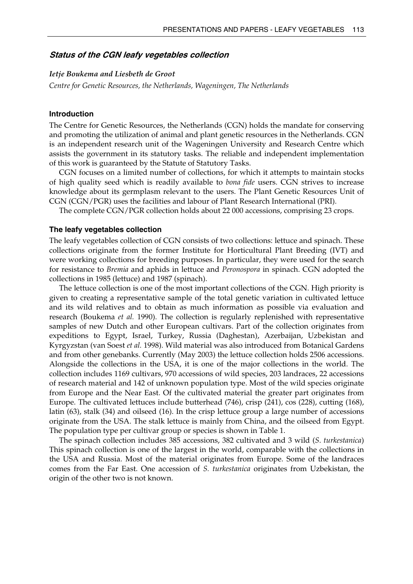#### **Status of the CGN leafy vegetables collection**

#### *Ietje Boukema and Liesbeth de Groot*

*Centre for Genetic Resources, the Netherlands, Wageningen, The Netherlands*

#### **Introduction**

The Centre for Genetic Resources, the Netherlands (CGN) holds the mandate for conserving and promoting the utilization of animal and plant genetic resources in the Netherlands. CGN is an independent research unit of the Wageningen University and Research Centre which assists the government in its statutory tasks. The reliable and independent implementation of this work is guaranteed by the Statute of Statutory Tasks.

 CGN focuses on a limited number of collections, for which it attempts to maintain stocks of high quality seed which is readily available to *bona fide* users. CGN strives to increase knowledge about its germplasm relevant to the users. The Plant Genetic Resources Unit of CGN (CGN/PGR) uses the facilities and labour of Plant Research International (PRI).

The complete CGN/PGR collection holds about 22 000 accessions, comprising 23 crops.

#### **The leafy vegetables collection**

The leafy vegetables collection of CGN consists of two collections: lettuce and spinach. These collections originate from the former Institute for Horticultural Plant Breeding (IVT) and were working collections for breeding purposes. In particular, they were used for the search for resistance to *Bremia* and aphids in lettuce and *Peronospora* in spinach. CGN adopted the collections in 1985 (lettuce) and 1987 (spinach).

 The lettuce collection is one of the most important collections of the CGN. High priority is given to creating a representative sample of the total genetic variation in cultivated lettuce and its wild relatives and to obtain as much information as possible via evaluation and research (Boukema *et al.* 1990). The collection is regularly replenished with representative samples of new Dutch and other European cultivars. Part of the collection originates from expeditions to Egypt, Israel, Turkey, Russia (Daghestan), Azerbaijan, Uzbekistan and Kyrgyzstan (van Soest *et al.* 1998). Wild material was also introduced from Botanical Gardens and from other genebanks. Currently (May 2003) the lettuce collection holds 2506 accessions. Alongside the collections in the USA, it is one of the major collections in the world. The collection includes 1169 cultivars, 970 accessions of wild species, 203 landraces, 22 accessions of research material and 142 of unknown population type. Most of the wild species originate from Europe and the Near East. Of the cultivated material the greater part originates from Europe. The cultivated lettuces include butterhead (746), crisp (241), cos (228), cutting (168), latin (63), stalk (34) and oilseed (16). In the crisp lettuce group a large number of accessions originate from the USA. The stalk lettuce is mainly from China, and the oilseed from Egypt. The population type per cultivar group or species is shown in Table 1.

 The spinach collection includes 385 accessions, 382 cultivated and 3 wild (*S*. *turkestanica*) This spinach collection is one of the largest in the world, comparable with the collections in the USA and Russia. Most of the material originates from Europe. Some of the landraces comes from the Far East. One accession of *S. turkestanica* originates from Uzbekistan, the origin of the other two is not known.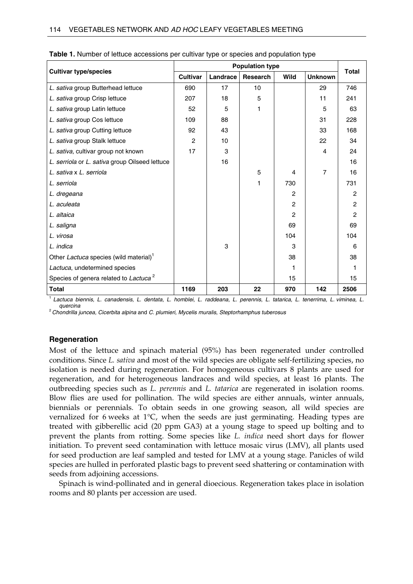| <b>Cultivar type/species</b>                       | <b>Cultivar</b> | Landrace | Research | Wild           | <b>Unknown</b> | <b>Total</b>   |
|----------------------------------------------------|-----------------|----------|----------|----------------|----------------|----------------|
| L. sativa group Butterhead lettuce                 | 690             | 17       | 10       |                | 29             | 746            |
| L. sativa group Crisp lettuce                      | 207             | 18       | 5        |                | 11             | 241            |
| L. sativa group Latin lettuce                      | 52              | 5        | 1        |                | 5              | 63             |
| L. sativa group Cos lettuce                        | 109             | 88       |          |                | 31             | 228            |
| L. sativa group Cutting lettuce                    | 92              | 43       |          |                | 33             | 168            |
| L. sativa group Stalk lettuce                      | $\overline{c}$  | 10       |          |                | 22             | 34             |
| L. sativa, cultivar group not known                | 17              | 3        |          |                | 4              | 24             |
| L. serriola or L. sativa group Oilseed lettuce     |                 | 16       |          |                |                | 16             |
| L. sativa x L. serriola                            |                 |          | 5        | 4              | 7              | 16             |
| L. serriola                                        |                 |          | 1        | 730            |                | 731            |
| L. dregeana                                        |                 |          |          | $\overline{2}$ |                | 2              |
| L. aculeata                                        |                 |          |          | $\overline{2}$ |                | $\overline{c}$ |
| L. altaica                                         |                 |          |          | $\overline{2}$ |                | $\overline{c}$ |
| L. saligna                                         |                 |          |          | 69             |                | 69             |
| L. virosa                                          |                 |          |          | 104            |                | 104            |
| L. indica                                          |                 | 3        |          | 3              |                | 6              |
| Other Lactuca species (wild material) <sup>1</sup> |                 |          |          | 38             |                | 38             |
| Lactuca, undetermined species                      |                 |          |          | 1              |                | 1              |
| Species of genera related to Lactuca <sup>2</sup>  |                 |          |          | 15             |                | 15             |
| <b>Total</b>                                       | 1169            | 203      | 22       | 970            | 142            | 2506           |

Lactuca biennis, L. canadensis, L. dentata, L. homblei, L. raddeana, L. perennis, L. tatarica, L. tenerrima, L. viminea, L.

quercina<br><sup>2</sup> Chondrilla juncea, Cicerbita alpina and C. plumieri, Mycelis muralis, Steptorhamphus tuberosus

#### **Regeneration**

Most of the lettuce and spinach material (95%) has been regenerated under controlled conditions. Since *L. sativa* and most of the wild species are obligate self-fertilizing species, no isolation is needed during regeneration. For homogeneous cultivars 8 plants are used for regeneration, and for heterogeneous landraces and wild species, at least 16 plants. The outbreeding species such as *L. perennis* and *L. tatarica* are regenerated in isolation rooms. Blow flies are used for pollination. The wild species are either annuals, winter annuals, biennials or perennials. To obtain seeds in one growing season, all wild species are vernalized for 6 weeks at 1°C, when the seeds are just germinating. Heading types are treated with gibberellic acid (20 ppm GA3) at a young stage to speed up bolting and to prevent the plants from rotting. Some species like *L. indica* need short days for flower initiation. To prevent seed contamination with lettuce mosaic virus (LMV), all plants used for seed production are leaf sampled and tested for LMV at a young stage. Panicles of wild species are hulled in perforated plastic bags to prevent seed shattering or contamination with seeds from adjoining accessions.

 Spinach is wind-pollinated and in general dioecious. Regeneration takes place in isolation rooms and 80 plants per accession are used.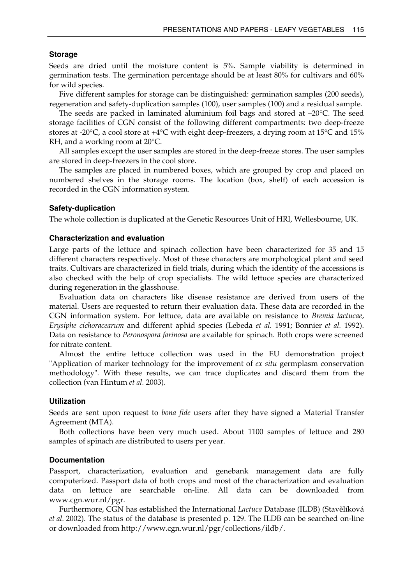#### **Storage**

Seeds are dried until the moisture content is 5%. Sample viability is determined in germination tests. The germination percentage should be at least 80% for cultivars and 60% for wild species.

 Five different samples for storage can be distinguished: germination samples (200 seeds), regeneration and safety-duplication samples (100), user samples (100) and a residual sample.

The seeds are packed in laminated aluminium foil bags and stored at  $-20^{\circ}$ C. The seed storage facilities of CGN consist of the following different compartments: two deep-freeze stores at -20°C, a cool store at +4°C with eight deep-freezers, a drying room at 15°C and 15% RH, and a working room at 20°C.

 All samples except the user samples are stored in the deep-freeze stores. The user samples are stored in deep-freezers in the cool store.

 The samples are placed in numbered boxes, which are grouped by crop and placed on numbered shelves in the storage rooms. The location (box, shelf) of each accession is recorded in the CGN information system.

#### **Safety-duplication**

The whole collection is duplicated at the Genetic Resources Unit of HRI, Wellesbourne, UK.

#### **Characterization and evaluation**

Large parts of the lettuce and spinach collection have been characterized for 35 and 15 different characters respectively. Most of these characters are morphological plant and seed traits. Cultivars are characterized in field trials, during which the identity of the accessions is also checked with the help of crop specialists. The wild lettuce species are characterized during regeneration in the glasshouse.

 Evaluation data on characters like disease resistance are derived from users of the material. Users are requested to return their evaluation data. These data are recorded in the CGN information system. For lettuce, data are available on resistance to *Bremia lactucae*, *Erysiphe cichoracearum* and different aphid species (Lebeda *et al.* 1991; Bonnier *et al.* 1992). Data on resistance to *Peronospora farinosa* are available for spinach. Both crops were screened for nitrate content.

 Almost the entire lettuce collection was used in the EU demonstration project "Application of marker technology for the improvement of *ex situ* germplasm conservation methodology". With these results, we can trace duplicates and discard them from the collection (van Hintum *et al.* 2003).

## **Utilization**

Seeds are sent upon request to *bona fide* users after they have signed a Material Transfer Agreement (MTA).

 Both collections have been very much used. About 1100 samples of lettuce and 280 samples of spinach are distributed to users per year.

## **Documentation**

Passport, characterization, evaluation and genebank management data are fully computerized. Passport data of both crops and most of the characterization and evaluation data on lettuce are searchable on-line. All data can be downloaded from www.cgn.wur.nl/pgr.

 Furthermore, CGN has established the International *Lactuca* Database (ILDB) (Stavülíková *et al.* 2002). The status of the database is presented p. 129. The ILDB can be searched on-line or downloaded from http://www.cgn.wur.nl/pgr/collections/ildb/.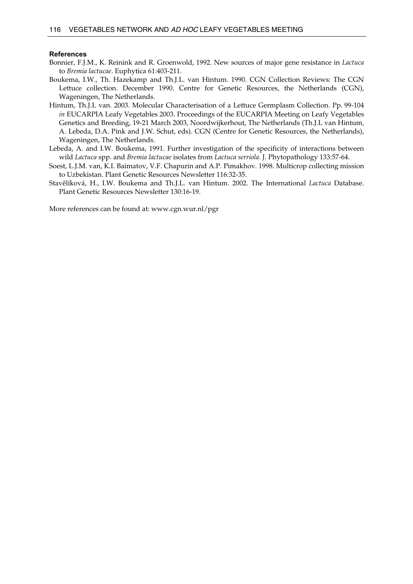#### **References**

- Bonnier, F.J.M., K. Reinink and R. Groenwold, 1992. New sources of major gene resistance in *Lactuca* to *Bremia lactucae*. Euphytica 61:403-211.
- Boukema, I.W., Th. Hazekamp and Th.J.L. van Hintum. 1990. CGN Collection Reviews: The CGN Lettuce collection. December 1990. Centre for Genetic Resources, the Netherlands (CGN), Wageningen, The Netherlands.
- Hintum, Th.J.L van. 2003. Molecular Characterisation of a Lettuce Germplasm Collection. Pp. 99-104 *in* EUCARPIA Leafy Vegetables 2003. Proceedings of the EUCARPIA Meeting on Leafy Vegetables Genetics and Breeding, 19-21 March 2003, Noordwijkerhout, The Netherlands (Th.J.L van Hintum, A. Lebeda, D.A. Pink and J.W. Schut, eds). CGN (Centre for Genetic Resources, the Netherlands), Wageningen, The Netherlands.
- Lebeda, A. and I.W. Boukema, 1991. Further investigation of the specificity of interactions between wild *Lactuca* spp. and *Bremia lactucae* isolates from *Lactuca serriola*. J. Phytopathology 133:57-64.
- Soest, L.J.M. van, K.I. Baimatov, V.F. Chapurin and A.P. Pimakhov. 1998. Multicrop collecting mission to Uzbekistan. Plant Genetic Resources Newsletter 116:32-35.
- Stavülíková, H., I.W. Boukema and Th.J.L. van Hintum. 2002. The International *Lactuca* Database. Plant Genetic Resources Newsletter 130:16-19.

More references can be found at: www.cgn.wur.nl/pgr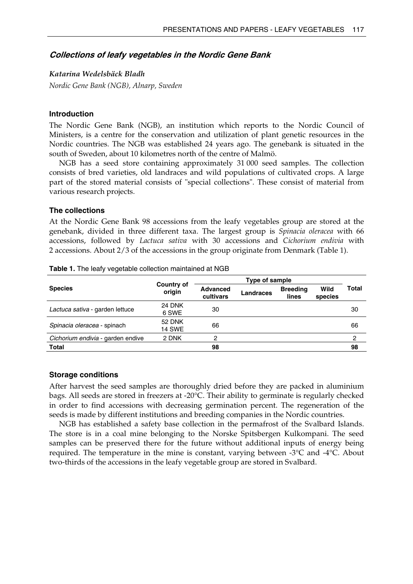# **Collections of leafy vegetables in the Nordic Gene Bank**

## *Katarina Wedelsbäck Bladh*

*Nordic Gene Bank (NGB), Alnarp, Sweden* 

### **Introduction**

The Nordic Gene Bank (NGB), an institution which reports to the Nordic Council of Ministers, is a centre for the conservation and utilization of plant genetic resources in the Nordic countries. The NGB was established 24 years ago. The genebank is situated in the south of Sweden, about 10 kilometres north of the centre of Malmö.

 NGB has a seed store containing approximately 31 000 seed samples. The collection consists of bred varieties, old landraces and wild populations of cultivated crops. A large part of the stored material consists of "special collections". These consist of material from various research projects.

### **The collections**

At the Nordic Gene Bank 98 accessions from the leafy vegetables group are stored at the genebank, divided in three different taxa. The largest group is *Spinacia oleracea* with 66 accessions, followed by *Lactuca sativa* with 30 accessions and *Cichorium endivia* with 2 accessions. About 2/3 of the accessions in the group originate from Denmark (Table 1).

|                                   | Country of                             | Type of sample |                  |                          |                 |       |  |  |
|-----------------------------------|----------------------------------------|----------------|------------------|--------------------------|-----------------|-------|--|--|
| <b>Species</b>                    | <b>Advanced</b><br>origin<br>cultivars |                | <b>Landraces</b> | <b>Breeding</b><br>lines | Wild<br>species | Total |  |  |
| Lactuca sativa - garden lettuce   | 24 DNK<br>6 SWE                        | 30             |                  |                          |                 | 30    |  |  |
| Spinacia oleracea - spinach       | <b>52 DNK</b><br>14 SWE                | 66             |                  |                          |                 | 66    |  |  |
| Cichorium endivia - garden endive | 2 DNK                                  | 2              |                  |                          |                 | 2     |  |  |
| <b>Total</b>                      |                                        | 98             |                  |                          |                 | 98    |  |  |

**Table 1.** The leafy vegetable collection maintained at NGB

#### **Storage conditions**

After harvest the seed samples are thoroughly dried before they are packed in aluminium bags. All seeds are stored in freezers at -20°C. Their ability to germinate is regularly checked in order to find accessions with decreasing germination percent. The regeneration of the seeds is made by different institutions and breeding companies in the Nordic countries.

 NGB has established a safety base collection in the permafrost of the Svalbard Islands. The store is in a coal mine belonging to the Norske Spitsbergen Kulkompani. The seed samples can be preserved there for the future without additional inputs of energy being required. The temperature in the mine is constant, varying between  $-3^{\circ}C$  and  $-4^{\circ}C$ . About two-thirds of the accessions in the leafy vegetable group are stored in Svalbard.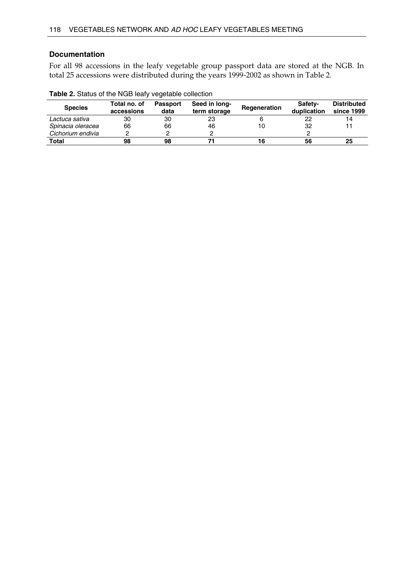## **Documentation**

For all 98 accessions in the leafy vegetable group passport data are stored at the NGB. In total 25 accessions were distributed during the years 1999-2002 as shown in Table 2.

| <b>Species</b>    | Total no. of<br>accessions | <b>Passport</b><br>data | Seed in long-<br>term storage | Regeneration |    | <b>Distributed</b><br>since 1999 |
|-------------------|----------------------------|-------------------------|-------------------------------|--------------|----|----------------------------------|
| Lactuca sativa    | 30                         | 30                      | 23                            |              | 22 | 14                               |
| Spinacia oleracea | 66                         | 66                      | 46                            | 10           | 32 |                                  |
| Cichorium endivia |                            |                         |                               |              |    |                                  |
| Total             | 98                         | 98                      |                               | 16           | 56 | 25                               |

**Table 2.** Status of the NGB leafy vegetable collection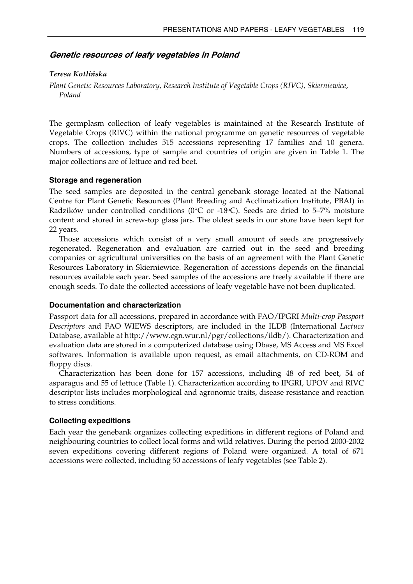## **Genetic resources of leafy vegetables in Poland**

### *Teresa Kotliēska*

*Plant Genetic Resources Laboratory, Research Institute of Vegetable Crops (RIVC), Skierniewice, Poland*

The germplasm collection of leafy vegetables is maintained at the Research Institute of Vegetable Crops (RIVC) within the national programme on genetic resources of vegetable crops. The collection includes 515 accessions representing 17 families and 10 genera. Numbers of accessions, type of sample and countries of origin are given in Table 1. The major collections are of lettuce and red beet.

#### **Storage and regeneration**

The seed samples are deposited in the central genebank storage located at the National Centre for Plant Genetic Resources (Plant Breeding and Acclimatization Institute, PBAI) in Radzików under controlled conditions (0°C or -18oC). Seeds are dried to 5–7% moisture content and stored in screw-top glass jars. The oldest seeds in our store have been kept for 22 years.

 Those accessions which consist of a very small amount of seeds are progressively regenerated. Regeneration and evaluation are carried out in the seed and breeding companies or agricultural universities on the basis of an agreement with the Plant Genetic Resources Laboratory in Skierniewice. Regeneration of accessions depends on the financial resources available each year. Seed samples of the accessions are freely available if there are enough seeds. To date the collected accessions of leafy vegetable have not been duplicated.

#### **Documentation and characterization**

Passport data for all accessions, prepared in accordance with FAO/IPGRI *Multi-crop Passport Descriptors* and FAO WIEWS descriptors, are included in the ILDB (International *Lactuca* Database, available at http://www.cgn.wur.nl/pgr/collections/ildb/). Characterization and evaluation data are stored in a computerized database using Dbase, MS Access and MS Excel softwares. Information is available upon request, as email attachments, on CD-ROM and floppy discs.

 Characterization has been done for 157 accessions, including 48 of red beet, 54 of asparagus and 55 of lettuce (Table 1). Characterization according to IPGRI, UPOV and RIVC descriptor lists includes morphological and agronomic traits, disease resistance and reaction to stress conditions.

### **Collecting expeditions**

Each year the genebank organizes collecting expeditions in different regions of Poland and neighbouring countries to collect local forms and wild relatives. During the period 2000-2002 seven expeditions covering different regions of Poland were organized. A total of 671 accessions were collected, including 50 accessions of leafy vegetables (see Table 2).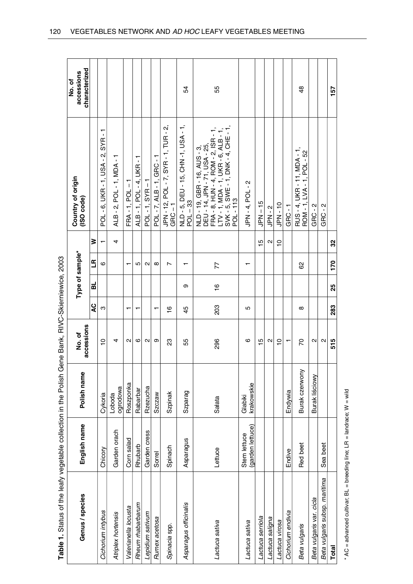|                                                                                                                                                                                                                               | characterized<br>accessions<br>No.of |              |                                                            |                           |                      |                     |                  |                     |                                                   | 54                                                | 55                                                                                                                                                                                                 |                                  |                  |                 |                |                   | $\frac{8}{4}$                                             |                           |                               | 157   |
|-------------------------------------------------------------------------------------------------------------------------------------------------------------------------------------------------------------------------------|--------------------------------------|--------------|------------------------------------------------------------|---------------------------|----------------------|---------------------|------------------|---------------------|---------------------------------------------------|---------------------------------------------------|----------------------------------------------------------------------------------------------------------------------------------------------------------------------------------------------------|----------------------------------|------------------|-----------------|----------------|-------------------|-----------------------------------------------------------|---------------------------|-------------------------------|-------|
|                                                                                                                                                                                                                               | Country of origin<br>(ISO code)      |              | $\overline{\phantom{0}}$<br>POL - 6, UKR - 1, USA - 2, SYR | ALB - 2, POL - 1, MDA - 1 | FRA-1, POL-1         | ALB-1, POL-4, UKR-1 | POL-1, SYR-1     | POL-7, ALB-1, GRC-1 | JPN - 12, POL - 7, SYR - 1, TUR - 2,<br>$GHC - 1$ | NLD - 5, DEU - 15, CHN -1, USA - 1,<br>$POL - 33$ | I, UKR - 6, ALB -<br>SVK - 5, SWE - 1, DNK - 4, CHE<br>POL - 113<br>$FRA - 8$ , $HUN - 4$ , $ROM - 2$ , ISR<br>NLD - 19, GBR - 16, AUS - 3,<br>DEU - 14, JPN - 71, USA - 25<br>$LTV - 1$ , MDA - 1 | JPN-4, POL-2                     | $JPN - 15$       | JPN-2           | $P - 10$       | GRC-1             | RUS - 4, UKR - 11, MDA - 1,<br>ROM - 1, LVA - 1, POL - 52 | GRC-2                     | GRC-2                         |       |
|                                                                                                                                                                                                                               |                                      | ⋧            |                                                            | 4                         |                      |                     |                  |                     |                                                   |                                                   |                                                                                                                                                                                                    |                                  | $\frac{15}{2}$   | Z               | $\overline{C}$ |                   |                                                           |                           |                               | 32    |
|                                                                                                                                                                                                                               |                                      | $\mathbf{a}$ | ဖ                                                          |                           | T                    | Ю                   | N                | $\infty$            | L                                                 |                                                   | 77                                                                                                                                                                                                 |                                  |                  |                 |                |                   | 8                                                         |                           |                               | 170   |
|                                                                                                                                                                                                                               | Type of sample*                      | ᆱ            |                                                            |                           |                      |                     |                  |                     |                                                   | თ                                                 | $\frac{6}{1}$                                                                                                                                                                                      |                                  |                  |                 |                |                   |                                                           |                           |                               | 25    |
|                                                                                                                                                                                                                               |                                      | Q            | ო                                                          |                           | ┯                    | ┯                   |                  | ۳                   | $\frac{6}{1}$                                     | 45                                                | 203                                                                                                                                                                                                | 5                                |                  |                 |                |                   | $\infty$                                                  |                           |                               | 283   |
|                                                                                                                                                                                                                               | accessions<br>No.of                  |              | $\frac{1}{2}$                                              | 4                         | N                    | ဖ                   | Ν                | თ                   | 23                                                | 55                                                | 296                                                                                                                                                                                                | ဖ                                | $\frac{15}{2}$   | Ν               | $\frac{1}{1}$  | ┯                 | 50                                                        | $\boldsymbol{\mathsf{N}}$ | $\mathbf{\Omega}$             | 515   |
|                                                                                                                                                                                                                               | Polish name                          |              | Cykoria                                                    | ogrodowa<br>Loboda        | Roszponka            | Rabarbar            | Rzezucha         | <b>Szczaw</b>       | <b>Szpinak</b>                                    | Szparag                                           | Sałata                                                                                                                                                                                             | krakowskie<br>Glabiki            |                  |                 |                | Endywia           | Burak czerwony                                            | Burak liściowy            |                               |       |
|                                                                                                                                                                                                                               | English name                         |              | Chicory                                                    | Garden orach              | Corn salad           | Rhubarb             | Garden cress     | Sorrel              | Spinach                                           | Asparagus                                         | Lettuce                                                                                                                                                                                            | (garden lettuce)<br>Stem lettuce |                  |                 |                | Endive            | Red beet                                                  |                           | Sea beet                      |       |
| ANAL SALLAR SALLAR SALLAR SALLAR SALLAR SALLAR SALLAR SALLAR SALLAR SALLAR SALLAR SALLAR SALLAR SALLAR SALLAR SALLAR SALLAR SALLAR SALLAR SALLAR SALLAR SALLAR SALLAR SALLAR SALLAR SALLAR SALLAR SALLAR SALLAR SALLAR SALLAR | Genus / species                      |              | Cichorium intybus                                          | Atriplex hortensis        | Valerianella locusta | Rheum rhabarbarum   | Lepidium sativum | Rumex acetosa       | Spinacia spp.                                     | Asparagus officinalis                             | Lactuca sativa                                                                                                                                                                                     | Lactuca sativa                   | Lactuca serriola | Lactuca saligna | Lactuca virosa | Cichorium endivia | Beta vulgaris                                             | Beta vulgaris var. cicla  | Beta vulgaris subsp. maritima | Total |

Table 1. Status of the leafy vegetable collection in the Polish Gene Bank, BIVC-Skierniewice, 2003 **Table 1.** Status of the leafy vegetable collection in the Polish Gene Bank, RIVC-Skierniewice, 2003

\* AC = advanced cultivar; BL = breeding line; LR = landrace;  $W =$  wild  $*$  AC = advanced cultivar; BL = breeding line; LR = landrace; W = wild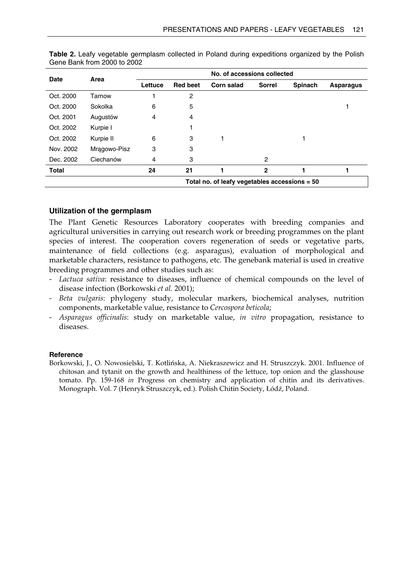| <b>Date</b>  | Area         | No. of accessions collected                   |                 |            |               |         |                  |  |  |  |
|--------------|--------------|-----------------------------------------------|-----------------|------------|---------------|---------|------------------|--|--|--|
|              |              | Lettuce                                       | <b>Red beet</b> | Corn salad | <b>Sorrel</b> | Spinach | <b>Asparagus</b> |  |  |  |
| Oct. 2000    | Tarnow       |                                               | 2               |            |               |         |                  |  |  |  |
| Oct. 2000    | Sokolka      | 6                                             | 5               |            |               |         |                  |  |  |  |
| Oct. 2001    | Augustów     | 4                                             | 4               |            |               |         |                  |  |  |  |
| Oct. 2002    | Kurpie I     |                                               |                 |            |               |         |                  |  |  |  |
| Oct. 2002    | Kurpie II    | 6                                             | 3               | 1          |               |         |                  |  |  |  |
| Nov. 2002    | Mragowo-Pisz | 3                                             | 3               |            |               |         |                  |  |  |  |
| Dec. 2002    | Ciechanów    | 4                                             | 3               |            | 2             |         |                  |  |  |  |
| <b>Total</b> |              | 24                                            | 21              |            | 2             |         |                  |  |  |  |
|              |              | Total no. of leafy vegetables accessions = 50 |                 |            |               |         |                  |  |  |  |

**Table 2.** Leafy vegetable germplasm collected in Poland during expeditions organized by the Polish Gene Bank from 2000 to 2002

## **Utilization of the germplasm**

The Plant Genetic Resources Laboratory cooperates with breeding companies and agricultural universities in carrying out research work or breeding programmes on the plant species of interest. The cooperation covers regeneration of seeds or vegetative parts, maintenance of field collections (e.g. asparagus), evaluation of morphological and marketable characters, resistance to pathogens, etc. The genebank material is used in creative breeding programmes and other studies such as:

- *Lactuca sativa*: resistance to diseases, influence of chemical compounds on the level of disease infection (Borkowski *et al.* 2001);
- *Beta vulgaris*: phylogeny study, molecular markers, biochemical analyses, nutrition components, marketable value, resistance to *Cercospora beticola*;
- *Asparagus officinalis*: study on marketable value, *in vitro* propagation, resistance to diseases.

## **Reference**

Borkowski, J., O. Nowosielski, T. Kotlińska, A. Niekraszewicz and H. Struszczyk. 2001. Influence of chitosan and tytanit on the growth and healthiness of the lettuce, top onion and the glasshouse tomato. Pp. 159-168 *in* Progress on chemistry and application of chitin and its derivatives. Monograph. Vol. 7 (Henryk Struszczyk, ed.). Polish Chitin Society, Łódź, Poland.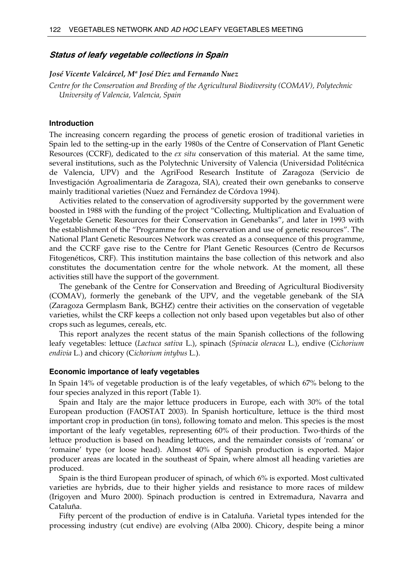#### **Status of leafy vegetable collections in Spain**

#### *José Vicente Valcárcel, Mª José Díez and Fernando Nuez*

*Centre for the Conservation and Breeding of the Agricultural Biodiversity (COMAV), Polytechnic University of Valencia, Valencia, Spain* 

#### **Introduction**

The increasing concern regarding the process of genetic erosion of traditional varieties in Spain led to the setting-up in the early 1980s of the Centre of Conservation of Plant Genetic Resources (CCRF), dedicated to the *ex situ* conservation of this material. At the same time, several institutions, such as the Polytechnic University of Valencia (Universidad Politécnica de Valencia, UPV) and the AgriFood Research Institute of Zaragoza (Servicio de Investigación Agroalimentaria de Zaragoza, SIA), created their own genebanks to conserve mainly traditional varieties (Nuez and Fernández de Córdova 1994).

 Activities related to the conservation of agrodiversity supported by the government were boosted in 1988 with the funding of the project "Collecting, Multiplication and Evaluation of Vegetable Genetic Resources for their Conservation in Genebanks", and later in 1993 with the establishment of the "Programme for the conservation and use of genetic resources". The National Plant Genetic Resources Network was created as a consequence of this programme, and the CCRF gave rise to the Centre for Plant Genetic Resources (Centro de Recursos Fitogenéticos, CRF). This institution maintains the base collection of this network and also constitutes the documentation centre for the whole network. At the moment, all these activities still have the support of the government.

 The genebank of the Centre for Conservation and Breeding of Agricultural Biodiversity (COMAV), formerly the genebank of the UPV, and the vegetable genebank of the SIA (Zaragoza Germplasm Bank, BGHZ) centre their activities on the conservation of vegetable varieties, whilst the CRF keeps a collection not only based upon vegetables but also of other crops such as legumes, cereals, etc.

 This report analyzes the recent status of the main Spanish collections of the following leafy vegetables: lettuce (*Lactuca sativa* L.), spinach (*Spinacia oleracea* L.), endive (C*ichorium endivia* L.) and chicory (C*ichorium intybus* L.).

#### **Economic importance of leafy vegetables**

In Spain 14% of vegetable production is of the leafy vegetables, of which 67% belong to the four species analyzed in this report (Table 1).

 Spain and Italy are the major lettuce producers in Europe, each with 30% of the total European production (FAOSTAT 2003). In Spanish horticulture, lettuce is the third most important crop in production (in tons), following tomato and melon. This species is the most important of the leafy vegetables, representing 60% of their production. Two-thirds of the lettuce production is based on heading lettuces, and the remainder consists of 'romana' or 'romaine' type (or loose head). Almost 40% of Spanish production is exported. Major producer areas are located in the southeast of Spain, where almost all heading varieties are produced.

 Spain is the third European producer of spinach, of which 6% is exported. Most cultivated varieties are hybrids, due to their higher yields and resistance to more races of mildew (Irigoyen and Muro 2000). Spinach production is centred in Extremadura, Navarra and Cataluña.

 Fifty percent of the production of endive is in Cataluña. Varietal types intended for the processing industry (cut endive) are evolving (Alba 2000). Chicory, despite being a minor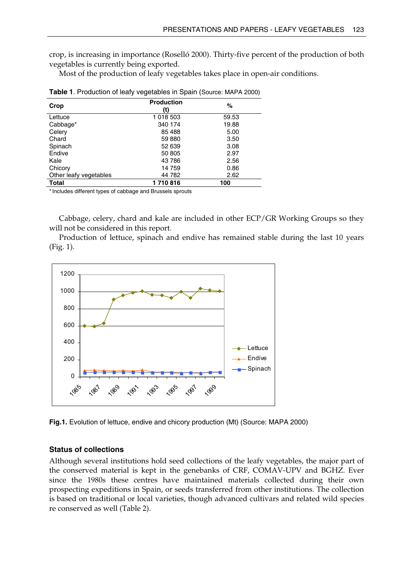crop, is increasing in importance (Roselló 2000). Thirty-five percent of the production of both vegetables is currently being exported.

Most of the production of leafy vegetables takes place in open-air conditions.

| Crop                   | <b>Production</b><br>(t) | %     |
|------------------------|--------------------------|-------|
| Lettuce                | 1 018 503                | 59.53 |
| Cabbage*               | 340 174                  | 19.88 |
| Celery                 | 85 4 88                  | 5.00  |
| Chard                  | 59 880                   | 3.50  |
| Spinach                | 52 639                   | 3.08  |
| Endive                 | 50 805                   | 2.97  |
| Kale                   | 43 786                   | 2.56  |
| Chicory                | 14 759                   | 0.86  |
| Other leafy vegetables | 44 782                   | 2.62  |
| Total                  | 1710816                  | 100   |

**Table 1**. Production of leafy vegetables in Spain (Source: MAPA 2000)

\* Includes different types of cabbage and Brussels sprouts

 Cabbage, celery, chard and kale are included in other ECP/GR Working Groups so they will not be considered in this report.

 Production of lettuce, spinach and endive has remained stable during the last 10 years (Fig. 1).



**Fig.1.** Evolution of lettuce, endive and chicory production (Mt) (Source: MAPA 2000)

## **Status of collections**

Although several institutions hold seed collections of the leafy vegetables, the major part of the conserved material is kept in the genebanks of CRF, COMAV-UPV and BGHZ. Ever since the 1980s these centres have maintained materials collected during their own prospecting expeditions in Spain, or seeds transferred from other institutions. The collection is based on traditional or local varieties, though advanced cultivars and related wild species re conserved as well (Table 2).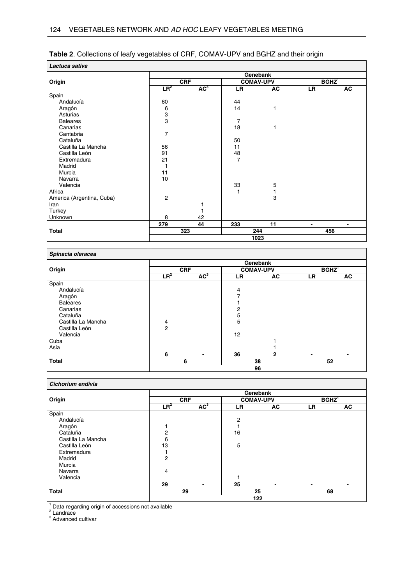|                           | Genebank       |                 |                |                  |                   |                |  |
|---------------------------|----------------|-----------------|----------------|------------------|-------------------|----------------|--|
| Origin                    |                | <b>CRF</b>      |                | <b>COMAV-UPV</b> | BGHZ <sup>1</sup> |                |  |
|                           | $LR^2$         | AC <sup>3</sup> | <b>LR</b>      | AC               | <b>LR</b>         | AC             |  |
| Spain                     |                |                 |                |                  |                   |                |  |
| Andalucía                 | 60             |                 | 44             |                  |                   |                |  |
| Aragón                    | 6              |                 | 14             | $\mathbf{1}$     |                   |                |  |
| Asturias                  | $\frac{3}{3}$  |                 |                |                  |                   |                |  |
| <b>Baleares</b>           |                |                 | $\overline{7}$ |                  |                   |                |  |
| Canarias                  |                |                 | 18             | 1                |                   |                |  |
| Cantabria                 | $\overline{7}$ |                 |                |                  |                   |                |  |
| Cataluña                  |                |                 | 50             |                  |                   |                |  |
| Castilla La Mancha        | 56             |                 | 11             |                  |                   |                |  |
| Castilla León             | 91             |                 | 48             |                  |                   |                |  |
| Extremadura               | 21             |                 | $\overline{7}$ |                  |                   |                |  |
| Madrid                    | 1              |                 |                |                  |                   |                |  |
| Murcia                    | 11             |                 |                |                  |                   |                |  |
| Navarra                   | 10             |                 |                |                  |                   |                |  |
| Valencia                  |                |                 | 33             | 5                |                   |                |  |
| Africa                    |                |                 | 1              | 1                |                   |                |  |
| America (Argentina, Cuba) | $\overline{c}$ |                 |                | 3                |                   |                |  |
| Iran                      |                | 1               |                |                  |                   |                |  |
| Turkey                    |                | 1               |                |                  |                   |                |  |
| Unknown                   | 8              | 42              |                |                  |                   |                |  |
|                           | 279            | 44              | 233            | 11               | $\blacksquare$    | $\blacksquare$ |  |
| <b>Total</b>              |                | 323             |                | 244              |                   | 456            |  |
|                           |                |                 |                | 1023             |                   |                |  |

# **Table 2**. Collections of leafy vegetables of CRF, COMAV-UPV and BGHZ and their origin

| Spinacia oleracea  |                |                 |    |                  |                   |           |  |
|--------------------|----------------|-----------------|----|------------------|-------------------|-----------|--|
|                    | Genebank       |                 |    |                  |                   |           |  |
| Origin             | <b>CRF</b>     |                 |    | <b>COMAV-UPV</b> | BGHZ <sup>1</sup> |           |  |
|                    | $LR^2$         | AC <sup>3</sup> | LR | AC               | LR                | <b>AC</b> |  |
| Spain              |                |                 |    |                  |                   |           |  |
| Andalucía          |                |                 | 4  |                  |                   |           |  |
| Aragón             |                |                 | 7  |                  |                   |           |  |
| <b>Baleares</b>    |                |                 |    |                  |                   |           |  |
| Canarias           |                |                 | 2  |                  |                   |           |  |
| Cataluña           |                |                 | 5  |                  |                   |           |  |
| Castilla La Mancha | 4              |                 | 5  |                  |                   |           |  |
| Castilla León      | $\overline{2}$ |                 |    |                  |                   |           |  |
| Valencia           |                |                 | 12 |                  |                   |           |  |
| Cuba               |                |                 |    |                  |                   |           |  |
| Asia               |                |                 |    |                  |                   |           |  |
|                    | 6              | -               | 36 | $\mathbf{2}$     |                   |           |  |
| Total              |                | 6               |    | 38               |                   | 52        |  |
|                    |                |                 |    | 96               |                   |           |  |

#### *Cichorium endivia*

|                    | Genebank   |                 |                  |     |                   |    |  |
|--------------------|------------|-----------------|------------------|-----|-------------------|----|--|
| Origin             | <b>CRF</b> |                 | <b>COMAV-UPV</b> |     | BGHZ <sup>1</sup> |    |  |
|                    | $LR^2$     | AC <sup>3</sup> | LR               | AC  | LR                | AC |  |
| Spain              |            |                 |                  |     |                   |    |  |
| Andalucía          |            |                 | 2                |     |                   |    |  |
| Aragón             |            |                 |                  |     |                   |    |  |
| Cataluña           | 2          |                 | 16               |     |                   |    |  |
| Castilla La Mancha | 6          |                 |                  |     |                   |    |  |
| Castilla León      | 13         |                 | 5                |     |                   |    |  |
| Extremadura        |            |                 |                  |     |                   |    |  |
| Madrid             | 2          |                 |                  |     |                   |    |  |
| Murcia             |            |                 |                  |     |                   |    |  |
| Navarra            | 4          |                 |                  |     |                   |    |  |
| Valencia           |            |                 |                  |     |                   |    |  |
|                    | 29         | $\blacksquare$  | 25               | -   | -                 | -  |  |
| <b>Total</b>       |            | 29              |                  | 25  |                   | 68 |  |
|                    |            |                 |                  | 122 |                   |    |  |

<sup>1</sup> Data regarding origin of accessions not available<br><sup>2</sup> Landrace<br><sup>3</sup> Advanced cultivar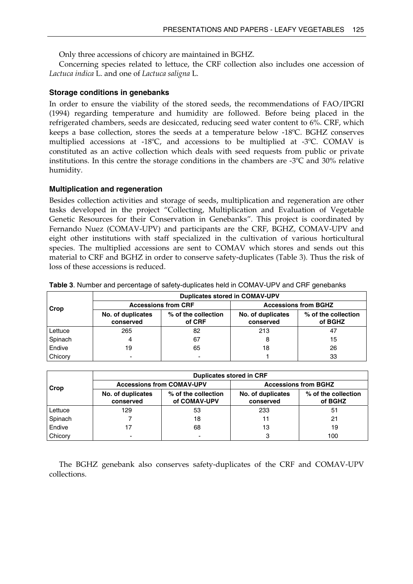Only three accessions of chicory are maintained in BGHZ.

 Concerning species related to lettuce, the CRF collection also includes one accession of *Lactuca indica* L. and one of *Lactuca saligna* L.

# **Storage conditions in genebanks**

In order to ensure the viability of the stored seeds, the recommendations of FAO/IPGRI (1994) regarding temperature and humidity are followed. Before being placed in the refrigerated chambers, seeds are desiccated, reducing seed water content to 6%. CRF, which keeps a base collection, stores the seeds at a temperature below -18ºC. BGHZ conserves multiplied accessions at  $-18^{\circ}C$ , and accessions to be multiplied at  $-3^{\circ}C$ . COMAV is constituted as an active collection which deals with seed requests from public or private institutions. In this centre the storage conditions in the chambers are -3ºC and 30% relative humidity.

## **Multiplication and regeneration**

Besides collection activities and storage of seeds, multiplication and regeneration are other tasks developed in the project "Collecting, Multiplication and Evaluation of Vegetable Genetic Resources for their Conservation in Genebanks". This project is coordinated by Fernando Nuez (COMAV-UPV) and participants are the CRF, BGHZ, COMAV-UPV and eight other institutions with staff specialized in the cultivation of various horticultural species. The multiplied accessions are sent to COMAV which stores and sends out this material to CRF and BGHZ in order to conserve safety-duplicates (Table 3). Thus the risk of loss of these accessions is reduced.

|         | Duplicates stored in COMAV-UPV |                               |                                |                                |  |  |  |
|---------|--------------------------------|-------------------------------|--------------------------------|--------------------------------|--|--|--|
| Crop    |                                | <b>Accessions from CRF</b>    | <b>Accessions from BGHZ</b>    |                                |  |  |  |
|         | No. of duplicates<br>conserved | % of the collection<br>of CRF | No. of duplicates<br>conserved | % of the collection<br>of BGHZ |  |  |  |
| Lettuce | 265                            | 82                            | 213                            | 47                             |  |  |  |
| Spinach |                                | 67                            | 8                              | 15                             |  |  |  |
| Endive  | 19                             | 65                            | 18                             | 26                             |  |  |  |
| Chicory |                                |                               |                                | 33                             |  |  |  |

**Table 3**. Number and percentage of safety-duplicates held in COMAV-UPV and CRF genebanks

|         | <b>Duplicates stored in CRF</b> |                                     |                                |                                |  |  |  |
|---------|---------------------------------|-------------------------------------|--------------------------------|--------------------------------|--|--|--|
| Crop    |                                 | <b>Accessions from COMAV-UPV</b>    | <b>Accessions from BGHZ</b>    |                                |  |  |  |
|         | No. of duplicates<br>conserved  | % of the collection<br>of COMAV-UPV | No. of duplicates<br>conserved | % of the collection<br>of BGHZ |  |  |  |
| Lettuce | 129                             | 53                                  | 233                            | 51                             |  |  |  |
| Spinach |                                 | 18                                  |                                | 21                             |  |  |  |
| Endive  |                                 | 68                                  | 13                             | 19                             |  |  |  |
| Chicory |                                 |                                     |                                | 100                            |  |  |  |

 The BGHZ genebank also conserves safety-duplicates of the CRF and COMAV-UPV collections.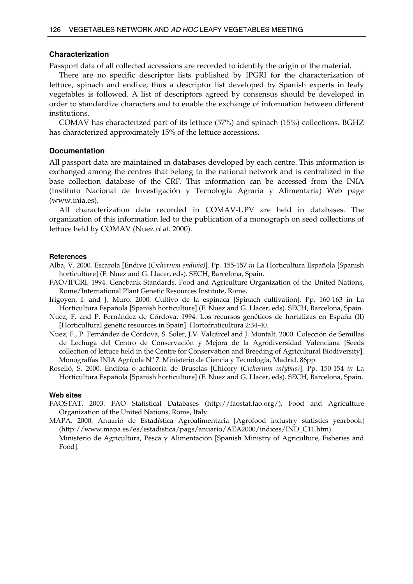#### **Characterization**

Passport data of all collected accessions are recorded to identify the origin of the material.

 There are no specific descriptor lists published by IPGRI for the characterization of lettuce, spinach and endive, thus a descriptor list developed by Spanish experts in leafy vegetables is followed. A list of descriptors agreed by consensus should be developed in order to standardize characters and to enable the exchange of information between different institutions.

 COMAV has characterized part of its lettuce (57%) and spinach (15%) collections. BGHZ has characterized approximately 15% of the lettuce accessions.

#### **Documentation**

All passport data are maintained in databases developed by each centre. This information is exchanged among the centres that belong to the national network and is centralized in the base collection database of the CRF. This information can be accessed from the INIA (Instituto Nacional de Investigación y Tecnología Agraria y Alimentaria) Web page (www.inia.es).

 All characterization data recorded in COMAV-UPV are held in databases. The organization of this information led to the publication of a monograph on seed collections of lettuce held by COMAV (Nuez *et al.* 2000).

#### **References**

Alba, V. 2000. Escarola [Endive (*Cichorium endivia)*]. Pp. 155-157 *in* La Horticultura Española [Spanish horticulture] (F. Nuez and G. Llacer, eds). SECH, Barcelona, Spain.

- FAO/IPGRI. 1994. Genebank Standards. Food and Agriculture Organization of the United Nations, Rome/International Plant Genetic Resources Institute, Rome.
- Irigoyen, I. and J. Muro. 2000. Cultivo de la espinaca [Spinach cultivation]. Pp. 160-163 in La Horticultura Española [Spanish horticulture] (F. Nuez and G. Llacer, eds). SECH, Barcelona, Spain.
- Nuez, F. and P. Fernández de Córdova. 1994. Los recursos genéticos de hortalizas en España (II) [Horticultural genetic resources in Spain]. Hortofruticultura 2:34-40.
- Nuez, F., P. Fernández de Córdova, S. Soler, J.V. Valcárcel and J. Montalt. 2000. Colección de Semillas de Lechuga del Centro de Conservación y Mejora de la Agrodiversidad Valenciana [Seeds collection of lettuce held in the Centre for Conservation and Breeding of Agricultural Biodiversity]. Monografías INIA Agrícola Nº 7. Ministerio de Ciencia y Tecnología, Madrid. 86pp.
- Roselló, S. 2000. Endibia o achicoria de Bruselas [Chicory (*Cichorium intybus)*]. Pp. 150-154 *in* La Horticultura Española [Spanish horticulture] (F. Nuez and G. Llacer, eds). SECH, Barcelona, Spain.

#### **Web sites**

- FAOSTAT. 2003. FAO Statistical Databases (http://faostat.fao.org/). Food and Agriculture Organization of the United Nations, Rome, Italy.
- MAPA. 2000. Anuario de Estadística Agroalimentaria [Agrofood industry statistics yearbook] (http://www.mapa.es/es/estadistica/pags/anuario/AEA2000/indices/IND\_C11.htm).
- Ministerio de Agricultura, Pesca y Alimentación [Spanish Ministry of Agriculture, Fisheries and Food].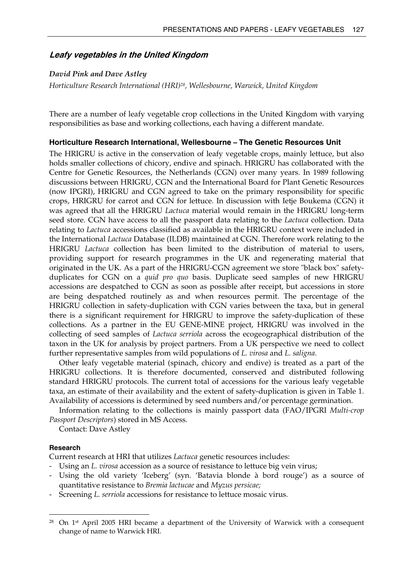# **Leafy vegetables in the United Kingdom**

#### *David Pink and Dave Astley*

*Horticulture Research International (HRI)28, Wellesbourne, Warwick, United Kingdom* 

There are a number of leafy vegetable crop collections in the United Kingdom with varying responsibilities as base and working collections, each having a different mandate.

### **Horticulture Research International, Wellesbourne – The Genetic Resources Unit**

The HRIGRU is active in the conservation of leafy vegetable crops, mainly lettuce, but also holds smaller collections of chicory, endive and spinach. HRIGRU has collaborated with the Centre for Genetic Resources, the Netherlands (CGN) over many years. In 1989 following discussions between HRIGRU, CGN and the International Board for Plant Genetic Resources (now IPGRI), HRIGRU and CGN agreed to take on the primary responsibility for specific crops, HRIGRU for carrot and CGN for lettuce. In discussion with Ietje Boukema (CGN) it was agreed that all the HRIGRU *Lactuca* material would remain in the HRIGRU long-term seed store. CGN have access to all the passport data relating to the *Lactuca* collection. Data relating to *Lactuca* accessions classified as available in the HRIGRU context were included in the International *Lactuca* Database (ILDB) maintained at CGN. Therefore work relating to the HRIGRU *Lactuca* collection has been limited to the distribution of material to users, providing support for research programmes in the UK and regenerating material that originated in the UK. As a part of the HRIGRU-CGN agreement we store "black box" safetyduplicates for CGN on a *quid pro quo* basis. Duplicate seed samples of new HRIGRU accessions are despatched to CGN as soon as possible after receipt, but accessions in store are being despatched routinely as and when resources permit. The percentage of the HRIGRU collection in safety-duplication with CGN varies between the taxa, but in general there is a significant requirement for HRIGRU to improve the safety-duplication of these collections. As a partner in the EU GENE-MINE project, HRIGRU was involved in the collecting of seed samples of *Lactuca serriola* across the ecogeographical distribution of the taxon in the UK for analysis by project partners. From a UK perspective we need to collect further representative samples from wild populations of *L. virosa* and *L. saligna*.

 Other leafy vegetable material (spinach, chicory and endive) is treated as a part of the HRIGRU collections. It is therefore documented, conserved and distributed following standard HRIGRU protocols. The current total of accessions for the various leafy vegetable taxa, an estimate of their availability and the extent of safety-duplication is given in Table 1. Availability of accessions is determined by seed numbers and/or percentage germination.

 Information relating to the collections is mainly passport data (FAO/IPGRI *Multi-crop Passport Descriptors*) stored in MS Access.

Contact: Dave Astley

#### **Research**

 $\overline{a}$ 

Current research at HRI that utilizes *Lactuca* genetic resources includes:

- Using an *L. virosa* accession as a source of resistance to lettuce big vein virus;
- Using the old variety 'Iceberg' (syn. 'Batavia blonde à bord rouge') as a source of quantitative resistance to *Bremia lactucae* and *Myzus persicae;*
- Screening *L. serriola* accessions for resistance to lettuce mosaic virus.

<sup>28</sup> On 1st April 2005 HRI became a department of the University of Warwick with a consequent change of name to Warwick HRI.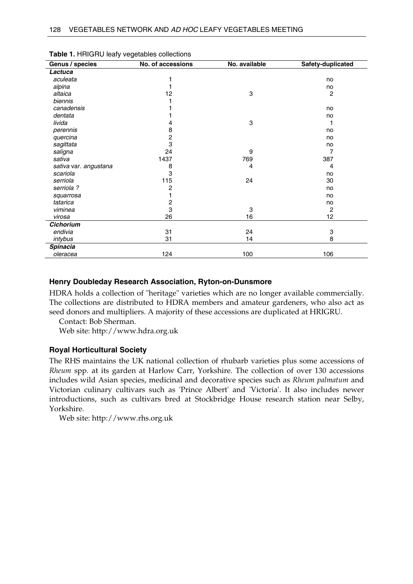| Genus / species       | No. of accessions | No. available             | Safety-duplicated |
|-----------------------|-------------------|---------------------------|-------------------|
| Lactuca               |                   |                           |                   |
| aculeata              | 1                 |                           | no                |
| alpina                |                   |                           | no                |
| altaica               | 12                | 3                         | $\overline{2}$    |
| biennis               |                   |                           |                   |
| canadensis            |                   |                           | no                |
| dentata               |                   |                           | no                |
| livida                | 4                 | $\ensuremath{\mathsf{3}}$ | 1                 |
| perennis              | 8                 |                           | no                |
| quercina              | 2                 |                           | no                |
| sagittata             | 3                 |                           | no                |
| saligna               | 24                | 9                         | 7                 |
| sativa                | 1437              | 769                       | 387               |
| sativa var. angustana | 8                 | 4                         | 4                 |
| scariola              | 3                 |                           | no                |
| serriola              | 115               | 24                        | 30                |
| serriola?             | 2                 |                           | no                |
| squarrosa             |                   |                           | no                |
| tatarica              | $\overline{c}$    |                           | no                |
| viminea               | 3                 | 3                         | $\overline{2}$    |
| virosa                | 26                | 16                        | 12                |
| <b>Cichorium</b>      |                   |                           |                   |
| endivia               | 31                | 24                        | 3                 |
| intybus               | 31                | 14                        | 8                 |
| <b>Spinacia</b>       |                   |                           |                   |
| oleracea              | 124               | 100                       | 106               |

| Table 1. HRIGRU leafy vegetables collections |
|----------------------------------------------|
|----------------------------------------------|

## **Henry Doubleday Research Association, Ryton-on-Dunsmore**

HDRA holds a collection of "heritage" varieties which are no longer available commercially. The collections are distributed to HDRA members and amateur gardeners, who also act as seed donors and multipliers. A majority of these accessions are duplicated at HRIGRU.

Contact: Bob Sherman.

Web site: http://www.hdra.org.uk

## **Royal Horticultural Society**

The RHS maintains the UK national collection of rhubarb varieties plus some accessions of *Rheum* spp*.* at its garden at Harlow Carr, Yorkshire. The collection of over 130 accessions includes wild Asian species, medicinal and decorative species such as *Rheum palmatum* and Victorian culinary cultivars such as 'Prince Albert' and 'Victoria'. It also includes newer introductions, such as cultivars bred at Stockbridge House research station near Selby, Yorkshire.

Web site: http://www.rhs.org.uk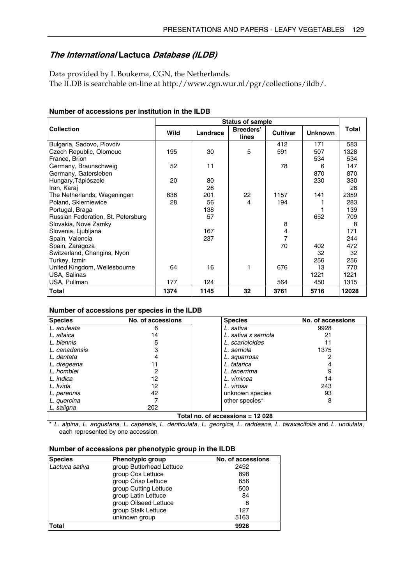# **The International Lactuca Database (ILDB)**

Data provided by I. Boukema, CGN, the Netherlands. The ILDB is searchable on-line at http://www.cgn.wur.nl/pgr/collections/ildb/.

|                                    |             |          | <b>Status of sample</b> |                 |                |       |
|------------------------------------|-------------|----------|-------------------------|-----------------|----------------|-------|
| <b>Collection</b>                  | <b>Wild</b> | Landrace | Breeders'<br>lines      | <b>Cultivar</b> | <b>Unknown</b> | Total |
| Bulgaria, Sadovo, Plovdiv          |             |          |                         | 412             | 171            | 583   |
| Czech Republic, Olomouc            | 195         | 30       | 5                       | 591             | 507            | 1328  |
| France, Brion                      |             |          |                         |                 | 534            | 534   |
| Germany, Braunschweig              | 52          | 11       |                         | 78              | 6              | 147   |
| Germany, Gatersleben               |             |          |                         |                 | 870            | 870   |
| Hungary, Tápiószele                | 20          | 80       |                         |                 | 230            | 330   |
| Iran, Karaj                        |             | 28       |                         |                 |                | 28    |
| The Netherlands, Wageningen        | 838         | 201      | 22                      | 1157            | 141            | 2359  |
| Poland, Skierniewice               | 28          | 56       | 4                       | 194             |                | 283   |
| Portugal, Braga                    |             | 138      |                         |                 |                | 139   |
| Russian Federation, St. Petersburg |             | 57       |                         |                 | 652            | 709   |
| Slovakia, Nove Zamky               |             |          |                         | 8               |                | 8     |
| Slovenia, Ljubljana                |             | 167      |                         | 4               |                | 171   |
| Spain, Valencia                    |             | 237      |                         |                 |                | 244   |
| Spain, Zaragoza                    |             |          |                         | 70              | 402            | 472   |
| Switzerland, Changins, Nyon        |             |          |                         |                 | 32             | 32    |
| Turkey, Izmir                      |             |          |                         |                 | 256            | 256   |
| United Kingdom, Wellesbourne       | 64          | 16       |                         | 676             | 13             | 770   |
| USA, Salinas                       |             |          |                         |                 | 1221           | 1221  |
| USA, Pullman                       | 177         | 124      |                         | 564             | 450            | 1315  |
| <b>Total</b>                       | 1374        | 1145     | 32                      | 3761            | 5716           | 12028 |

## **Number of accessions per institution in the ILDB**

## **Number of accessions per species in the ILDB**

| <b>Species</b>                   | No. of accessions | <b>Species</b>       | No. of accessions |  |  |
|----------------------------------|-------------------|----------------------|-------------------|--|--|
| L. aculeata                      | 6                 | L. sativa            | 9928              |  |  |
| L. altaica                       | 14                | L. sativa x serriola | 21                |  |  |
| L. biennis                       | 5                 | L. scarioloides      | 11                |  |  |
| L. canadensis                    |                   | L. serriola          | 1375              |  |  |
| L. dentata                       |                   | L. squarrosa         |                   |  |  |
| L. dregeana                      |                   | L. tatarica          |                   |  |  |
| L. homblei                       |                   | L. tenerrima         |                   |  |  |
| L. indica                        | 12                | L. viminea           | 14                |  |  |
| L. livida                        | 12                | L. virosa            | 243               |  |  |
| L. perennis                      | 42                | unknown species      | 93                |  |  |
| L. quercina                      |                   | other species*       | 8                 |  |  |
| L. saligna                       | 202               |                      |                   |  |  |
| Total no. of accessions = 12 028 |                   |                      |                   |  |  |

\* L. alpina, L. angustana, L. capensis, L. denticulata, L. georgica, L. raddeana, L. taraxacifolia and L. undulata, each represented by one accession

### **Number of accessions per phenotypic group in the ILDB**

| <b>Species</b> | <b>Phenotypic group</b>  | No. of accessions |
|----------------|--------------------------|-------------------|
| Lactuca sativa | group Butterhead Lettuce | 2492              |
|                | group Cos Lettuce        | 898               |
|                | group Crisp Lettuce      | 656               |
|                | group Cutting Lettuce    | 500               |
|                | group Latin Lettuce      | 84                |
|                | group Oilseed Lettuce    | 8                 |
|                | group Stalk Lettuce      | 127               |
|                | unknown group            | 5163              |
| <b>Total</b>   |                          | 9928              |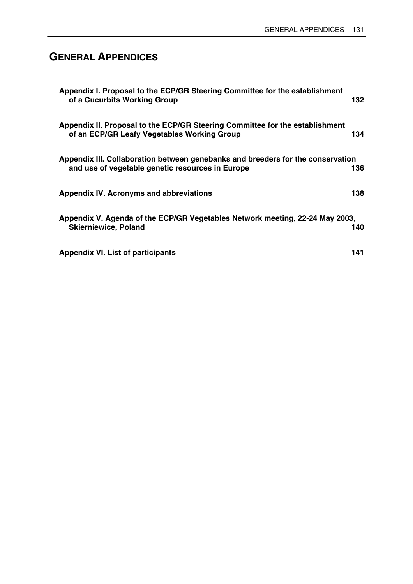# **GENERAL APPENDICES**

| Appendix I. Proposal to the ECP/GR Steering Committee for the establishment<br>of a Cucurbits Working Group                         | 132 |
|-------------------------------------------------------------------------------------------------------------------------------------|-----|
| Appendix II. Proposal to the ECP/GR Steering Committee for the establishment<br>of an ECP/GR Leafy Vegetables Working Group         | 134 |
| Appendix III. Collaboration between genebanks and breeders for the conservation<br>and use of vegetable genetic resources in Europe | 136 |
| <b>Appendix IV. Acronyms and abbreviations</b>                                                                                      | 138 |
| Appendix V. Agenda of the ECP/GR Vegetables Network meeting, 22-24 May 2003,<br><b>Skierniewice, Poland</b>                         | 140 |
| <b>Appendix VI. List of participants</b>                                                                                            | 141 |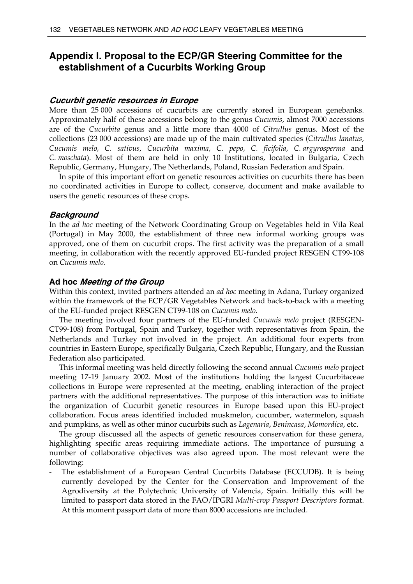# **Appendix I. Proposal to the ECP/GR Steering Committee for the establishment of a Cucurbits Working Group**

### **Cucurbit genetic resources in Europe**

More than 25 000 accessions of cucurbits are currently stored in European genebanks. Approximately half of these accessions belong to the genus *Cucumis*, almost 7000 accessions are of the *Cucurbita* genus and a little more than 4000 of *Citrullus* genus. Most of the collections (23 000 accessions) are made up of the main cultivated species (*Citrullus lanatus, Cucumis melo, C. sativus, Cucurbita maxima, C. pepo, C. ficifolia, C. argyrosperma* and *C. moschata*). Most of them are held in only 10 Institutions, located in Bulgaria, Czech Republic, Germany, Hungary, The Netherlands, Poland, Russian Federation and Spain.

 In spite of this important effort on genetic resources activities on cucurbits there has been no coordinated activities in Europe to collect, conserve, document and make available to users the genetic resources of these crops.

### **Background**

In the *ad hoc* meeting of the Network Coordinating Group on Vegetables held in Vila Real (Portugal) in May 2000, the establishment of three new informal working groups was approved, one of them on cucurbit crops. The first activity was the preparation of a small meeting, in collaboration with the recently approved EU-funded project RESGEN CT99-108 on *Cucumis melo*.

#### **Ad hoc Meeting of the Group**

Within this context, invited partners attended an *ad hoc* meeting in Adana, Turkey organized within the framework of the ECP/GR Vegetables Network and back-to-back with a meeting of the EU-funded project RESGEN CT99-108 on *Cucumis melo.*

 The meeting involved four partners of the EU-funded *Cucumis melo* project (RESGEN-CT99-108) from Portugal, Spain and Turkey, together with representatives from Spain, the Netherlands and Turkey not involved in the project. An additional four experts from countries in Eastern Europe, specifically Bulgaria, Czech Republic, Hungary, and the Russian Federation also participated.

 This informal meeting was held directly following the second annual *Cucumis melo* project meeting 17-19 January 2002. Most of the institutions holding the largest Cucurbitaceae collections in Europe were represented at the meeting, enabling interaction of the project partners with the additional representatives. The purpose of this interaction was to initiate the organization of Cucurbit genetic resources in Europe based upon this EU-project collaboration. Focus areas identified included muskmelon, cucumber, watermelon, squash and pumpkins, as well as other minor cucurbits such as *Lagenaria*, *Benincasa*, *Momordica*, etc.

 The group discussed all the aspects of genetic resources conservation for these genera, highlighting specific areas requiring immediate actions. The importance of pursuing a number of collaborative objectives was also agreed upon. The most relevant were the following:

The establishment of a European Central Cucurbits Database (ECCUDB). It is being currently developed by the Center for the Conservation and Improvement of the Agrodiversity at the Polytechnic University of Valencia, Spain. Initially this will be limited to passport data stored in the FAO/IPGRI *Multi-crop Passport Descriptors* format. At this moment passport data of more than 8000 accessions are included.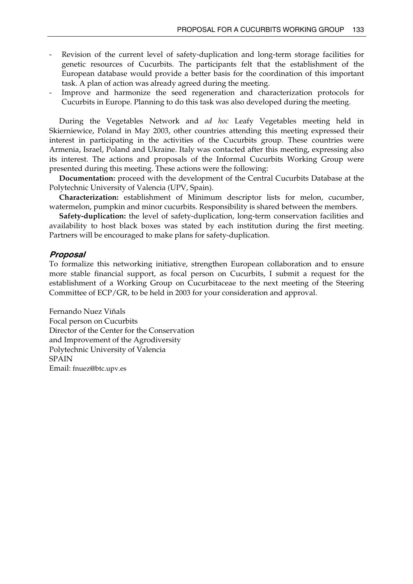- Revision of the current level of safety-duplication and long-term storage facilities for genetic resources of Cucurbits. The participants felt that the establishment of the European database would provide a better basis for the coordination of this important task. A plan of action was already agreed during the meeting.
- Improve and harmonize the seed regeneration and characterization protocols for Cucurbits in Europe. Planning to do this task was also developed during the meeting.

 During the Vegetables Network and *ad hoc* Leafy Vegetables meeting held in Skierniewice, Poland in May 2003, other countries attending this meeting expressed their interest in participating in the activities of the Cucurbits group. These countries were Armenia, Israel, Poland and Ukraine. Italy was contacted after this meeting, expressing also its interest. The actions and proposals of the Informal Cucurbits Working Group were presented during this meeting. These actions were the following:

 **Documentation:** proceed with the development of the Central Cucurbits Database at the Polytechnic University of Valencia (UPV, Spain).

 **Characterization:** establishment of Minimum descriptor lists for melon, cucumber, watermelon, pumpkin and minor cucurbits. Responsibility is shared between the members.

 **Safety-duplication:** the level of safety-duplication, long-term conservation facilities and availability to host black boxes was stated by each institution during the first meeting. Partners will be encouraged to make plans for safety-duplication.

### **Proposal**

To formalize this networking initiative, strengthen European collaboration and to ensure more stable financial support, as focal person on Cucurbits, I submit a request for the establishment of a Working Group on Cucurbitaceae to the next meeting of the Steering Committee of ECP/GR, to be held in 2003 for your consideration and approval.

Fernando Nuez Viñals Focal person on Cucurbits Director of the Center for the Conservation and Improvement of the Agrodiversity Polytechnic University of Valencia SPAIN Email: fnuez@btc.upv.es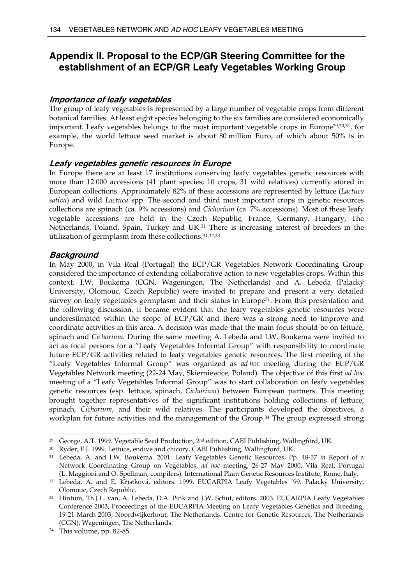# **Appendix II. Proposal to the ECP/GR Steering Committee for the establishment of an ECP/GR Leafy Vegetables Working Group**

# **Importance of leafy vegetables**

The group of leafy vegetables is represented by a large number of vegetable crops from different botanical families. At least eight species belonging to the six families are considered economically important. Leafy vegetables belongs to the most important vegetable crops in Europe29,30,31, for example, the world lettuce seed market is about 80 million Euro, of which about 50% is in Europe.

# **Leafy vegetables genetic resources in Europe**

In Europe there are at least 17 institutions conserving leafy vegetables genetic resources with more than 12 000 accessions (41 plant species; 10 crops, 31 wild relatives) currently stored in European collections. Approximately 82% of these accessions are represented by lettuce (*Lactuca sativa*) and wild *Lactuca* spp. The second and third most important crops in genetic resources collections are spinach (ca. 9% accessions) and *Cichorium* (ca. 7% accessions). Most of these leafy vegetable accessions are held in the Czech Republic, France, Germany, Hungary, The Netherlands, Poland, Spain, Turkey and UK.31 There is increasing interest of breeders in the utilization of germplasm from these collections.31,32,33

# **Background**

In May 2000, in Vila Real (Portugal) the ECP/GR Vegetables Network Coordinating Group considered the importance of extending collaborative action to new vegetables crops. Within this context, I.W. Boukema (CGN, Wageningen, The Netherlands) and A. Lebeda (Palacký University, Olomouc, Czech Republic) were invited to prepare and present a very detailed survey on leafy vegetables germplasm and their status in Europe<sup>31</sup>. From this presentation and the following discussion, it became evident that the leafy vegetables genetic resources were underestimated within the scope of ECP/GR and there was a strong need to improve and coordinate activities in this area. A decision was made that the main focus should be on lettuce, spinach and *Cichorium*. During the same meeting A. Lebeda and I.W. Boukema were invited to act as focal persons for a "Leafy Vegetables Informal Group" with responsibility to coordinate future ECP/GR activities related to leafy vegetables genetic resources. The first meeting of the "Leafy Vegetables Informal Group" was organized as *ad hoc* meeting during the ECP/GR Vegetables Network meeting (22-24 May, Skierniewice, Poland). The objective of this first *ad hoc*  meeting of a "Leafy Vegetables Informal Group" was to start collaboration on leafy vegetables genetic resources (esp. lettuce, spinach, *Cichorium*) between European partners. This meeting brought together representatives of the significant institutions holding collections of lettuce, spinach, *Cichorium*, and their wild relatives. The participants developed the objectives, a workplan for future activities and the management of the Group.<sup>34</sup> The group expressed strong

 $\overline{a}$ <sup>29</sup> George, A.T. 1999. Vegetable Seed Production,  $2^{nd}$  edition. CABI Publishing, Wallingford, UK.<br><sup>30</sup> Ryder, E.J. 1999. Lettuce, endive and chicory. CABI Publishing, Wallingford, UK.

<sup>31</sup> Lebeda, A. and I.W. Boukema. 2001. Leafy Vegetables Genetic Resources. Pp. 48-57 *in* Report of a Network Coordinating Group on Vegetables, *ad hoc* meeting, 26-27 May 2000, Vila Real, Portugal

<sup>(</sup>L. Maggioni and O. Spellman, compilers). International Plant Genetic Resources Institute, Rome, Italy. 32 Lebeda, A. and E. K<sup>ĥ</sup>ístková, editors. 1999. EUCARPIA Leafy Vegetables ´99. Palacký University,

Olomouc, Czech Republic. 33 Hintum, Th.J.L. van, A. Lebeda, D.A. Pink and J.W. Schut, editors. 2003. EUCARPIA Leafy Vegetables Conference 2003, Proceedings of the EUCARPIA Meeting on Leafy Vegetables Genetics and Breeding, 19-21 March 2003, Noordwijkerhout, The Netherlands. Centre for Genetic Resources, The Netherlands (CGN), Wageningen, The Netherlands.

<sup>34</sup> This volume, pp. 82-85.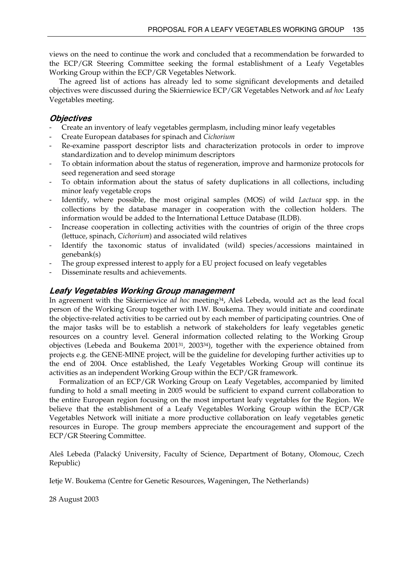views on the need to continue the work and concluded that a recommendation be forwarded to the ECP/GR Steering Committee seeking the formal establishment of a Leafy Vegetables Working Group within the ECP/GR Vegetables Network.

 The agreed list of actions has already led to some significant developments and detailed objectives were discussed during the Skierniewice ECP/GR Vegetables Network and *ad hoc* Leafy Vegetables meeting.

# **Objectives**

- Create an inventory of leafy vegetables germplasm, including minor leafy vegetables
- Create European databases for spinach and *Cichorium*
- Re-examine passport descriptor lists and characterization protocols in order to improve standardization and to develop minimum descriptors
- To obtain information about the status of regeneration, improve and harmonize protocols for seed regeneration and seed storage
- To obtain information about the status of safety duplications in all collections, including minor leafy vegetable crops
- Identify, where possible, the most original samples (MOS) of wild *Lactuca* spp. in the collections by the database manager in cooperation with the collection holders. The information would be added to the International Lettuce Database (ILDB).
- Increase cooperation in collecting activities with the countries of origin of the three crops (lettuce, spinach, *Cichorium*) and associated wild relatives
- Identify the taxonomic status of invalidated (wild) species/accessions maintained in genebank(s)
- The group expressed interest to apply for a EU project focused on leafy vegetables
- Disseminate results and achievements.

# **Leafy Vegetables Working Group management**

In agreement with the Skierniewice *ad hoc* meeting34, Aleš Lebeda, would act as the lead focal person of the Working Group together with I.W. Boukema. They would initiate and coordinate the objective-related activities to be carried out by each member of participating countries. One of the major tasks will be to establish a network of stakeholders for leafy vegetables genetic resources on a country level. General information collected relating to the Working Group objectives (Lebeda and Boukema 200131*,* 200334), together with the experience obtained from projects e.g. the GENE-MINE project, will be the guideline for developing further activities up to the end of 2004. Once established, the Leafy Vegetables Working Group will continue its activities as an independent Working Group within the ECP/GR framework.

 Formalization of an ECP/GR Working Group on Leafy Vegetables, accompanied by limited funding to hold a small meeting in 2005 would be sufficient to expand current collaboration to the entire European region focusing on the most important leafy vegetables for the Region. We believe that the establishment of a Leafy Vegetables Working Group within the ECP/GR Vegetables Network will initiate a more productive collaboration on leafy vegetables genetic resources in Europe. The group members appreciate the encouragement and support of the ECP/GR Steering Committee.

Aleš Lebeda (Palacký University, Faculty of Science, Department of Botany, Olomouc, Czech Republic)

Ietje W. Boukema (Centre for Genetic Resources, Wageningen, The Netherlands)

28 August 2003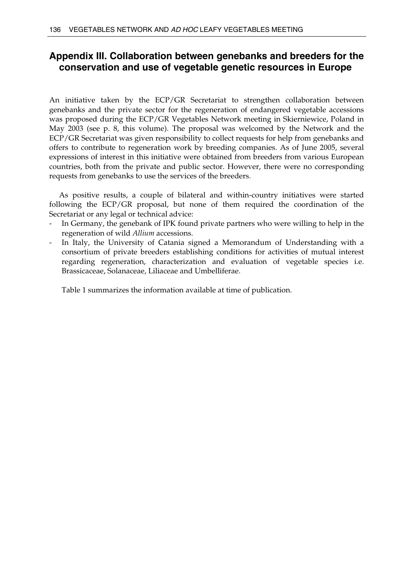# **Appendix III. Collaboration between genebanks and breeders for the conservation and use of vegetable genetic resources in Europe**

An initiative taken by the ECP/GR Secretariat to strengthen collaboration between genebanks and the private sector for the regeneration of endangered vegetable accessions was proposed during the ECP/GR Vegetables Network meeting in Skierniewice, Poland in May 2003 (see p. 8, this volume). The proposal was welcomed by the Network and the ECP/GR Secretariat was given responsibility to collect requests for help from genebanks and offers to contribute to regeneration work by breeding companies. As of June 2005, several expressions of interest in this initiative were obtained from breeders from various European countries, both from the private and public sector. However, there were no corresponding requests from genebanks to use the services of the breeders.

 As positive results, a couple of bilateral and within-country initiatives were started following the ECP/GR proposal, but none of them required the coordination of the Secretariat or any legal or technical advice:

- In Germany, the genebank of IPK found private partners who were willing to help in the regeneration of wild *Allium* accessions.
- In Italy, the University of Catania signed a Memorandum of Understanding with a consortium of private breeders establishing conditions for activities of mutual interest regarding regeneration, characterization and evaluation of vegetable species i.e. Brassicaceae, Solanaceae, Liliaceae and Umbelliferae.

Table 1 summarizes the information available at time of publication.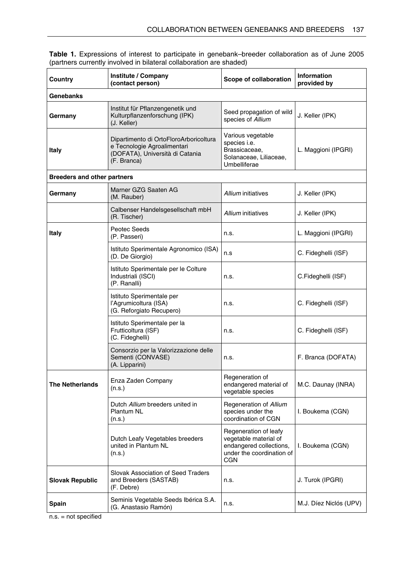| Country                            | <b>Institute / Company</b><br>(contact person)                                                                                    | Scope of collaboration                                                                                               | Information<br>provided by |
|------------------------------------|-----------------------------------------------------------------------------------------------------------------------------------|----------------------------------------------------------------------------------------------------------------------|----------------------------|
| <b>Genebanks</b>                   |                                                                                                                                   |                                                                                                                      |                            |
| Germany                            | Institut für Pflanzengenetik und<br>Seed propagation of wild<br>Kulturpflanzenforschung (IPK)<br>species of Allium<br>(J. Keller) |                                                                                                                      | J. Keller (IPK)            |
| Italy                              | Dipartimento di OrtoFloroArboricoltura<br>e Tecnologie Agroalimentari<br>(DOFATA), Università di Catania<br>(F. Branca)           | Various vegetable<br>species i.e.<br>Brassicaceae,<br>Solanaceae, Liliaceae,<br>Umbelliferae                         | L. Maggioni (IPGRI)        |
| <b>Breeders and other partners</b> |                                                                                                                                   |                                                                                                                      |                            |
| Germany                            | Marner GZG Saaten AG<br>(M. Rauber)                                                                                               | Allium initiatives                                                                                                   | J. Keller (IPK)            |
|                                    | Calbenser Handelsgesellschaft mbH<br>(R. Tischer)                                                                                 | Allium initiatives                                                                                                   | J. Keller (IPK)            |
| <b>Italy</b>                       | Peotec Seeds<br>(P. Passeri)                                                                                                      | n.s.                                                                                                                 | L. Maggioni (IPGRI)        |
|                                    | Istituto Sperimentale Agronomico (ISA)<br>(D. De Giorgio)                                                                         | n.s                                                                                                                  | C. Fideghelli (ISF)        |
|                                    | Istituto Sperimentale per le Colture<br>Industriali (ISCI)<br>(P. Ranalli)                                                        | n.s.                                                                                                                 | C.Fideghelli (ISF)         |
|                                    | Istituto Sperimentale per<br>l'Agrumicoltura (ISA)<br>(G. Reforgiato Recupero)                                                    | n.s.                                                                                                                 | C. Fideghelli (ISF)        |
|                                    | Istituto Sperimentale per la<br>Frutticoltura (ISF)<br>(C. Fideghelli)                                                            | n.s.                                                                                                                 | C. Fideghelli (ISF)        |
|                                    | Consorzio per la Valorizzazione delle<br>Sementi (CONVASE)<br>(A. Lipparini)                                                      | n.s.                                                                                                                 | F. Branca (DOFATA)         |
| <b>The Netherlands</b>             | Enza Zaden Company<br>(n.s.)                                                                                                      | Regeneration of<br>endangered material of<br>vegetable species                                                       | M.C. Daunay (INRA)         |
|                                    | Dutch Allium breeders united in<br>Plantum NL<br>(n.s.)                                                                           | Regeneration of Allium<br>species under the<br>coordination of CGN                                                   | I. Boukema (CGN)           |
|                                    | Dutch Leafy Vegetables breeders<br>united in Plantum NL<br>(n.s.)                                                                 | Regeneration of leafy<br>vegetable material of<br>endangered collections,<br>under the coordination of<br><b>CGN</b> | I. Boukema (CGN)           |
| <b>Slovak Republic</b>             | Slovak Association of Seed Traders<br>and Breeders (SASTAB)<br>(F. Debre)                                                         | n.s.                                                                                                                 | J. Turok (IPGRI)           |
| Spain                              | Seminis Vegetable Seeds Ibérica S.A.<br>(G. Anastasio Ramón)                                                                      | n.s.                                                                                                                 | M.J. Díez Niclós (UPV)     |

**Table 1.** Expressions of interest to participate in genebank–breeder collaboration as of June 2005 (partners currently involved in bilateral collaboration are shaded)

n.s. = not specified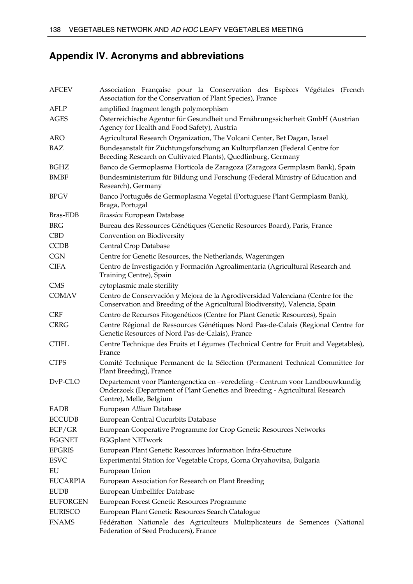# **Appendix IV. Acronyms and abbreviations**

| <b>AFCEV</b>    | Association Française pour la Conservation des Espèces Végétales (French<br>Association for the Conservation of Plant Species), France                                                   |
|-----------------|------------------------------------------------------------------------------------------------------------------------------------------------------------------------------------------|
| AFLP            | amplified fragment length polymorphism                                                                                                                                                   |
| <b>AGES</b>     | Österreichische Agentur für Gesundheit und Ernährungssicherheit GmbH (Austrian<br>Agency for Health and Food Safety), Austria                                                            |
| <b>ARO</b>      | Agricultural Research Organization, The Volcani Center, Bet Dagan, Israel                                                                                                                |
| <b>BAZ</b>      | Bundesanstalt für Züchtungsforschung an Kulturpflanzen (Federal Centre for<br>Breeding Research on Cultivated Plants), Quedlinburg, Germany                                              |
| <b>BGHZ</b>     | Banco de Germoplasma Hortícola de Zaragoza (Zaragoza Germplasm Bank), Spain                                                                                                              |
| <b>BMBF</b>     | Bundesministerium für Bildung und Forschung (Federal Ministry of Education and<br>Research), Germany                                                                                     |
| <b>BPGV</b>     | Banco Português de Germoplasma Vegetal (Portuguese Plant Germplasm Bank),<br>Braga, Portugal                                                                                             |
| Bras-EDB        | Brassica European Database                                                                                                                                                               |
| <b>BRG</b>      | Bureau des Ressources Génétiques (Genetic Resources Board), Paris, France                                                                                                                |
| <b>CBD</b>      | Convention on Biodiversity                                                                                                                                                               |
| <b>CCDB</b>     | Central Crop Database                                                                                                                                                                    |
| <b>CGN</b>      | Centre for Genetic Resources, the Netherlands, Wageningen                                                                                                                                |
| <b>CIFA</b>     | Centro de Investigación y Formación Agroalimentaria (Agricultural Research and<br>Training Centre), Spain                                                                                |
| <b>CMS</b>      | cytoplasmic male sterility                                                                                                                                                               |
| <b>COMAV</b>    | Centro de Conservación y Mejora de la Agrodiversidad Valenciana (Centre for the<br>Conservation and Breeding of the Agricultural Biodiversity), Valencia, Spain                          |
| <b>CRF</b>      | Centro de Recursos Fitogenéticos (Centre for Plant Genetic Resources), Spain                                                                                                             |
| <b>CRRG</b>     | Centre Régional de Ressources Génétiques Nord Pas-de-Calais (Regional Centre for<br>Genetic Resources of Nord Pas-de-Calais), France                                                     |
| <b>CTIFL</b>    | Centre Technique des Fruits et Légumes (Technical Centre for Fruit and Vegetables),<br>France                                                                                            |
| <b>CTPS</b>     | Comité Technique Permanent de la Sélection (Permanent Technical Committee for<br>Plant Breeding), France                                                                                 |
| DvP-CLO         | Departement voor Plantengenetica en -veredeling - Centrum voor Landbouwkundig<br>Onderzoek (Department of Plant Genetics and Breeding - Agricultural Research<br>Centre), Melle, Belgium |
| EADB            | European Allium Database                                                                                                                                                                 |
| <b>ECCUDB</b>   | European Central Cucurbits Database                                                                                                                                                      |
| ECP/GR          | European Cooperative Programme for Crop Genetic Resources Networks                                                                                                                       |
| <b>EGGNET</b>   | <b>EGGplant NETwork</b>                                                                                                                                                                  |
| <b>EPGRIS</b>   | European Plant Genetic Resources Information Infra-Structure                                                                                                                             |
| <b>ESVC</b>     | Experimental Station for Vegetable Crops, Gorna Oryahovitsa, Bulgaria                                                                                                                    |
| EU              | European Union                                                                                                                                                                           |
| <b>EUCARPIA</b> | European Association for Research on Plant Breeding                                                                                                                                      |
| <b>EUDB</b>     | European Umbellifer Database                                                                                                                                                             |
| <b>EUFORGEN</b> | European Forest Genetic Resources Programme                                                                                                                                              |
| <b>EURISCO</b>  | European Plant Genetic Resources Search Catalogue                                                                                                                                        |
| <b>FNAMS</b>    | Fédération Nationale des Agriculteurs Multiplicateurs de Semences (National<br>Federation of Seed Producers), France                                                                     |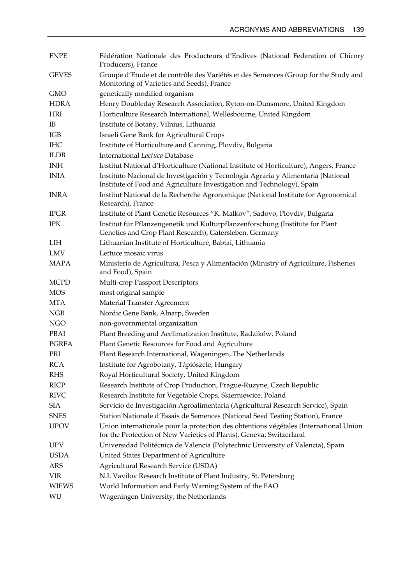| <b>FNPE</b>  | Fédération Nationale des Producteurs d'Endives (National Federation of Chicory<br>Producers), France                                                         |
|--------------|--------------------------------------------------------------------------------------------------------------------------------------------------------------|
| <b>GEVES</b> | Groupe d'Etude et de contrôle des Variétés et des Semences (Group for the Study and<br>Monitoring of Varieties and Seeds), France                            |
| <b>GMO</b>   | genetically modified organism                                                                                                                                |
| <b>HDRA</b>  | Henry Doubleday Research Association, Ryton-on-Dunsmore, United Kingdom                                                                                      |
| <b>HRI</b>   | Horticulture Research International, Wellesbourne, United Kingdom                                                                                            |
| IB           | Institute of Botany, Vilnius, Lithuania                                                                                                                      |
| IGB          | Israeli Gene Bank for Agricultural Crops                                                                                                                     |
| <b>IHC</b>   | Institute of Horticulture and Canning, Plovdiv, Bulgaria                                                                                                     |
| <b>ILDB</b>  | International Lactuca Database                                                                                                                               |
| <b>INH</b>   | Institut National d'Horticulture (National Institute of Horticulture), Angers, France                                                                        |
| <b>INIA</b>  | Instituto Nacional de Investigación y Tecnología Agraria y Alimentaria (National<br>Institute of Food and Agriculture Investigation and Technology), Spain   |
| <b>INRA</b>  | Institut National de la Recherche Agronomique (National Institute for Agronomical<br>Research), France                                                       |
| <b>IPGR</b>  | Institute of Plant Genetic Resources "K. Malkov", Sadovo, Plovdiv, Bulgaria                                                                                  |
| <b>IPK</b>   | Institut für Pflanzengenetik und Kulturpflanzenforschung (Institute for Plant<br>Genetics and Crop Plant Research), Gatersleben, Germany                     |
| LIH          | Lithuanian Institute of Horticulture, Babtai, Lithuania                                                                                                      |
| <b>LMV</b>   | Lettuce mosaic virus                                                                                                                                         |
| <b>MAPA</b>  | Ministerio de Agricultura, Pesca y Alimentación (Ministry of Agriculture, Fisheries<br>and Food), Spain                                                      |
| <b>MCPD</b>  | Multi-crop Passport Descriptors                                                                                                                              |
| <b>MOS</b>   | most original sample                                                                                                                                         |
| <b>MTA</b>   | Material Transfer Agreement                                                                                                                                  |
| <b>NGB</b>   | Nordic Gene Bank, Alnarp, Sweden                                                                                                                             |
| <b>NGO</b>   | non-governmental organization                                                                                                                                |
| PBAI         | Plant Breeding and Acclimatization Institute, Radzików, Poland                                                                                               |
| <b>PGRFA</b> | Plant Genetic Resources for Food and Agriculture                                                                                                             |
| PRI          | Plant Research International, Wageningen, The Netherlands                                                                                                    |
| RCA          | Institute for Agrobotany, Tápiószele, Hungary                                                                                                                |
| <b>RHS</b>   | Royal Horticultural Society, United Kingdom                                                                                                                  |
| <b>RICP</b>  | Research Institute of Crop Production, Prague-Ruzyne, Czech Republic                                                                                         |
| <b>RIVC</b>  | Research Institute for Vegetable Crops, Skierniewice, Poland                                                                                                 |
| <b>SIA</b>   | Servicio de Investigación Agroalimentaria (Agricultural Research Service), Spain                                                                             |
| <b>SNES</b>  | Station Nationale d'Essais de Semences (National Seed Testing Station), France                                                                               |
| <b>UPOV</b>  | Union internationale pour la protection des obtentions végétales (International Union<br>for the Protection of New Varieties of Plants), Geneva, Switzerland |
| <b>UPV</b>   | Universidad Politécnica de Valencia (Polytechnic University of Valencia), Spain                                                                              |
| <b>USDA</b>  | United States Department of Agriculture                                                                                                                      |
| <b>ARS</b>   | Agricultural Research Service (USDA)                                                                                                                         |
| <b>VIR</b>   | N.I. Vavilov Research Institute of Plant Industry, St. Petersburg                                                                                            |
| <b>WIEWS</b> | World Information and Early Warning System of the FAO                                                                                                        |
| WU           | Wageningen University, the Netherlands                                                                                                                       |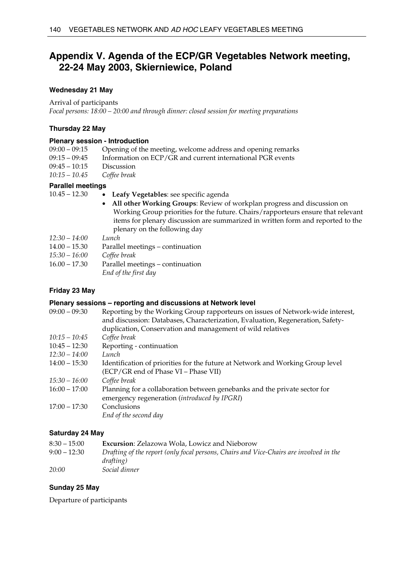## **Appendix V. Agenda of the ECP/GR Vegetables Network meeting, 22-24 May 2003, Skierniewice, Poland**

### **Wednesday 21 May**

Arrival of participants

*Focal persons: 18:00 – 20:00 and through dinner: closed session for meeting preparations* 

### **Thursday 22 May**

### **Plenary session - Introduction**

| $09:00 - 09:15$          | Opening of the meeting, welcome address and opening remarks                                                                                                                                                  |
|--------------------------|--------------------------------------------------------------------------------------------------------------------------------------------------------------------------------------------------------------|
| $09:15 - 09:45$          | Information on ECP/GR and current international PGR events                                                                                                                                                   |
| 09:45 – 10:15            | <b>Discussion</b>                                                                                                                                                                                            |
| $10:15 - 10.45$          | Coffee break                                                                                                                                                                                                 |
| <b>Parallel meetings</b> |                                                                                                                                                                                                              |
| $10.45 - 12.30$          | • Leafy Vegetables: see specific agenda                                                                                                                                                                      |
|                          | $\blacksquare$ and $\blacksquare$ and $\blacksquare$ and $\blacksquare$ and $\blacksquare$ and $\blacksquare$ and $\blacksquare$ and $\blacksquare$ and $\blacksquare$ and $\blacksquare$ and $\blacksquare$ |

- x **All other Working Groups**: Review of workplan progress and discussion on Working Group priorities for the future. Chairs/rapporteurs ensure that relevant items for plenary discussion are summarized in written form and reported to the plenary on the following day
- *12:30 14:00 Lunch*

| $14.00 - 15.30$ | Parallel meetings – continuation |
|-----------------|----------------------------------|
|-----------------|----------------------------------|

- *15:30 16:00 Coffee break*
- 16.00 17.30 Parallel meetings continuation *End of the first day*

### **Friday 23 May**

#### **Plenary sessions – reporting and discussions at Network level**

| $09:00 - 09:30$ | Reporting by the Working Group rapporteurs on issues of Network-wide interest, |
|-----------------|--------------------------------------------------------------------------------|
|                 | and discussion: Databases, Characterization, Evaluation, Regeneration, Safety- |
|                 | duplication, Conservation and management of wild relatives                     |
| $10:15 - 10:45$ | Coffee break                                                                   |
| $10:45 - 12:30$ | Reporting - continuation                                                       |
| $12:30 - 14:00$ | Lunch                                                                          |
| $14:00 - 15:30$ | Identification of priorities for the future at Network and Working Group level |
|                 | (ECP/GR end of Phase VI – Phase VII)                                           |
| $15:30 - 16:00$ | Coffee break                                                                   |
| $16:00 - 17:00$ | Planning for a collaboration between genebanks and the private sector for      |
|                 | emergency regeneration (introduced by IPGRI)                                   |
| $17:00 - 17:30$ | Conclusions                                                                    |
|                 | End of the second day                                                          |
|                 |                                                                                |

### **Saturday 24 May**

| $8:30 - 15:00$ | <b>Excursion:</b> Zelazowa Wola, Lowicz and Nieborow                                   |
|----------------|----------------------------------------------------------------------------------------|
| $9:00 - 12:30$ | Drafting of the report (only focal persons, Chairs and Vice-Chairs are involved in the |
|                | drafting)                                                                              |
| 20:00          | Social dinner                                                                          |

### **Sunday 25 May**

Departure of participants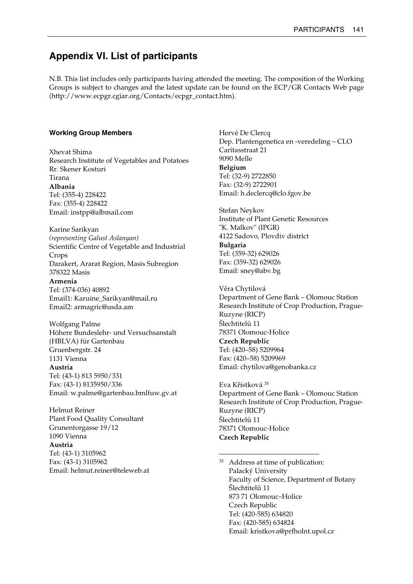# **Appendix VI. List of participants**

N.B. This list includes only participants having attended the meeting. The composition of the Working Groups is subject to changes and the latest update can be found on the ECP/GR Contacts Web page (http://www.ecpgr.cgiar.org/Contacts/ecpgr\_contact.htm).

#### **Working Group Members**

Xhevat Shima Research Institute of Vegetables and Potatoes Rr. Skener Kosturi Tirana **Albania** Tel: (355-4) 228422 Fax: (355-4) 228422 Email: instpp@albmail.com

Karine Sarikyan *(representing Galust Aslanyan)*  Scientific Centre of Vegetable and Industrial Crops Darakert, Ararat Region, Masis Subregion 378322 Masis **Armenia** Tel: (374-036) 40892 Email1: Karuine\_Sarikyan@mail.ru Email2: armagric@usda.am

Wolfgang Palme Höhere Bundeslehr- und Versuchsanstalt (HBLVA) für Gartenbau Gruenbergstr. 24 1131 Vienna **Austria** Tel: (43-1) 813 5950/331 Fax: (43-1) 8135950/336 Email: w.palme@gartenbau.bmlfuw.gv.at

Helmut Reiner Plant Food Quality Consultant Grunentorgasse 19/12 1090 Vienna **Austria** Tel: (43-1) 3105962 Fax: (43-1) 3105962 Email: helmut.reiner@teleweb.at Hervé De Clercq Dep. Plantengenetica en -veredeling – CLO Caritasstraat 21 9090 Melle **Belgium**  Tel: (32-9) 2722850 Fax: (32-9) 2722901 Email: h.declercq@clo.fgov.be

Stefan Neykov Institute of Plant Genetic Resources "K. Malkov" (IPGR) 4122 Sadovo, Plovdiv district **Bulgaria** Tel: (359-32) 629026 Fax: (359-32) 629026 Email: sney@abv.bg

Věra Chytilová Department of Gene Bank – Olomouc Station Research Institute of Crop Production, Prague-Ruzyne (RICP) Šlechtitelů 11 78371 Olomouc-Holice **Czech Republic**  Tel: (420–58) 5209964 Fax: (420–58) 5209969 Email: chytilova@genobanka.cz

Eva Křístková<sup>35</sup> Department of Gene Bank – Olomouc Station Research Institute of Crop Production, Prague-Ruzyne (RICP) Šlechtitelů 11 78371 Olomouc-Holice **Czech Republic** 

-35 Address at time of publication: Palacký University Faculty of Science, Department of Botany Šlechtitelů 11 873 71 Olomouc–Holice Czech Republic Tel: (420-585) 634820 Fax: (420-585) 634824 Email: kristkova@prfholnt.upol.cz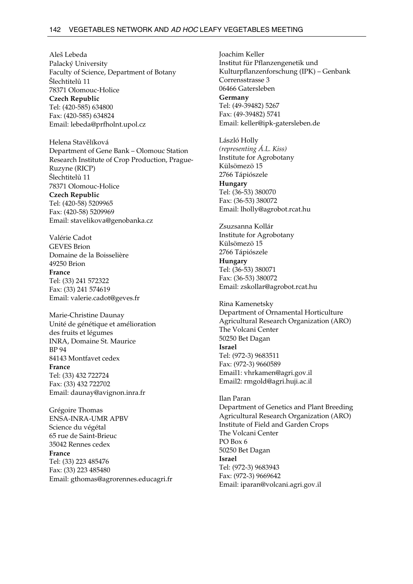Aleš Lebeda Palacký University Faculty of Science, Department of Botany Šlechtitelů 11 78371 Olomouc-Holice **Czech Republic**  Tel: (420-585) 634800 Fax: (420-585) 634824 Email: lebeda@prfholnt.upol.cz

Helena Stavělíková Department of Gene Bank – Olomouc Station Research Institute of Crop Production, Prague-Ruzyne (RICP) Šlechtitelů 11 78371 Olomouc-Holice **Czech Republic**  Tel: (420-58) 5209965 Fax: (420-58) 5209969 Email: stavelikova@genobanka.cz

Valérie Cadot GEVES Brion Domaine de la Boisselière 49250 Brion **France** Tel: (33) 241 572322 Fax: (33) 241 574619 Email: valerie.cadot@geves.fr

Marie-Christine Daunay Unité de génétique et amélioration des fruits et légumes INRA, Domaine St. Maurice BP 94 84143 Montfavet cedex **France** Tel: (33) 432 722724 Fax: (33) 432 722702 Email: daunay@avignon.inra.fr

Grégoire Thomas ENSA-INRA-UMR APBV Science du végétal 65 rue de Saint-Brieuc 35042 Rennes cedex **France** Tel: (33) 223 485476 Fax: (33) 223 485480 Email: gthomas@agrorennes.educagri.fr Joachim Keller Institut für Pflanzengenetik und Kulturpflanzenforschung (IPK) – Genbank Corrensstrasse 3 06466 Gatersleben **Germany** Tel: (49-39482) 5267 Fax: (49-39482) 5741 Email: keller@ipk-gatersleben.de

László Holly *(representing Á.L. Kiss)*  Institute for Agrobotany Külsömezö 15 2766 Tápiószele **Hungary** Tel: (36-53) 380070 Fax: (36-53) 380072 Email: lholly@agrobot.rcat.hu

Zsuzsanna Kollár Institute for Agrobotany Külsömezö 15 2766 Tápiószele **Hungary** Tel: (36-53) 380071 Fax: (36-53) 380072 Email: zskollar@agrobot.rcat.hu

Rina Kamenetsky Department of Ornamental Horticulture Agricultural Research Organization (ARO) The Volcani Center 50250 Bet Dagan **Israel** Tel: (972-3) 9683511 Fax: (972-3) 9660589 Email1: vhrkamen@agri.gov.il Email2: rmgold@agri.huji.ac.il

Ilan Paran Department of Genetics and Plant Breeding Agricultural Research Organization (ARO) Institute of Field and Garden Crops The Volcani Center PO Box 6 50250 Bet Dagan **Israel** Tel: (972-3) 9683943 Fax: (972-3) 9669642 Email: iparan@volcani.agri.gov.il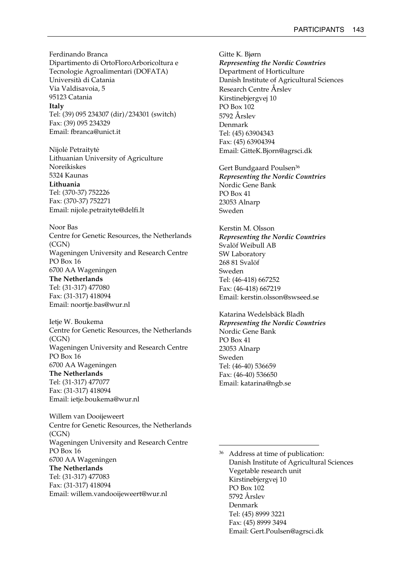Ferdinando Branca Dipartimento di OrtoFloroArboricoltura e Tecnologie Agroalimentari (DOFATA) Università di Catania Via Valdisavoia, 5 95123 Catania **Italy** Tel: (39) 095 234307 (dir)/234301 (switch) Fax: (39) 095 234329 Email: fbranca@unict.it

Nijolė Petraitytė Lithuanian University of Agriculture Noreikiskes 5324 Kaunas **Lithuania** Tel: (370-37) 752226 Fax: (370-37) 752271 Email: nijole.petraityte@delfi.lt

Noor Bas Centre for Genetic Resources, the Netherlands (CGN) Wageningen University and Research Centre PO Box 16 6700 AA Wageningen **The Netherlands**  Tel: (31-317) 477080 Fax: (31-317) 418094 Email: noortje.bas@wur.nl

Ietje W. Boukema Centre for Genetic Resources, the Netherlands (CGN) Wageningen University and Research Centre PO Box 16 6700 AA Wageningen **The Netherlands**  Tel: (31-317) 477077 Fax: (31-317) 418094 Email: ietje.boukema@wur.nl

Willem van Dooijeweert Centre for Genetic Resources, the Netherlands (CGN) Wageningen University and Research Centre PO Box 16 6700 AA Wageningen **The Netherlands**  Tel: (31-317) 477083 Fax: (31-317) 418094

Email: willem.vandooijeweert@wur.nl

Gitte K. Bjørn *Representing the Nordic Countries*  Department of Horticulture Danish Institute of Agricultural Sciences Research Centre Årslev Kirstinebjergvej 10 PO Box 102 5792 Årslev Denmark Tel: (45) 63904343 Fax: (45) 63904394 Email: GitteK.Bjorn@agrsci.dk

Gert Bundgaard Poulsen<sup>36</sup> *Representing the Nordic Countries*  Nordic Gene Bank PO Box 41 23053 Alnarp Sweden

Kerstin M. Olsson *Representing the Nordic Countries*  Svalöf Weibull AB SW Laboratory 268 81 Svalöf Sweden Tel: (46-418) 667252 Fax: (46-418) 667219 Email: kerstin.olsson@swseed.se

Katarina Wedelsbäck Bladh *Representing the Nordic Countries*  Nordic Gene Bank PO Box 41 23053 Alnarp Sweden Tel: (46-40) 536659 Fax: (46-40) 536650 Email: katarina@ngb.se

-36 Address at time of publication: Danish Institute of Agricultural Sciences Vegetable research unit Kirstinebjergvej 10 PO Box 102 5792 Årslev Denmark Tel: (45) 8999 3221 Fax: (45) 8999 3494 Email: Gert.Poulsen@agrsci.dk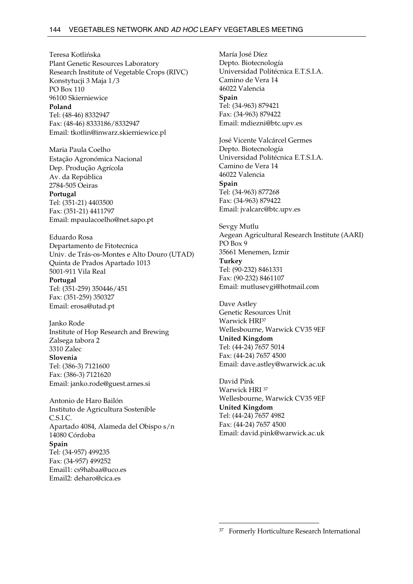Teresa Kotlińska Plant Genetic Resources Laboratory Research Institute of Vegetable Crops (RIVC) Konstytucji 3 Maja 1/3 PO Box 110 96100 Skierniewice **Poland** Tel: (48-46) 8332947 Fax: (48-46) 8333186/8332947 Email: tkotlin@inwarz.skierniewice.pl

Maria Paula Coelho Estação Agronómica Nacional Dep. Produção Agrícola Av. da República 2784-505 Oeiras **Portugal** Tel: (351-21) 4403500 Fax: (351-21) 4411797 Email: mpaulacoelho@net.sapo.pt

Eduardo Rosa Departamento de Fitotecnica Univ. de Trás-os-Montes e Alto Douro (UTAD) Quinta de Prados Apartado 1013 5001-911 Vila Real **Portugal** Tel: (351-259) 350446/451 Fax: (351-259) 350327 Email: erosa@utad.pt

Janko Rode Institute of Hop Research and Brewing Zalsega tabora 2 3310 Zalec **Slovenia** Tel: (386-3) 7121600 Fax: (386-3) 7121620 Email: janko.rode@guest.arnes.si

Antonio de Haro Bailón Instituto de Agricultura Sostenible C.S.I.C. Apartado 4084, Alameda del Obispo s/n 14080 Córdoba **Spain** Tel: (34-957) 499235 Fax: (34-957) 499252 Email1: cs9habaa@uco.es Email2: deharo@cica.es

María José Díez Depto. Biotecnología Universidad Politécnica E.T.S.I.A. Camino de Vera 14 46022 Valencia **Spain** Tel: (34-963) 879421 Fax: (34-963) 879422 Email: mdiezni@btc.upv.es

José Vicente Valcárcel Germes Depto. Biotecnología Universidad Politécnica E.T.S.I.A. Camino de Vera 14 46022 Valencia **Spain** Tel: (34-963) 877268 Fax: (34-963) 879422 Email: jvalcarc@btc.upv.es

Sevgy Mutlu Aegean Agricultural Research Institute (AARI) PO Box 9 35661 Menemen, Izmir **Turkey**  Tel: (90-232) 8461331 Fax: (90-232) 8461107 Email: mutlusevgi@hotmail.com

Dave Astley Genetic Resources Unit Warwick HRI<sup>37</sup> Wellesbourne, Warwick CV35 9EF **United Kingdom**  Tel: (44-24) 7657 5014 Fax: (44-24) 7657 4500 Email: dave.astley@warwick.ac.uk

David Pink Warwick HRI 37 Wellesbourne, Warwick CV35 9EF **United Kingdom**  Tel: (44-24) 7657 4982 Fax: (44-24) 7657 4500 Email: david.pink@warwick.ac.uk

-

<sup>37</sup> Formerly Horticulture Research International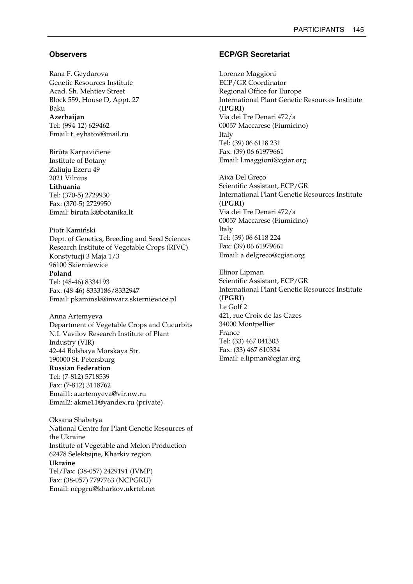#### **Observers**

Rana F. Geydarova Genetic Resources Institute Acad. Sh. Mehtiev Street Block 559, House D, Appt. 27 Baku **Azerbaijan**

Tel: (994-12) 629462 Email: t\_eybatov@mail.ru

Birūta Karpavičienė Institute of Botany Zaliuju Ezeru 49 2021 Vilnius **Lithuania** Tel: (370-5) 2729930 Fax: (370-5) 2729950 Email: biruta.k@botanika.lt

Piotr Kamiński Dept. of Genetics, Breeding and Seed Sciences Research Institute of Vegetable Crops (RIVC) Konstytucji 3 Maja 1/3 96100 Skierniewice **Poland** Tel: (48-46) 8334193 Fax: (48-46) 8333186/8332947 Email: pkaminsk@inwarz.skierniewice.pl

Anna Artemyeva Department of Vegetable Crops and Cucurbits N.I. Vavilov Research Institute of Plant Industry (VIR) 42-44 Bolshaya Morskaya Str. 190000 St. Petersburg **Russian Federation**  Tel: (7-812) 5718539 Fax: (7-812) 3118762 Email1: a.artemyeva@vir.nw.ru Email2: akme11@yandex.ru (private)

Oksana Shabetya National Centre for Plant Genetic Resources of the Ukraine Institute of Vegetable and Melon Production 62478 Selektsijne, Kharkiv region **Ukraine** Tel/Fax: (38-057) 2429191 (IVMP) Fax: (38-057) 7797763 (NCPGRU) Email: ncpgru@kharkov.ukrtel.net

#### **ECP/GR Secretariat**

Lorenzo Maggioni ECP/GR Coordinator Regional Office for Europe International Plant Genetic Resources Institute (**IPGRI**) Via dei Tre Denari 472/a 00057 Maccarese (Fiumicino) Italy Tel: (39) 06 6118 231 Fax: (39) 06 61979661 Email: l.maggioni@cgiar.org

Aixa Del Greco Scientific Assistant, ECP/GR International Plant Genetic Resources Institute (**IPGRI**) Via dei Tre Denari 472/a 00057 Maccarese (Fiumicino) Italy Tel: (39) 06 6118 224 Fax: (39) 06 61979661 Email: a.delgreco@cgiar.org

Elinor Lipman Scientific Assistant, ECP/GR International Plant Genetic Resources Institute (**IPGRI**) Le Golf 2 421, rue Croix de las Cazes 34000 Montpellier France Tel: (33) 467 041303 Fax: (33) 467 610334 Email: e.lipman@cgiar.org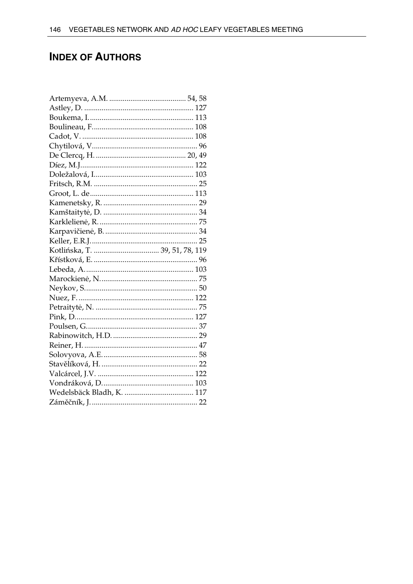# **INDEX OF AUTHORS**